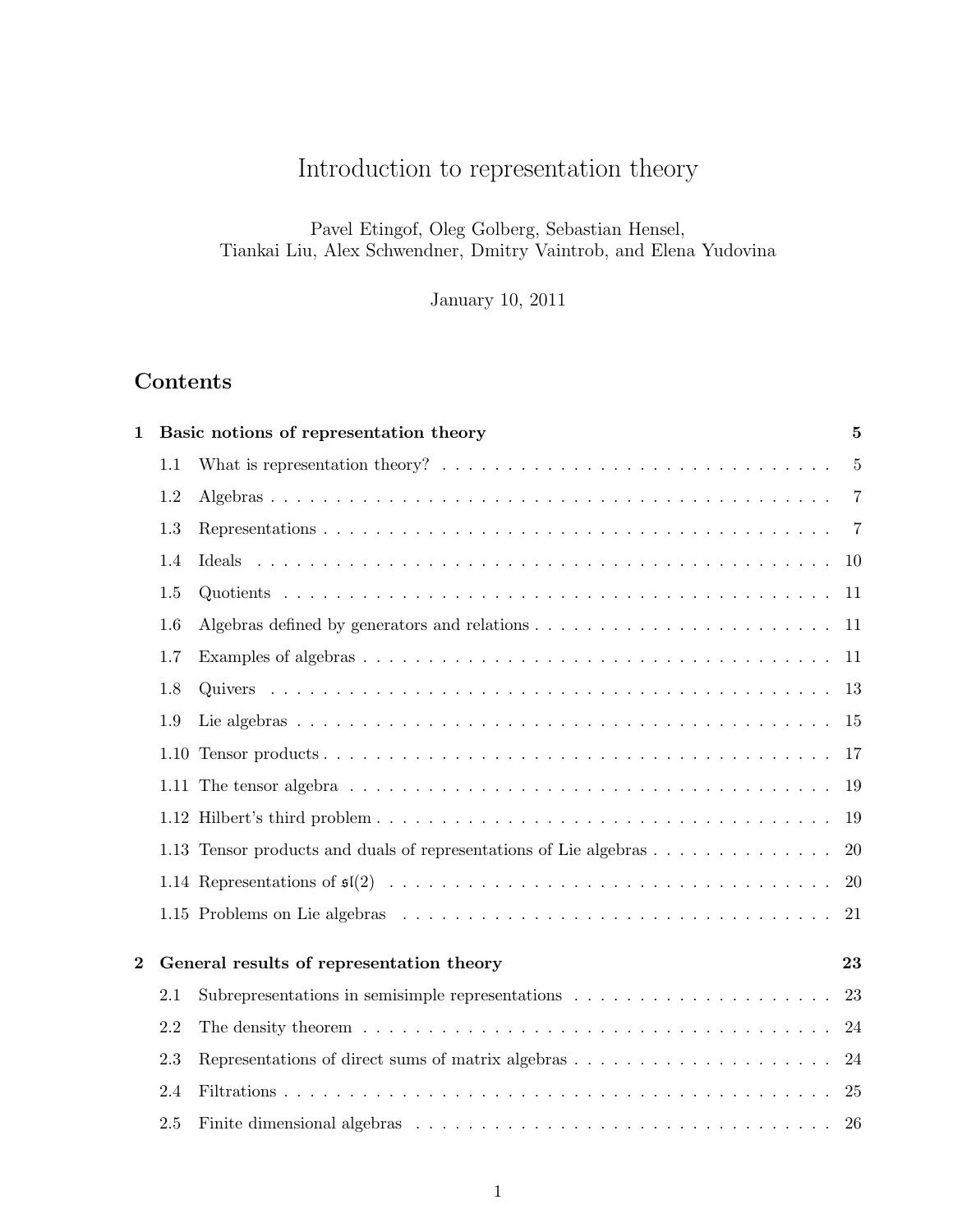# Introduction to representation theory

Pavel Etingof, Oleg Golberg, Sebastian Hensel, Tiankai Liu, Alex Schwendner, Dmitry Vaintrob, and Elena Yudovina

January 10, 2011

# Contents

| $\mathbf{1}$ |     | Basic notions of representation theory                                                                                    | 5              |
|--------------|-----|---------------------------------------------------------------------------------------------------------------------------|----------------|
|              | 1.1 |                                                                                                                           | 5              |
|              | 1.2 |                                                                                                                           | $\overline{7}$ |
|              | 1.3 |                                                                                                                           | $\overline{7}$ |
|              | 1.4 |                                                                                                                           | 10             |
|              | 1.5 |                                                                                                                           | -11            |
|              | 1.6 |                                                                                                                           | 11             |
|              | 1.7 |                                                                                                                           | -11            |
|              | 1.8 |                                                                                                                           | 13             |
|              | 1.9 |                                                                                                                           | 15             |
|              |     |                                                                                                                           | -17            |
|              |     | 1.11 The tensor algebra $\dots \dots \dots \dots \dots \dots \dots \dots \dots \dots \dots \dots \dots \dots \dots \dots$ | 19             |
|              |     |                                                                                                                           | 19             |
|              |     | 1.13 Tensor products and duals of representations of Lie algebras                                                         | 20             |
|              |     |                                                                                                                           | 20             |
|              |     |                                                                                                                           | 21             |
| $\bf{2}$     |     | General results of representation theory                                                                                  | 23             |
|              |     |                                                                                                                           |                |
|              | 2.1 | Subrepresentations in semisimple representations $\dots \dots \dots \dots \dots \dots \dots$                              | 23             |
|              | 2.2 |                                                                                                                           | 24             |
|              | 2.3 | Representations of direct sums of matrix algebras                                                                         | 24             |
|              | 2.4 |                                                                                                                           | -25            |
|              | 2.5 |                                                                                                                           | 26             |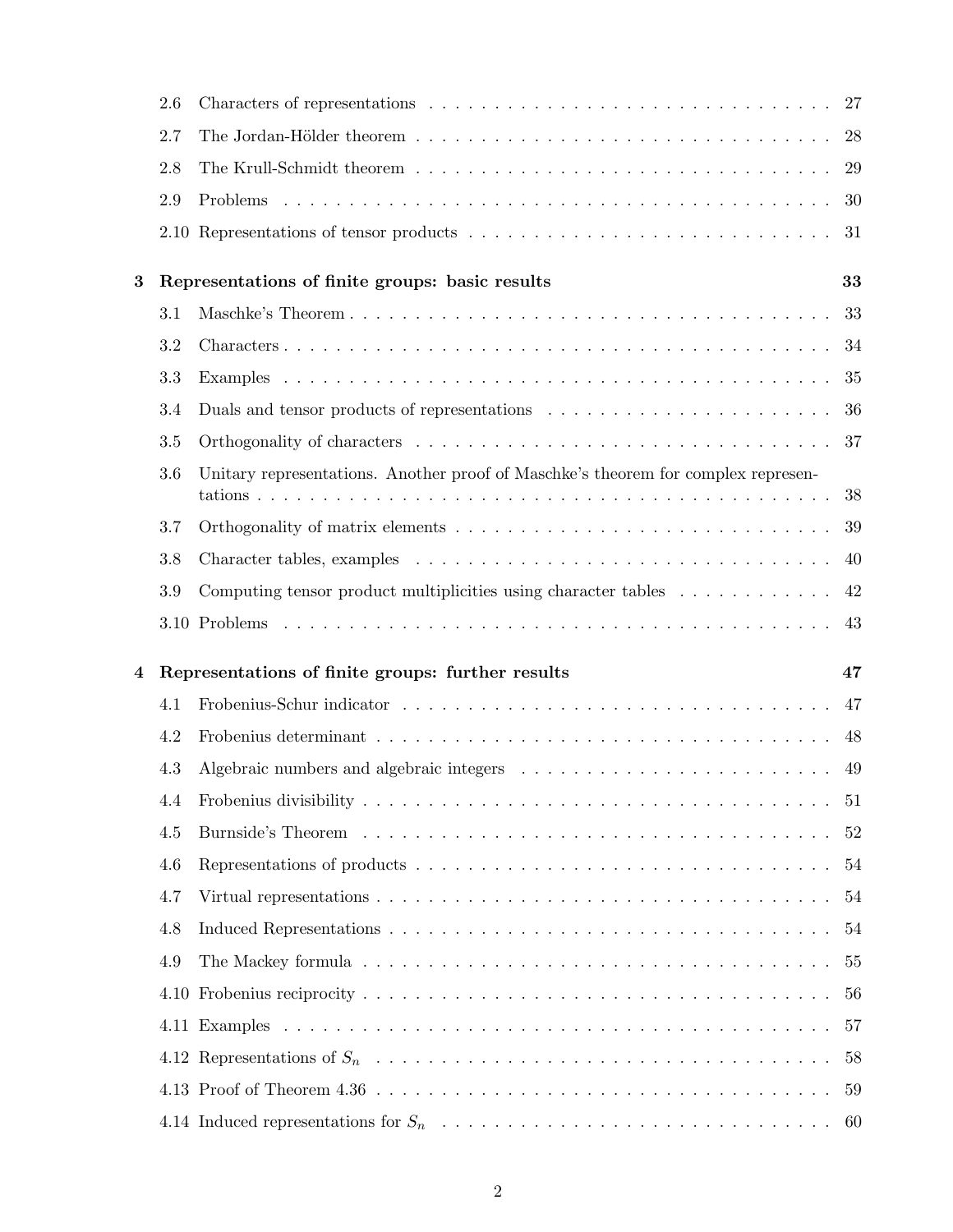|          | 2.6     |                                                                                          | 27 |
|----------|---------|------------------------------------------------------------------------------------------|----|
|          | 2.7     |                                                                                          | 28 |
|          | 2.8     |                                                                                          | 29 |
|          | 2.9     |                                                                                          | 30 |
|          |         |                                                                                          | 31 |
| $\bf{3}$ |         | Representations of finite groups: basic results                                          | 33 |
|          | 3.1     |                                                                                          | 33 |
|          | 3.2     |                                                                                          | 34 |
|          | 3.3     |                                                                                          | 35 |
|          | 3.4     |                                                                                          | 36 |
|          | 3.5     |                                                                                          | 37 |
|          | 3.6     | Unitary representations. Another proof of Maschke's theorem for complex represen-        |    |
|          |         |                                                                                          | 38 |
|          | 3.7     |                                                                                          | 39 |
|          | 3.8     |                                                                                          | 40 |
|          | $3.9\,$ | Computing tensor product multiplicities using character tables $\dots \dots \dots \dots$ | 42 |
|          |         |                                                                                          |    |
|          |         |                                                                                          | 43 |
| 4        |         | Representations of finite groups: further results                                        | 47 |
|          | 4.1     |                                                                                          | 47 |
|          | 4.2     |                                                                                          | 48 |
|          | 4.3     |                                                                                          | 49 |
|          | 4.4     |                                                                                          | 51 |
|          | 4.5     |                                                                                          | 52 |
|          | 4.6     |                                                                                          | 54 |
|          | 4.7     |                                                                                          | 54 |
|          | 4.8     |                                                                                          | 54 |
|          | 4.9     |                                                                                          | 55 |
|          |         |                                                                                          | 56 |
|          |         |                                                                                          | 57 |
|          |         |                                                                                          | 58 |
|          |         |                                                                                          | 59 |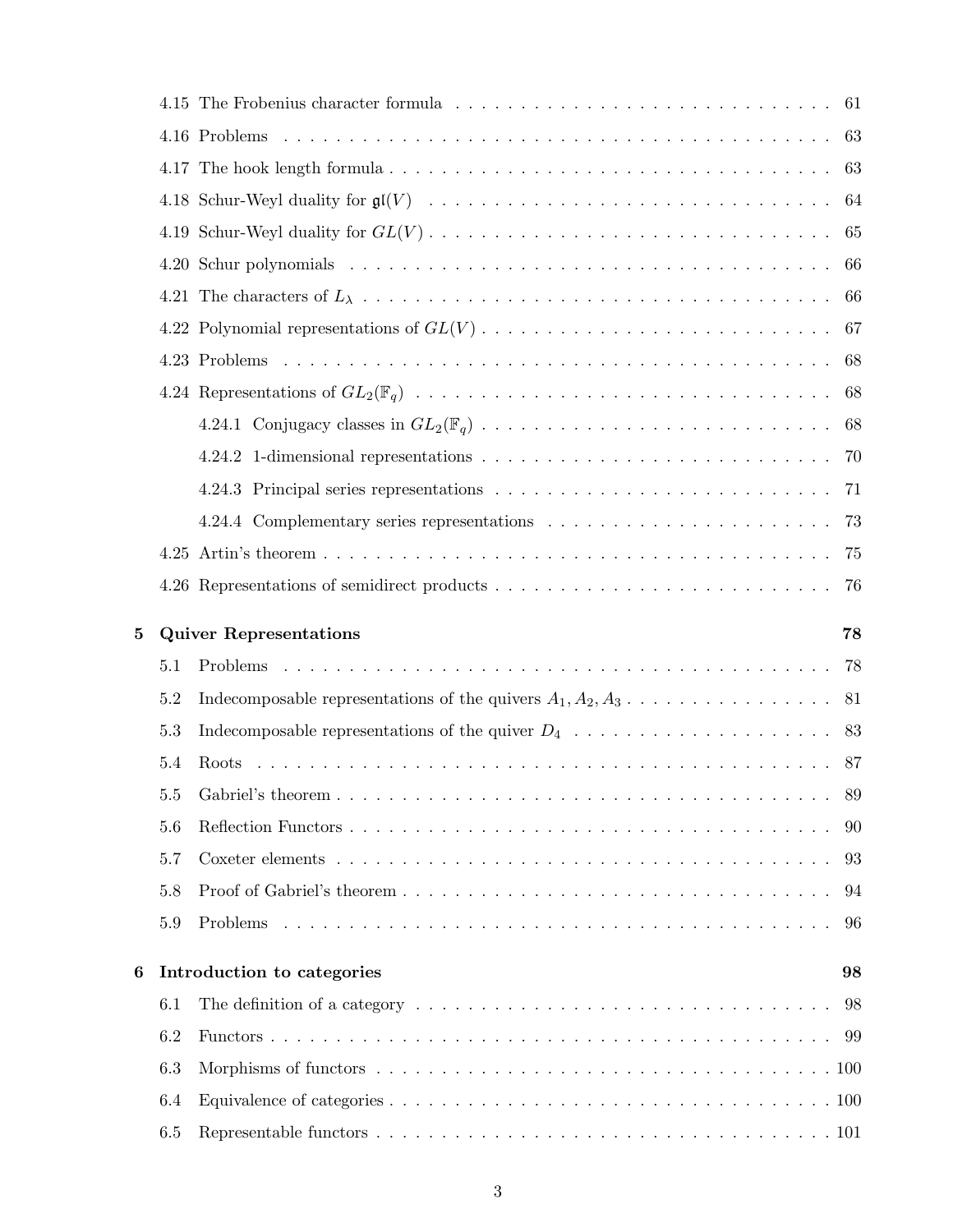|   |            |                                                                                                              | 61 |
|---|------------|--------------------------------------------------------------------------------------------------------------|----|
|   |            |                                                                                                              | 63 |
|   |            |                                                                                                              | 63 |
|   |            |                                                                                                              | 64 |
|   |            |                                                                                                              | 65 |
|   |            |                                                                                                              | 66 |
|   |            |                                                                                                              | 66 |
|   |            |                                                                                                              | 67 |
|   |            |                                                                                                              | 68 |
|   |            |                                                                                                              | 68 |
|   |            |                                                                                                              | 68 |
|   |            |                                                                                                              | 70 |
|   |            |                                                                                                              | 71 |
|   |            |                                                                                                              | 73 |
|   |            |                                                                                                              | 75 |
|   |            |                                                                                                              | 76 |
|   |            |                                                                                                              |    |
|   |            |                                                                                                              | 78 |
|   | 5.1        | <b>Quiver Representations</b>                                                                                | 78 |
|   | 5.2        | Indecomposable representations of the quivers $A_1, A_2, A_3, \ldots, \ldots, \ldots, \ldots$                | 81 |
|   | 5.3        |                                                                                                              | 83 |
|   | 5.4        |                                                                                                              |    |
|   | 5.5        |                                                                                                              | 89 |
|   | 5.6        |                                                                                                              | 90 |
|   | 5.7        |                                                                                                              | 93 |
|   | 5.8        |                                                                                                              | 94 |
| 5 | 5.9        | Problems                                                                                                     | 96 |
|   |            |                                                                                                              |    |
| 6 |            | Introduction to categories                                                                                   | 98 |
|   | 6.1        | The definition of a category $\dots \dots \dots \dots \dots \dots \dots \dots \dots \dots \dots \dots \dots$ | 98 |
|   | 6.2        |                                                                                                              | 99 |
|   | 6.3        |                                                                                                              |    |
|   | 6.4<br>6.5 |                                                                                                              |    |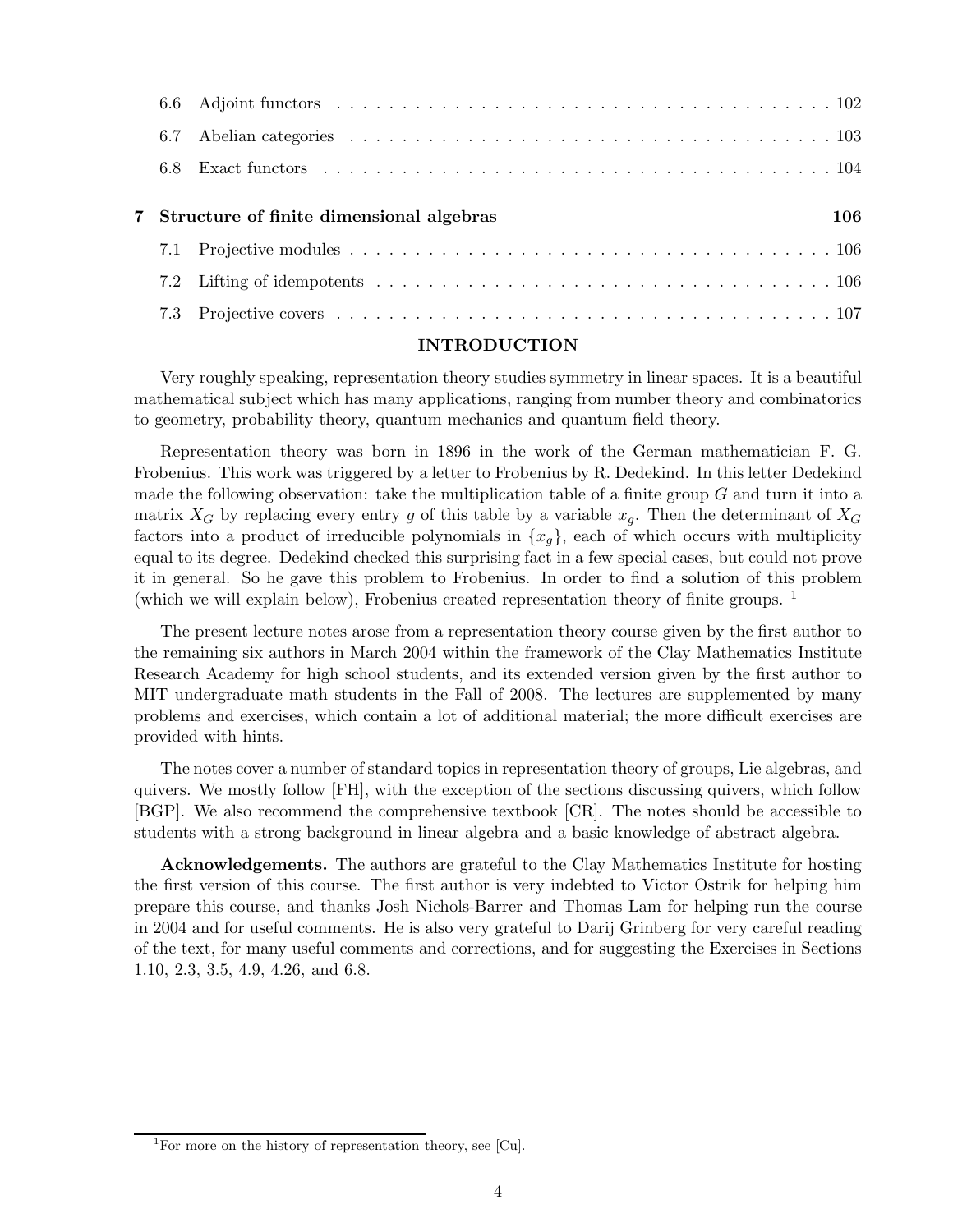| 6.7 |                                            |     |
|-----|--------------------------------------------|-----|
|     |                                            |     |
|     | 7 Structure of finite dimensional algebras | 106 |
|     |                                            |     |
|     |                                            |     |
|     |                                            |     |
|     |                                            |     |

#### INTRODUCTION

Very roughly speaking, representation theory studies symmetry in linear spaces. It is a beautiful mathematical subject which has many applications, ranging from number theory and combinatorics to geometry, probability theory, quantum mechanics and quantum field theory.

Representation theory was born in 1896 in the work of the German mathematician F. G. Frobenius. This work was triggered by a letter to Frobenius by R. Dedekind. In this letter Dedekind made the following observation: take the multiplication table of a finite group  $G$  and turn it into a matrix  $X_G$  by replacing every entry g of this table by a variable  $x_q$ . Then the determinant of  $X_G$ factors into a product of irreducible polynomials in  $\{x_g\}$ , each of which occurs with multiplicity equal to its degree. Dedekind checked this surprising fact in a few special cases, but could not prove it in general. So he gave this problem to Frobenius. In order to find a solution of this problem (which we will explain below), Frobenius created representation theory of finite groups. <sup>1</sup>

The present lecture notes arose from a representation theory course given by the first author to the remaining six authors in March 2004 within the framework of the Clay Mathematics Institute Research Academy for high school students, and its extended version given by the first author to MIT undergraduate math students in the Fall of 2008. The lectures are supplemented by many problems and exercises, which contain a lot of additional material; the more difficult exercises are provided with hints.

The notes cover a number of standard topics in representation theory of groups, Lie algebras, and quivers. We mostly follow [FH], with the exception of the sections discussing quivers, which follow [BGP]. We also recommend the comprehensive textbook [CR]. The notes should be accessible to students with a strong background in linear algebra and a basic knowledge of abstract algebra.

Acknowledgements. The authors are grateful to the Clay Mathematics Institute for hosting the first version of this course. The first author is very indebted to Victor Ostrik for helping him prepare this course, and thanks Josh Nichols-Barrer and Thomas Lam for helping run the course in 2004 and for useful comments. He is also very grateful to Darij Grinberg for very careful reading of the text, for many useful comments and corrections, and for suggesting the Exercises in Sections 1.10, 2.3, 3.5, 4.9, 4.26, and 6.8.

<sup>&</sup>lt;sup>1</sup>For more on the history of representation theory, see [Cu].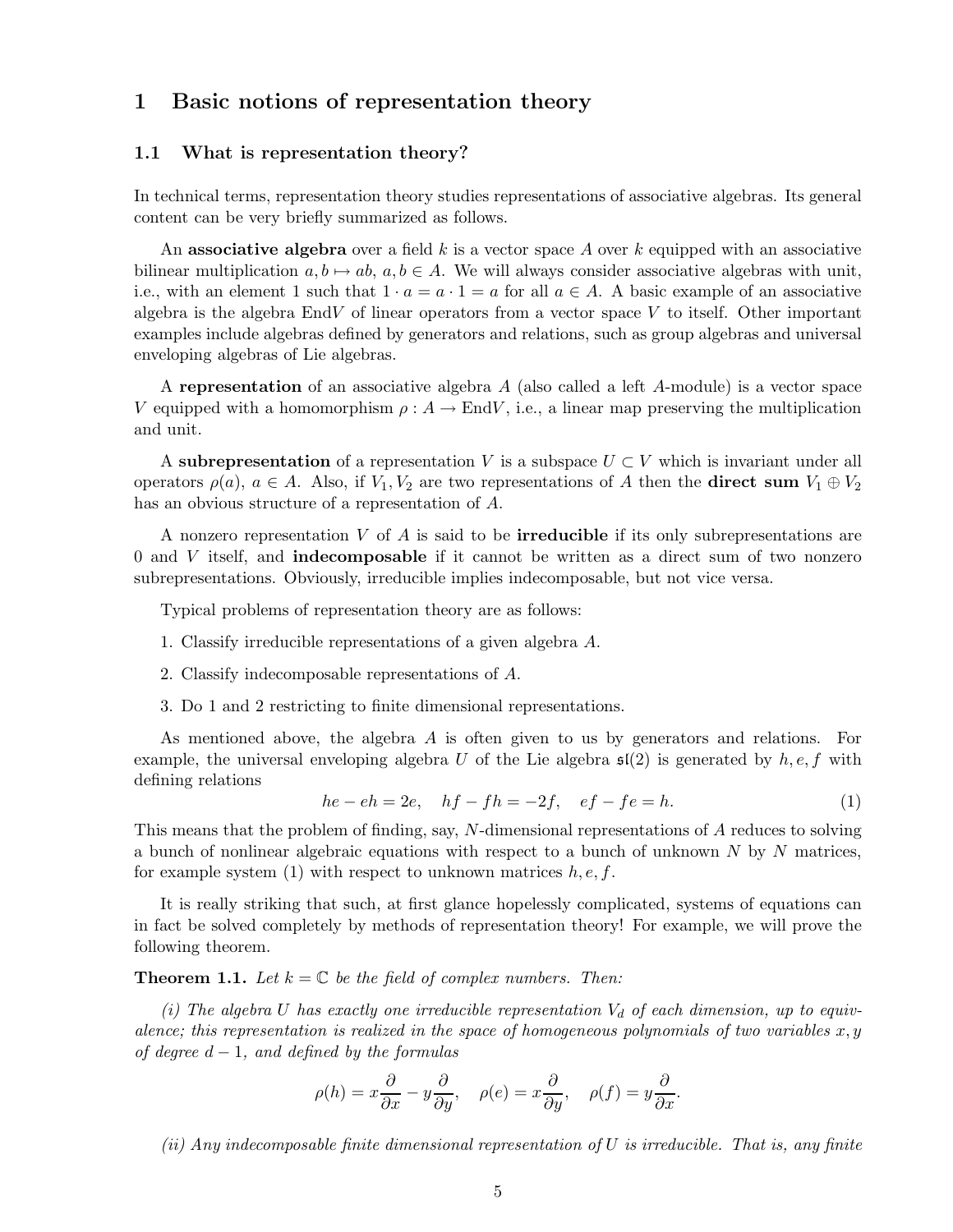# 1 Basic notions of representation theory

#### 1.1 What is representation theory?

In technical terms, representation theory studies representations of associative algebras. Its general content can be very briefly summarized as follows.

An associative algebra over a field k is a vector space A over k equipped with an associative bilinear multiplication  $a, b \mapsto ab, a, b \in A$ . We will always consider associative algebras with unit, i.e., with an element 1 such that  $1 \cdot a = a \cdot 1 = a$  for all  $a \in A$ . A basic example of an associative algebra is the algebra EndV of linear operators from a vector space  $V$  to itself. Other important examples include algebras defined by generators and relations, such as group algebras and universal enveloping algebras of Lie algebras.

A representation of an associative algebra A (also called a left A-module) is a vector space V equipped with a homomorphism  $\rho: A \to End V$ , i.e., a linear map preserving the multiplication and unit.

A subrepresentation of a representation V is a subspace  $U \subset V$  which is invariant under all operators  $\rho(a)$ ,  $a \in A$ . Also, if  $V_1, V_2$  are two representations of A then the **direct sum**  $V_1 \oplus V_2$ has an obvious structure of a representation of A.

A nonzero representation  $V$  of  $A$  is said to be **irreducible** if its only subrepresentations are 0 and V itself, and indecomposable if it cannot be written as a direct sum of two nonzero subrepresentations. Obviously, irreducible implies indecomposable, but not vice versa.

Typical problems of representation theory are as follows:

- 1. Classify irreducible representations of a given algebra A.
- 2. Classify indecomposable representations of A.
- 3. Do 1 and 2 restricting to finite dimensional representations.

As mentioned above, the algebra A is often given to us by generators and relations. For example, the universal enveloping algebra U of the Lie algebra  $\mathfrak{sl}(2)$  is generated by  $h, e, f$  with defining relations

$$
he - eh = 2e, \quad hf - fh = -2f, \quad ef - fe = h. \tag{1}
$$

This means that the problem of finding, say, N-dimensional representations of A reduces to solving a bunch of nonlinear algebraic equations with respect to a bunch of unknown N by N matrices, for example system (1) with respect to unknown matrices  $h, e, f$ .

It is really striking that such, at first glance hopelessly complicated, systems of equations can in fact be solved completely by methods of representation theory! For example, we will prove the following theorem.

**Theorem 1.1.** Let  $k = \mathbb{C}$  be the field of complex numbers. Then:

 $(i)$  The algebra U has exactly one irreducible representation  $V_d$  of each dimension, up to equiv*alence; this representation is realized in the space of homogeneous polynomials of two variables*  $x, y$ *of degree* d − 1*, and defined by the formulas*

$$
\rho(h) = x\frac{\partial}{\partial x} - y\frac{\partial}{\partial y}, \quad \rho(e) = x\frac{\partial}{\partial y}, \quad \rho(f) = y\frac{\partial}{\partial x}.
$$

*(ii) Any indecomposable finite dimensional representation of* U *is irreducible. That is, any finite*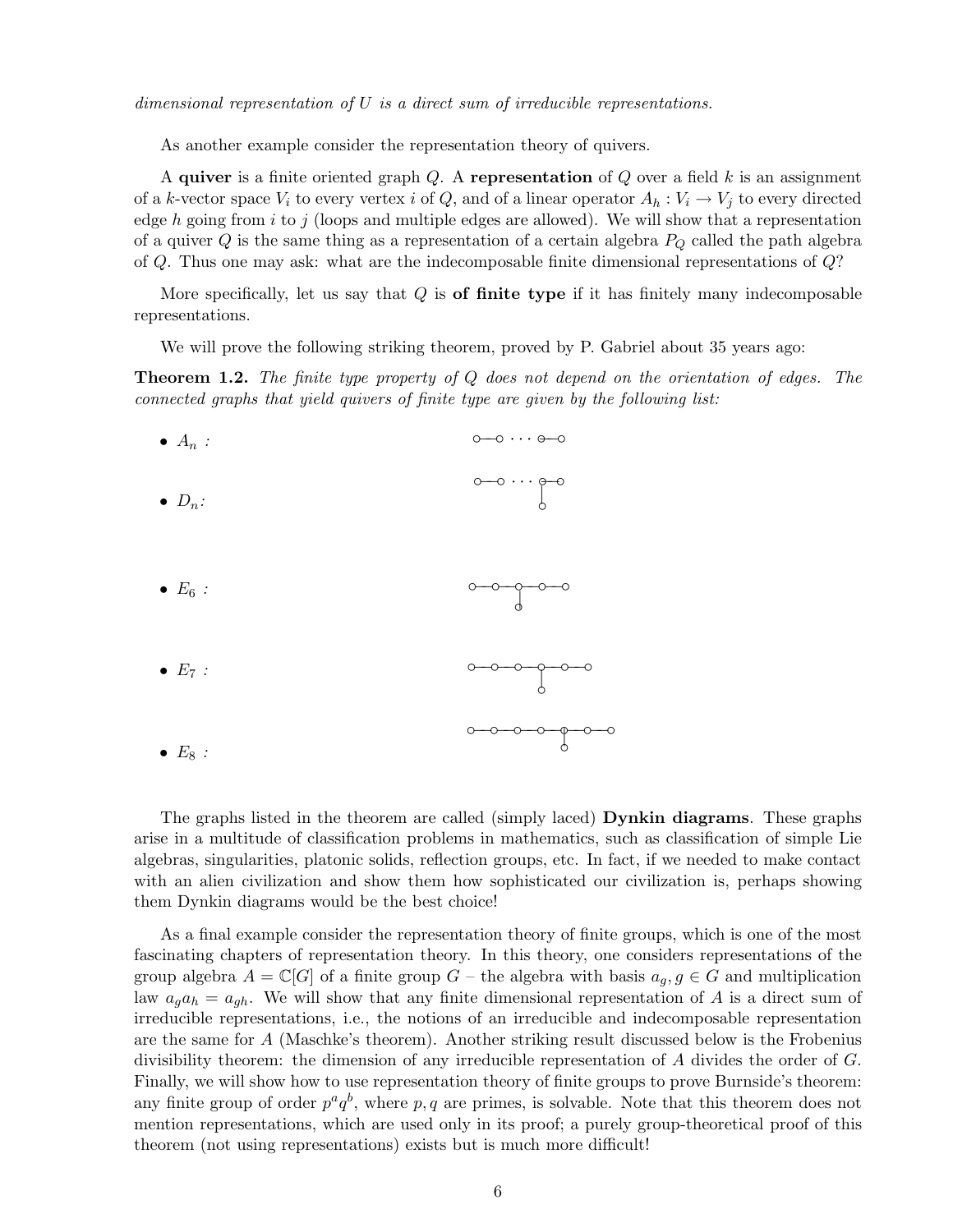*dimensional representation of* U *is a direct sum of irreducible representations.*

As another example consider the representation theory of quivers.

A quiver is a finite oriented graph  $Q$ . A representation of  $Q$  over a field  $k$  is an assignment of a k-vector space  $V_i$  to every vertex i of Q, and of a linear operator  $A_h: V_i \to V_j$  to every directed edge h going from i to j (loops and multiple edges are allowed). We will show that a representation of a quiver  $Q$  is the same thing as a representation of a certain algebra  $P_Q$  called the path algebra of Q. Thus one may ask: what are the indecomposable finite dimensional representations of Q?

More specifically, let us say that  $Q$  is of finite type if it has finitely many indecomposable representations.

We will prove the following striking theorem, proved by P. Gabriel about 35 years ago:

Theorem 1.2. *The finite type property of* Q *does not depend on the orientation of edges. The connected graphs that yield quivers of finite type are given by the following list:*



The graphs listed in the theorem are called (simply laced) Dynkin diagrams. These graphs arise in a multitude of classification problems in mathematics, such as classification of simple Lie algebras, singularities, platonic solids, reflection groups, etc. In fact, if we needed to make contact with an alien civilization and show them how sophisticated our civilization is, perhaps showing them Dynkin diagrams would be the best choice!

As a final example consider the representation theory of finite groups, which is one of the most fascinating chapters of representation theory. In this theory, one considers representations of the group algebra  $A = \mathbb{C}[G]$  of a finite group  $G$  – the algebra with basis  $a_q, g \in G$  and multiplication law  $a_q a_h = a_{gh}$ . We will show that any finite dimensional representation of A is a direct sum of irreducible representations, i.e., the notions of an irreducible and indecomposable representation are the same for A (Maschke's theorem). Another striking result discussed below is the Frobenius divisibility theorem: the dimension of any irreducible representation of A divides the order of G. Finally, we will show how to use representation theory of finite groups to prove Burnside's theorem: any finite group of order  $p^a q^b$ , where p, q are primes, is solvable. Note that this theorem does not mention representations, which are used only in its proof; a purely group-theoretical proof of this theorem (not using representations) exists but is much more difficult!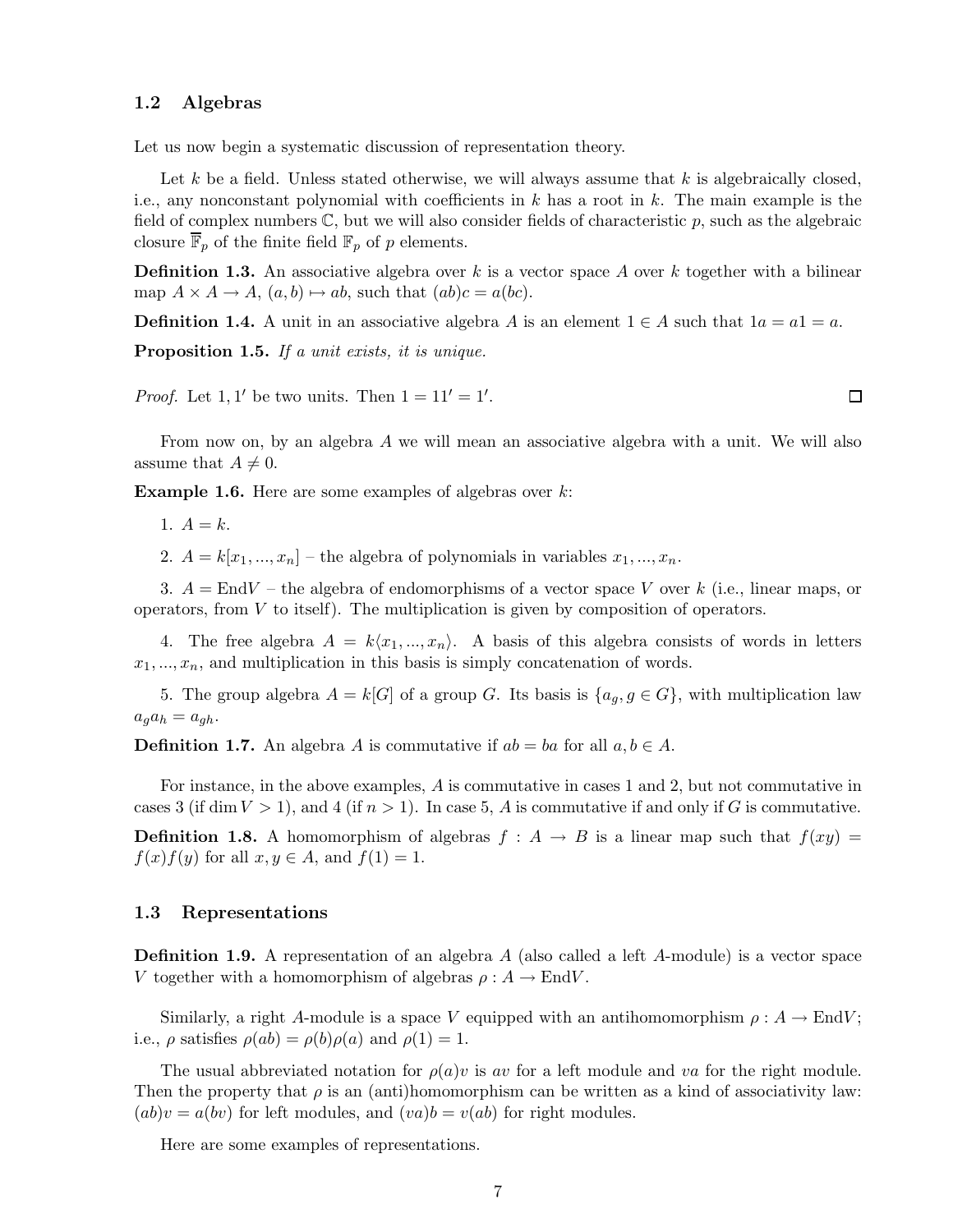#### 1.2 Algebras

Let us now begin a systematic discussion of representation theory.

Let k be a field. Unless stated otherwise, we will always assume that  $k$  is algebraically closed, i.e., any nonconstant polynomial with coefficients in k has a root in k. The main example is the field of complex numbers  $\mathbb{C}$ , but we will also consider fields of characteristic  $p$ , such as the algebraic closure  $\overline{\mathbb{F}}_p$  of the finite field  $\mathbb{F}_p$  of p elements.

**Definition 1.3.** An associative algebra over k is a vector space A over k together with a bilinear map  $A \times A \to A$ ,  $(a, b) \mapsto ab$ , such that  $(ab)c = a(bc)$ .

**Definition 1.4.** A unit in an associative algebra A is an element  $1 \in A$  such that  $1a = a1 = a$ .

Proposition 1.5. *If a unit exists, it is unique.*

*Proof.* Let 1, 1' be two units. Then  $1 = 11' = 1'$ .

From now on, by an algebra A we will mean an associative algebra with a unit. We will also assume that  $A \neq 0$ .

**Example 1.6.** Here are some examples of algebras over  $k$ :

1.  $A = k$ .

2.  $A = k[x_1,...,x_n]$  – the algebra of polynomials in variables  $x_1,...,x_n$ .

3.  $A = EndV$  – the algebra of endomorphisms of a vector space V over k (i.e., linear maps, or operators, from  $V$  to itself). The multiplication is given by composition of operators.

4. The free algebra  $A = k\langle x_1,...,x_n \rangle$ . A basis of this algebra consists of words in letters  $x_1, \ldots, x_n$ , and multiplication in this basis is simply concatenation of words.

5. The group algebra  $A = k[G]$  of a group G. Its basis is  $\{a_q, g \in G\}$ , with multiplication law  $a_g a_h = a_{gh}.$ 

**Definition 1.7.** An algebra A is commutative if  $ab = ba$  for all  $a, b \in A$ .

For instance, in the above examples, A is commutative in cases 1 and 2, but not commutative in cases 3 (if dim  $V > 1$ ), and 4 (if  $n > 1$ ). In case 5, A is commutative if and only if G is commutative.

**Definition 1.8.** A homomorphism of algebras  $f : A \rightarrow B$  is a linear map such that  $f(xy) =$  $f(x)f(y)$  for all  $x, y \in A$ , and  $f(1) = 1$ .

#### 1.3 Representations

Definition 1.9. A representation of an algebra A (also called a left A-module) is a vector space V together with a homomorphism of algebras  $\rho : A \to End V$ .

Similarly, a right A-module is a space V equipped with an antihomomorphism  $\rho : A \to \text{End}V$ ; i.e.,  $\rho$  satisfies  $\rho(ab) = \rho(b)\rho(a)$  and  $\rho(1) = 1$ .

The usual abbreviated notation for  $\rho(a)v$  is av for a left module and va for the right module. Then the property that  $\rho$  is an (anti)homomorphism can be written as a kind of associativity law:  $(ab)v = a(bv)$  for left modules, and  $(va)b = v(ab)$  for right modules.

Here are some examples of representations.

 $\Box$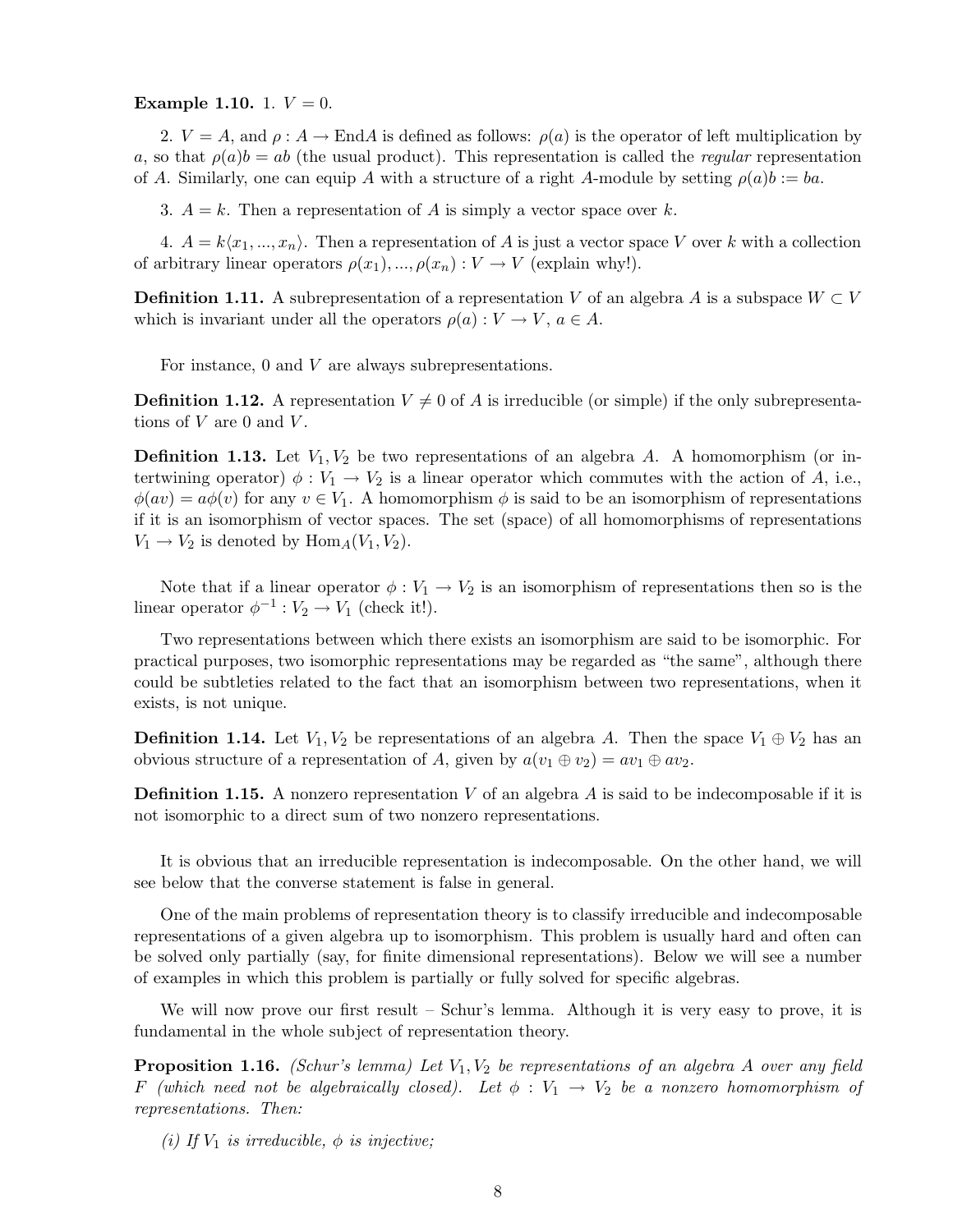#### Example 1.10. 1.  $V = 0$ .

2.  $V = A$ , and  $\rho: A \to \text{End } A$  is defined as follows:  $\rho(a)$  is the operator of left multiplication by a, so that  $\rho(a)b = ab$  (the usual product). This representation is called the *regular* representation of A. Similarly, one can equip A with a structure of a right A-module by setting  $\rho(a)b := ba$ .

3.  $A = k$ . Then a representation of A is simply a vector space over k.

4.  $A = k\langle x_1,...,x_n\rangle$ . Then a representation of A is just a vector space V over k with a collection of arbitrary linear operators  $\rho(x_1),...,\rho(x_n): V \to V$  (explain why!).

**Definition 1.11.** A subrepresentation of a representation V of an algebra A is a subspace  $W \subset V$ which is invariant under all the operators  $\rho(a): V \to V$ ,  $a \in A$ .

For instance, 0 and V are always subrepresentations.

**Definition 1.12.** A representation  $V \neq 0$  of A is irreducible (or simple) if the only subrepresentations of  $V$  are 0 and  $V$ .

**Definition 1.13.** Let  $V_1, V_2$  be two representations of an algebra A. A homomorphism (or intertwining operator)  $\phi: V_1 \to V_2$  is a linear operator which commutes with the action of A, i.e.,  $\phi(av) = a\phi(v)$  for any  $v \in V_1$ . A homomorphism  $\phi$  is said to be an isomorphism of representations if it is an isomorphism of vector spaces. The set (space) of all homomorphisms of representations  $V_1 \rightarrow V_2$  is denoted by  $\text{Hom}_A(V_1, V_2)$ .

Note that if a linear operator  $\phi: V_1 \to V_2$  is an isomorphism of representations then so is the linear operator  $\phi^{-1}: V_2 \to V_1$  (check it!).

Two representations between which there exists an isomorphism are said to be isomorphic. For practical purposes, two isomorphic representations may be regarded as "the same", although there could be subtleties related to the fact that an isomorphism between two representations, when it exists, is not unique.

**Definition 1.14.** Let  $V_1, V_2$  be representations of an algebra A. Then the space  $V_1 \oplus V_2$  has an obvious structure of a representation of A, given by  $a(v_1 \oplus v_2) = av_1 \oplus av_2$ .

**Definition 1.15.** A nonzero representation  $V$  of an algebra  $A$  is said to be indecomposable if it is not isomorphic to a direct sum of two nonzero representations.

It is obvious that an irreducible representation is indecomposable. On the other hand, we will see below that the converse statement is false in general.

One of the main problems of representation theory is to classify irreducible and indecomposable representations of a given algebra up to isomorphism. This problem is usually hard and often can be solved only partially (say, for finite dimensional representations). Below we will see a number of examples in which this problem is partially or fully solved for specific algebras.

We will now prove our first result – Schur's lemma. Although it is very easy to prove, it is fundamental in the whole subject of representation theory.

**Proposition 1.16.** *(Schur's lemma) Let*  $V_1, V_2$  *be representations of an algebra A over any field* F *(which need not be algebraically closed).* Let  $\phi : V_1 \rightarrow V_2$  *be a nonzero homomorphism of representations. Then:*

*(i)* If  $V_1$  *is irreducible,*  $\phi$  *is injective;*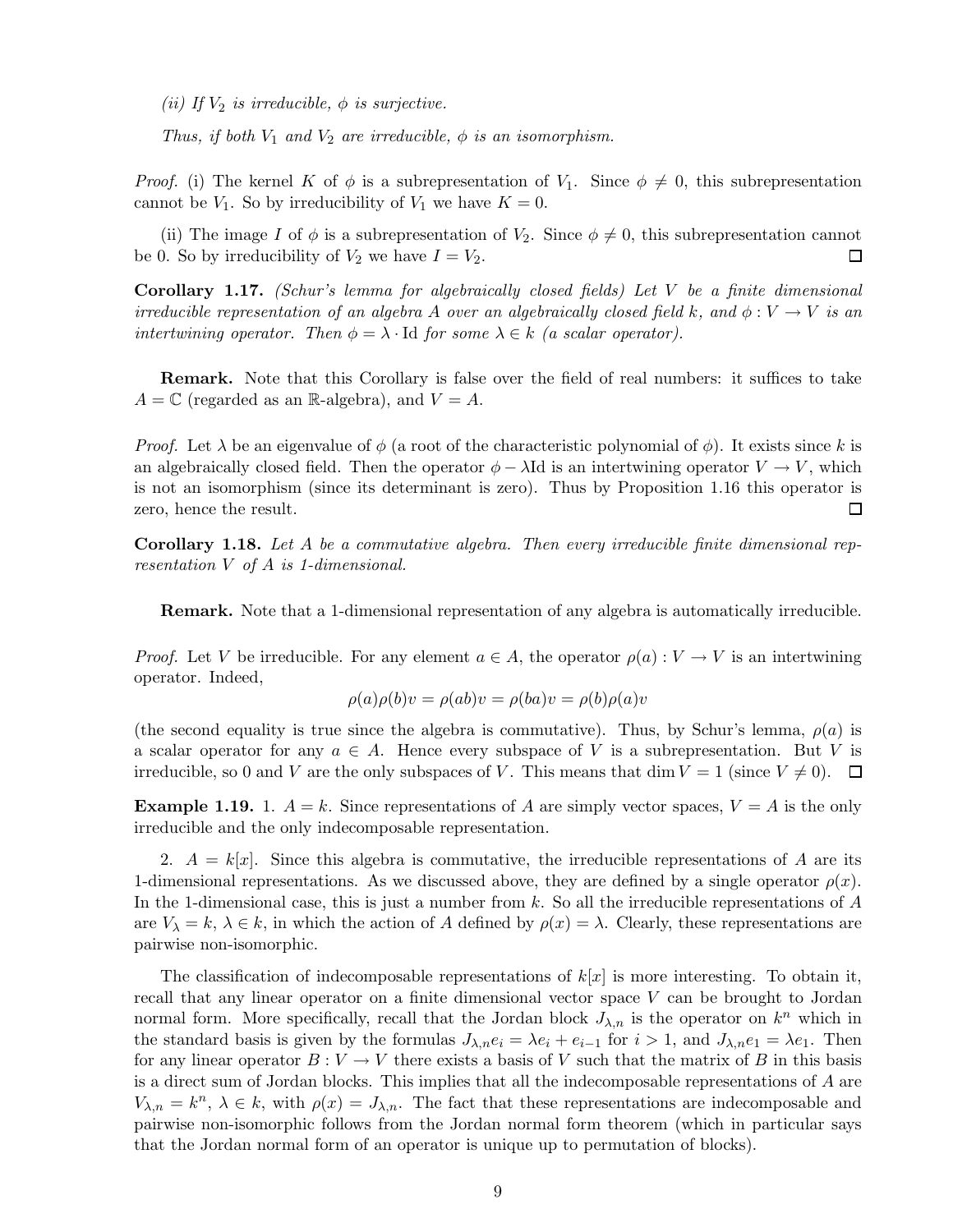*(ii)* If  $V_2$  *is irreducible,*  $\phi$  *is surjective.* 

*Thus, if both*  $V_1$  *and*  $V_2$  *are irreducible,*  $\phi$  *is an isomorphism.* 

*Proof.* (i) The kernel K of  $\phi$  is a subrepresentation of  $V_1$ . Since  $\phi \neq 0$ , this subrepresentation cannot be  $V_1$ . So by irreducibility of  $V_1$  we have  $K = 0$ .

(ii) The image I of  $\phi$  is a subrepresentation of  $V_2$ . Since  $\phi \neq 0$ , this subrepresentation cannot 0. So by irreducibility of  $V_2$  we have  $I = V_2$ . be 0. So by irreducibility of  $V_2$  we have  $I = V_2$ .

Corollary 1.17. *(Schur's lemma for algebraically closed fields) Let* V *be a finite dimensional irreducible representation of an algebra* A *over an algebraically closed field* k, and  $\phi: V \to V$  *is an intertwining operator. Then*  $\phi = \lambda \cdot \text{Id}$  *for some*  $\lambda \in k$  *(a scalar operator).* 

Remark. Note that this Corollary is false over the field of real numbers: it suffices to take  $A = \mathbb{C}$  (regarded as an R-algebra), and  $V = A$ .

*Proof.* Let  $\lambda$  be an eigenvalue of  $\phi$  (a root of the characteristic polynomial of  $\phi$ ). It exists since k is an algebraically closed field. Then the operator  $\phi - \lambda \text{Id}$  is an intertwining operator  $V \to V$ , which is not an isomorphism (since its determinant is zero). Thus by Proposition 1.16 this operator is zero, hence the result.  $\Box$ 

Corollary 1.18. *Let* A *be a commutative algebra. Then every irreducible finite dimensional representation* V *of* A *is 1-dimensional.*

Remark. Note that a 1-dimensional representation of any algebra is automatically irreducible.

*Proof.* Let V be irreducible. For any element  $a \in A$ , the operator  $\rho(a): V \to V$  is an intertwining operator. Indeed,

$$
\rho(a)\rho(b)v = \rho(ab)v = \rho(ba)v = \rho(b)\rho(a)v
$$

(the second equality is true since the algebra is commutative). Thus, by Schur's lemma,  $\rho(a)$  is a scalar operator for any  $a \in A$ . Hence every subspace of V is a subrepresentation. But V is irreducible, so 0 and V are the only subspaces of V. This means that dim  $V = 1$  (since  $V \neq 0$ ).  $\Box$ 

**Example 1.19.** 1.  $A = k$ . Since representations of A are simply vector spaces,  $V = A$  is the only irreducible and the only indecomposable representation.

2.  $A = k[x]$ . Since this algebra is commutative, the irreducible representations of A are its 1-dimensional representations. As we discussed above, they are defined by a single operator  $\rho(x)$ . In the 1-dimensional case, this is just a number from  $k$ . So all the irreducible representations of  $A$ are  $V_{\lambda} = k, \lambda \in k$ , in which the action of A defined by  $\rho(x) = \lambda$ . Clearly, these representations are pairwise non-isomorphic.

The classification of indecomposable representations of  $k[x]$  is more interesting. To obtain it, recall that any linear operator on a finite dimensional vector space V can be brought to Jordan normal form. More specifically, recall that the Jordan block  $J_{\lambda,n}$  is the operator on  $k^n$  which in the standard basis is given by the formulas  $J_{\lambda,n}e_i = \lambda e_i + e_{i-1}$  for  $i > 1$ , and  $J_{\lambda,n}e_1 = \lambda e_1$ . Then for any linear operator  $B: V \to V$  there exists a basis of V such that the matrix of B in this basis is a direct sum of Jordan blocks. This implies that all the indecomposable representations of A are  $V_{\lambda,n} = k^n$ ,  $\lambda \in k$ , with  $\rho(x) = J_{\lambda,n}$ . The fact that these representations are indecomposable and pairwise non-isomorphic follows from the Jordan normal form theorem (which in particular says that the Jordan normal form of an operator is unique up to permutation of blocks).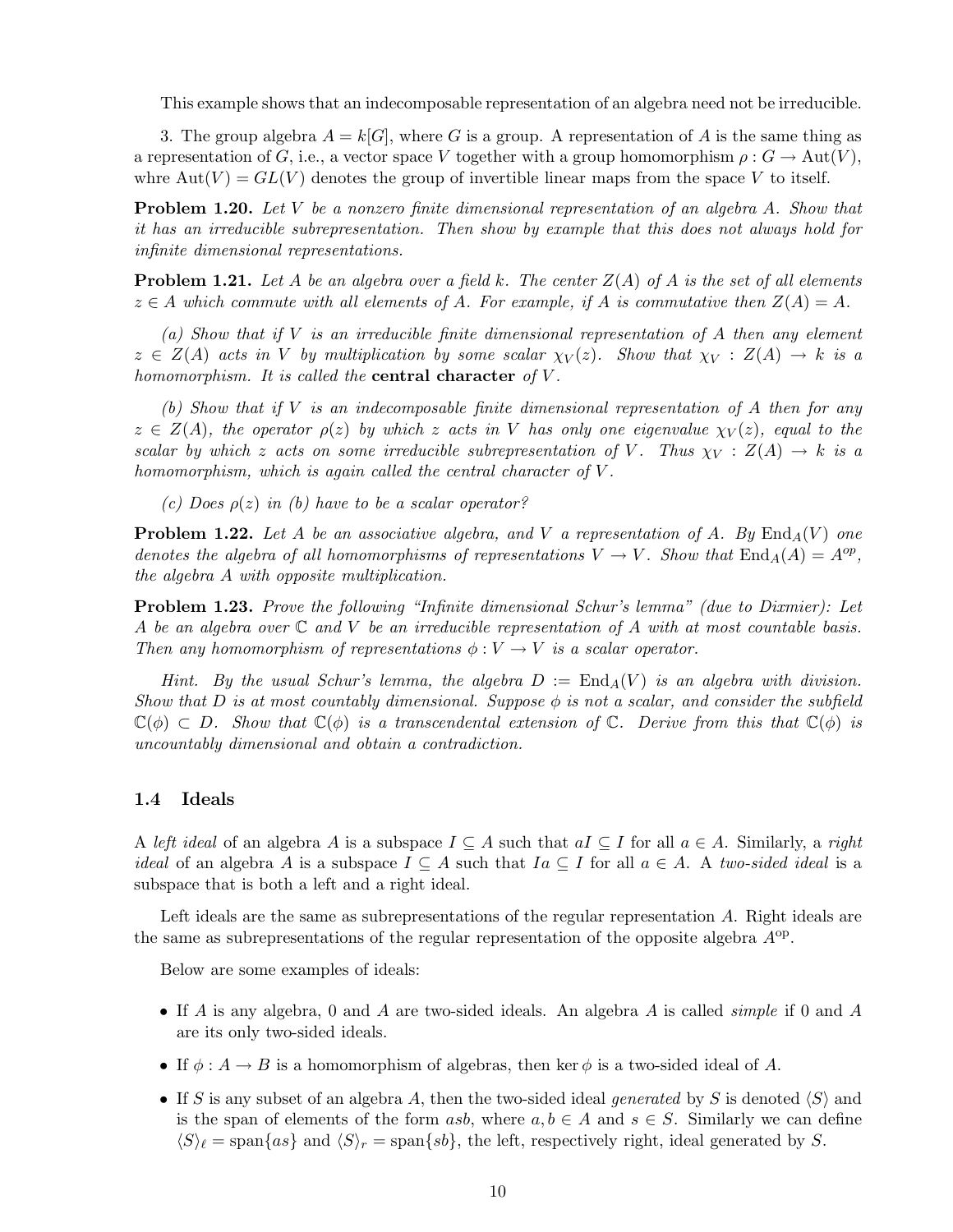This example shows that an indecomposable representation of an algebra need not be irreducible.

3. The group algebra  $A = k[G]$ , where G is a group. A representation of A is the same thing as a representation of G, i.e., a vector space V together with a group homomorphism  $\rho: G \to \text{Aut}(V)$ , whre  $Aut(V) = GL(V)$  denotes the group of invertible linear maps from the space V to itself.

Problem 1.20. *Let* V *be a nonzero finite dimensional representation of an algebra* A*. Show that it has an irreducible subrepresentation. Then show by example that this does not always hold for infinite dimensional representations.*

**Problem 1.21.** Let A be an algebra over a field k. The center  $Z(A)$  of A is the set of all elements  $z \in A$  which commute with all elements of A. For example, if A is commutative then  $Z(A) = A$ .

*(a) Show that if* V *is an irreducible finite dimensional representation of* A *then any element*  $z \in Z(A)$  acts in V by multiplication by some scalar  $\chi_V(z)$ . Show that  $\chi_V : Z(A) \to k$  is a *homomorphism. It is called the* central character *of* V *.*

*(b) Show that if* V *is an indecomposable finite dimensional representation of* A *then for any*  $z \in Z(A)$ *, the operator*  $\rho(z)$  *by which* z acts in V has only one eigenvalue  $\chi_V(z)$ *, equal to the scalar by which* z acts on some irreducible subrepresentation of V. Thus  $\chi_V : Z(A) \to k$  is a *homomorphism, which is again called the central character of* V *.*

*(c) Does* ρ(z) *in (b) have to be a scalar operator?*

**Problem 1.22.** Let A be an associative algebra, and V a representation of A. By  $\text{End}_A(V)$  one *denotes the algebra of all homomorphisms of representations*  $V \to V$ *. Show that*  $\text{End}_A(A) = A^{op}$ *, the algebra* A *with opposite multiplication.*

Problem 1.23. *Prove the following "Infinite dimensional Schur's lemma" (due to Dixmier): Let* A *be an algebra over* C *and* V *be an irreducible representation of* A *with at most countable basis. Then any homomorphism of representations*  $\phi: V \to V$  *is a scalar operator.* 

*Hint.* By the usual Schur's lemma, the algebra  $D := \text{End}_A(V)$  is an algebra with division. *Show that*  $D$  *is at most countably dimensional. Suppose*  $\phi$  *is not a scalar, and consider the subfield*  $\mathbb{C}(\phi) \subset D$ . Show that  $\mathbb{C}(\phi)$  is a transcendental extension of  $\mathbb{C}$ . Derive from this that  $\mathbb{C}(\phi)$  is *uncountably dimensional and obtain a contradiction.*

#### 1.4 Ideals

A *left ideal* of an algebra A is a subspace  $I \subseteq A$  such that  $aI \subseteq I$  for all  $a \in A$ . Similarly, a *right ideal* of an algebra A is a subspace  $I \subseteq A$  such that  $Ia \subseteq I$  for all  $a \in A$ . A *two-sided ideal* is a subspace that is both a left and a right ideal.

Left ideals are the same as subrepresentations of the regular representation A. Right ideals are the same as subrepresentations of the regular representation of the opposite algebra  $A^{op}$ .

Below are some examples of ideals:

- If A is any algebra, 0 and A are two-sided ideals. An algebra A is called *simple* if 0 and A are its only two-sided ideals.
- If  $\phi: A \to B$  is a homomorphism of algebras, then ker  $\phi$  is a two-sided ideal of A.
- If S is any subset of an algebra A, then the two-sided ideal *generated* by S is denoted  $\langle S \rangle$  and is the span of elements of the form asb, where  $a, b \in A$  and  $s \in S$ . Similarly we can define  $\langle S \rangle_{\ell} = \text{span}\{as\}$  and  $\langle S \rangle_{r} = \text{span}\{sb\}$ , the left, respectively right, ideal generated by S.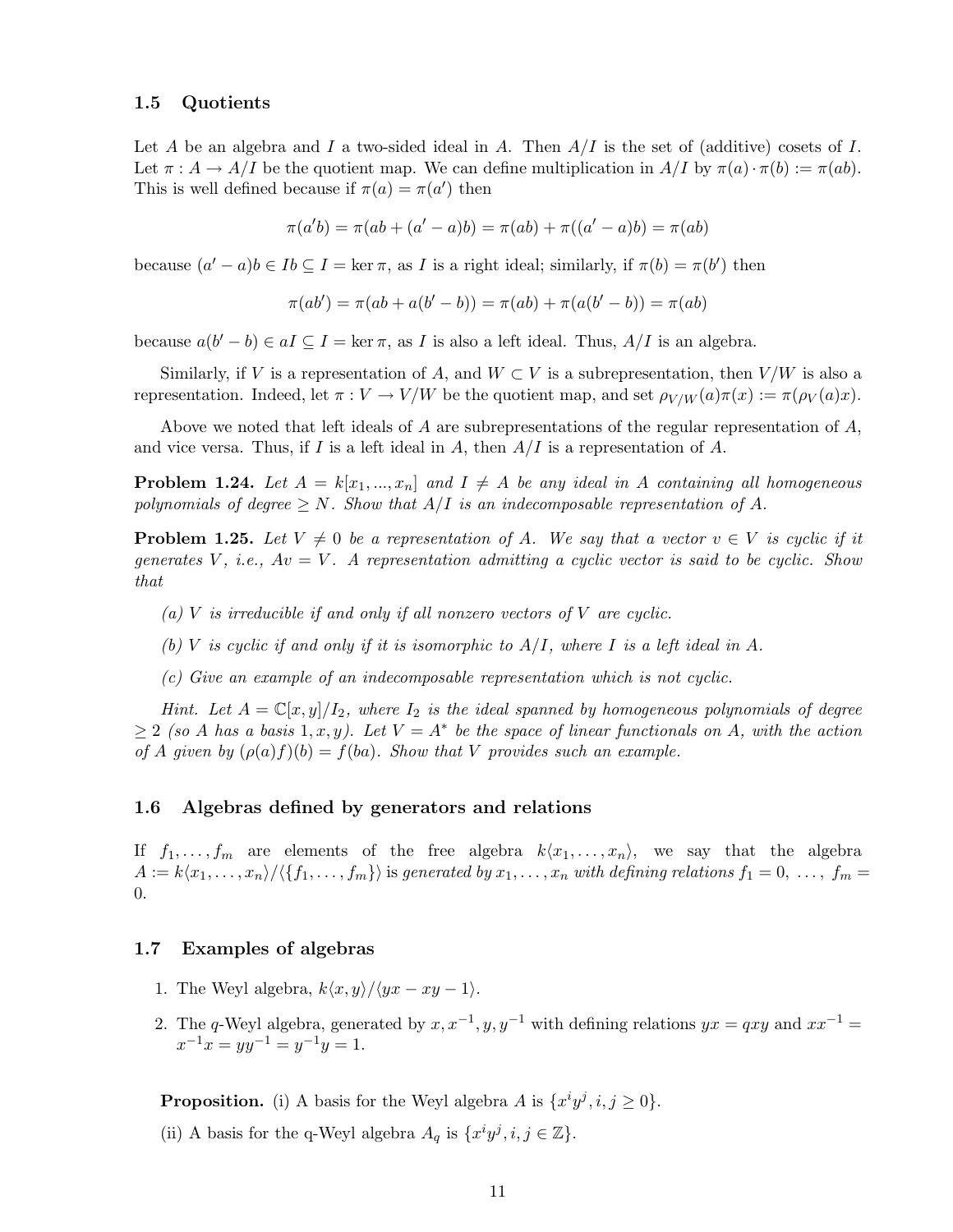#### 1.5 Quotients

Let A be an algebra and I a two-sided ideal in A. Then  $A/I$  is the set of (additive) cosets of I. Let  $\pi : A \to A/I$  be the quotient map. We can define multiplication in  $A/I$  by  $\pi(a) \cdot \pi(b) := \pi(ab)$ . This is well defined because if  $\pi(a) = \pi(a')$  then

$$
\pi(a'b) = \pi(ab + (a' - a)b) = \pi(ab) + \pi((a' - a)b) = \pi(ab)
$$

because  $(a'-a)b \in Ib \subseteq I = \ker \pi$ , as I is a right ideal; similarly, if  $\pi(b) = \pi(b')$  then

$$
\pi(ab') = \pi(ab + a(b' - b)) = \pi(ab) + \pi(a(b' - b)) = \pi(ab)
$$

because  $a(b'-b) \in aI \subseteq I = \ker \pi$ , as I is also a left ideal. Thus,  $A/I$  is an algebra.

Similarly, if V is a representation of A, and  $W \subset V$  is a subrepresentation, then  $V/W$  is also a representation. Indeed, let  $\pi : V \to V/W$  be the quotient map, and set  $\rho_{V/W}(a)\pi(x) := \pi(\rho_V(a)x)$ .

Above we noted that left ideals of A are subrepresentations of the regular representation of  $A$ , and vice versa. Thus, if I is a left ideal in A, then  $A/I$  is a representation of A.

**Problem 1.24.** Let  $A = k[x_1,...,x_n]$  and  $I \neq A$  be any ideal in A containing all homogeneous *polynomials of degree*  $\geq N$ *. Show that*  $A/I$  *is an indecomposable representation of* A.

**Problem 1.25.** Let  $V \neq 0$  be a representation of A. We say that a vector  $v \in V$  is cyclic if it *generates* V *, i.e.,* Av = V *. A representation admitting a cyclic vector is said to be cyclic. Show that*

- *(a)* V *is irreducible if and only if all nonzero vectors of* V *are cyclic.*
- *(b)* V *is cyclic if and only if it is isomorphic to* A/I*, where* I *is a left ideal in* A*.*

*(c) Give an example of an indecomposable representation which is not cyclic.*

*Hint.* Let  $A = \mathbb{C}[x, y]/I_2$ , where  $I_2$  is the ideal spanned by homogeneous polynomials of degree  $\geq 2$  *(so A has a basis* 1, x, y). Let  $V = A^*$  be the space of linear functionals on A, with the action *of* A given by  $(\rho(a)f)(b) = f(ba)$ . Show that V provides such an example.

#### 1.6 Algebras defined by generators and relations

If  $f_1,\ldots,f_m$  are elements of the free algebra  $k\langle x_1,\ldots,x_n\rangle$ , we say that the algebra  $A := k\langle x_1,\ldots,x_n\rangle/\langle\{f_1,\ldots,f_m\}\rangle$  is generated by  $x_1,\ldots,x_n$  with defining relations  $f_1 = 0,\ldots,f_m = 0$ 0.

#### 1.7 Examples of algebras

- 1. The Weyl algebra,  $k\langle x,y\rangle/\langle yx xy 1\rangle$ .
- 2. The q-Weyl algebra, generated by  $x, x^{-1}, y, y^{-1}$  with defining relations  $yx = qxy$  and  $xx^{-1} =$  $x^{-1}x = yy^{-1} = y^{-1}y = 1.$

**Proposition.** (i) A basis for the Weyl algebra A is  $\{x^i y^j, i, j \ge 0\}$ .

(ii) A basis for the q-Weyl algebra  $A_q$  is  $\{x^i y^j, i, j \in \mathbb{Z}\}$ .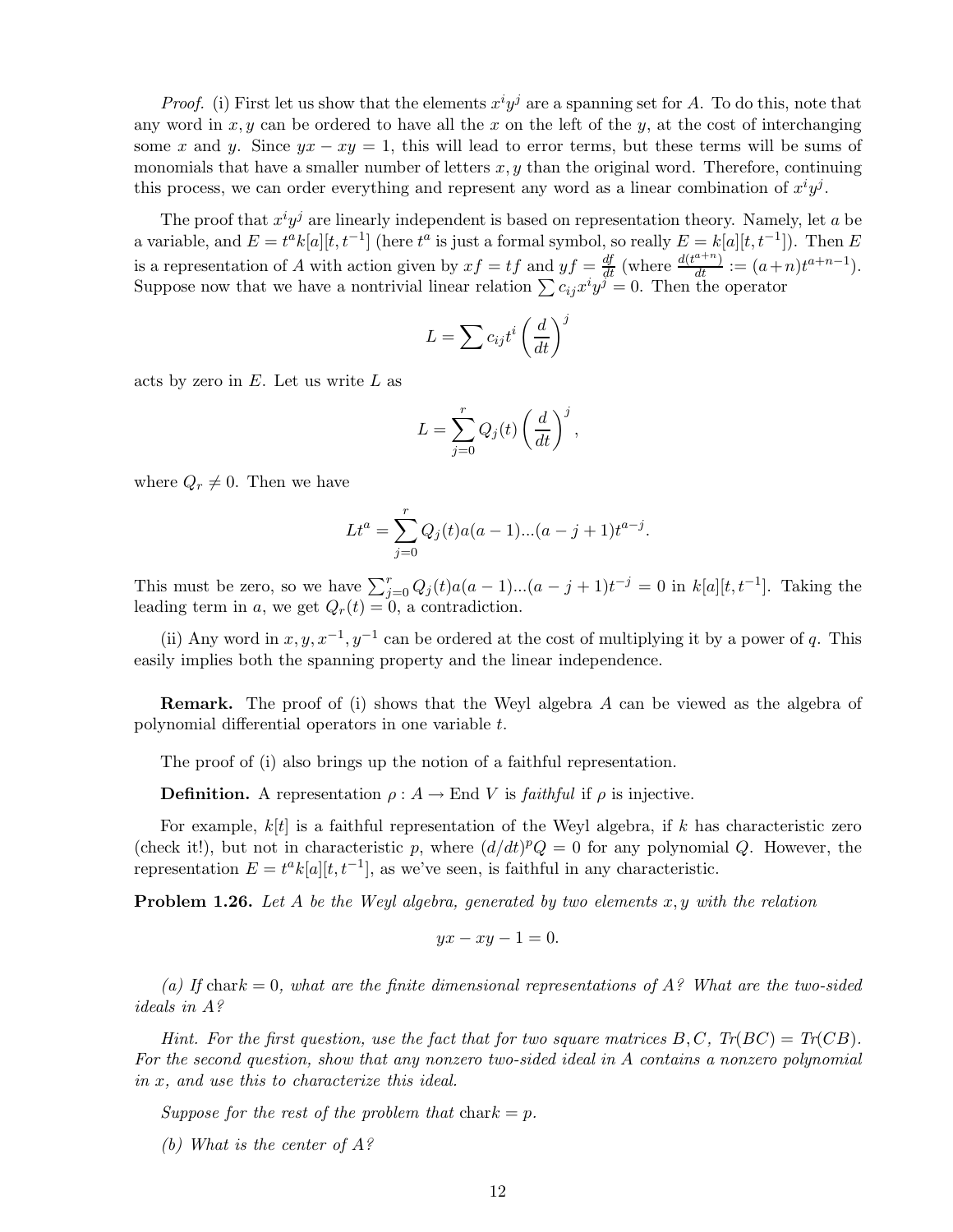*Proof.* (i) First let us show that the elements  $x^i y^j$  are a spanning set for A. To do this, note that any word in  $x, y$  can be ordered to have all the x on the left of the y, at the cost of interchanging some x and y. Since  $yx - xy = 1$ , this will lead to error terms, but these terms will be sums of monomials that have a smaller number of letters  $x, y$  than the original word. Therefore, continuing this process, we can order everything and represent any word as a linear combination of  $x^i y^j$ .

The proof that  $x^i y^j$  are linearly independent is based on representation theory. Namely, let a be a variable, and  $E = t^a k[a][t, t^{-1}]$  (here  $t^a$  is just a formal symbol, so really  $E = k[a][t, t^{-1}])$ . Then  $E$ is a representation of A with action given by  $xf = tf$  and  $yf = \frac{df}{dt}$  (where  $\frac{d(t^{a+n})}{dt} := (a+n)t^{a+n-1}$ ). Suppose now that we have a nontrivial linear relation  $\sum c_{ij} x^i y^j = 0$ . Then the operator

$$
L = \sum c_{ij} t^i \left(\frac{d}{dt}\right)^j
$$

acts by zero in  $E$ . Let us write  $L$  as

$$
L = \sum_{j=0}^{r} Q_j(t) \left(\frac{d}{dt}\right)^j,
$$

where  $Q_r \neq 0$ . Then we have

$$
Lt^{a} = \sum_{j=0}^{r} Q_j(t)a(a-1)...(a-j+1)t^{a-j}.
$$

This must be zero, so we have  $\sum_{j=0}^{r} Q_j(t)a(a-1)...(a-j+1)t^{-j} = 0$  in  $k[a][t, t^{-1}]$ . Taking the leading term in a, we get  $Q_r(t) = 0$ , a contradiction.

(ii) Any word in  $x, y, x^{-1}, y^{-1}$  can be ordered at the cost of multiplying it by a power of q. This easily implies both the spanning property and the linear independence.

Remark. The proof of (i) shows that the Weyl algebra A can be viewed as the algebra of polynomial differential operators in one variable t.

The proof of (i) also brings up the notion of a faithful representation.

**Definition.** A representation  $\rho: A \to \text{End } V$  is *faithful* if  $\rho$  is injective.

For example,  $k[t]$  is a faithful representation of the Weyl algebra, if k has characteristic zero (check it!), but not in characteristic p, where  $\left(\frac{d}{dt}\right)^p Q = 0$  for any polynomial Q. However, the representation  $E = t^a k[a][t, t^{-1}]$ , as we've seen, is faithful in any characteristic.

Problem 1.26. *Let* A *be the Weyl algebra, generated by two elements* x,y *with the relation*

$$
yx - xy - 1 = 0.
$$

(a) If chark  $= 0$ , what are the finite dimensional representations of  $A$ ? What are the two-sided *ideals in* A*?*

*Hint. For the first question, use the fact that for two square matrices*  $B, C, Tr(BC) = Tr(CB)$ . *For the second question, show that any nonzero two-sided ideal in* A *contains a nonzero polynomial in* x*, and use this to characterize this ideal.*

*Suppose for the rest of the problem that*  $char k = p$ .

*(b) What is the center of* A*?*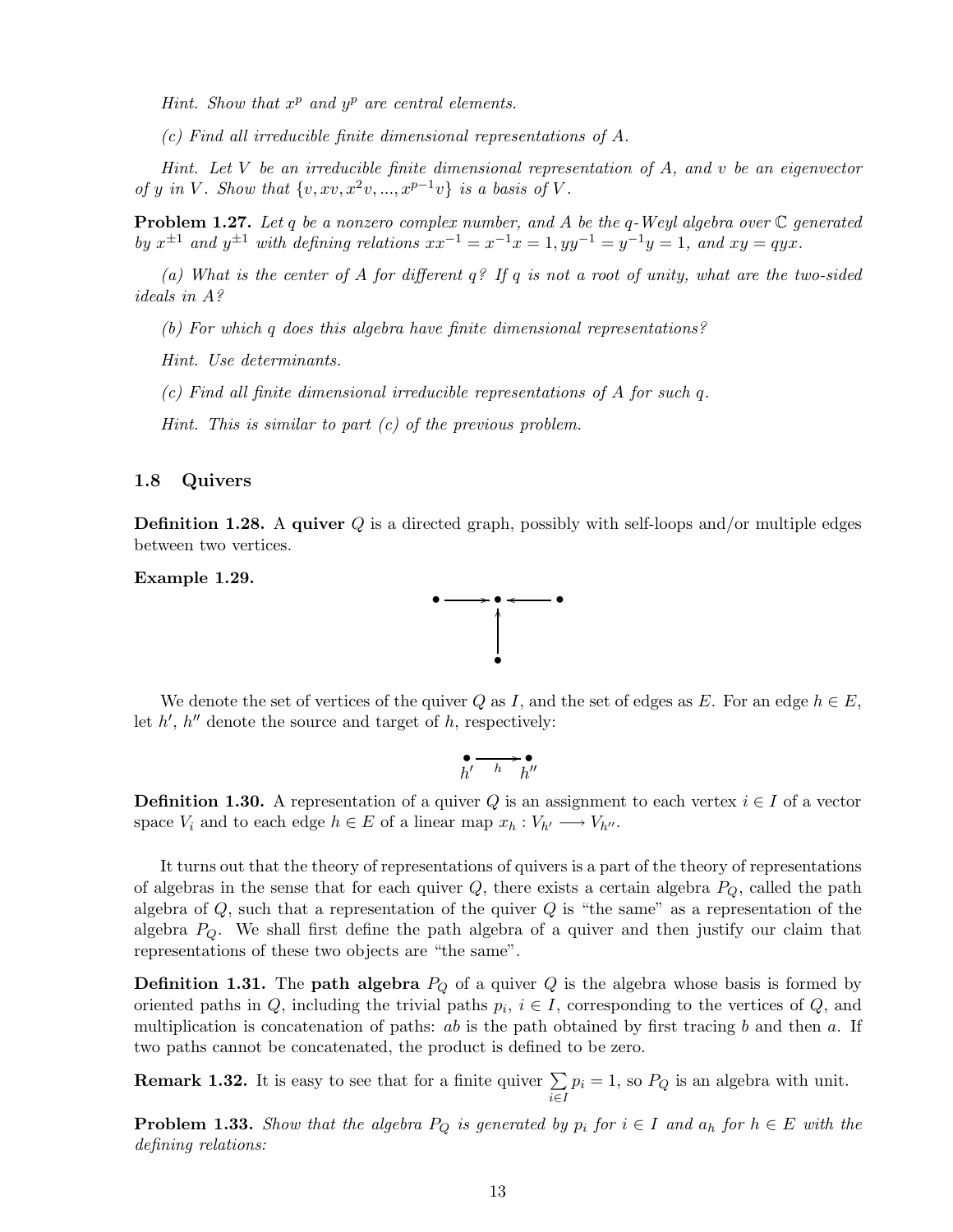*Hint. Show that* x <sup>p</sup> *and* y <sup>p</sup> *are central elements.*

*(c) Find all irreducible finite dimensional representations of* A*.*

*Hint. Let* V *be an irreducible finite dimensional representation of* A*, and* v *be an eigenvector of* y in V. Show that  $\{v, xv, x^2v, ..., x^{p-1}v\}$  is a basis of V.

Problem 1.27. *Let* q *be a nonzero complex number, and* A *be the* q*-Weyl algebra over* C *generated by*  $x^{\pm 1}$  *and*  $y^{\pm 1}$  *with defining relations*  $xx^{-1} = x^{-1}x = 1$ ,  $yy^{-1} = y^{-1}y = 1$ , and  $xy = qyx$ .

*(a) What is the center of* A *for different* q*? If* q *is not a root of unity, what are the two-sided ideals in* A*?*

*(b) For which* q *does this algebra have finite dimensional representations?*

*Hint. Use determinants.*

*(c) Find all finite dimensional irreducible representations of* A *for such* q*.*

*Hint. This is similar to part (c) of the previous problem.*

#### 1.8 Quivers

**Definition 1.28.** A quiver Q is a directed graph, possibly with self-loops and/or multiple edges between two vertices.

Example 1.29.



We denote the set of vertices of the quiver Q as I, and the set of edges as E. For an edge  $h \in E$ , let  $h'$ ,  $h''$  denote the source and target of h, respectively:

$$
\bullet \longrightarrow \bullet
$$
  

$$
h'
$$

**Definition 1.30.** A representation of a quiver Q is an assignment to each vertex  $i \in I$  of a vector space  $V_i$  and to each edge  $h \in E$  of a linear map  $x_h : V_{h'} \longrightarrow V_{h''}.$ 

It turns out that the theory of representations of quivers is a part of the theory of representations of algebras in the sense that for each quiver  $Q$ , there exists a certain algebra  $P_Q$ , called the path algebra of  $Q$ , such that a representation of the quiver  $Q$  is "the same" as a representation of the algebra  $P_Q$ . We shall first define the path algebra of a quiver and then justify our claim that representations of these two objects are "the same".

**Definition 1.31.** The **path algebra**  $P_Q$  of a quiver Q is the algebra whose basis is formed by oriented paths in  $Q$ , including the trivial paths  $p_i$ ,  $i \in I$ , corresponding to the vertices of  $Q$ , and multiplication is concatenation of paths:  $ab$  is the path obtained by first tracing b and then a. If two paths cannot be concatenated, the product is defined to be zero.

**Remark 1.32.** It is easy to see that for a finite quiver  $\sum$ i∈I  $p_i = 1$ , so  $P_Q$  is an algebra with unit.

**Problem 1.33.** *Show that the algebra*  $P_Q$  *is generated by*  $p_i$  *for*  $i \in I$  *and*  $a_h$  *for*  $h \in E$  *with the defining relations:*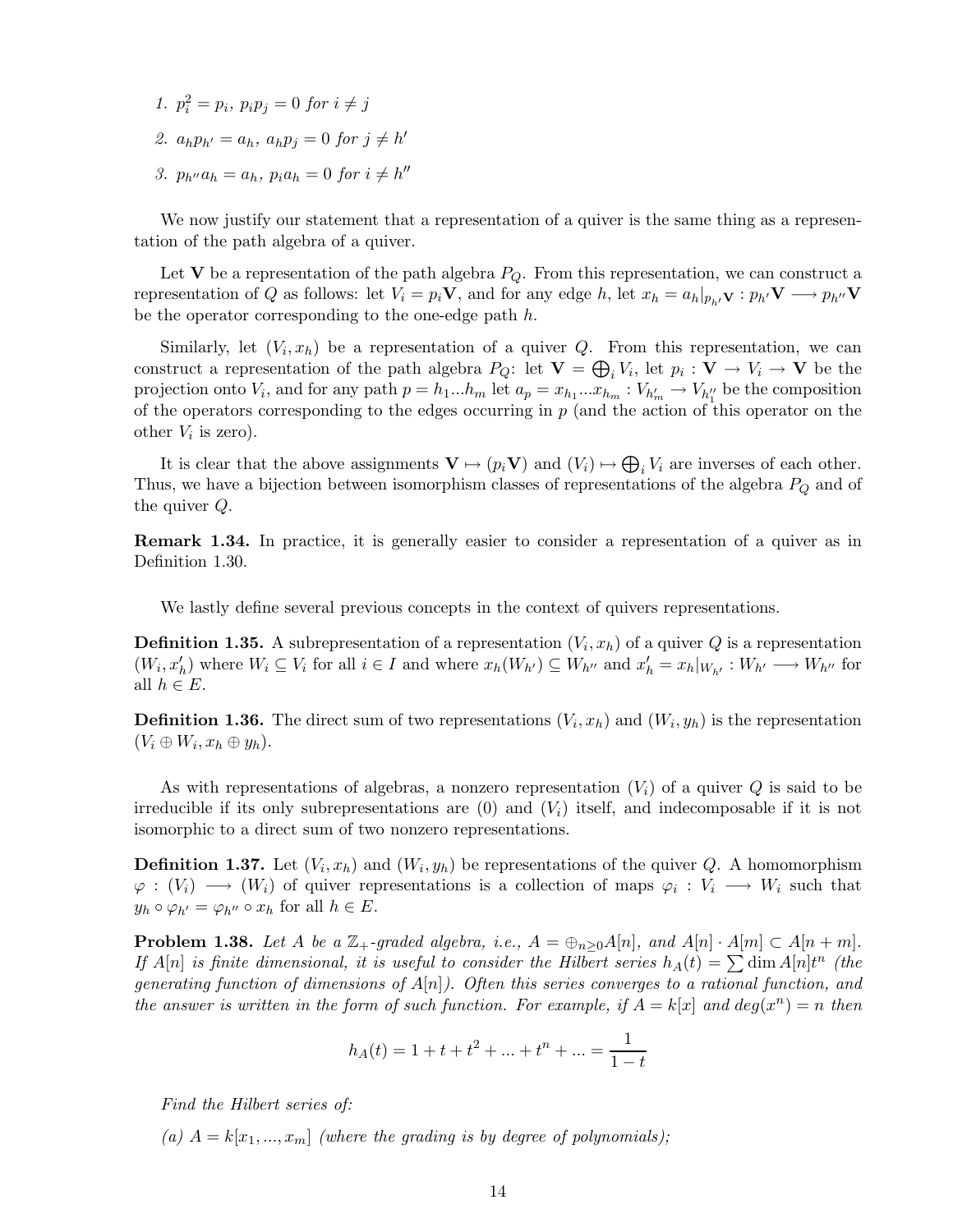*1.*  $p_i^2 = p_i$ ,  $p_i p_j = 0$  *for*  $i \neq j$ 2.  $a_h p_{h'} = a_h, a_h p_j = 0 \text{ for } j \neq h'$ *3.*  $p_{h''}a_h = a_h$ ,  $p_i a_h = 0$  for  $i \neq h''$ 

We now justify our statement that a representation of a quiver is the same thing as a representation of the path algebra of a quiver.

Let V be a representation of the path algebra  $P_Q$ . From this representation, we can construct a representation of Q as follows: let  $V_i = p_i \mathbf{V}$ , and for any edge h, let  $x_h = a_h|_{p_h} \mathbf{V} : p_{h'} \mathbf{V} \longrightarrow p_{h''} \mathbf{V}$ be the operator corresponding to the one-edge path h.

Similarly, let  $(V_i, x_h)$  be a representation of a quiver Q. From this representation, we can construct a representation of the path algebra  $P_Q$ : let  $\mathbf{V} = \bigoplus_i V_i$ , let  $p_i : \mathbf{V} \to V_i \to \mathbf{V}$  be the projection onto  $V_i$ , and for any path  $p = h_1...h_m$  let  $a_p = x_{h_1}...x_{h_m}$  :  $V_{h'_m} \to V_{h''_1}$  be the composition of the operators corresponding to the edges occurring in  $p$  (and the action of this operator on the other  $V_i$  is zero).

It is clear that the above assignments  $\mathbf{V} \mapsto (p_i \mathbf{V})$  and  $(V_i) \mapsto \bigoplus_i V_i$  are inverses of each other. Thus, we have a bijection between isomorphism classes of representations of the algebra  $P_Q$  and of the quiver Q.

Remark 1.34. In practice, it is generally easier to consider a representation of a quiver as in Definition 1.30.

We lastly define several previous concepts in the context of quivers representations.

**Definition 1.35.** A subrepresentation of a representation  $(V_i, x_h)$  of a quiver Q is a representation  $(W_i, x'_h)$  where  $W_i \subseteq V_i$  for all  $i \in I$  and where  $x_h(W_{h'}) \subseteq W_{h''}$  and  $x'_h = x_h|_{W_{h'}} : W_{h'} \longrightarrow W_{h''}$  for all  $h \in E$ .

**Definition 1.36.** The direct sum of two representations  $(V_i, x_h)$  and  $(W_i, y_h)$  is the representation  $(V_i \oplus W_i, x_h \oplus y_h).$ 

As with representations of algebras, a nonzero representation  $(V_i)$  of a quiver Q is said to be irreducible if its only subrepresentations are  $(0)$  and  $(V<sub>i</sub>)$  itself, and indecomposable if it is not isomorphic to a direct sum of two nonzero representations.

**Definition 1.37.** Let  $(V_i, x_h)$  and  $(W_i, y_h)$  be representations of the quiver Q. A homomorphism  $\varphi: (V_i) \longrightarrow (W_i)$  of quiver representations is a collection of maps  $\varphi_i: V_i \longrightarrow W_i$  such that  $y_h \circ \varphi_{h'} = \varphi_{h''} \circ x_h$  for all  $h \in E$ .

**Problem 1.38.** Let A be a  $\mathbb{Z}_+$ -graded algebra, i.e.,  $A = \bigoplus_{n>0} A[n]$ , and  $A[n] \cdot A[m] \subset A[n+m]$ . *If*  $A[n]$  *is finite dimensional, it is useful to consider the Hilbert series*  $h_A(t) = \sum \dim A[n]t^n$  (the *generating function of dimensions of* A[n]*). Often this series converges to a rational function, and the answer is written in the form of such function. For example, if*  $A = k[x]$  *and*  $deg(x^n) = n$  *then* 

$$
h_A(t) = 1 + t + t^2 + \dots + t^n + \dots = \frac{1}{1 - t}
$$

*Find the Hilbert series of:*

(a)  $A = k[x_1, ..., x_m]$  *(where the grading is by degree of polynomials);*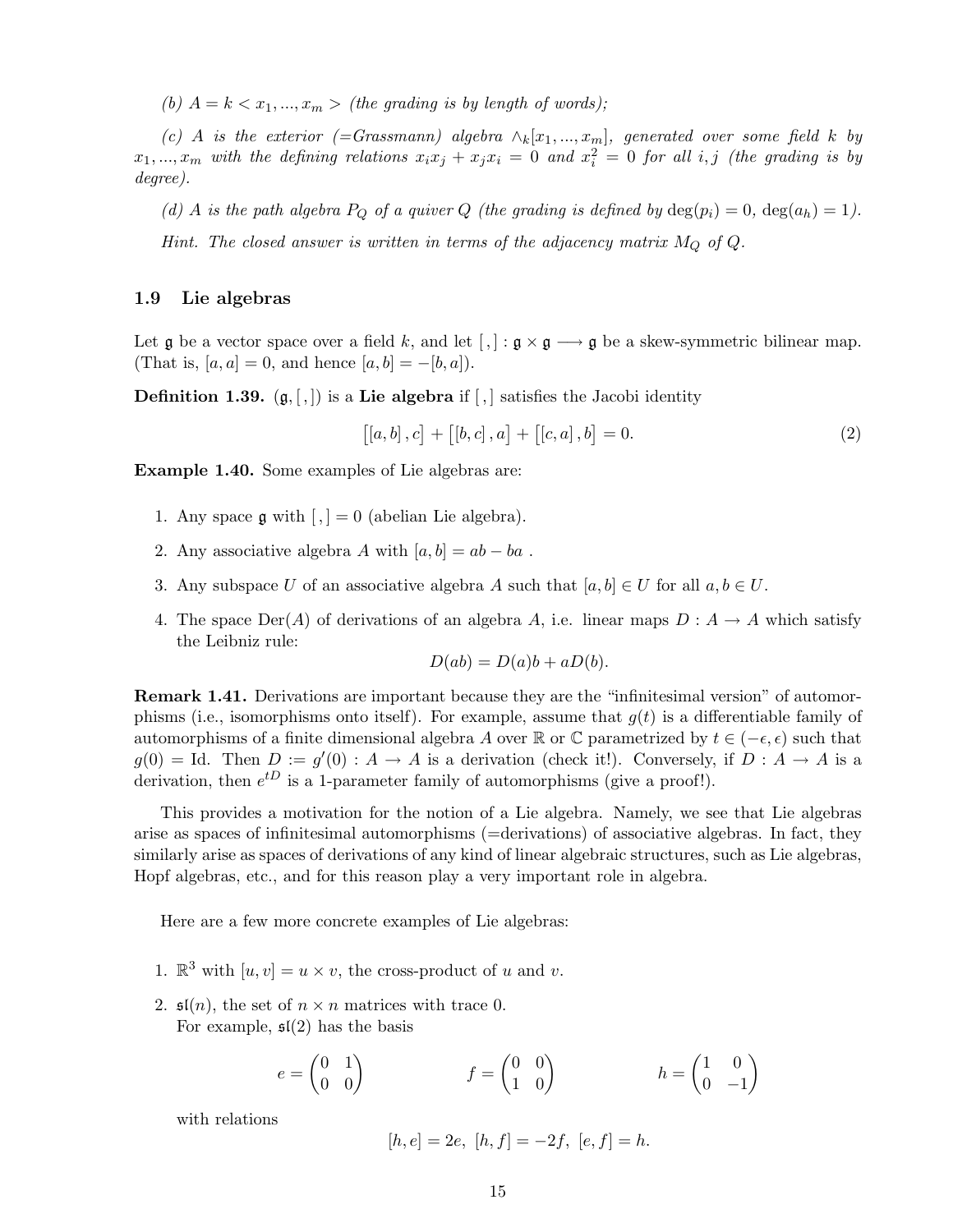*(b)*  $A = k < x_1, ..., x_m$  > *(the grading is by length of words);* 

 $(c)$  A *is the exterior* (=Grassmann) algebra  $\wedge_k[x_1,...,x_m]$ , generated over some field k by  $x_1, ..., x_m$  with the defining relations  $x_i x_j + x_j x_i = 0$  and  $x_i^2 = 0$  for all i, j (the grading is by *degree).*

*(d)* A *is the path algebra*  $P_Q$  *of a quiver*  $Q$  *(the grading is defined by*  $\deg(p_i) = 0$ ,  $\deg(a_h) = 1$ *).* 

*Hint. The closed answer is written in terms of the adjacency matrix*  $M_Q$  of  $Q$ .

#### 1.9 Lie algebras

Let g be a vector space over a field k, and let  $[,] : \mathfrak{g} \times \mathfrak{g} \longrightarrow \mathfrak{g}$  be a skew-symmetric bilinear map. (That is,  $[a, a] = 0$ , and hence  $[a, b] = -[b, a]$ ).

**Definition 1.39.**  $(g, \lceil, \rceil)$  is a Lie algebra if  $\lceil, \rceil$  satisfies the Jacobi identity

$$
[[a, b], c] + [[b, c], a] + [[c, a], b] = 0.
$$
 (2)

Example 1.40. Some examples of Lie algebras are:

- 1. Any space  $\mathfrak g$  with  $\lceil \cdot \rceil = 0$  (abelian Lie algebra).
- 2. Any associative algebra A with  $[a,b] = ab ba$ .
- 3. Any subspace U of an associative algebra A such that  $[a, b] \in U$  for all  $a, b \in U$ .
- 4. The space  $Der(A)$  of derivations of an algebra A, i.e. linear maps  $D : A \rightarrow A$  which satisfy the Leibniz rule:

$$
D(ab) = D(a)b + aD(b).
$$

Remark 1.41. Derivations are important because they are the "infinitesimal version" of automorphisms (i.e., isomorphisms onto itself). For example, assume that  $g(t)$  is a differentiable family of automorphisms of a finite dimensional algebra A over R or  $\mathbb C$  parametrized by  $t \in (-\epsilon, \epsilon)$  such that  $g(0) =$  Id. Then  $D := g'(0) : A \to A$  is a derivation (check it!). Conversely, if  $D : A \to A$  is a derivation, then  $e^{tD}$  is a 1-parameter family of automorphisms (give a proof!).

This provides a motivation for the notion of a Lie algebra. Namely, we see that Lie algebras arise as spaces of infinitesimal automorphisms (=derivations) of associative algebras. In fact, they similarly arise as spaces of derivations of any kind of linear algebraic structures, such as Lie algebras, Hopf algebras, etc., and for this reason play a very important role in algebra.

Here are a few more concrete examples of Lie algebras:

- 1.  $\mathbb{R}^3$  with  $[u, v] = u \times v$ , the cross-product of u and v.
- 2.  $\mathfrak{sl}(n)$ , the set of  $n \times n$  matrices with trace 0. For example,  $\mathfrak{sl}(2)$  has the basis

$$
e = \begin{pmatrix} 0 & 1 \\ 0 & 0 \end{pmatrix} \qquad f = \begin{pmatrix} 0 & 0 \\ 1 & 0 \end{pmatrix} \qquad h = \begin{pmatrix} 1 & 0 \\ 0 & -1 \end{pmatrix}
$$

with relations

$$
[h, e] = 2e, [h, f] = -2f, [e, f] = h.
$$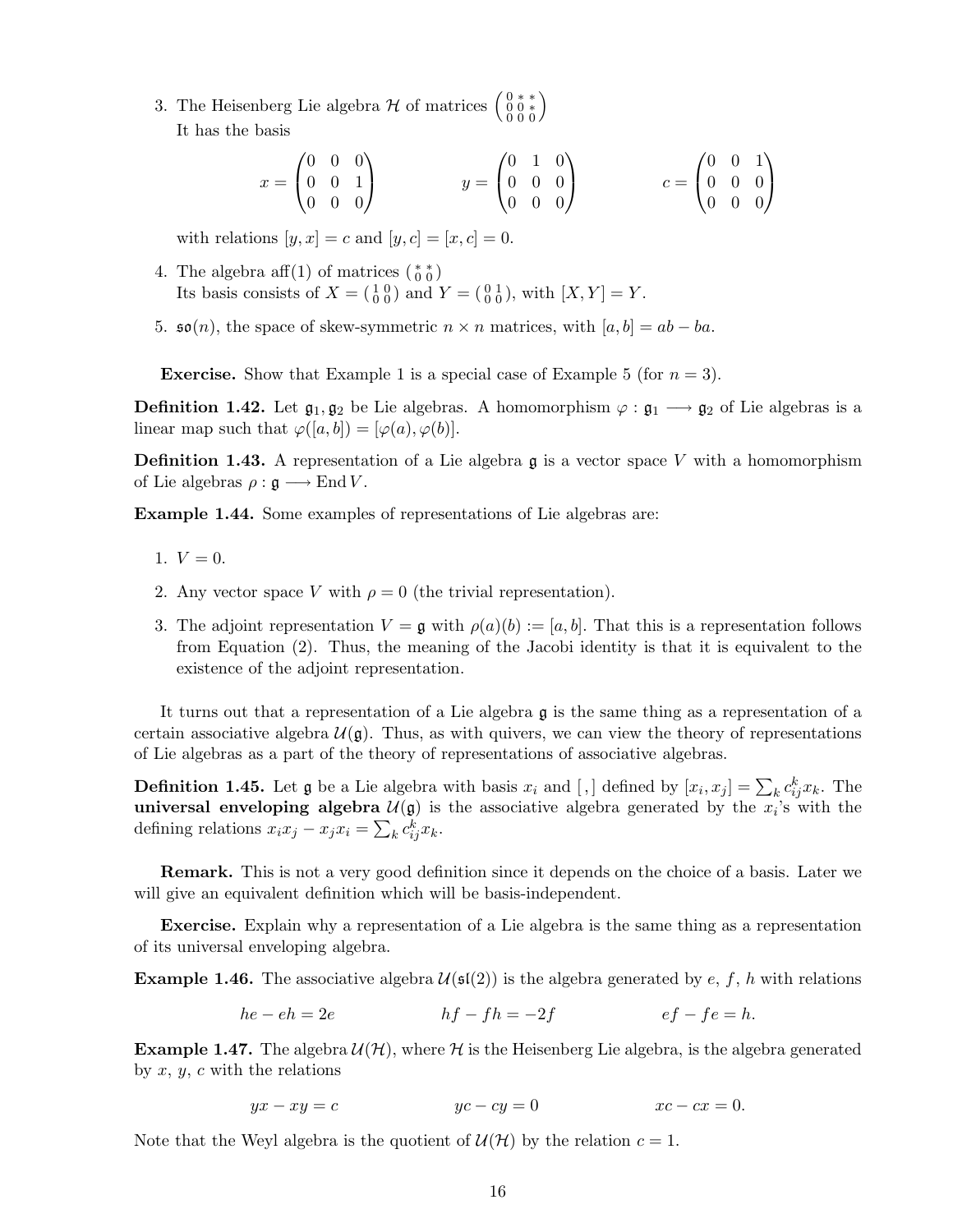3. The Heisenberg Lie algebra  $\mathcal H$  of matrices  $\begin{pmatrix} 0 & * & * \\ 0 & 0 & * \\ 0 & 0 & 0 \end{pmatrix}$ It has the basis

$$
x = \begin{pmatrix} 0 & 0 & 0 \\ 0 & 0 & 1 \\ 0 & 0 & 0 \end{pmatrix} \qquad y = \begin{pmatrix} 0 & 1 & 0 \\ 0 & 0 & 0 \\ 0 & 0 & 0 \end{pmatrix} \qquad c = \begin{pmatrix} 0 & 0 & 1 \\ 0 & 0 & 0 \\ 0 & 0 & 0 \end{pmatrix}
$$

with relations  $[y, x] = c$  and  $[y, c] = [x, c] = 0$ .

- 4. The algebra aff $(1)$  of matrices  $\binom{**}{0\ 0}$ Its basis consists of  $X = \begin{pmatrix} 1 & 0 \\ 0 & 0 \end{pmatrix}$  and  $Y = \begin{pmatrix} 0 & 1 \\ 0 & 0 \end{pmatrix}$ , with  $[X, Y] = Y$ .
- 5.  $\mathfrak{so}(n)$ , the space of skew-symmetric  $n \times n$  matrices, with  $[a, b] = ab ba$ .

**Exercise.** Show that Example 1 is a special case of Example 5 (for  $n = 3$ ).

**Definition 1.42.** Let  $\mathfrak{g}_1, \mathfrak{g}_2$  be Lie algebras. A homomorphism  $\varphi : \mathfrak{g}_1 \longrightarrow \mathfrak{g}_2$  of Lie algebras is a linear map such that  $\varphi([a,b]) = [\varphi(a), \varphi(b)].$ 

**Definition 1.43.** A representation of a Lie algebra  $\mathfrak g$  is a vector space V with a homomorphism of Lie algebras  $\rho : \mathfrak{g} \longrightarrow \text{End } V$ .

Example 1.44. Some examples of representations of Lie algebras are:

- 1.  $V = 0$ .
- 2. Any vector space V with  $\rho = 0$  (the trivial representation).
- 3. The adjoint representation  $V = \mathfrak{g}$  with  $\rho(a)(b) := [a, b]$ . That this is a representation follows from Equation (2). Thus, the meaning of the Jacobi identity is that it is equivalent to the existence of the adjoint representation.

It turns out that a representation of a Lie algebra  $\mathfrak g$  is the same thing as a representation of a certain associative algebra  $\mathcal{U}(\mathfrak{g})$ . Thus, as with quivers, we can view the theory of representations of Lie algebras as a part of the theory of representations of associative algebras.

**Definition 1.45.** Let  $\mathfrak{g}$  be a Lie algebra with basis  $x_i$  and  $[,$  defined by  $[x_i, x_j] = \sum_k c_{ij}^k x_k$ . The universal enveloping algebra  $\mathcal{U}(\mathfrak{g})$  is the associative algebra generated by the  $x_i$ 's with the defining relations  $x_i x_j - x_j x_i = \sum_k c_{ij}^k x_k$ .

Remark. This is not a very good definition since it depends on the choice of a basis. Later we will give an equivalent definition which will be basis-independent.

Exercise. Explain why a representation of a Lie algebra is the same thing as a representation of its universal enveloping algebra.

**Example 1.46.** The associative algebra  $\mathcal{U}(\mathfrak{sl}(2))$  is the algebra generated by e, f, h with relations

$$
he - eh = 2e
$$
\n
$$
hf - fh = -2f
$$
\n
$$
ef - fe = h.
$$

**Example 1.47.** The algebra  $\mathcal{U}(\mathcal{H})$ , where  $\mathcal{H}$  is the Heisenberg Lie algebra, is the algebra generated by  $x, y, c$  with the relations

$$
yx - xy = c \qquad \qquad yc - cy = 0 \qquad \qquad xc - cx = 0.
$$

Note that the Weyl algebra is the quotient of  $\mathcal{U}(\mathcal{H})$  by the relation  $c = 1$ .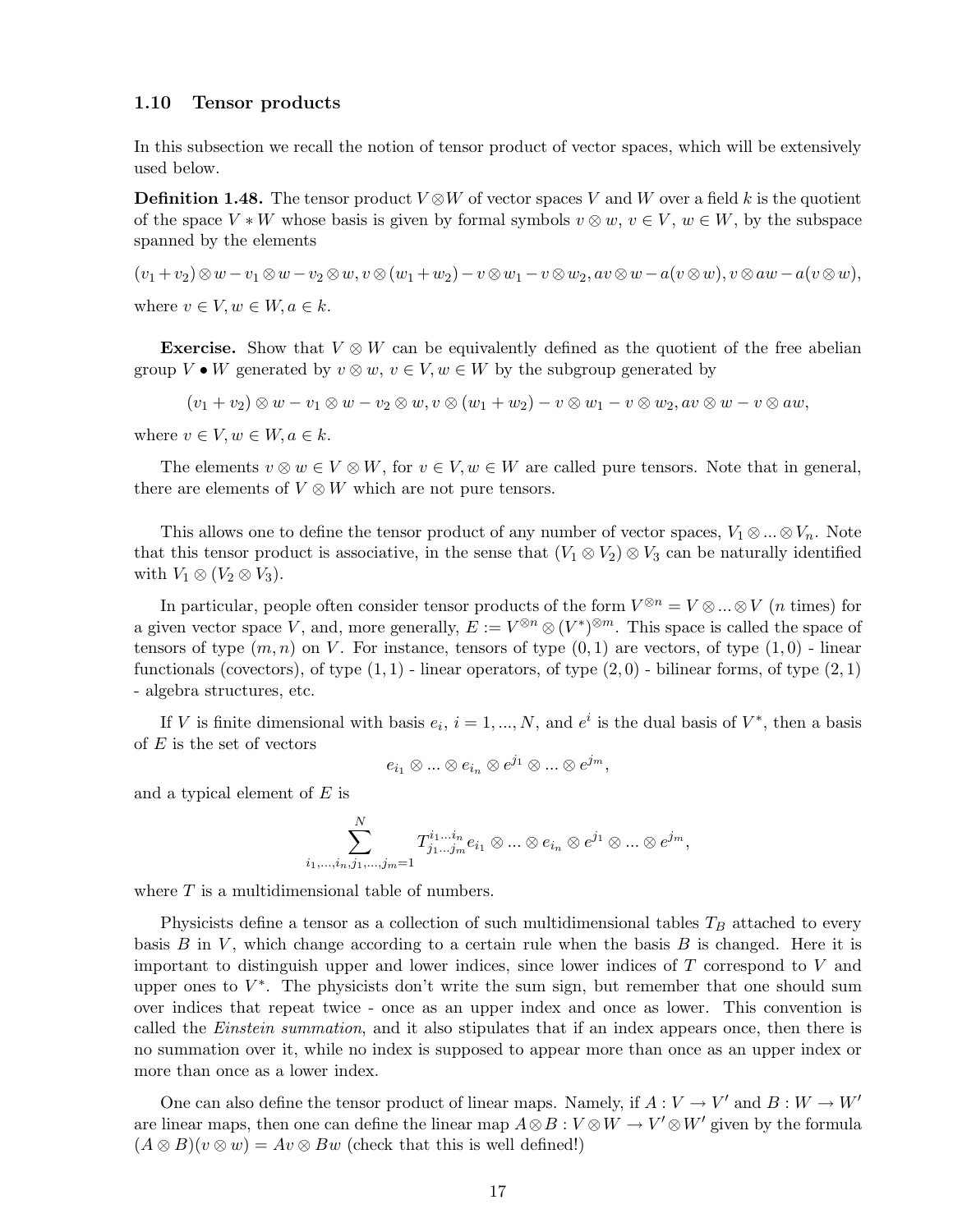#### 1.10 Tensor products

In this subsection we recall the notion of tensor product of vector spaces, which will be extensively used below.

**Definition 1.48.** The tensor product  $V \otimes W$  of vector spaces V and W over a field k is the quotient of the space  $V * W$  whose basis is given by formal symbols  $v \otimes w, v \in V, w \in W$ , by the subspace spanned by the elements

 $(v_1 + v_2) \otimes w - v_1 \otimes w - v_2 \otimes w, v \otimes (w_1 + w_2) - v \otimes w_1 - v \otimes w_2, av \otimes w - a(v \otimes w), v \otimes aw - a(v \otimes w),$ where  $v \in V, w \in W, a \in k$ .

**Exercise.** Show that  $V \otimes W$  can be equivalently defined as the quotient of the free abelian group  $V \bullet W$  generated by  $v \otimes w$ ,  $v \in V$ ,  $w \in W$  by the subgroup generated by

 $(v_1 + v_2) \otimes w - v_1 \otimes w - v_2 \otimes w, v \otimes (w_1 + w_2) - v \otimes w_1 - v \otimes w_2, av \otimes w - v \otimes aw,$ 

where  $v \in V, w \in W, a \in k$ .

The elements  $v \otimes w \in V \otimes W$ , for  $v \in V$ ,  $w \in W$  are called pure tensors. Note that in general, there are elements of  $V \otimes W$  which are not pure tensors.

This allows one to define the tensor product of any number of vector spaces,  $V_1 \otimes ... \otimes V_n$ . Note that this tensor product is associative, in the sense that  $(V_1 \otimes V_2) \otimes V_3$  can be naturally identified with  $V_1 \otimes (V_2 \otimes V_3)$ .

In particular, people often consider tensor products of the form  $V^{\otimes n} = V \otimes ... \otimes V$  (*n* times) for a given vector space V, and, more generally,  $E := V^{\otimes n} \otimes (V^*)^{\otimes m}$ . This space is called the space of tensors of type  $(m, n)$  on V. For instance, tensors of type  $(0, 1)$  are vectors, of type  $(1, 0)$  - linear functionals (covectors), of type  $(1,1)$  - linear operators, of type  $(2,0)$  - bilinear forms, of type  $(2,1)$ - algebra structures, etc.

If V is finite dimensional with basis  $e_i$ ,  $i = 1, ..., N$ , and  $e^i$  is the dual basis of  $V^*$ , then a basis of  $E$  is the set of vectors

$$
e_{i_1}\otimes...\otimes e_{i_n}\otimes e^{j_1}\otimes...\otimes e^{j_m},
$$

and a typical element of  $E$  is

$$
\sum_{i_1,\ldots,i_n,j_1,\ldots,j_m=1}^N T^{i_1\ldots i_m}_{j_1\ldots j_m} e_{i_1}\otimes \ldots \otimes e_{i_n}\otimes e^{j_1}\otimes \ldots \otimes e^{j_m},
$$

where  $T$  is a multidimensional table of numbers.

Physicists define a tensor as a collection of such multidimensional tables  $T_B$  attached to every basis B in V, which change according to a certain rule when the basis B is changed. Here it is important to distinguish upper and lower indices, since lower indices of  $T$  correspond to  $V$  and upper ones to  $V^*$ . The physicists don't write the sum sign, but remember that one should sum over indices that repeat twice - once as an upper index and once as lower. This convention is called the *Einstein summation*, and it also stipulates that if an index appears once, then there is no summation over it, while no index is supposed to appear more than once as an upper index or more than once as a lower index.

One can also define the tensor product of linear maps. Namely, if  $A: V \to V'$  and  $B: W \to W'$ are linear maps, then one can define the linear map  $A \otimes B : V \otimes W \to V' \otimes W'$  given by the formula  $(A \otimes B)(v \otimes w) = Av \otimes Bw$  (check that this is well defined!)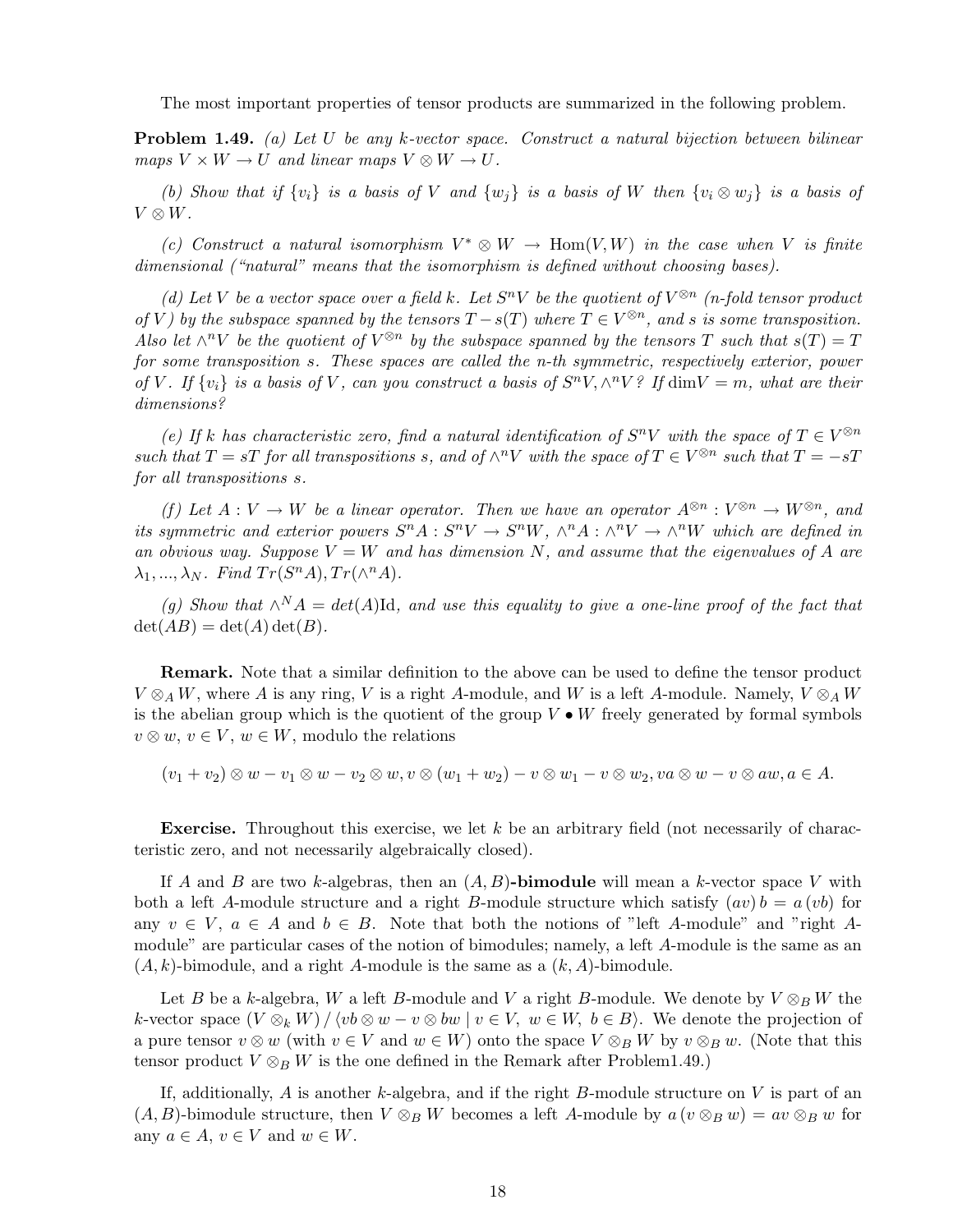The most important properties of tensor products are summarized in the following problem.

Problem 1.49. *(a) Let* U *be any* k*-vector space. Construct a natural bijection between bilinear*  $maps V \times W \rightarrow U$  *and linear maps*  $V \otimes W \rightarrow U$ .

*(b)* Show that if  $\{v_i\}$  is a basis of V and  $\{w_j\}$  is a basis of W then  $\{v_i \otimes w_j\}$  is a basis of  $V \otimes W$ .

(c) Construct a natural isomorphism  $V^* \otimes W \to \text{Hom}(V, W)$  in the case when V is finite *dimensional ("natural" means that the isomorphism is defined without choosing bases).*

(d) Let V be a vector space over a field k. Let  $S^nV$  be the quotient of  $V^{\otimes n}$  (n-fold tensor product *of* V) by the subspace spanned by the tensors  $T - s(T)$  where  $T \in V^{\otimes n}$ , and s is some transposition. *Also let*  $\wedge^n V$  *be the quotient of*  $V^{\otimes n}$  *by the subspace spanned by the tensors*  $T$  *such that*  $s(T) = T$ *for some transposition* s*. These spaces are called the n-th symmetric, respectively exterior, power* of V. If  $\{v_i\}$  is a basis of V, can you construct a basis of  $S^nV, \wedge^nV^o$  If  $\dim V = m$ , what are their *dimensions?*

*(e)* If k has characteristic zero, find a natural identification of  $S^nV$  with the space of  $T \in V^{\otimes n}$ *such that*  $T = sT$  *for all transpositions s*, and of  $\wedge^n V$  *with the space of*  $T \in V^{\otimes n}$  *such that*  $T = -sT$ *for all transpositions* s*.*

*(f)* Let  $A: V \to W$  be a linear operator. Then we have an operator  $A^{\otimes n}: V^{\otimes n} \to W^{\otimes n}$ , and *its symmetric and exterior powers*  $S^n A : S^n V \to S^n W$ ,  $\wedge^n A : \wedge^n V \to \wedge^n W$  which are defined in an obvious way. Suppose  $V = W$  and has dimension N, and assume that the eigenvalues of A are  $\lambda_1, ..., \lambda_N$ *. Find Tr*( $S^nA$ ),  $Tr(\wedge^nA)$ *.* 

 $(g)$  Show that  $\wedge^N A = det(A)$ Id, and use this equality to give a one-line proof of the fact that  $\det(AB) = \det(A) \det(B)$ .

Remark. Note that a similar definition to the above can be used to define the tensor product  $V \otimes_A W$ , where A is any ring, V is a right A-module, and W is a left A-module. Namely,  $V \otimes_A W$ is the abelian group which is the quotient of the group  $V \bullet W$  freely generated by formal symbols  $v \otimes w, v \in V, w \in W$ , modulo the relations

 $(v_1 + v_2) \otimes w - v_1 \otimes w - v_2 \otimes w, v \otimes (w_1 + w_2) - v \otimes w_1 - v \otimes w_2, v \in \mathcal{W} \otimes w - v \otimes a w, a \in A.$ 

**Exercise.** Throughout this exercise, we let  $k$  be an arbitrary field (not necessarily of characteristic zero, and not necessarily algebraically closed).

If A and B are two k-algebras, then an  $(A, B)$ -bimodule will mean a k-vector space V with both a left A-module structure and a right B-module structure which satisfy  $(av) b = a (vb)$  for any  $v \in V$ ,  $a \in A$  and  $b \in B$ . Note that both the notions of "left A-module" and "right Amodule" are particular cases of the notion of bimodules; namely, a left A-module is the same as an  $(A, k)$ -bimodule, and a right A-module is the same as a  $(k, A)$ -bimodule.

Let B be a k-algebra, W a left B-module and V a right B-module. We denote by  $V \otimes_B W$  the k-vector space  $(V \otimes_k W) / \langle v \underline{b} \otimes w - v \otimes \underline{b} w \mid v \in V, w \in W, b \in B \rangle$ . We denote the projection of a pure tensor  $v \otimes w$  (with  $v \in V$  and  $w \in W$ ) onto the space  $V \otimes_B W$  by  $v \otimes_B w$ . (Note that this tensor product  $V \otimes_B W$  is the one defined in the Remark after Problem1.49.)

If, additionally,  $A$  is another  $k$ -algebra, and if the right  $B$ -module structure on  $V$  is part of an  $(A, B)$ -bimodule structure, then  $V \otimes_B W$  becomes a left A-module by  $a (v \otimes_B w) = av \otimes_B w$  for any  $a \in A$ ,  $v \in V$  and  $w \in W$ .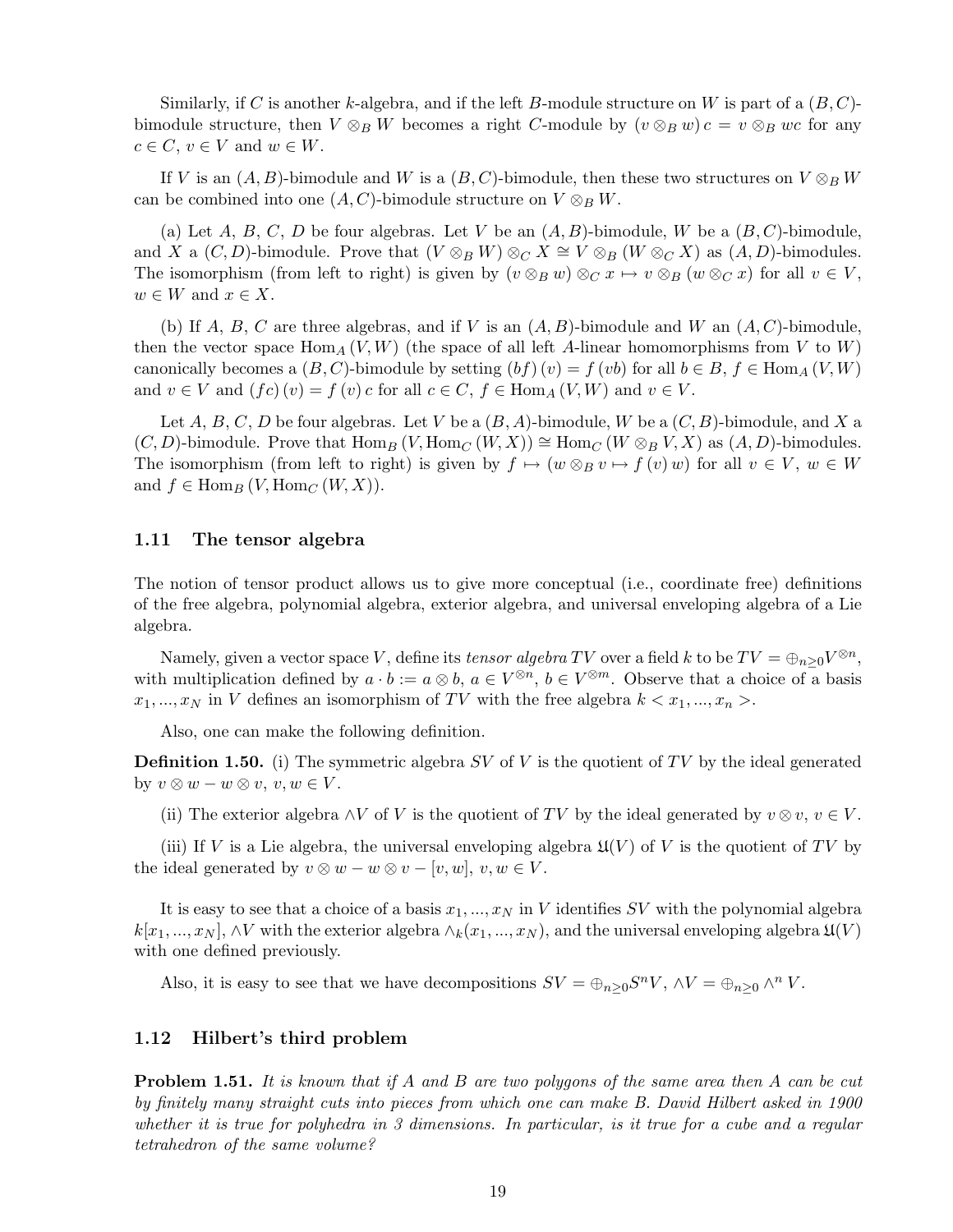Similarly, if C is another k-algebra, and if the left B-module structure on W is part of a  $(B, C)$ bimodule structure, then  $V \otimes_B W$  becomes a right C-module by  $(v \otimes_B w)c = v \otimes_B wc$  for any  $c \in C, v \in V$  and  $w \in W$ .

If V is an  $(A, B)$ -bimodule and W is a  $(B, C)$ -bimodule, then these two structures on  $V \otimes_B W$ can be combined into one  $(A, C)$ -bimodule structure on  $V \otimes_B W$ .

(a) Let A, B, C, D be four algebras. Let V be an  $(A, B)$ -bimodule, W be a  $(B, C)$ -bimodule, and X a  $(C, D)$ -bimodule. Prove that  $(V \otimes_B W) \otimes_C X \cong V \otimes_B (W \otimes_C X)$  as  $(A, D)$ -bimodules. The isomorphism (from left to right) is given by  $(v \otimes_B w) \otimes_C x \mapsto v \otimes_B (w \otimes_C x)$  for all  $v \in V$ ,  $w \in W$  and  $x \in X$ .

(b) If A, B, C are three algebras, and if V is an  $(A, B)$ -bimodule and W an  $(A, C)$ -bimodule, then the vector space Hom<sub>A</sub>  $(V, W)$  (the space of all left A-linear homomorphisms from V to W) canonically becomes a  $(B, C)$ -bimodule by setting  $(bf)(v) = f(vb)$  for all  $b \in B, f \in \text{Hom}_A(V, W)$ and  $v \in V$  and  $(fc)(v) = f(v)c$  for all  $c \in C$ ,  $f \in \text{Hom}_A(V, W)$  and  $v \in V$ .

Let A, B, C, D be four algebras. Let V be a  $(B, A)$ -bimodule, W be a  $(C, B)$ -bimodule, and X a  $(C, D)$ -bimodule. Prove that  $\text{Hom}_B (V, \text{Hom}_C (W, X)) \cong \text{Hom}_C (W \otimes_B V, X)$  as  $(A, D)$ -bimodules. The isomorphism (from left to right) is given by  $f \mapsto (w \otimes_B v \mapsto f(v) w)$  for all  $v \in V$ ,  $w \in W$ and  $f \in \text{Hom}_B(V, \text{Hom}_C(W, X)).$ 

#### 1.11 The tensor algebra

The notion of tensor product allows us to give more conceptual (i.e., coordinate free) definitions of the free algebra, polynomial algebra, exterior algebra, and universal enveloping algebra of a Lie algebra.

Namely, given a vector space V, define its *tensor algebra* TV over a field k to be  $TV = \bigoplus_{n \geq 0} V^{\otimes n}$ , with multiplication defined by  $a \cdot b := a \otimes b$ ,  $a \in V^{\otimes n}$ ,  $b \in V^{\otimes m}$ . Observe that a choice of a basis  $x_1,...,x_N$  in V defines an isomorphism of TV with the free algebra  $k < x_1,...,x_n >$ .

Also, one can make the following definition.

**Definition 1.50.** (i) The symmetric algebra SV of V is the quotient of TV by the ideal generated by  $v \otimes w - w \otimes v$ ,  $v, w \in V$ .

(ii) The exterior algebra  $\wedge V$  of V is the quotient of TV by the ideal generated by  $v \otimes v$ ,  $v \in V$ .

(iii) If V is a Lie algebra, the universal enveloping algebra  $\mathfrak{U}(V)$  of V is the quotient of TV by the ideal generated by  $v \otimes w - w \otimes v - [v, w], v, w \in V$ .

It is easy to see that a choice of a basis  $x_1, ..., x_N$  in V identifies SV with the polynomial algebra  $k[x_1,...,x_N]$ ,  $\wedge V$  with the exterior algebra  $\wedge_k(x_1,...,x_N)$ , and the universal enveloping algebra  $\mathfrak{U}(V)$ with one defined previously.

Also, it is easy to see that we have decompositions  $SV = \bigoplus_{n\geq 0} S^n V$ ,  $\wedge V = \bigoplus_{n\geq 0} \wedge^n V$ .

#### 1.12 Hilbert's third problem

Problem 1.51. *It is known that if* A *and* B *are two polygons of the same area then* A *can be cut by finitely many straight cuts into pieces from which one can make B. David Hilbert asked in 1900 whether it is true for polyhedra in 3 dimensions. In particular, is it true for a cube and a regular tetrahedron of the same volume?*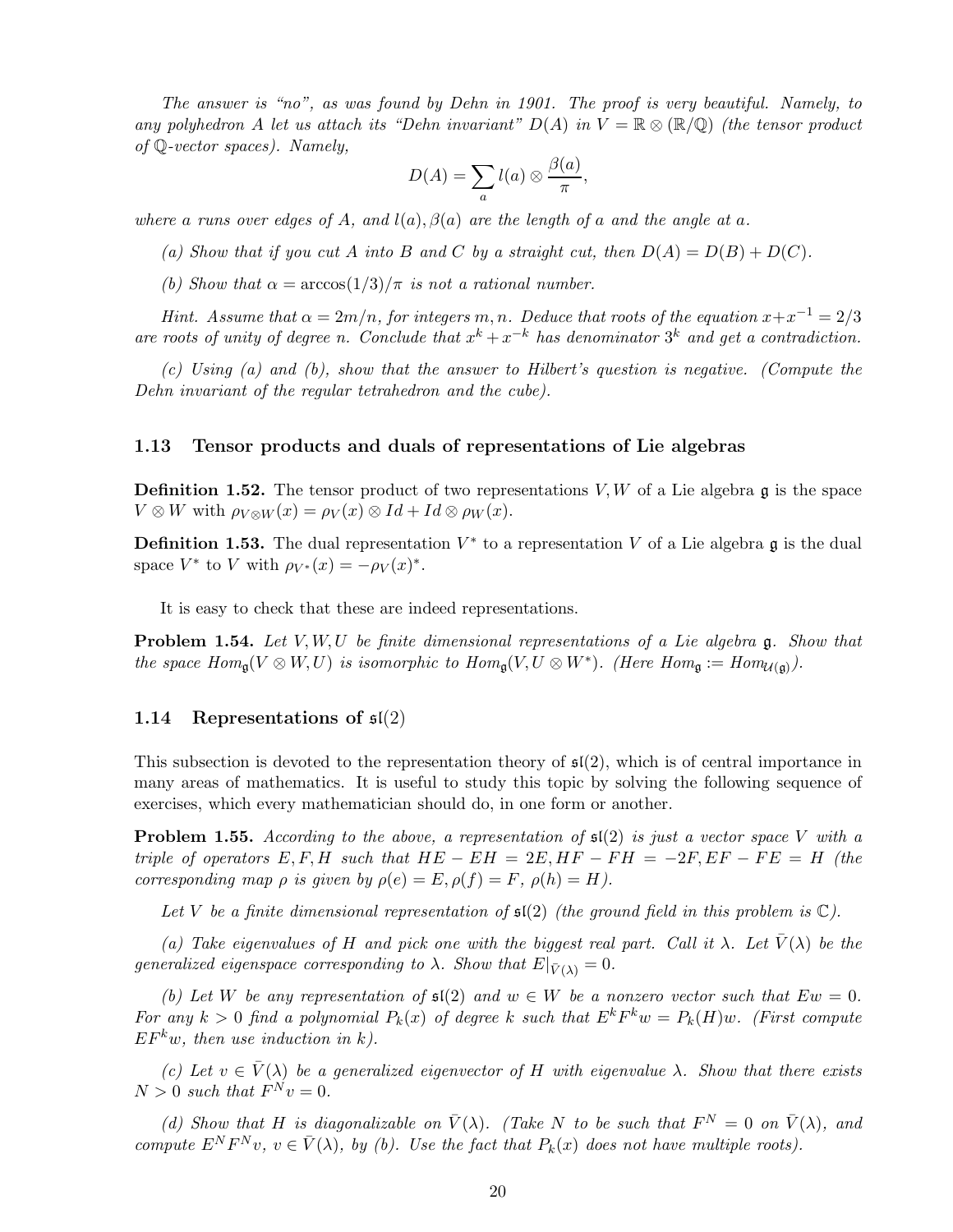*The answer is "no", as was found by Dehn in 1901. The proof is very beautiful. Namely, to any polyhedron* A *let us attach its "Dehn invariant"*  $D(A)$  *in*  $V = \mathbb{R} \otimes (\mathbb{R}/\mathbb{Q})$  *(the tensor product of* Q*-vector spaces). Namely,*

$$
D(A) = \sum_{a} l(a) \otimes \frac{\beta(a)}{\pi},
$$

*where* a runs over edges of A, and  $l(a)$ ,  $\beta(a)$  are the length of a and the angle at a.

- (a) Show that if you cut A into B and C by a straight cut, then  $D(A) = D(B) + D(C)$ .
- *(b)* Show that  $\alpha = \arccos(1/3)/\pi$  *is not a rational number.*

*Hint.* Assume that  $\alpha = 2m/n$ , for integers m, n. Deduce that roots of the equation  $x + x^{-1} = 2/3$ are roots of unity of degree *n*. Conclude that  $x^k + x^{-k}$  has denominator  $3^k$  and get a contradiction.

*(c) Using (a) and (b), show that the answer to Hilbert's question is negative. (Compute the Dehn invariant of the regular tetrahedron and the cube).*

#### 1.13 Tensor products and duals of representations of Lie algebras

**Definition 1.52.** The tensor product of two representations  $V, W$  of a Lie algebra  $\mathfrak{g}$  is the space  $V \otimes W$  with  $\rho_{V \otimes W}(x) = \rho_V(x) \otimes Id + Id \otimes \rho_W(x)$ .

**Definition 1.53.** The dual representation  $V^*$  to a representation V of a Lie algebra  $\mathfrak{g}$  is the dual space  $V^*$  to V with  $\rho_{V^*}(x) = -\rho_V(x)^*$ .

It is easy to check that these are indeed representations.

Problem 1.54. *Let* V,W,U *be finite dimensional representations of a Lie algebra* g*. Show that the space*  $Hom_{\mathfrak{g}}(V \otimes W, U)$  *is isomorphic to*  $Hom_{\mathfrak{g}}(V, U \otimes W^*)$ *. (Here*  $Hom_{\mathfrak{g}} := Hom_{\mathcal{U}(\mathfrak{g})})$ *.)* 

#### 1.14 Representations of  $\mathfrak{sl}(2)$

This subsection is devoted to the representation theory of  $\mathfrak{sl}(2)$ , which is of central importance in many areas of mathematics. It is useful to study this topic by solving the following sequence of exercises, which every mathematician should do, in one form or another.

Problem 1.55. *According to the above, a representation of* sl(2) *is just a vector space* V *with a triple of operators*  $E, F, H$  *such that*  $HE - EH = 2E, HF - FH = -2F, EF - FE = H$  *(the corresponding map*  $\rho$  *is given by*  $\rho(e) = E$ ,  $\rho(f) = F$ ,  $\rho(h) = H$ .

*Let* V *be a finite dimensional representation of* sl(2) *(the ground field in this problem is* C*).*

*(a) Take eigenvalues of* H *and pick one with the biggest real part. Call it*  $\lambda$ *. Let*  $\bar{V}(\lambda)$  *be the generalized eigenspace corresponding to*  $\lambda$ *. Show that*  $E|_{\bar{V}(\lambda)} = 0$ *.* 

*(b)* Let W be any representation of  $\mathfrak{sl}(2)$  and  $w \in W$  be a nonzero vector such that  $Ew = 0$ . For any  $k > 0$  find a polynomial  $P_k(x)$  of degree k such that  $E^k F^k w = P_k(H) w$ . (First compute  $EF<sup>k</sup>w$ , then use induction in k.

*(c)* Let  $v \in \overline{V}(\lambda)$  be a generalized eigenvector of H with eigenvalue  $\lambda$ . Show that there exists  $N > 0$  such that  $F^N v = 0$ .

*(d)* Show that H is diagonalizable on  $\bar{V}(\lambda)$ . (Take N to be such that  $F^N = 0$  on  $\bar{V}(\lambda)$ , and *compute*  $E^N F^N v$ ,  $v \in \overline{V}(\lambda)$ , by (b). Use the fact that  $P_k(x)$  does not have multiple roots).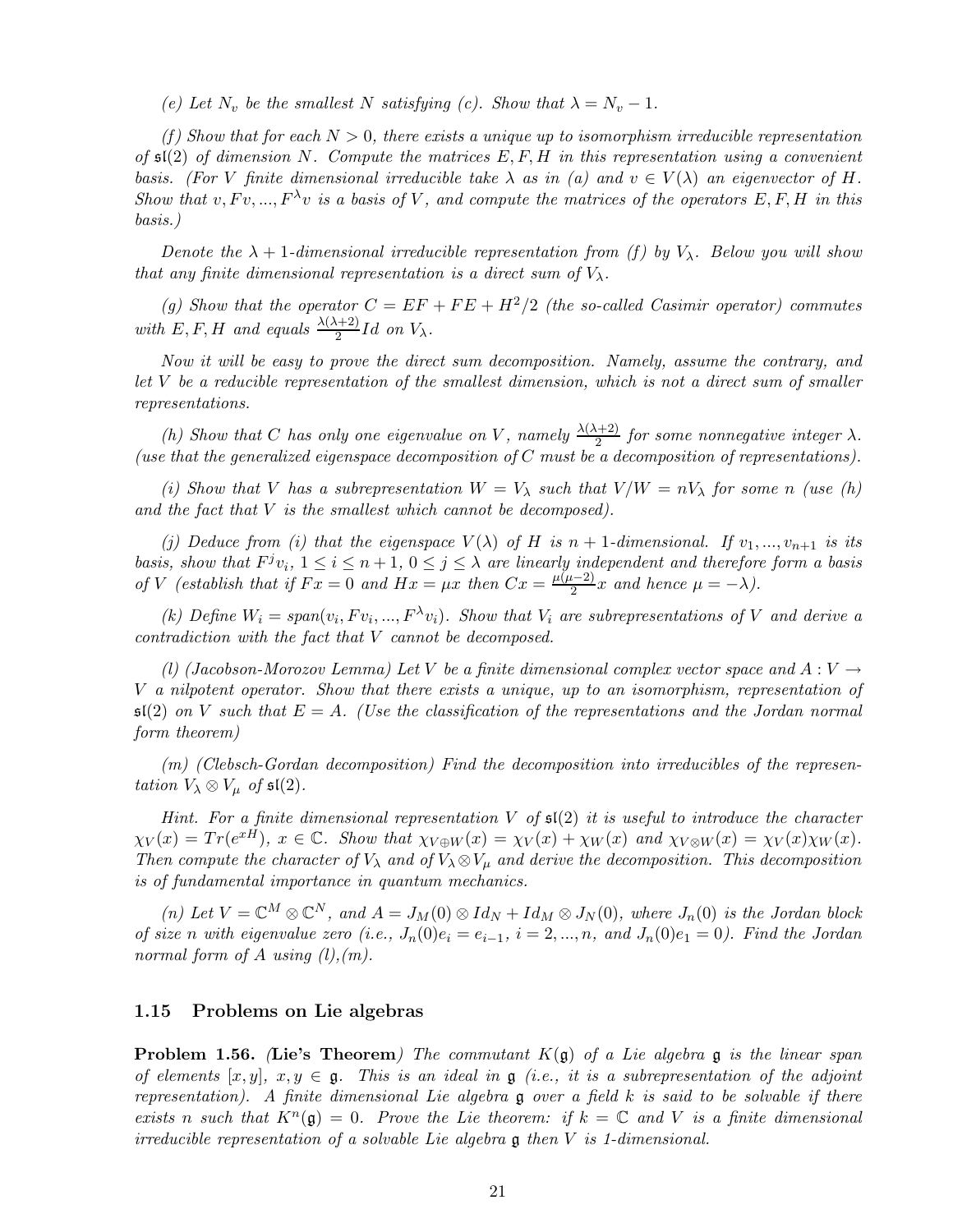*(e)* Let  $N_v$  be the smallest N satisfying *(c)*. Show that  $\lambda = N_v - 1$ .

*(f) Show that for each* N > 0*, there exists a unique up to isomorphism irreducible representation of* sl(2) *of dimension* N*. Compute the matrices* E,F,H *in this representation using a convenient basis. (For* V *finite dimensional irreducible take*  $\lambda$  *as in (a) and*  $v \in V(\lambda)$  *an eigenvector of* H. *Show that*  $v, Fv, ..., F^{\lambda}v$  *is a basis of* V, and compute the matrices of the operators  $E, F, H$  *in this basis.)*

*Denote the*  $\lambda + 1$ -dimensional irreducible representation from (f) by  $V_{\lambda}$ . Below you will show *that any finite dimensional representation is a direct sum of*  $V_{\lambda}$ .

(g) Show that the operator  $C = EF + FE + H^2/2$  (the so-called Casimir operator) commutes with  $E, F, H$  and equals  $\frac{\lambda(\lambda+2)}{2}Id$  on  $V_{\lambda}$ .

*Now it will be easy to prove the direct sum decomposition. Namely, assume the contrary, and let* V *be a reducible representation of the smallest dimension, which is not a direct sum of smaller representations.*

*(h)* Show that C has only one eigenvalue on V, namely  $\frac{\lambda(\lambda+2)}{2}$  for some nonnegative integer  $\lambda$ . *(use that the generalized eigenspace decomposition of* C *must be a decomposition of representations).*

*(i) Show that* V *has a subrepresentation*  $W = V_\lambda$  *such that*  $V/W = nV_\lambda$  *for some n (use (h) and the fact that* V *is the smallest which cannot be decomposed).*

*(i) Deduce from (i) that the eigenspace*  $V(\lambda)$  *of* H *is*  $n + 1$ *-dimensional. If*  $v_1, ..., v_{n+1}$  *is its basis, show that*  $F^j v_i$ ,  $1 \le i \le n+1$ ,  $0 \le j \le \lambda$  *are linearly independent and therefore form a basis of V* (establish that if  $Fx = 0$  and  $Hx = \mu x$  then  $Cx = \frac{\mu(\mu-2)}{2}x$  and hence  $\mu = -\lambda$ ).

(k) Define  $W_i = span(v_i, Fv_i, ..., F^{\lambda}v_i)$ . Show that  $V_i$  are subrepresentations of V and derive a *contradiction with the fact that* V *cannot be decomposed.*

*(l) (Jacobson-Morozov Lemma) Let* V *be a finite dimensional complex vector space and*  $A: V \rightarrow$ V *a nilpotent operator. Show that there exists a unique, up to an isomorphism, representation of*  $\mathfrak{sl}(2)$  *on* V such that  $E = A$ . (Use the classification of the representations and the Jordan normal *form theorem)*

*(m) (Clebsch-Gordan decomposition) Find the decomposition into irreducibles of the representation*  $V_{\lambda} \otimes V_{\mu}$  *of*  $\mathfrak{sl}(2)$ *.* 

*Hint. For a finite dimensional representation* V *of* sl(2) *it is useful to introduce the character*  $\chi_V(x) = Tr(e^{xH}), x \in \mathbb{C}$ *. Show that*  $\chi_{V \oplus W}(x) = \chi_V(x) + \chi_W(x)$  and  $\chi_{V \otimes W}(x) = \chi_V(x)\chi_W(x)$ *. Then compute the character of*  $V_{\lambda}$  *and of*  $V_{\lambda} \otimes V_{\mu}$  *and derive the decomposition. This decomposition is of fundamental importance in quantum mechanics.*

(*n*) Let  $V = \mathbb{C}^M \otimes \mathbb{C}^N$ , and  $A = J_M(0) \otimes Id_N + Id_M \otimes J_N(0)$ , where  $J_n(0)$  is the Jordan block *of size* n with eigenvalue zero (i.e.,  $J_n(0)e_i = e_{i-1}$ ,  $i = 2, ..., n$ , and  $J_n(0)e_1 = 0$ ). Find the Jordan *normal form of* A *using (l),(m).*

#### 1.15 Problems on Lie algebras

Problem 1.56. *(*Lie's Theorem*) The commutant* K(g) *of a Lie algebra* g *is the linear span of elements*  $[x, y]$ ,  $x, y \in \mathfrak{g}$ . This is an ideal in  $\mathfrak{g}$  *(i.e., it is a subrepresentation of the adjoint representation). A finite dimensional Lie algebra* g *over a field* k *is said to be solvable if there* exists n such that  $K^{n}(\mathfrak{g}) = 0$ . Prove the Lie theorem: if  $k = \mathbb{C}$  and V is a finite dimensional *irreducible representation of a solvable Lie algebra* g *then* V *is 1-dimensional.*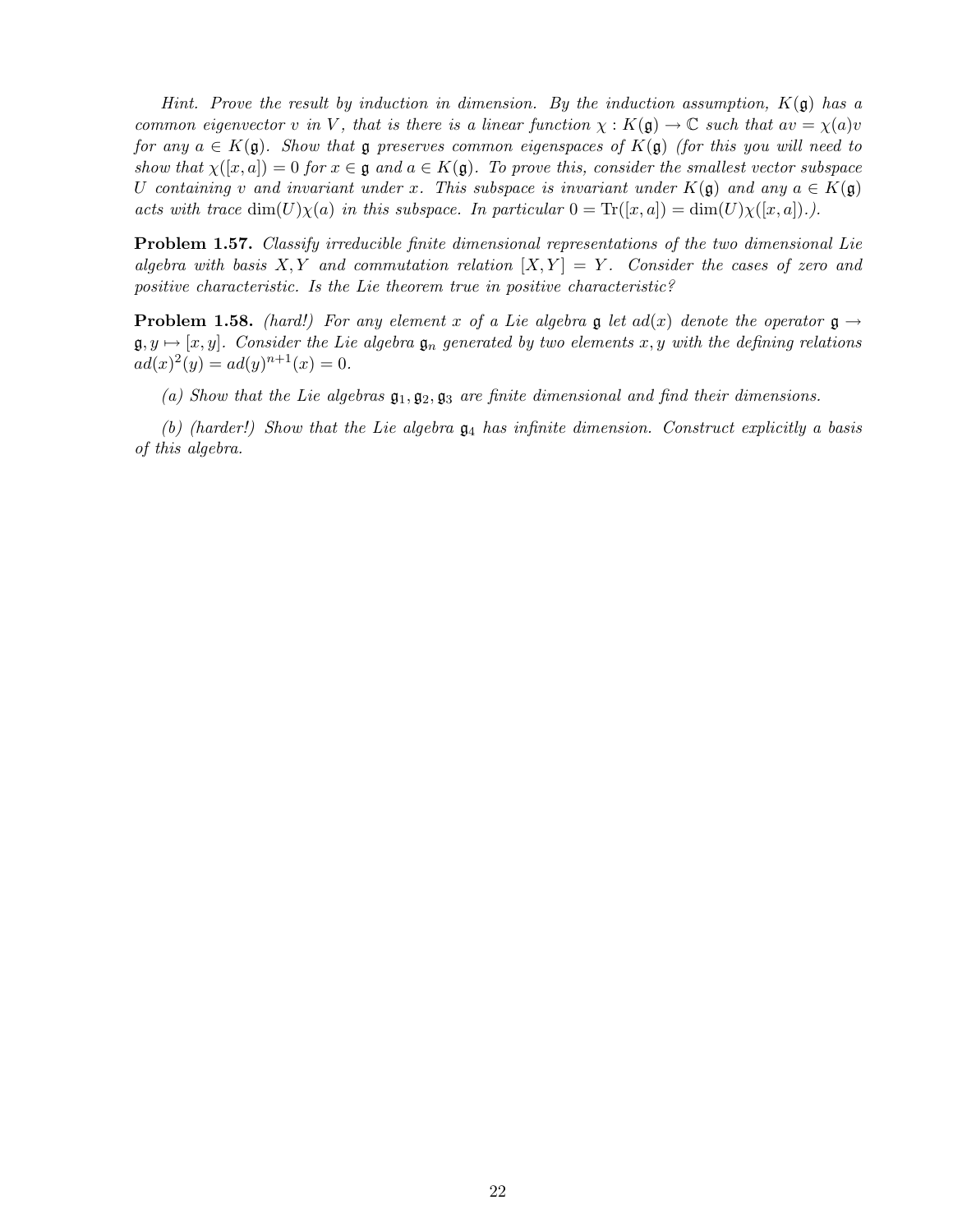*Hint. Prove the result by induction in dimension. By the induction assumption,* K(g) *has a common eigenvector* v *in* V, that is there is a linear function  $\chi : K(\mathfrak{g}) \to \mathbb{C}$  *such that*  $av = \chi(a)v$ *for any*  $a \in K(\mathfrak{g})$ . Show that  $\mathfrak{g}$  preserves common eigenspaces of  $K(\mathfrak{g})$  *(for this you will need to show that*  $\chi([x,a]) = 0$  *for*  $x \in \mathfrak{g}$  *and*  $a \in K(\mathfrak{g})$ *. To prove this, consider the smallest vector subspace* U containing v and invariant under x. This subspace is invariant under  $K(\mathfrak{g})$  and any  $a \in K(\mathfrak{g})$ *acts with trace*  $dim(U)\chi(a)$  *in this subspace. In particular*  $0 = Tr([x,a]) = dim(U)\chi([x,a])$ .

Problem 1.57. *Classify irreducible finite dimensional representations of the two dimensional Lie algebra with basis*  $X, Y$  *and commutation relation*  $[X, Y] = Y$ *. Consider the cases of zero and positive characteristic. Is the Lie theorem true in positive characteristic?*

**Problem 1.58.** *(hard!) For any element* x of a Lie algebra g let  $ad(x)$  denote the operator  $\mathfrak{g} \rightarrow$  $\mathfrak{g},y \mapsto [x,y]$ . Consider the Lie algebra  $\mathfrak{g}_n$  generated by two elements x, y with the defining relations  $ad(x)^2(y) = ad(y)^{n+1}(x) = 0.$ 

*(a) Show that the Lie algebras* g1, g2, g<sup>3</sup> *are finite dimensional and find their dimensions.*

*(b) (harder!) Show that the Lie algebra* g<sup>4</sup> *has infinite dimension. Construct explicitly a basis of this algebra.*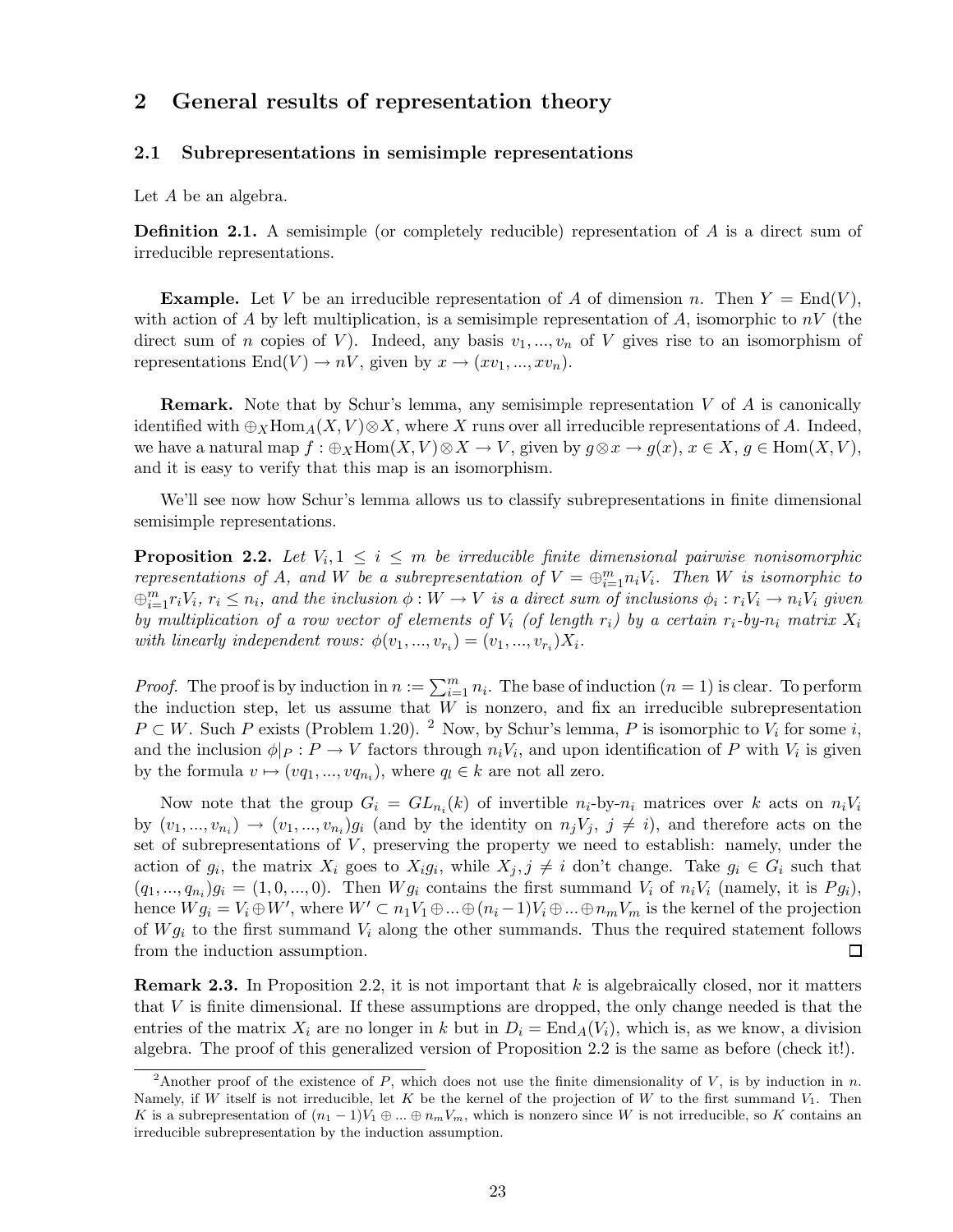# 2 General results of representation theory

#### 2.1 Subrepresentations in semisimple representations

Let A be an algebra.

Definition 2.1. A semisimple (or completely reducible) representation of A is a direct sum of irreducible representations.

**Example.** Let V be an irreducible representation of A of dimension n. Then  $Y = \text{End}(V)$ , with action of A by left multiplication, is a semisimple representation of A, isomorphic to  $nV$  (the direct sum of n copies of V). Indeed, any basis  $v_1, ..., v_n$  of V gives rise to an isomorphism of representations  $End(V) \to nV$ , given by  $x \to (xv_1, ..., xv_n)$ .

**Remark.** Note that by Schur's lemma, any semisimple representation  $V$  of  $\hat{A}$  is canonically identified with  $\oplus_X \text{Hom}_A(X, V) \otimes X$ , where X runs over all irreducible representations of A. Indeed, we have a natural map  $f : \bigoplus_X \text{Hom}(X, V) \otimes X \to V$ , given by  $g \otimes x \to g(x)$ ,  $x \in X$ ,  $g \in \text{Hom}(X, V)$ , and it is easy to verify that this map is an isomorphism.

We'll see now how Schur's lemma allows us to classify subrepresentations in finite dimensional semisimple representations.

**Proposition 2.2.** Let  $V_i, 1 \leq i \leq m$  be irreducible finite dimensional pairwise nonisomorphic *representations of* A, and W be a subrepresentation of  $V = \bigoplus_{i=1}^{m} n_i V_i$ . Then W is isomorphic to  $\bigoplus_{i=1}^m r_iV_i$ ,  $r_i \leq n_i$ , and the inclusion  $\phi: W \to V$  is a direct sum of inclusions  $\phi_i: r_iV_i \to n_iV_i$  given *by multiplication of a row vector of elements of*  $V_i$  (of length  $r_i$ ) by a certain  $r_i$ -by- $n_i$  matrix  $X_i$ with linearly independent rows:  $\phi(v_1, ..., v_{r_i}) = (v_1, ..., v_{r_i})X_i$ .

*Proof.* The proof is by induction in  $n := \sum_{i=1}^{m} n_i$ . The base of induction  $(n = 1)$  is clear. To perform the induction step, let us assume that  $W$  is nonzero, and fix an irreducible subrepresentation  $P \subset W$ . Such P exists (Problem 1.20). <sup>2</sup> Now, by Schur's lemma, P is isomorphic to  $V_i$  for some i, and the inclusion  $\phi|_P : P \to V$  factors through  $n_i V_i$ , and upon identification of P with  $V_i$  is given by the formula  $v \mapsto (vq_1,...,vq_{n_i})$ , where  $q_l \in k$  are not all zero.

Now note that the group  $G_i = GL_{n_i}(k)$  of invertible  $n_i$ -by- $n_i$  matrices over k acts on  $n_iV_i$ by  $(v_1,...,v_{n_i}) \to (v_1,...,v_{n_i})g_i$  (and by the identity on  $n_jV_j$ ,  $j \neq i$ ), and therefore acts on the set of subrepresentations of  $V$ , preserving the property we need to establish: namely, under the action of  $g_i$ , the matrix  $X_i$  goes to  $X_i g_i$ , while  $X_j, j \neq i$  don't change. Take  $g_i \in G_i$  such that  $(q_1,...,q_{n_i})g_i = (1,0,...,0)$ . Then  $Wg_i$  contains the first summand  $V_i$  of  $n_iV_i$  (namely, it is  $Pg_i$ ), hence  $Wg_i = V_i \oplus W'$ , where  $W' \subset n_1V_1 \oplus ... \oplus (n_i-1)V_i \oplus ... \oplus n_mV_m$  is the kernel of the projection of  $Wg_i$  to the first summand  $V_i$  along the other summands. Thus the required statement follows from the induction assumption.  $\Box$ 

**Remark 2.3.** In Proposition 2.2, it is not important that  $k$  is algebraically closed, nor it matters that V is finite dimensional. If these assumptions are dropped, the only change needed is that the entries of the matrix  $X_i$  are no longer in k but in  $D_i = \text{End}_A(V_i)$ , which is, as we know, a division algebra. The proof of this generalized version of Proposition 2.2 is the same as before (check it!).

<sup>&</sup>lt;sup>2</sup>Another proof of the existence of P, which does not use the finite dimensionality of V, is by induction in n. Namely, if W itself is not irreducible, let K be the kernel of the projection of W to the first summand  $V_1$ . Then K is a subrepresentation of  $(n_1 - 1)V_1 \oplus ... \oplus n_mV_m$ , which is nonzero since W is not irreducible, so K contains an irreducible subrepresentation by the induction assumption.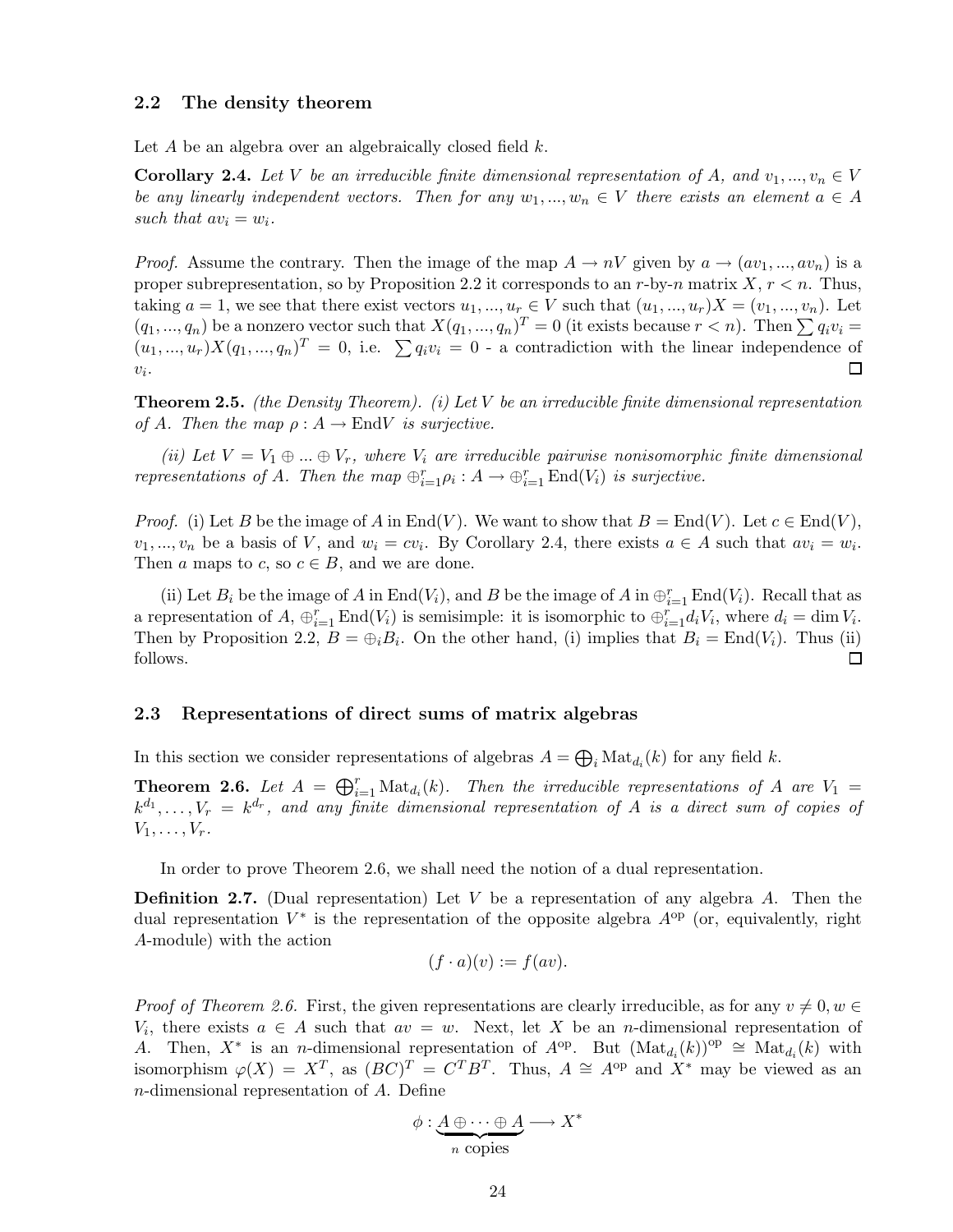#### 2.2 The density theorem

Let A be an algebra over an algebraically closed field  $k$ .

**Corollary 2.4.** Let V be an irreducible finite dimensional representation of A, and  $v_1, ..., v_n \in V$ *be any linearly independent vectors. Then for any*  $w_1, ..., w_n \in V$  *there exists an element*  $a \in A$ such that  $av_i = w_i$ .

*Proof.* Assume the contrary. Then the image of the map  $A \to nV$  given by  $a \to (av_1, ..., av_n)$  is a proper subrepresentation, so by Proposition 2.2 it corresponds to an r-by-n matrix  $X, r < n$ . Thus, taking  $a = 1$ , we see that there exist vectors  $u_1, ..., u_r \in V$  such that  $(u_1, ..., u_r)X = (v_1, ..., v_n)$ . Let  $(q_1,...,q_n)$  be a nonzero vector such that  $X(q_1,...,q_n)^T = 0$  (it exists because  $r < n$ ). Then  $\sum q_i v_i =$  $(u_1,...,u_r)X(q_1,...,q_n)^T = 0$ , i.e.  $\sum q_i v_i = 0$  - a contradiction with the linear independence of  $v_i$ .  $\Box$ 

Theorem 2.5. *(the Density Theorem). (i) Let* V *be an irreducible finite dimensional representation of* A. Then the map  $\rho: A \to \text{End} V$  *is surjective.* 

*(ii) Let*  $V = V_1 \oplus ... \oplus V_r$ , where  $V_i$  are irreducible pairwise nonisomorphic finite dimensional *representations of A. Then the map*  $\bigoplus_{i=1}^{r} \rho_i : A \to \bigoplus_{i=1}^{r} \text{End}(V_i)$  *is surjective.* 

*Proof.* (i) Let B be the image of A in End(V). We want to show that  $B = \text{End}(V)$ . Let  $c \in \text{End}(V)$ ,  $v_1, ..., v_n$  be a basis of V, and  $w_i = cv_i$ . By Corollary 2.4, there exists  $a \in A$  such that  $av_i = w_i$ . Then a maps to c, so  $c \in B$ , and we are done.

(ii) Let  $B_i$  be the image of A in End(V<sub>i</sub>), and B be the image of A in  $\bigoplus_{i=1}^r \text{End}(V_i)$ . Recall that as a representation of  $A$ ,  $\bigoplus_{i=1}^r \text{End}(V_i)$  is semisimple: it is isomorphic to  $\bigoplus_{i=1}^r d_i V_i$ , where  $d_i = \dim V_i$ . Then by Proposition 2.2,  $B = \bigoplus_i B_i$ . On the other hand, (i) implies that  $B_i = \text{End}(V_i)$ . Thus (ii) follows.  $\Box$ 

#### 2.3 Representations of direct sums of matrix algebras

In this section we consider representations of algebras  $A = \bigoplus_i \text{Mat}_{d_i}(k)$  for any field k.

**Theorem 2.6.** Let  $A = \bigoplus_{i=1}^{r} \text{Mat}_{d_i}(k)$ . Then the irreducible representations of A are  $V_1 =$  $k^{d_1}, \ldots, V_r = k^{d_r}$ , and any finite dimensional representation of A is a direct sum of copies of  $V_1,\ldots,V_r$ .

In order to prove Theorem 2.6, we shall need the notion of a dual representation.

**Definition 2.7.** (Dual representation) Let V be a representation of any algebra  $A$ . Then the dual representation  $V^*$  is the representation of the opposite algebra  $A^{op}$  (or, equivalently, right A-module) with the action

$$
(f \cdot a)(v) := f(av).
$$

*Proof of Theorem 2.6.* First, the given representations are clearly irreducible, as for any  $v \neq 0, w \in$  $V_i$ , there exists  $a \in A$  such that  $av = w$ . Next, let X be an *n*-dimensional representation of A. Then,  $X^*$  is an n-dimensional representation of  $A^{op}$ . But  $(Mat_{d_i}(k))^{op} \cong Mat_{d_i}(k)$  with isomorphism  $\varphi(X) = X^T$ , as  $(BC)^T = C^T B^T$ . Thus,  $A \cong A^{op}$  and  $X^*$  may be viewed as an n-dimensional representation of A. Define

$$
\phi: \underbrace{A \oplus \cdots \oplus A}_{n \text{ copies}} \longrightarrow X^*
$$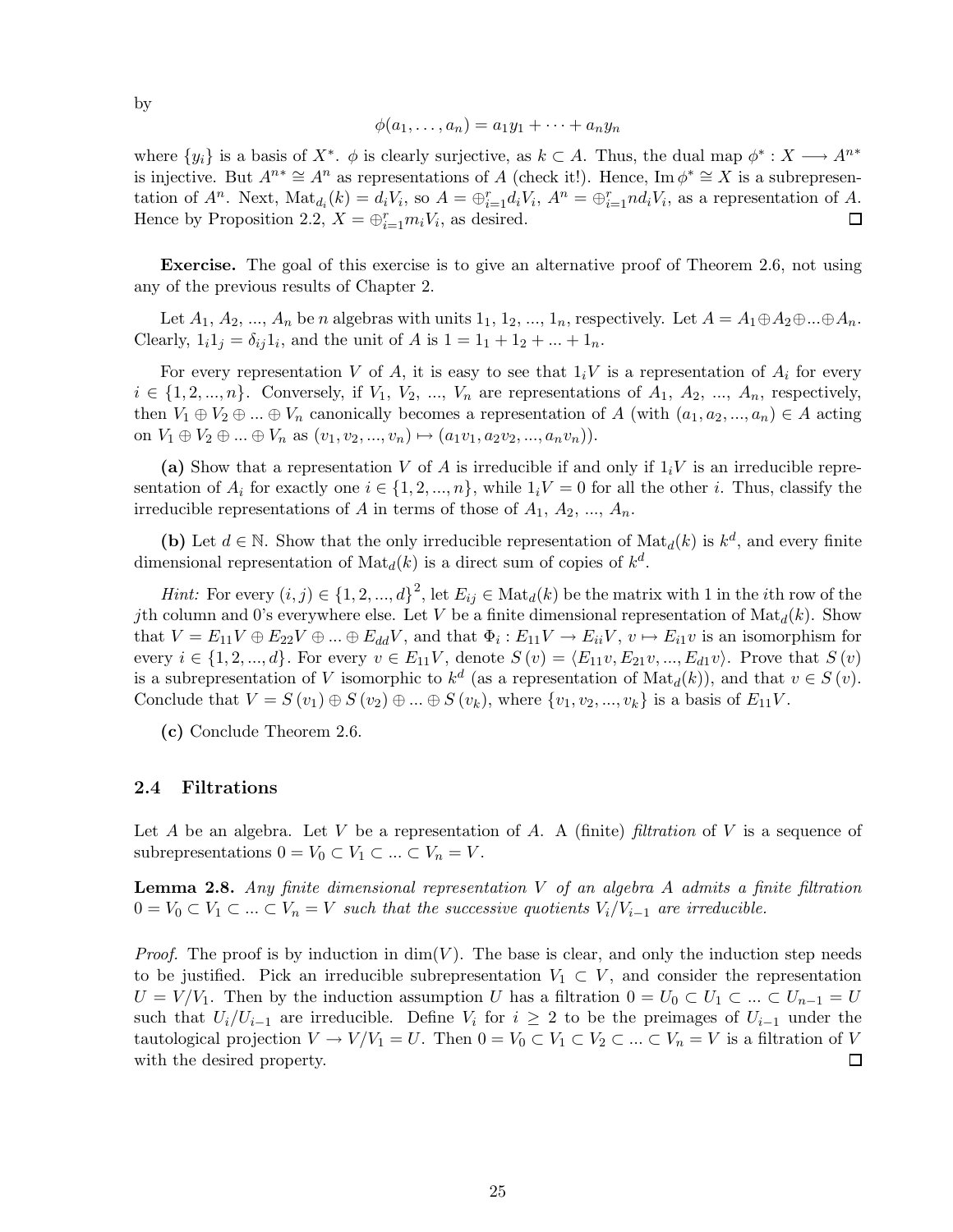$$
\phi(a_1,\ldots,a_n)=a_1y_1+\cdots+a_ny_n
$$

where  $\{y_i\}$  is a basis of  $X^*$ .  $\phi$  is clearly surjective, as  $k \subset A$ . Thus, the dual map  $\phi^* : X \longrightarrow A^{n*}$ is injective. But  $A^{n*} \cong A^n$  as representations of A (check it!). Hence, Im  $\phi^* \cong X$  is a subrepresentation of  $A^n$ . Next,  $\text{Mat}_{d_i}(k) = d_i V_i$ , so  $A = \bigoplus_{i=1}^r d_i V_i$ ,  $A^n = \bigoplus_{i=1}^r nd_i V_i$ , as a representation of A. Hence by Proposition 2.2,  $X = \bigoplus_{i=1}^{r} m_i V_i$ , as desired. 囗

Exercise. The goal of this exercise is to give an alternative proof of Theorem 2.6, not using any of the previous results of Chapter 2.

Let  $A_1, A_2, ..., A_n$  be n algebras with units  $1_1, 1_2, ..., 1_n$ , respectively. Let  $A = A_1 \oplus A_2 \oplus ... \oplus A_n$ . Clearly,  $1_i 1_j = \delta_{ij} 1_i$ , and the unit of A is  $1 = 1_1 + 1_2 + ... + 1_n$ .

For every representation V of A, it is easy to see that  $1_iV$  is a representation of  $A_i$  for every  $i \in \{1, 2, ..., n\}$ . Conversely, if  $V_1, V_2, ..., V_n$  are representations of  $A_1, A_2, ..., A_n$ , respectively, then  $V_1 \oplus V_2 \oplus ... \oplus V_n$  canonically becomes a representation of A (with  $(a_1, a_2, ..., a_n) \in A$  acting on  $V_1 \oplus V_2 \oplus ... \oplus V_n$  as  $(v_1, v_2, ..., v_n) \mapsto (a_1v_1, a_2v_2, ..., a_nv_n).$ 

(a) Show that a representation V of A is irreducible if and only if  $1_iV$  is an irreducible representation of  $A_i$  for exactly one  $i \in \{1, 2, ..., n\}$ , while  $1_iV = 0$  for all the other i. Thus, classify the irreducible representations of A in terms of those of  $A_1, A_2, ..., A_n$ .

(b) Let  $d \in \mathbb{N}$ . Show that the only irreducible representation of  $\text{Mat}_d(k)$  is  $k^d$ , and every finite dimensional representation of  $\text{Mat}_{d}(k)$  is a direct sum of copies of  $k^{d}$ .

*Hint:* For every  $(i, j) \in \{1, 2, ..., d\}^2$ , let  $E_{ij} \in Mat_d(k)$  be the matrix with 1 in the *i*th row of the jth column and 0's everywhere else. Let V be a finite dimensional representation of  $\text{Mat}_d(k)$ . Show that  $V = E_{11}V \oplus E_{22}V \oplus ... \oplus E_{dd}V$ , and that  $\Phi_i : E_{11}V \to E_{ii}V$ ,  $v \mapsto E_{i1}v$  is an isomorphism for every  $i \in \{1, 2, ..., d\}$ . For every  $v \in E_{11}V$ , denote  $S(v) = \langle E_{11}v, E_{21}v, ..., E_{d1}v \rangle$ . Prove that  $S(v)$ is a subrepresentation of V isomorphic to  $k^d$  (as a representation of  $\text{Mat}_d(k)$ ), and that  $v \in S(v)$ . Conclude that  $V = S(v_1) \oplus S(v_2) \oplus ... \oplus S(v_k)$ , where  $\{v_1, v_2, ..., v_k\}$  is a basis of  $E_{11}V$ .

(c) Conclude Theorem 2.6.

#### 2.4 Filtrations

Let A be an algebra. Let V be a representation of A. A (finite) *filtration* of V is a sequence of subrepresentations  $0 = V_0 \subset V_1 \subset \ldots \subset V_n = V$ .

Lemma 2.8. *Any finite dimensional representation* V *of an algebra* A *admits a finite filtration*  $0 = V_0 \subset V_1 \subset \ldots \subset V_n = V$  *such that the successive quotients*  $V_i/V_{i-1}$  *are irreducible.* 

*Proof.* The proof is by induction in  $dim(V)$ . The base is clear, and only the induction step needs to be justified. Pick an irreducible subrepresentation  $V_1 \subset V$ , and consider the representation  $U = V/V_1$ . Then by the induction assumption U has a filtration  $0 = U_0 \subset U_1 \subset ... \subset U_{n-1} = U$ such that  $U_i/U_{i-1}$  are irreducible. Define  $V_i$  for  $i \geq 2$  to be the preimages of  $U_{i-1}$  under the tautological projection  $V \to V/V_1 = U$ . Then  $0 = V_0 \subset V_1 \subset V_2 \subset ... \subset V_n = V$  is a filtration of  $V$  with the desired property. with the desired property.

by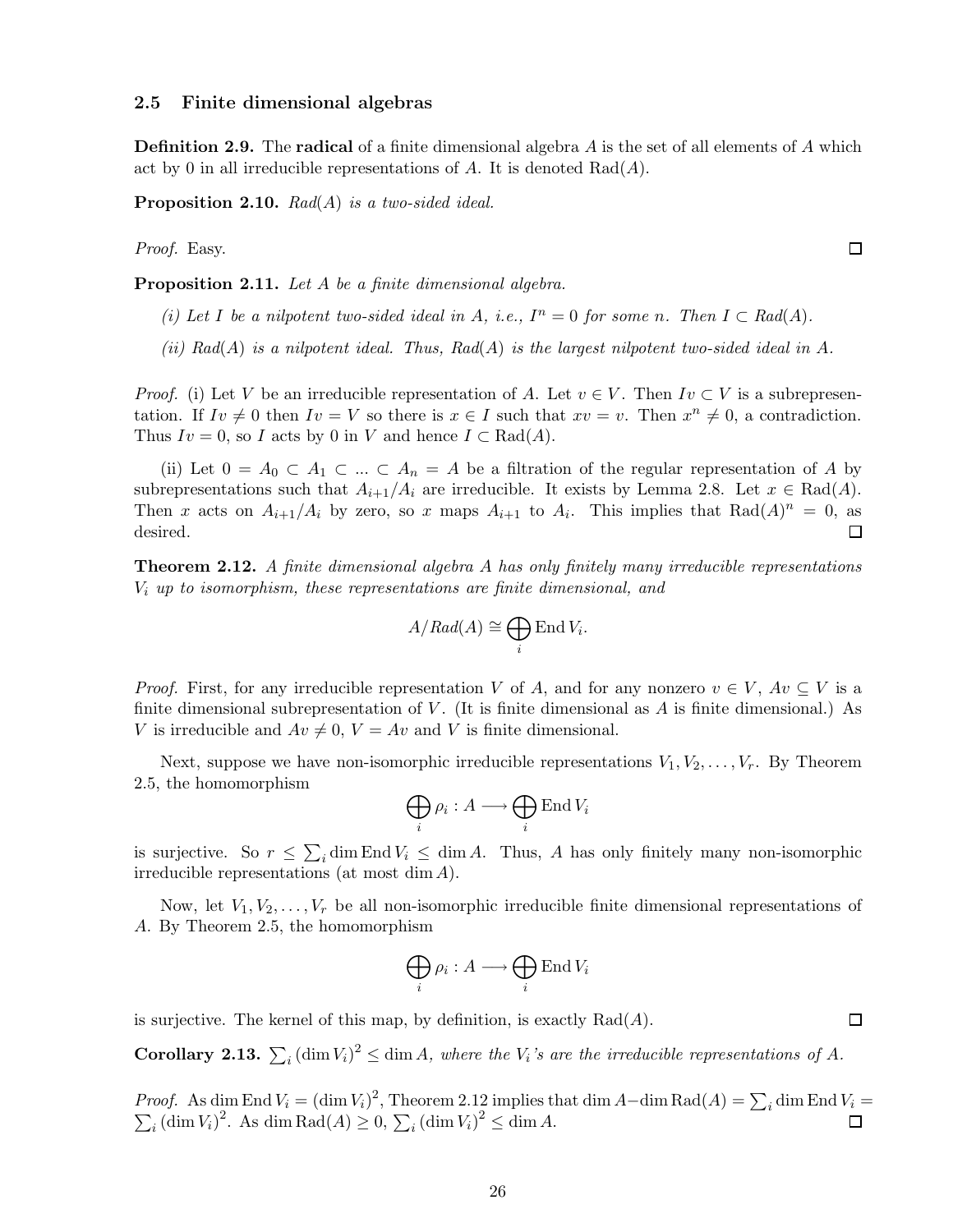#### 2.5 Finite dimensional algebras

**Definition 2.9.** The **radical** of a finite dimensional algebra A is the set of all elements of A which act by 0 in all irreducible representations of A. It is denoted  $Rad(A)$ .

Proposition 2.10. *Rad*(A) *is a two-sided ideal.*

*Proof.* Easy.

Proposition 2.11. *Let* A *be a finite dimensional algebra.*

*(i)* Let I be a nilpotent two-sided ideal in A, i.e.,  $I^n = 0$  for some n. Then  $I \subset Rad(A)$ .

*(ii) Rad*(A) *is a nilpotent ideal. Thus, Rad*(A) *is the largest nilpotent two-sided ideal in* A*.*

*Proof.* (i) Let V be an irreducible representation of A. Let  $v \in V$ . Then  $Iv \subset V$  is a subrepresentation. If  $Iv \neq 0$  then  $Iv = V$  so there is  $x \in I$  such that  $xv = v$ . Then  $x^n \neq 0$ , a contradiction. Thus  $Iv = 0$ , so I acts by 0 in V and hence  $I \subset \text{Rad}(A)$ .

(ii) Let  $0 = A_0 \subset A_1 \subset ... \subset A_n = A$  be a filtration of the regular representation of A by subrepresentations such that  $A_{i+1}/A_i$  are irreducible. It exists by Lemma 2.8. Let  $x \in Rad(A)$ . Then x acts on  $A_{i+1}/A_i$  by zero, so x maps  $A_{i+1}$  to  $A_i$ . This implies that  $Rad(A)^n = 0$ , as desired.  $\Box$ 

Theorem 2.12. *A finite dimensional algebra* A *has only finitely many irreducible representations* V<sup>i</sup> *up to isomorphism, these representations are finite dimensional, and*

$$
A/Rad(A) \cong \bigoplus_i \text{End } V_i.
$$

*Proof.* First, for any irreducible representation V of A, and for any nonzero  $v \in V$ ,  $Av \subseteq V$  is a finite dimensional subrepresentation of V. (It is finite dimensional as A is finite dimensional.) As V is irreducible and  $Av \neq 0$ ,  $V = Av$  and V is finite dimensional.

Next, suppose we have non-isomorphic irreducible representations  $V_1, V_2, \ldots, V_r$ . By Theorem 2.5, the homomorphism

$$
\bigoplus_i \rho_i : A \longrightarrow \bigoplus_i \operatorname{End} V_i
$$

is surjective. So  $r \leq \sum_i \dim \text{End } V_i \leq \dim A$ . Thus, A has only finitely many non-isomorphic irreducible representations (at most dim A).

Now, let  $V_1, V_2, \ldots, V_r$  be all non-isomorphic irreducible finite dimensional representations of A. By Theorem 2.5, the homomorphism

$$
\bigoplus_i \rho_i : A \longrightarrow \bigoplus_i \operatorname{End} V_i
$$

is surjective. The kernel of this map, by definition, is exactly  $Rad(A)$ .

**Corollary 2.13.**  $\sum_i (\dim V_i)^2 \leq \dim A$ , where the  $V_i$ 's are the irreducible representations of A.

*Proof.* As dim End  $V_i = (\dim V_i)^2$ , Theorem 2.12 implies that dim  $A-\dim \text{Rad}(A) = \sum_i$ <br>  $\sum_i (\dim V_i)^2$ . As dim Rad(A) > 0,  $\sum_i (\dim V_i)^2 < \dim A$ . dim End  $V_i =$  $\sum_i (\dim V_i)^2$ . As dim Rad $(A) \ge 0$ ,  $\sum_i (\dim V_i)^2 \le \dim A$ .

 $\Box$ 

 $\Box$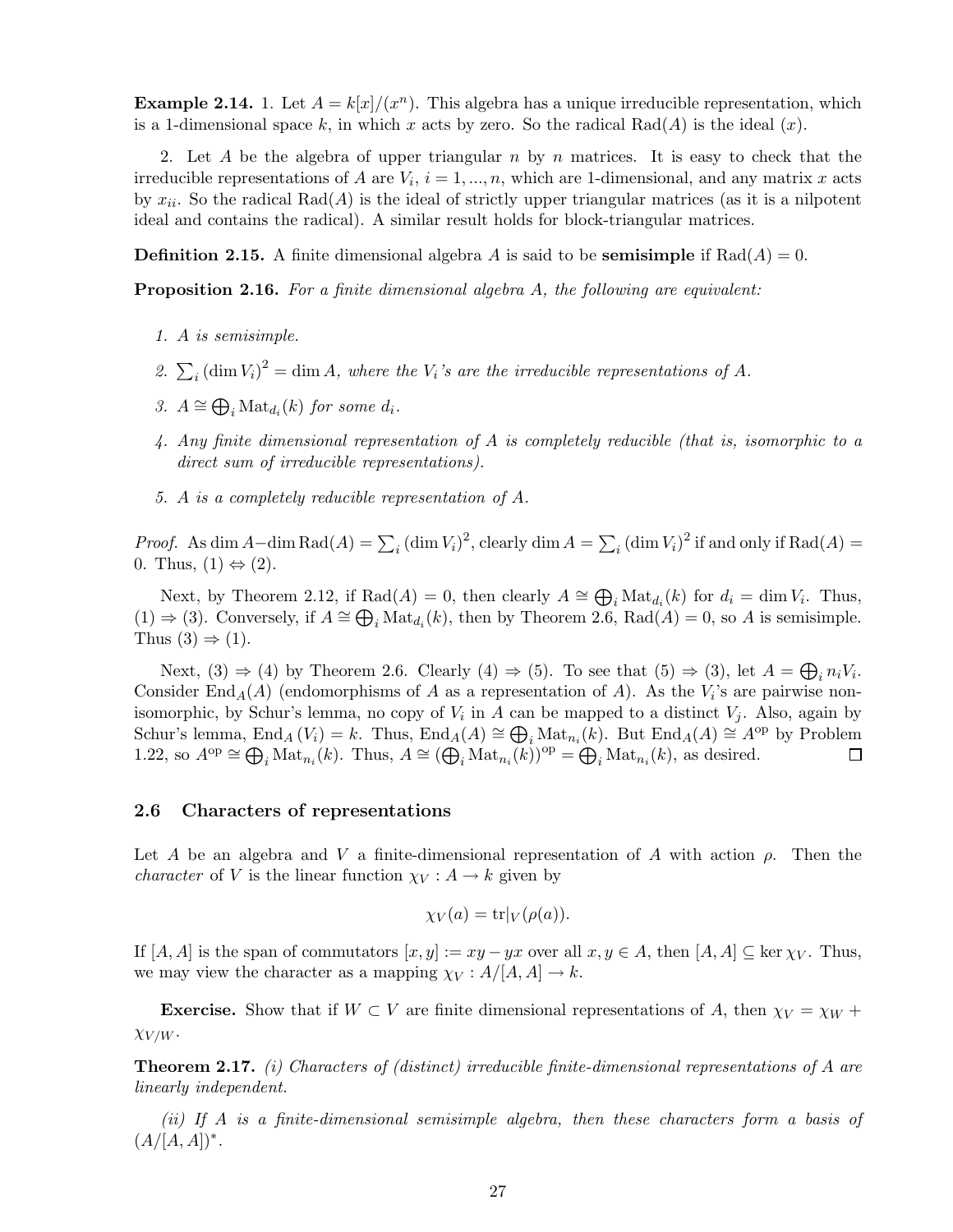**Example 2.14.** 1. Let  $A = k[x]/(x^n)$ . This algebra has a unique irreducible representation, which is a 1-dimensional space k, in which x acts by zero. So the radical Rad(A) is the ideal  $(x)$ .

2. Let A be the algebra of upper triangular n by n matrices. It is easy to check that the irreducible representations of A are  $V_i$ ,  $i = 1, ..., n$ , which are 1-dimensional, and any matrix x acts by  $x_{ii}$ . So the radical Rad(A) is the ideal of strictly upper triangular matrices (as it is a nilpotent ideal and contains the radical). A similar result holds for block-triangular matrices.

**Definition 2.15.** A finite dimensional algebra A is said to be **semisimple** if  $Rad(A) = 0$ .

Proposition 2.16. *For a finite dimensional algebra* A*, the following are equivalent:*

- *1.* A *is semisimple.*
- 2.  $\sum_i (\dim V_i)^2 = \dim A$ , where the  $V_i$ 's are the irreducible representations of A.
- 3.  $A \cong \bigoplus_i \text{Mat}_{d_i}(k)$  *for some*  $d_i$ *.*
- *4. Any finite dimensional representation of* A *is completely reducible (that is, isomorphic to a direct sum of irreducible representations).*
- *5.* A *is a completely reducible representation of* A*.*

*Proof.* As dim  $A-\dim \text{Rad}(A) = \sum_i (\dim V_i)^2$ , clearly  $\dim A = \sum_i (\dim V_i)^2$  if and only if  $\text{Rad}(A) =$ 0. Thus,  $(1) \Leftrightarrow (2)$ .

Next, by Theorem 2.12, if  $Rad(A) = 0$ , then clearly  $A \cong \bigoplus_i Mat_{d_i}(k)$  for  $d_i = \dim V_i$ . Thus,  $(1)$  ⇒  $(3)$ . Conversely, if  $A \cong \bigoplus_i \text{Mat}_{d_i}(k)$ , then by Theorem 2.6, Rad $(A) = 0$ , so A is semisimple. Thus  $(3) \Rightarrow (1)$ .

Next, (3)  $\Rightarrow$  (4) by Theorem 2.6. Clearly (4)  $\Rightarrow$  (5). To see that (5)  $\Rightarrow$  (3), let  $A = \bigoplus_i n_i V_i$ . Consider End<sub>A</sub>(A) (endomorphisms of A as a representation of A). As the  $V_i$ 's are pairwise nonisomorphic, by Schur's lemma, no copy of  $V_i$  in A can be mapped to a distinct  $V_j$ . Also, again by Schur's lemma, End<sub>A</sub> ( $V_i$ ) = k. Thus, End<sub>A</sub>(A) ≅  $\bigoplus_i \text{Mat}_{n_i}(k)$ . But End<sub>A</sub>(A) ≅ A<sup>op</sup> by Problem 1.22, so  $A^{\mathrm{op}} \cong \bigoplus_i \mathrm{Mat}_{n_i}(k)$ . Thus,  $A \cong (\bigoplus_i \mathrm{Mat}_{n_i}(k))^{\mathrm{op}} = \bigoplus_i \mathrm{Mat}_{n_i}(k)$ , as desired.  $\Box$ 

#### 2.6 Characters of representations

Let A be an algebra and V a finite-dimensional representation of A with action  $\rho$ . Then the *character* of V is the linear function  $\chi_V : A \to k$  given by

$$
\chi_V(a) = \text{tr}|_V(\rho(a)).
$$

If  $[A, A]$  is the span of commutators  $[x, y] := xy - yx$  over all  $x, y \in A$ , then  $[A, A] \subseteq \text{ker } \chi_V$ . Thus, we may view the character as a mapping  $\chi_V : A/[A, A] \to k$ .

**Exercise.** Show that if  $W \subset V$  are finite dimensional representations of A, then  $\chi_V = \chi_W +$  $\chi_{V/W}$ .

Theorem 2.17. *(i) Characters of (distinct) irreducible finite-dimensional representations of* A *are linearly independent.*

*(ii) If* A *is a finite-dimensional semisimple algebra, then these characters form a basis of*  $(A/[A,A])^*$ .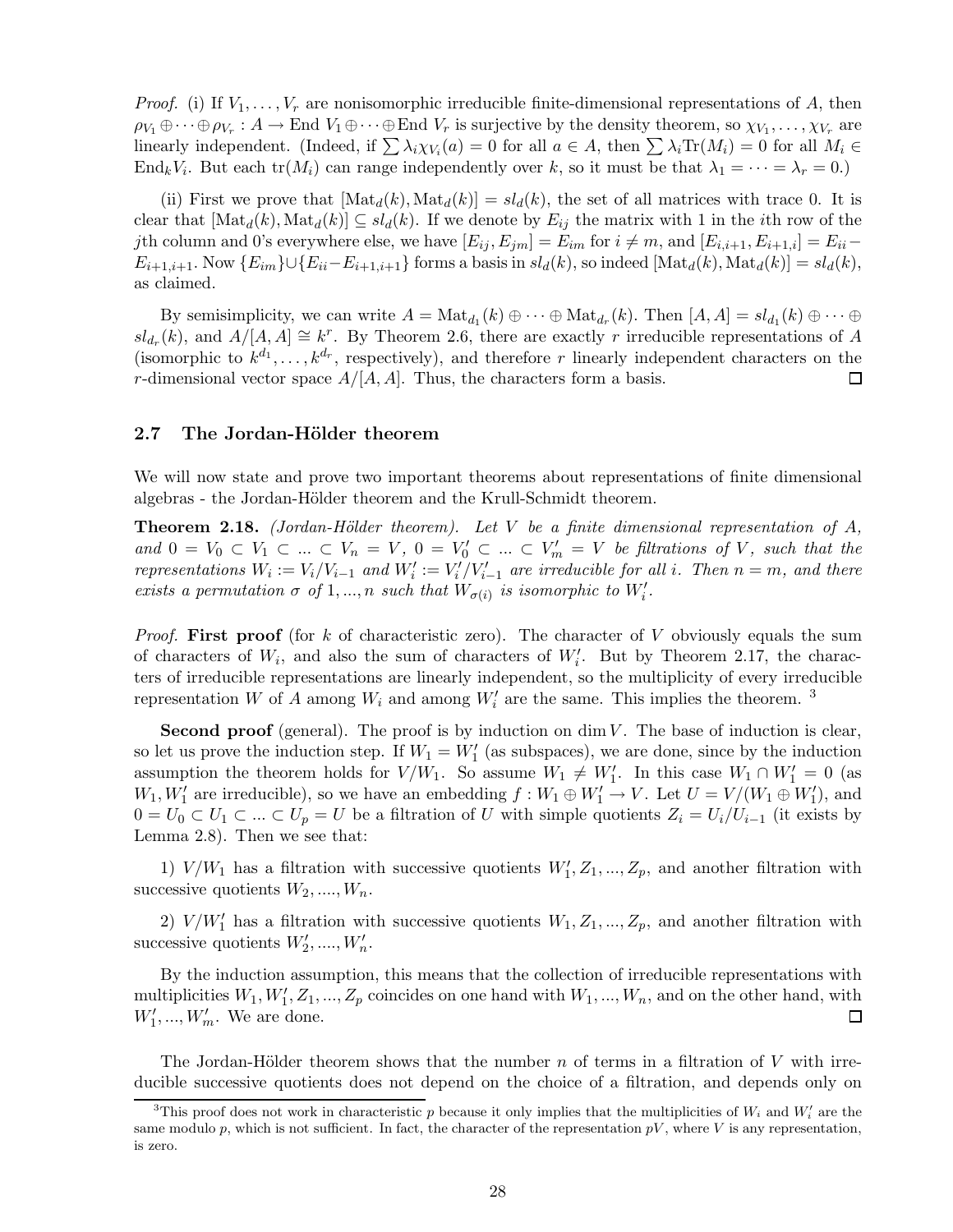*Proof.* (i) If  $V_1, \ldots, V_r$  are nonisomorphic irreducible finite-dimensional representations of A, then  $\rho_{V_1} \oplus \cdots \oplus \rho_{V_r} : A \to \text{End } V_1 \oplus \cdots \oplus \text{End } V_r$  is surjective by the density theorem, so  $\chi_{V_1}, \ldots, \chi_{V_r}$  are linearly independent. (Indeed, if  $\sum \lambda_i \chi_{V_i}(a) = 0$  for all  $a \in A$ , then  $\sum \lambda_i \text{Tr}(M_i) = 0$  for all  $M_i \in$ End<sub>k</sub>V<sub>i</sub>. But each tr( $M_i$ ) can range independently over k, so it must be that  $\lambda_1 = \cdots = \lambda_r = 0$ .)

(ii) First we prove that  $[\text{Mat}_d(k), \text{Mat}_d(k)] = sl_d(k)$ , the set of all matrices with trace 0. It is clear that  $[\text{Mat}_d(k), \text{Mat}_d(k)] \subseteq sl_d(k)$ . If we denote by  $E_{ij}$  the matrix with 1 in the *i*th row of the jth column and 0's everywhere else, we have  $[E_{ij}, E_{jm}] = E_{im}$  for  $i \neq m$ , and  $[E_{i,i+1}, E_{i+1,i}] = E_{ii}$  $E_{i+1,i+1}$ . Now  $\{E_{im}\}\cup\{E_{ii}-E_{i+1,i+1}\}$  forms a basis in  $sl_d(k)$ , so indeed  $[\text{Mat}_d(k), \text{Mat}_d(k)] = sl_d(k)$ , as claimed.

By semisimplicity, we can write  $A = \text{Mat}_{d_1}(k) \oplus \cdots \oplus \text{Mat}_{d_r}(k)$ . Then  $[A, A] = sl_{d_1}(k) \oplus \cdots \oplus$  $sl_{d_r}(k)$ , and  $A/[A,A] \cong k^r$ . By Theorem 2.6, there are exactly r irreducible representations of A (isomorphic to  $k^{d_1}, \ldots, k^{d_r}$ , respectively), and therefore r linearly independent characters on the r-dimensional vector space  $A/[A, A]$ . Thus, the characters form a basis. □

#### 2.7 The Jordan-Hölder theorem

We will now state and prove two important theorems about representations of finite dimensional algebras - the Jordan-Hölder theorem and the Krull-Schmidt theorem.

**Theorem 2.18.** *(Jordan-Hölder theorem). Let* V *be a finite dimensional representation of* A,  $and$   $0 = V_0 \subset V_1 \subset ... \subset V_n = V,$   $0 = V'_0 \subset ... \subset V'_m = V$  *be filtrations of* V, such that the *representations*  $W_i := V_i / V_{i-1}$  *and*  $W'_i := V'_i / V'_{i-1}$  *are irreducible for all i. Then*  $n = m$ *, and there exists a permutation*  $\sigma$  *of* 1, ..., *n such that*  $W_{\sigma(i)}$  *is isomorphic to*  $W'_i$ .

*Proof.* First proof (for k of characteristic zero). The character of V obviously equals the sum of characters of  $W_i$ , and also the sum of characters of  $W_i'$ . But by Theorem 2.17, the characters of irreducible representations are linearly independent, so the multiplicity of every irreducible representation W of A among  $W_i$  and among  $W'_i$  are the same. This implies the theorem.<sup>3</sup>

**Second proof** (general). The proof is by induction on  $\dim V$ . The base of induction is clear, so let us prove the induction step. If  $W_1 = W'_1$  (as subspaces), we are done, since by the induction assumption the theorem holds for  $V/W_1$ . So assume  $W_1 \neq W'_1$ . In this case  $W_1 \cap W'_1 = 0$  (as  $W_1, W'_1$  are irreducible), so we have an embedding  $f: W_1 \oplus W'_1 \to V$ . Let  $U = V/(W_1 \oplus W'_1)$ , and  $0 = U_0 \subset U_1 \subset \ldots \subset U_p = U$  be a filtration of U with simple quotients  $Z_i = U_i/U_{i-1}$  (it exists by Lemma 2.8). Then we see that:

1)  $V/W_1$  has a filtration with successive quotients  $W'_1, Z_1, ..., Z_p$ , and another filtration with successive quotients  $W_2, \ldots, W_n$ .

2)  $V/W'_1$  has a filtration with successive quotients  $W_1, Z_1, ..., Z_p$ , and another filtration with successive quotients  $W'_2, \ldots, W'_n$ .

By the induction assumption, this means that the collection of irreducible representations with multiplicities  $W_1, W'_1, Z_1, ..., Z_p$  coincides on one hand with  $W_1, ..., W_n$ , and on the other hand, with  $W'_1, \ldots, W'_m$ . We are done.  $\Box$ 

The Jordan-Hölder theorem shows that the number n of terms in a filtration of V with irreducible successive quotients does not depend on the choice of a filtration, and depends only on

<sup>&</sup>lt;sup>3</sup>This proof does not work in characteristic p because it only implies that the multiplicities of  $W_i$  and  $W'_i$  are the same modulo p, which is not sufficient. In fact, the character of the representation  $pV$ , where V is any representation, is zero.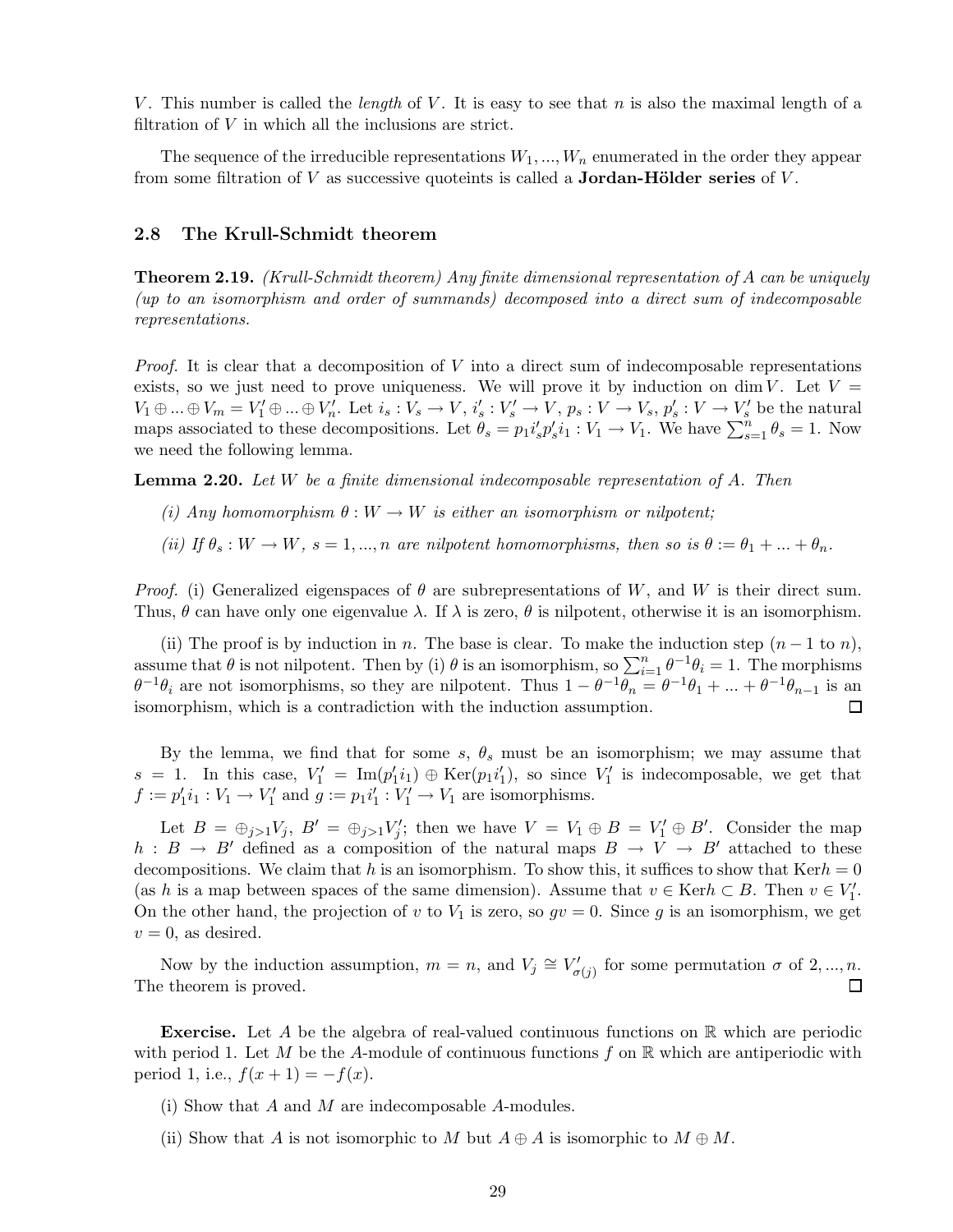V . This number is called the *length* of V . It is easy to see that n is also the maximal length of a filtration of  $V$  in which all the inclusions are strict.

The sequence of the irreducible representations  $W_1, ..., W_n$  enumerated in the order they appear from some filtration of  $V$  as successive quoteints is called a **Jordan-Hölder series** of  $V$ .

#### 2.8 The Krull-Schmidt theorem

Theorem 2.19. *(Krull-Schmidt theorem) Any finite dimensional representation of* A *can be uniquely (up to an isomorphism and order of summands) decomposed into a direct sum of indecomposable representations.*

*Proof.* It is clear that a decomposition of V into a direct sum of indecomposable representations exists, so we just need to prove uniqueness. We will prove it by induction on dim V. Let  $V =$  $V_1\oplus...\oplus V_m=V'_1\oplus...\oplus V'_n$ . Let  $i_s:V_s\to V,\,i'_s:V'_s\to V,\,p_s:V\to V_s,\,p'_s:V\to V'_s$  be the natural maps associated to these decompositions. Let  $\theta_s = p_1 i_s' p_s' i_1 : V_1 \to V_1$ . We have  $\sum_{s=1}^n \theta_s = 1$ . Now we need the following lemma.

Lemma 2.20. *Let* W *be a finite dimensional indecomposable representation of* A*. Then*

- *(i)* Any homomorphism  $\theta : W \to W$  *is either an isomorphism or nilpotent*;
- *(ii)* If  $\theta_s : W \to W$ ,  $s = 1, ..., n$  are nilpotent homomorphisms, then so is  $\theta := \theta_1 + ... + \theta_n$ .

*Proof.* (i) Generalized eigenspaces of  $\theta$  are subrepresentations of W, and W is their direct sum. Thus,  $\theta$  can have only one eigenvalue  $\lambda$ . If  $\lambda$  is zero,  $\theta$  is nilpotent, otherwise it is an isomorphism.

(ii) The proof is by induction in n. The base is clear. To make the induction step  $(n - 1 \text{ to } n)$ , assume that  $\theta$  is not nilpotent. Then by (i)  $\theta$  is an isomorphism, so  $\sum_{i=1}^{n} \theta^{-1} \theta_i = 1$ . The morphisms  $\theta^{-1}\theta_i$  are not isomorphisms, so they are nilpotent. Thus  $1-\theta^{-1}\theta_n = \theta^{-1}\theta_1 + ... + \theta^{-1}\theta_{n-1}$  is an isomorphism, which is a contradiction with the induction assumption.

By the lemma, we find that for some s,  $\theta_s$  must be an isomorphism; we may assume that  $s = 1$ . In this case,  $V'_1 = \text{Im}(p'_1 i_1) \oplus \text{Ker}(p_1 i'_1)$ , so since  $V'_1$  is indecomposable, we get that  $f := p'_1 i_1 : V_1 \to V'_1$  and  $g := p_1 i'_1 : V'_1 \to V_1$  are isomorphisms.

Let  $B = \bigoplus_{j>1} V_j$ ,  $B' = \bigoplus_{j>1} V'_j$ ; then we have  $V = V_1 \oplus B = V'_1 \oplus B'$ . Consider the map h :  $B \to B'$  defined as a composition of the natural maps  $B \to V \to B'$  attached to these decompositions. We claim that h is an isomorphism. To show this, it suffices to show that  $\text{Ker}h = 0$ (as h is a map between spaces of the same dimension). Assume that  $v \in \text{Ker} h \subset B$ . Then  $v \in V'_1$ . On the other hand, the projection of v to  $V_1$  is zero, so  $gv = 0$ . Since g is an isomorphism, we get  $v = 0$ , as desired.

Now by the induction assumption,  $m = n$ , and  $V_j \cong V'_{\sigma(j)}$  for some permutation  $\sigma$  of  $2, ..., n$ . The theorem is proved.  $\Box$ 

**Exercise.** Let A be the algebra of real-valued continuous functions on  $\mathbb{R}$  which are periodic with period 1. Let M be the A-module of continuous functions f on  $\mathbb R$  which are antiperiodic with period 1, i.e.,  $f(x+1) = -f(x)$ .

- (i) Show that A and M are indecomposable A-modules.
- (ii) Show that A is not isomorphic to M but  $A \oplus A$  is isomorphic to  $M \oplus M$ .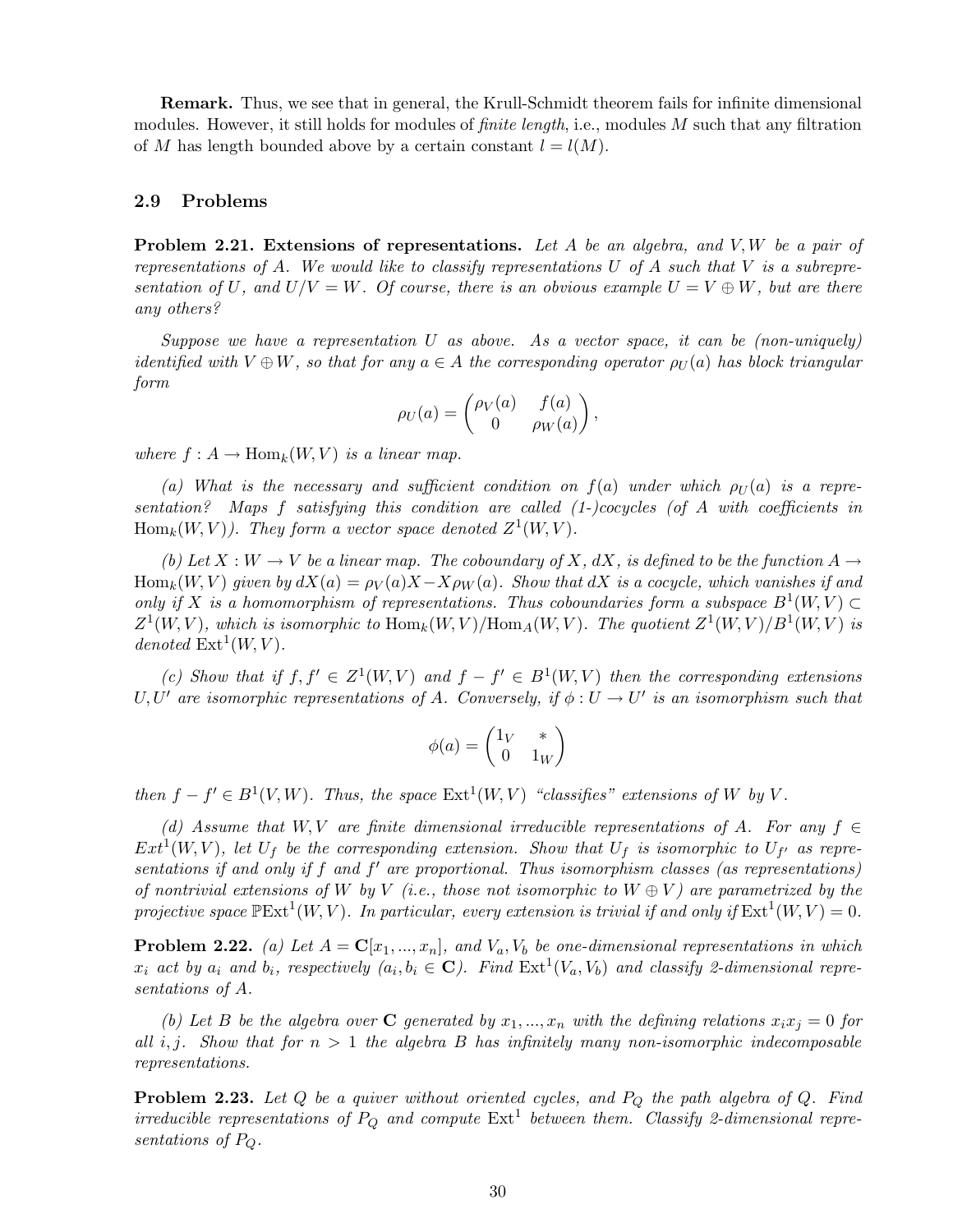Remark. Thus, we see that in general, the Krull-Schmidt theorem fails for infinite dimensional modules. However, it still holds for modules of *finite length*, i.e., modules M such that any filtration of M has length bounded above by a certain constant  $l = l(M)$ .

#### 2.9 Problems

Problem 2.21. Extensions of representations. *Let* A *be an algebra, and* V,W *be a pair of representations of* A*. We would like to classify representations* U *of* A *such that* V *is a subrepresentation of* U, and  $U/V = W$ . Of course, there is an obvious example  $U = V \oplus W$ , but are there *any others?*

*Suppose we have a representation* U *as above. As a vector space, it can be (non-uniquely) identified with*  $V \oplus W$ *, so that for any*  $a \in A$  *the corresponding operator*  $\rho_U(a)$  *has block triangular form*

$$
\rho_U(a) = \begin{pmatrix} \rho_V(a) & f(a) \\ 0 & \rho_W(a) \end{pmatrix},
$$

*where*  $f : A \to \text{Hom}_k(W, V)$  *is a linear map.* 

(a) What is the necessary and sufficient condition on  $f(a)$  under which  $\rho_U(a)$  is a repre*sentation? Maps* f *satisfying this condition are called (1-)cocycles (of* A *with coefficients in*  $\text{Hom}_k(W, V)$ *). They form a vector space denoted*  $Z^1(W, V)$ *.* 

*(b)* Let  $X : W \to V$  be a linear map. The coboundary of X, dX, is defined to be the function A  $\to$  $\text{Hom}_k(W, V)$  given by  $dX(a) = \rho_V(a)X - X\rho_W(a)$ . Show that  $dX$  is a cocycle, which vanishes if and *only if* X *is a homomorphism of representations. Thus coboundaries form a subspace*  $B^1(W, V) \subset$  $Z^1(W, V)$ , which is isomorphic to  $\text{Hom}_k(W, V)/\text{Hom}_A(W, V)$ . The quotient  $Z^1(W, V)/B^1(W, V)$  is  $denoted Ext<sup>1</sup>(W, V)$ *.* 

(c) Show that if  $f, f' \in Z^1(W, V)$  and  $f - f' \in B^1(W, V)$  then the corresponding extensions U, U' are isomorphic representations of A. Conversely, if  $\phi : U \to U'$  is an isomorphism such that

$$
\phi(a)=\begin{pmatrix}1_V&*\\0&1_W\end{pmatrix}
$$

*then*  $f - f' \in B^1(V, W)$ *. Thus, the space*  $Ext^1(W, V)$  *"classifies" extensions of* W *by* V.

*(d) Assume that*  $W, V$  *are finite dimensional irreducible representations of*  $A$ *. For any*  $f \in$  $Ext^1(W, V)$ , let  $U_f$  be the corresponding extension. Show that  $U_f$  is isomorphic to  $U_{f'}$  as repre*sentations if and only if* f *and* f ′ *are proportional. Thus isomorphism classes (as representations) of nontrivial extensions of* W *by* V *(i.e., those not isomorphic to*  $W \oplus V$ *) are parametrized by the* projective space  $\mathbb{P}\mathrm{Ext}^1(W, V)$ . In particular, every extension is trivial if and only if  $\mathrm{Ext}^1(W, V) = 0$ .

**Problem 2.22.** (a) Let  $A = \mathbf{C}[x_1, ..., x_n]$ , and  $V_a$ ,  $V_b$  be one-dimensional representations in which  $x_i$  act by  $a_i$  and  $b_i$ , respectively  $(a_i, b_i \in \mathbb{C})$ . Find  $\text{Ext}^1(V_a, V_b)$  and classify 2-dimensional repre*sentations of* A*.*

*(b)* Let B be the algebra over C generated by  $x_1, ..., x_n$  with the defining relations  $x_ix_j = 0$  for *all* i,j*. Show that for* n > 1 *the algebra* B *has infinitely many non-isomorphic indecomposable representations.*

Problem 2.23. *Let* Q *be a quiver without oriented cycles, and* P<sup>Q</sup> *the path algebra of* Q*. Find irreducible representations of*  $P_Q$  *and compute*  $Ext<sup>1</sup>$  *between them. Classify 2-dimensional representations of* PQ*.*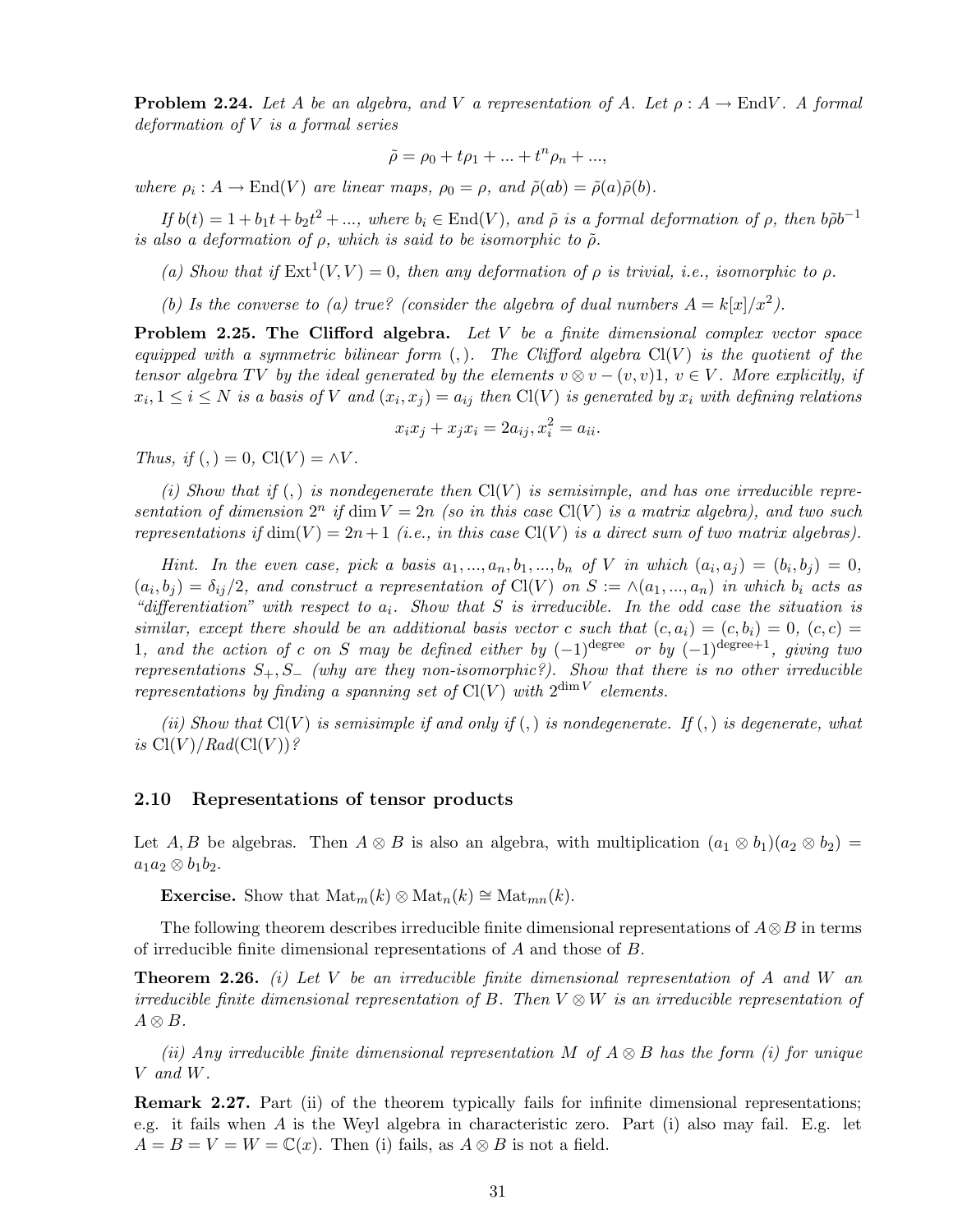**Problem 2.24.** Let A be an algebra, and V a representation of A. Let  $\rho: A \to \text{End}V$ . A formal *deformation of* V *is a formal series*

$$
\tilde{\rho} = \rho_0 + t\rho_1 + \dots + t^n \rho_n + \dots,
$$

*where*  $\rho_i$ :  $A \to \text{End}(V)$  *are linear maps,*  $\rho_0 = \rho$ *, and*  $\tilde{\rho}(ab) = \tilde{\rho}(a)\tilde{\rho}(b)$ *.* 

 $If b(t) = 1 + b_1 t + b_2 t^2 + \dots, where b_i \in End(V)$ *, and*  $\tilde{\rho}$  *is a formal deformation of*  $\rho$ *, then*  $b\tilde{\rho}b^{-1}$ *is also a deformation of*  $\rho$ *, which is said to be isomorphic to*  $\tilde{\rho}$ *.* 

(a) Show that if  $Ext^1(V, V) = 0$ , then any deformation of  $\rho$  is trivial, i.e., isomorphic to  $\rho$ .

(b) Is the converse to (a) true? (consider the algebra of dual numbers  $A = k[x]/x^2$ ).

Problem 2.25. The Clifford algebra. *Let* V *be a finite dimensional complex vector space equipped with a symmetric bilinear form*  $($ , $)$ *. The Clifford algebra* Cl(V) *is the quotient of the tensor algebra* TV *by the ideal generated by the elements*  $v \otimes v - (v, v)$ 1,  $v \in V$ *. More explicitly, if*  $x_i, 1 \leq i \leq N$  is a basis of V and  $(x_i, x_j) = a_{ij}$  then  $Cl(V)$  is generated by  $x_i$  with defining relations

$$
x_i x_j + x_j x_i = 2a_{ij}, x_i^2 = a_{ii}.
$$

*Thus, if*  $(,) = 0$ ,  $Cl(V) = \Lambda V$ .

(*i*) Show that if  $($ ,  $)$  is nondegenerate then  $Cl(V)$  is semisimple, and has one irreducible representation of dimension  $2^n$  if dim  $V = 2n$  *(so in this case* Cl(V) *is a matrix algebra), and two such representations if* dim(V) =  $2n+1$  (*i.e., in this case* Cl(V) *is a direct sum of two matrix algebras*).

*Hint.* In the even case, pick a basis  $a_1, ..., a_n, b_1, ..., b_n$  of V in which  $(a_i, a_j) = (b_i, b_j) = 0$ ,  $(a_i, b_j) = \delta_{ij}/2$ , and construct a representation of Cl(V) on  $S := \wedge(a_1, ..., a_n)$  in which  $b_i$  acts as *"differentiation" with respect to* a<sup>i</sup> *. Show that* S *is irreducible. In the odd case the situation is similar, except there should be an additional basis vector* c *such that*  $(c, a_i) = (c, b_i) = 0$ ,  $(c, c) =$ 1*, and the action of* c *on* S may be defined either by  $(-1)^{\text{degree}}$  or by  $(-1)^{\text{degree}+1}$ , giving two *representations*  $S_+$ ,  $S_$  *(why are they non-isomorphic?). Show that there is no other irreducible representations by finding a spanning set of*  $Cl(V)$  *with*  $2^{\dim V}$  *elements.* 

*(ii) Show that*  $Cl(V)$  *is semisimple if and only if* (,) *is nondegenerate. If* (,) *is degenerate, what is*  $Cl(V)/Rad(Cl(V))$ ?

#### 2.10 Representations of tensor products

Let A, B be algebras. Then  $A \otimes B$  is also an algebra, with multiplication  $(a_1 \otimes b_1)(a_2 \otimes b_2)$  =  $a_1a_2 \otimes b_1b_2.$ 

Exercise. Show that  $\text{Mat}_m(k) \otimes \text{Mat}_n(k) \cong \text{Mat}_{mn}(k)$ .

The following theorem describes irreducible finite dimensional representations of  $A \otimes B$  in terms of irreducible finite dimensional representations of A and those of B.

Theorem 2.26. *(i) Let* V *be an irreducible finite dimensional representation of* A *and* W *an irreducible finite dimensional representation of* B*. Then* V ⊗ W *is an irreducible representation of*  $A \otimes B$ .

*(ii) Any irreducible finite dimensional representation* M *of* A ⊗ B *has the form (i) for unique* V *and* W*.*

Remark 2.27. Part (ii) of the theorem typically fails for infinite dimensional representations; e.g. it fails when A is the Weyl algebra in characteristic zero. Part (i) also may fail. E.g. let  $A = B = V = W = \mathbb{C}(x)$ . Then (i) fails, as  $A \otimes B$  is not a field.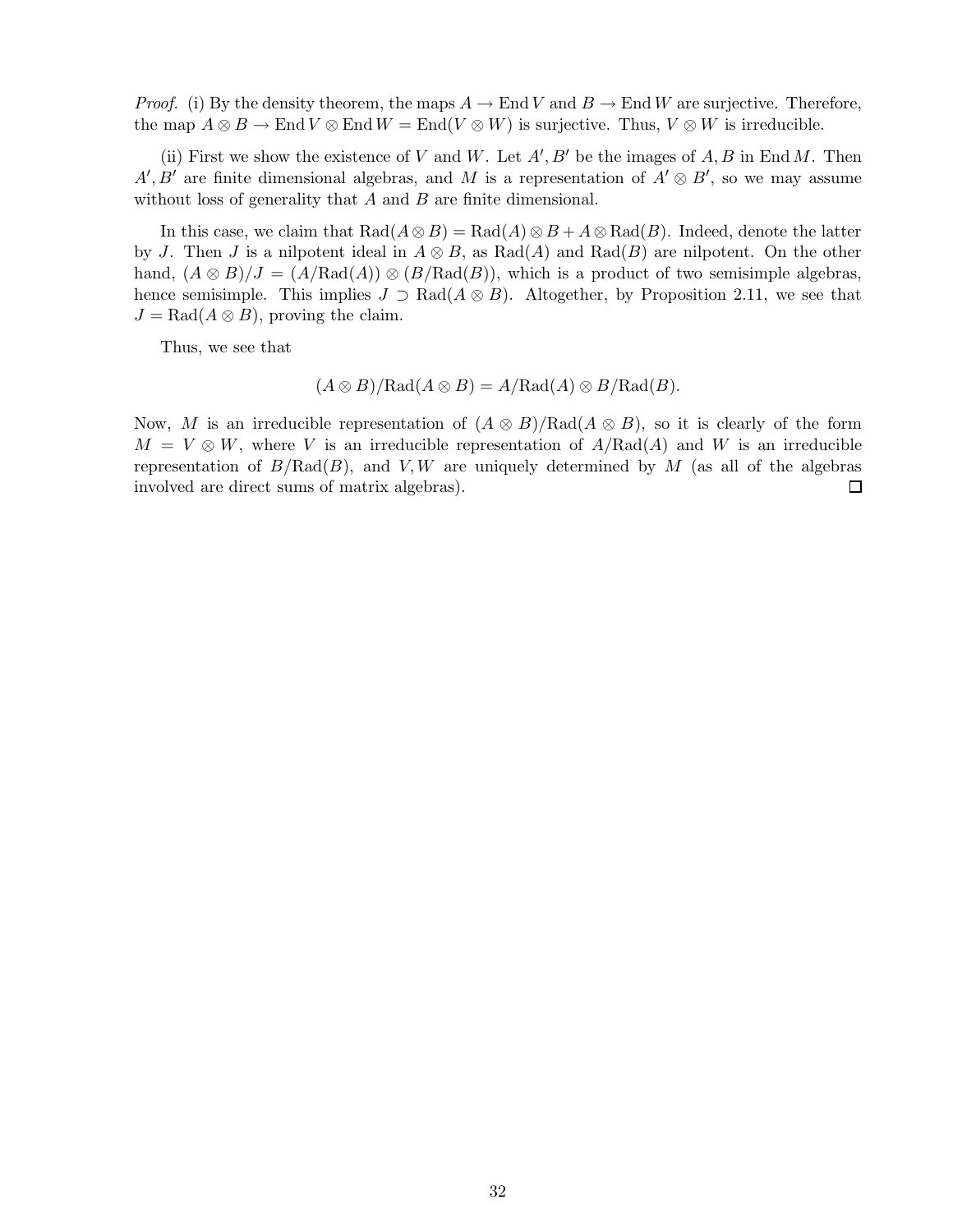*Proof.* (i) By the density theorem, the maps  $A \to \text{End } V$  and  $B \to \text{End } W$  are surjective. Therefore, the map  $A \otimes B \to \text{End } V \otimes \text{End } W = \text{End}(V \otimes W)$  is surjective. Thus,  $V \otimes W$  is irreducible.

(ii) First we show the existence of V and W. Let  $A', B'$  be the images of  $A, B$  in End M. Then  $A', B'$  are finite dimensional algebras, and M is a representation of  $A' \otimes B'$ , so we may assume without loss of generality that  $A$  and  $B$  are finite dimensional.

In this case, we claim that  $\text{Rad}(A \otimes B) = \text{Rad}(A) \otimes B + A \otimes \text{Rad}(B)$ . Indeed, denote the latter by J. Then J is a nilpotent ideal in  $A \otimes B$ , as Rad(A) and Rad(B) are nilpotent. On the other hand,  $(A \otimes B)/J = (A/Rad(A)) \otimes (B/Rad(B))$ , which is a product of two semisimple algebras, hence semisimple. This implies  $J \supset \text{Rad}(A \otimes B)$ . Altogether, by Proposition 2.11, we see that  $J = \text{Rad}(A \otimes B)$ , proving the claim.

Thus, we see that

$$
(A \otimes B)/\mathrm{Rad}(A \otimes B) = A/\mathrm{Rad}(A) \otimes B/\mathrm{Rad}(B).
$$

Now, M is an irreducible representation of  $(A \otimes B)/\text{Rad}(A \otimes B)$ , so it is clearly of the form  $M = V \otimes W$ , where V is an irreducible representation of  $A/Rad(A)$  and W is an irreducible representation of  $B/Rad(B)$ , and V, W are uniquely determined by M (as all of the algebras involved are direct sums of matrix algebras).  $\Box$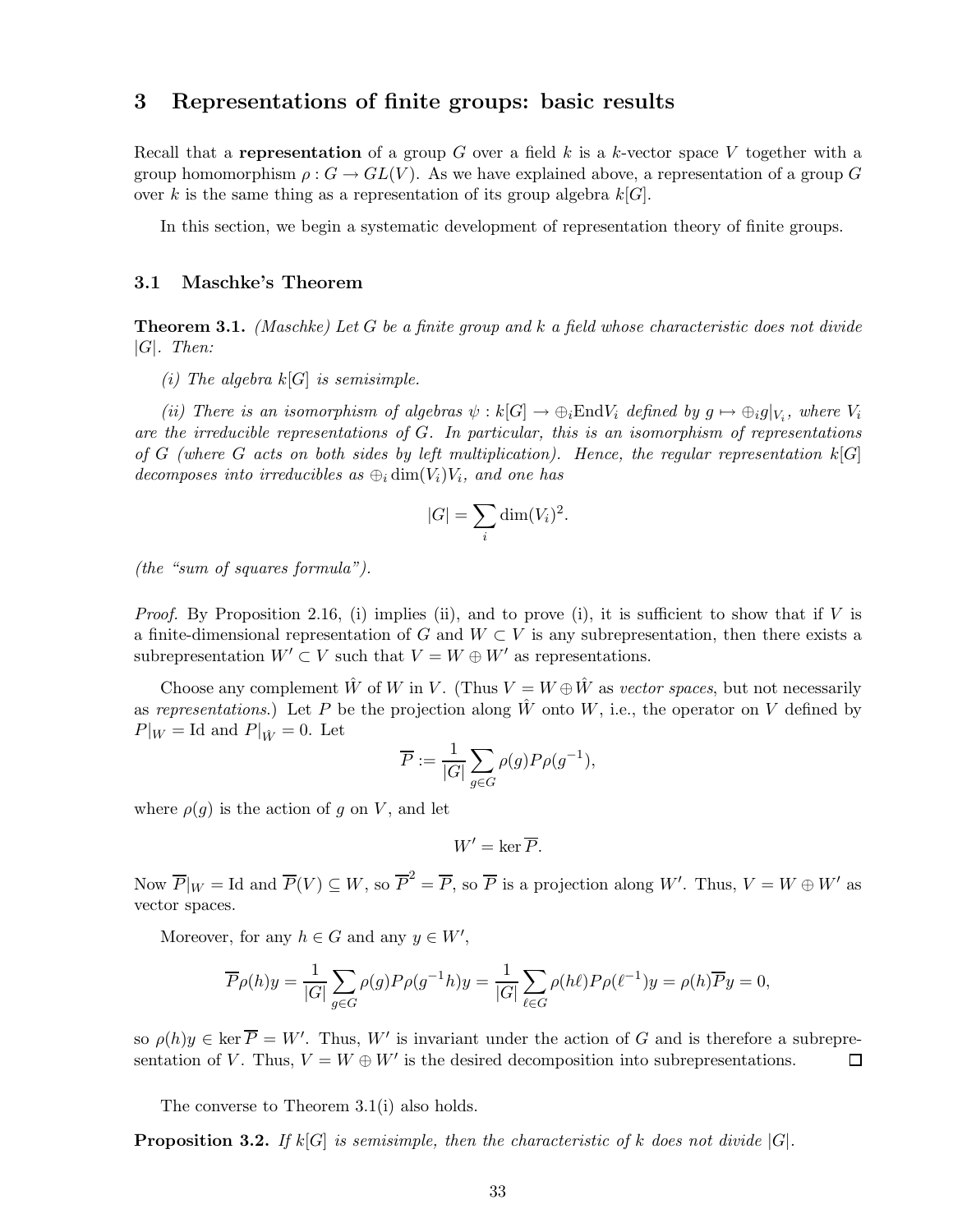# 3 Representations of finite groups: basic results

Recall that a representation of a group G over a field k is a k-vector space V together with a group homomorphism  $\rho: G \to GL(V)$ . As we have explained above, a representation of a group G over k is the same thing as a representation of its group algebra  $k[G]$ .

In this section, we begin a systematic development of representation theory of finite groups.

#### 3.1 Maschke's Theorem

Theorem 3.1. *(Maschke) Let* G *be a finite group and* k *a field whose characteristic does not divide* |G|*. Then:*

*(i) The algebra* k[G] *is semisimple.*

*(ii) There is an isomorphism of algebras*  $\psi : k[G] \to \bigoplus_i \text{End} V_i$  *defined by*  $g \mapsto \bigoplus_i g|_{V_i}$ , where  $V_i$ *are the irreducible representations of* G*. In particular, this is an isomorphism of representations of* G *(where* G *acts on both sides by left multiplication). Hence, the regular representation* k[G] *decomposes into irreducibles as*  $\bigoplus_i \dim(V_i)V_i$ *, and one has* 

$$
|G| = \sum_{i} \dim(V_i)^2.
$$

*(the "sum of squares formula").*

*Proof.* By Proposition 2.16, (i) implies (ii), and to prove (i), it is sufficient to show that if  $V$  is a finite-dimensional representation of G and  $W \subset V$  is any subrepresentation, then there exists a subrepresentation  $W' \subset V$  such that  $V = W \oplus W'$  as representations.

Choose any complement  $\hat{W}$  of W in V. (Thus  $V = W \oplus \hat{W}$  as *vector spaces*, but not necessarily as *representations*.) Let P be the projection along  $\hat{W}$  onto  $W$ , i.e., the operator on V defined by  $P|_W = \text{Id}$  and  $P|_{\hat{W}} = 0$ . Let

$$
\overline{P} := \frac{1}{|G|} \sum_{g \in G} \rho(g) P \rho(g^{-1}),
$$

where  $\rho(g)$  is the action of g on V, and let

 $W' = \ker \overline{P}$ 

Now  $\overline{P}|_W = \text{Id}$  and  $\overline{P}(V) \subseteq W$ , so  $\overline{P}^2 = \overline{P}$ , so  $\overline{P}$  is a projection along W'. Thus,  $V = W \oplus W'$  as vector spaces.

Moreover, for any  $h \in G$  and any  $y \in W'$ ,

$$
\overline{P}\rho(h)y = \frac{1}{|G|} \sum_{g \in G} \rho(g) P \rho(g^{-1}h)y = \frac{1}{|G|} \sum_{\ell \in G} \rho(h\ell) P \rho(\ell^{-1})y = \rho(h) \overline{P}y = 0,
$$

so  $\rho(h)y \in \text{ker } P = W'$ . Thus, W' is invariant under the action of G and is therefore a subrepre- $\Box$ sentation of V. Thus,  $V = W \oplus W'$  is the desired decomposition into subrepresentations.

The converse to Theorem 3.1(i) also holds.

**Proposition 3.2.** If  $k[G]$  is semisimple, then the characteristic of k does not divide  $|G|$ .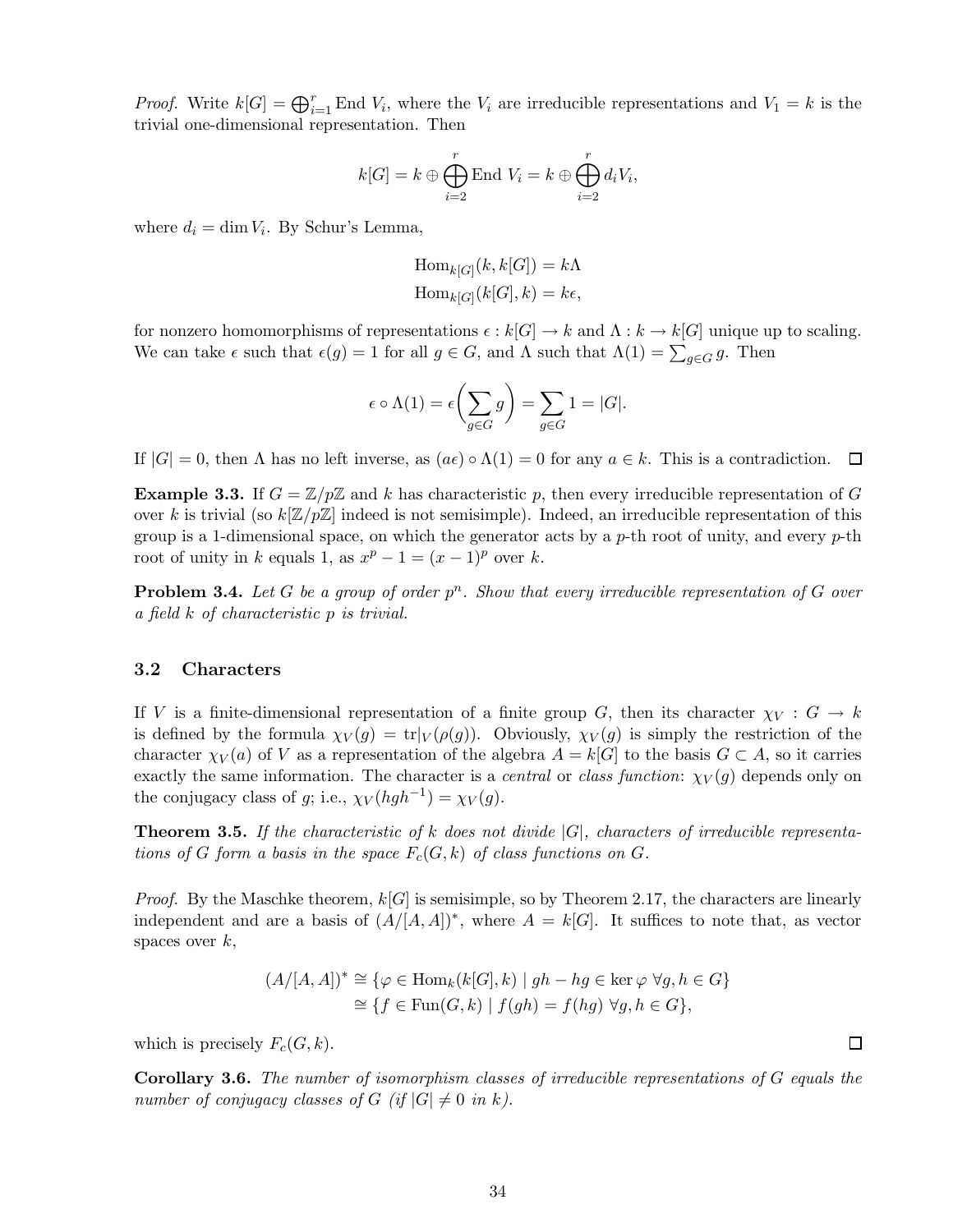*Proof.* Write  $k[G] = \bigoplus_{i=1}^r$  End  $V_i$ , where the  $V_i$  are irreducible representations and  $V_1 = k$  is the trivial one-dimensional representation. Then

$$
k[G] = k \oplus \bigoplus_{i=2}^r \text{End } V_i = k \oplus \bigoplus_{i=2}^r d_i V_i,
$$

where  $d_i = \dim V_i$ . By Schur's Lemma,

$$
\text{Hom}_{k[G]}(k, k[G]) = k\Lambda
$$
  

$$
\text{Hom}_{k[G]}(k[G], k) = k\epsilon,
$$

for nonzero homomorphisms of representations  $\epsilon : k[G] \to k$  and  $\Lambda : k \to k[G]$  unique up to scaling. We can take  $\epsilon$  such that  $\epsilon(g) = 1$  for all  $g \in G$ , and  $\Lambda$  such that  $\Lambda(1) = \sum_{g \in G} g$ . Then

$$
\epsilon \circ \Lambda(1) = \epsilon \left( \sum_{g \in G} g \right) = \sum_{g \in G} 1 = |G|.
$$

If  $|G| = 0$ , then  $\Lambda$  has no left inverse, as  $(a\epsilon) \circ \Lambda(1) = 0$  for any  $a \in k$ . This is a contradiction. 口

**Example 3.3.** If  $G = \mathbb{Z}/p\mathbb{Z}$  and k has characteristic p, then every irreducible representation of G over k is trivial (so  $k[\mathbb{Z}/p\mathbb{Z}]$  indeed is not semisimple). Indeed, an irreducible representation of this group is a 1-dimensional space, on which the generator acts by a  $p$ -th root of unity, and every  $p$ -th root of unity in k equals 1, as  $x^p - 1 = (x - 1)^p$  over k.

**Problem 3.4.** Let G be a group of order  $p^n$ . Show that every irreducible representation of G over *a field* k *of characteristic* p *is trivial.*

#### 3.2 Characters

If V is a finite-dimensional representation of a finite group G, then its character  $\chi_V : G \to k$ is defined by the formula  $\chi_V(g) = \text{tr}|_V(\rho(g))$ . Obviously,  $\chi_V(g)$  is simply the restriction of the character  $\chi_V(a)$  of V as a representation of the algebra  $A = k[G]$  to the basis  $G \subset A$ , so it carries exactly the same information. The character is a *central* or *class function*:  $\chi_V(q)$  depends only on the conjugacy class of g; i.e.,  $\chi_V(hgh^{-1}) = \chi_V(g)$ .

Theorem 3.5. *If the characteristic of* k *does not divide* |G|*, characters of irreducible representations of* G form a basis in the space  $F_c(G, k)$  of class functions on G.

*Proof.* By the Maschke theorem,  $k[G]$  is semisimple, so by Theorem 2.17, the characters are linearly independent and are a basis of  $(A/[A,A])^*$ , where  $A = k[G]$ . It suffices to note that, as vector spaces over  $k$ ,

$$
(A/[A,A])^* \cong \{ \varphi \in \text{Hom}_k(k[G],k) \mid gh - hg \in \text{ker } \varphi \,\,\forall g,h \in G \}
$$

$$
\cong \{ f \in \text{Fun}(G,k) \mid f(gh) = f(hg) \,\,\forall g,h \in G \},
$$

which is precisely  $F_c(G, k)$ .

Corollary 3.6. *The number of isomorphism classes of irreducible representations of* G *equals the number of conjugacy classes of*  $G$  (*if*  $|G| \neq 0$  *in* k).

 $\Box$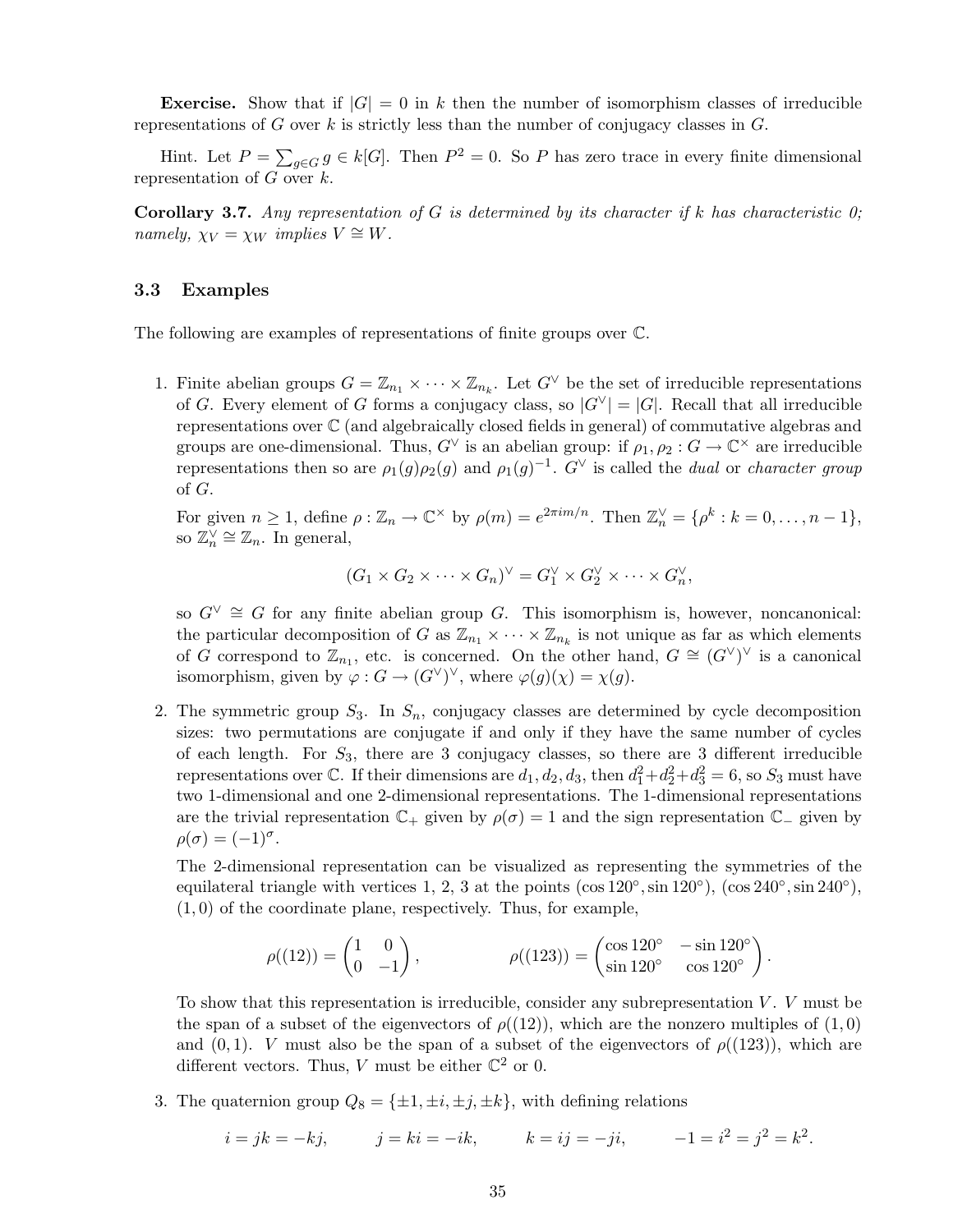**Exercise.** Show that if  $|G| = 0$  in k then the number of isomorphism classes of irreducible representations of G over k is strictly less than the number of conjugacy classes in  $G$ .

Hint. Let  $P = \sum_{g \in G} g \in k[G]$ . Then  $P^2 = 0$ . So P has zero trace in every finite dimensional representation of  $G$  over  $k$ .

Corollary 3.7. *Any representation of* G *is determined by its character if* k *has characteristic 0; namely,*  $\chi_V = \chi_W$  *implies*  $V \cong W$ .

#### 3.3 Examples

The following are examples of representations of finite groups over C.

1. Finite abelian groups  $G = \mathbb{Z}_{n_1} \times \cdots \times \mathbb{Z}_{n_k}$ . Let  $G^{\vee}$  be the set of irreducible representations of G. Every element of G forms a conjugacy class, so  $|G^{\vee}| = |G|$ . Recall that all irreducible representations over C (and algebraically closed fields in general) of commutative algebras and groups are one-dimensional. Thus,  $G^{\vee}$  is an abelian group: if  $\rho_1, \rho_2 : G \to \mathbb{C}^{\times}$  are irreducible representations then so are  $\rho_1(g)\rho_2(g)$  and  $\rho_1(g)^{-1}$ .  $G^{\vee}$  is called the *dual* or *character group* of G.

For given  $n \geq 1$ , define  $\rho : \mathbb{Z}_n \to \mathbb{C}^\times$  by  $\rho(m) = e^{2\pi i m/n}$ . Then  $\mathbb{Z}_n^\vee = {\rho^k : k = 0, \ldots, n-1},$ so  $\mathbb{Z}_n^{\vee} \cong \mathbb{Z}_n$ . In general,

$$
(G_1 \times G_2 \times \cdots \times G_n)^{\vee} = G_1^{\vee} \times G_2^{\vee} \times \cdots \times G_n^{\vee},
$$

so  $G^{\vee} \cong G$  for any finite abelian group G. This isomorphism is, however, noncanonical: the particular decomposition of G as  $\mathbb{Z}_{n_1} \times \cdots \times \mathbb{Z}_{n_k}$  is not unique as far as which elements of G correspond to  $\mathbb{Z}_{n_1}$ , etc. is concerned. On the other hand,  $G \cong (G^{\vee})^{\vee}$  is a canonical isomorphism, given by  $\varphi: G \to (G^{\vee})^{\vee}$ , where  $\varphi(g)(\chi) = \chi(g)$ .

2. The symmetric group  $S_3$ . In  $S_n$ , conjugacy classes are determined by cycle decomposition sizes: two permutations are conjugate if and only if they have the same number of cycles of each length. For  $S_3$ , there are 3 conjugacy classes, so there are 3 different irreducible representations over  $\mathbb{C}$ . If their dimensions are  $d_1, d_2, d_3$ , then  $d_1^2 + d_2^2 + d_3^2 = 6$ , so  $S_3$  must have two 1-dimensional and one 2-dimensional representations. The 1-dimensional representations are the trivial representation  $\mathbb{C}_+$  given by  $\rho(\sigma) = 1$  and the sign representation  $\mathbb{C}_-$  given by  $\rho(\sigma) = (-1)^{\sigma}.$ 

The 2-dimensional representation can be visualized as representing the symmetries of the equilateral triangle with vertices 1, 2, 3 at the points  $(\cos 120^\circ, \sin 120^\circ)$ ,  $(\cos 240^\circ, \sin 240^\circ)$ ,  $(1, 0)$  of the coordinate plane, respectively. Thus, for example,

$$
\rho((12)) = \begin{pmatrix} 1 & 0 \\ 0 & -1 \end{pmatrix}, \qquad \rho((123)) = \begin{pmatrix} \cos 120^{\circ} & -\sin 120^{\circ} \\ \sin 120^{\circ} & \cos 120^{\circ} \end{pmatrix}.
$$

To show that this representation is irreducible, consider any subrepresentation  $V$ .  $V$  must be the span of a subset of the eigenvectors of  $\rho((12))$ , which are the nonzero multiples of  $(1,0)$ and  $(0, 1)$ . V must also be the span of a subset of the eigenvectors of  $\rho((123))$ , which are different vectors. Thus, V must be either  $\mathbb{C}^2$  or 0.

3. The quaternion group  $Q_8 = {\pm 1, \pm i, \pm j, \pm k}$ , with defining relations

$$
i = jk = -kj,
$$
  $j = ki = -ik,$   $k = ij = -ji,$   $-1 = i2 = j2 = k2.$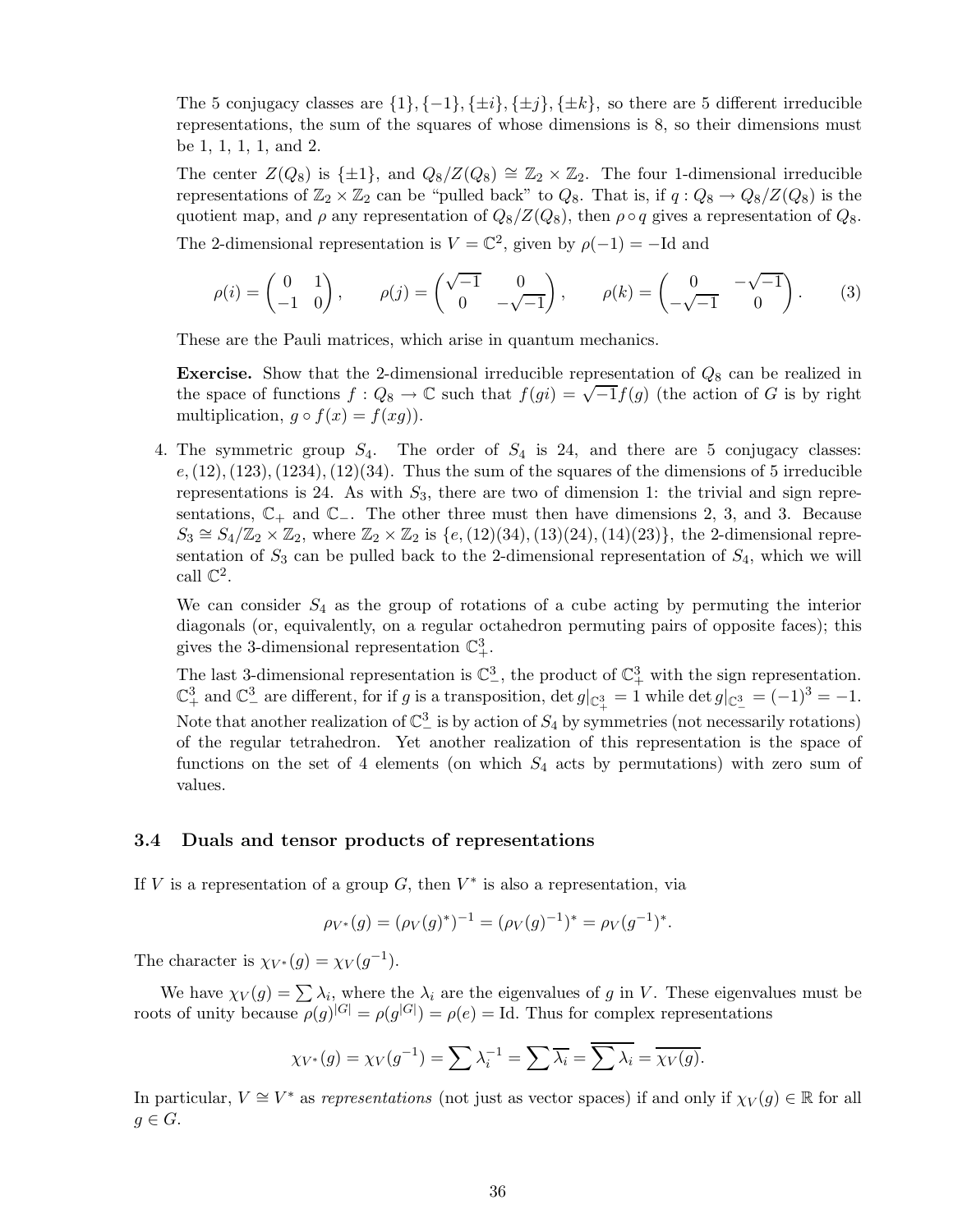The 5 conjugacy classes are  $\{1\}, \{-1\}, \{\pm i\}, \{\pm j\}, \{\pm k\}$ , so there are 5 different irreducible representations, the sum of the squares of whose dimensions is 8, so their dimensions must be 1, 1, 1, 1, and 2.

The center  $Z(Q_8)$  is  $\{\pm 1\}$ , and  $Q_8/Z(Q_8) \cong \mathbb{Z}_2 \times \mathbb{Z}_2$ . The four 1-dimensional irreducible representations of  $\mathbb{Z}_2 \times \mathbb{Z}_2$  can be "pulled back" to  $Q_8$ . That is, if  $q: Q_8 \to Q_8/Z(Q_8)$  is the quotient map, and  $\rho$  any representation of  $Q_8/Z(Q_8)$ , then  $\rho \circ q$  gives a representation of  $Q_8$ . The 2-dimensional representation is  $V = \mathbb{C}^2$ , given by  $\rho(-1) = -Id$  and

$$
\rho(i) = \begin{pmatrix} 0 & 1 \\ -1 & 0 \end{pmatrix}, \qquad \rho(j) = \begin{pmatrix} \sqrt{-1} & 0 \\ 0 & -\sqrt{-1} \end{pmatrix}, \qquad \rho(k) = \begin{pmatrix} 0 & -\sqrt{-1} \\ -\sqrt{-1} & 0 \end{pmatrix}.
$$
 (3)

These are the Pauli matrices, which arise in quantum mechanics.

**Exercise.** Show that the 2-dimensional irreducible representation of  $Q_8$  can be realized in the space of functions  $f: Q_8 \to \mathbb{C}$  such that  $f(gi) = \sqrt{-1}f(g)$  (the action of G is by right multiplication,  $g \circ f(x) = f(xg)$ .

4. The symmetric group  $S_4$ . The order of  $S_4$  is 24, and there are 5 conjugacy classes:  $e,(12),(123),(1234),(12)(34)$ . Thus the sum of the squares of the dimensions of 5 irreducible representations is 24. As with  $S_3$ , there are two of dimension 1: the trivial and sign representations,  $\mathbb{C}_+$  and  $\mathbb{C}_-$ . The other three must then have dimensions 2, 3, and 3. Because  $S_3 \cong S_4/\mathbb{Z}_2 \times \mathbb{Z}_2$ , where  $\mathbb{Z}_2 \times \mathbb{Z}_2$  is  $\{e,(12)(34),(13)(24),(14)(23)\}$ , the 2-dimensional representation of  $S_3$  can be pulled back to the 2-dimensional representation of  $S_4$ , which we will call  $\mathbb{C}^2$ .

We can consider  $S_4$  as the group of rotations of a cube acting by permuting the interior diagonals (or, equivalently, on a regular octahedron permuting pairs of opposite faces); this gives the 3-dimensional representation  $\mathbb{C}^3_+$ .

The last 3-dimensional representation is  $\mathbb{C}^3$ , the product of  $\mathbb{C}^3_+$  with the sign representation.  $\mathbb{C}^3_+$  and  $\mathbb{C}^3_-$  are different, for if g is a transposition,  $\det g|_{\mathbb{C}^3_+} = 1$  while  $\det g|_{\mathbb{C}^3_-} = (-1)^3 = -1$ . Note that another realization of  $\mathbb{C}^3_-$  is by action of  $S_4$  by symmetries (not necessarily rotations) of the regular tetrahedron. Yet another realization of this representation is the space of functions on the set of 4 elements (on which  $S_4$  acts by permutations) with zero sum of values.

#### 3.4 Duals and tensor products of representations

If V is a representation of a group  $G$ , then  $V^*$  is also a representation, via

$$
\rho_{V^*}(g) = (\rho_V(g)^*)^{-1} = (\rho_V(g)^{-1})^* = \rho_V(g^{-1})^*.
$$

The character is  $\chi_{V^*}(g) = \chi_V(g^{-1}).$ 

We have  $\chi_V(g) = \sum \lambda_i$ , where the  $\lambda_i$  are the eigenvalues of g in V. These eigenvalues must be roots of unity because  $\rho(g)^{|G|} = \rho(g^{|G|}) = \rho(e) = \text{Id}$ . Thus for complex representations

$$
\chi_{V^*}(g) = \chi_V(g^{-1}) = \sum \lambda_i^{-1} = \sum \overline{\lambda_i} = \overline{\sum \lambda_i} = \overline{\chi_V(g)}.
$$

In particular,  $V \cong V^*$  as *representations* (not just as vector spaces) if and only if  $\chi_V(g) \in \mathbb{R}$  for all  $g \in G$ .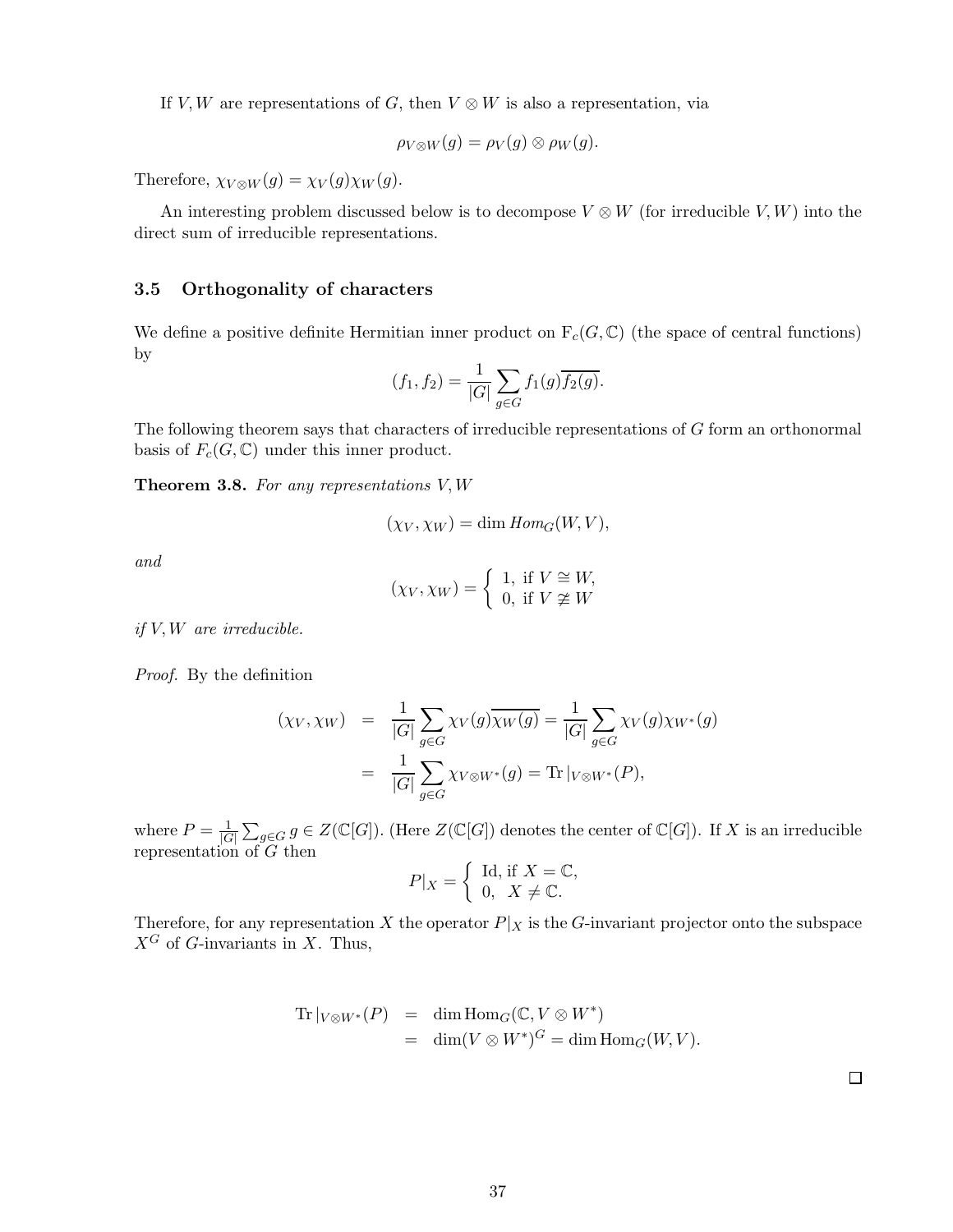If V, W are representations of G, then  $V \otimes W$  is also a representation, via

$$
\rho_{V\otimes W}(g)=\rho_V(g)\otimes \rho_W(g).
$$

Therefore,  $\chi_{V\otimes W}(g) = \chi_{V}(g)\chi_{W}(g)$ .

An interesting problem discussed below is to decompose  $V \otimes W$  (for irreducible V, W) into the direct sum of irreducible representations.

# 3.5 Orthogonality of characters

We define a positive definite Hermitian inner product on  $F_c(G, \mathbb{C})$  (the space of central functions) by

$$
(f_1, f_2) = \frac{1}{|G|} \sum_{g \in G} f_1(g) \overline{f_2(g)}.
$$

The following theorem says that characters of irreducible representations of G form an orthonormal basis of  $F_c(G, \mathbb{C})$  under this inner product.

Theorem 3.8. *For any representations* V,W

$$
(\chi_V, \chi_W) = \dim Hom_G(W, V),
$$

*and*

$$
(\chi_V,\chi_W)=\left\{\begin{array}{l} 1, \text{ if } V\cong W,\\ 0, \text{ if } V\not\cong W\end{array}\right.
$$

*if* V,W *are irreducible.*

*Proof.* By the definition

$$
(\chi_V, \chi_W) = \frac{1}{|G|} \sum_{g \in G} \chi_V(g) \overline{\chi_W(g)} = \frac{1}{|G|} \sum_{g \in G} \chi_V(g) \chi_{W^*}(g)
$$

$$
= \frac{1}{|G|} \sum_{g \in G} \chi_{V \otimes W^*}(g) = \text{Tr}|_{V \otimes W^*}(P),
$$

where  $P=\frac{1}{|G|}$  $|G|$  $\sum_{g\in G} g \in Z(\mathbb{C}[G])$ . (Here  $Z(\mathbb{C}[G])$  denotes the center of  $\mathbb{C}[G]$ ). If X is an irreducible representation of G then

$$
P|X = \begin{cases} \text{Id, if } X = \mathbb{C}, \\ 0, X \neq \mathbb{C}. \end{cases}
$$

Therefore, for any representation X the operator  $P|_X$  is the G-invariant projector onto the subspace  $X^G$  of G-invariants in X. Thus,

Tr 
$$
|_{V \otimes W^*}(P) = \dim \text{Hom}_G(\mathbb{C}, V \otimes W^*)
$$
  
=  $\dim(V \otimes W^*)^G = \dim \text{Hom}_G(W, V)$ .

 $\Box$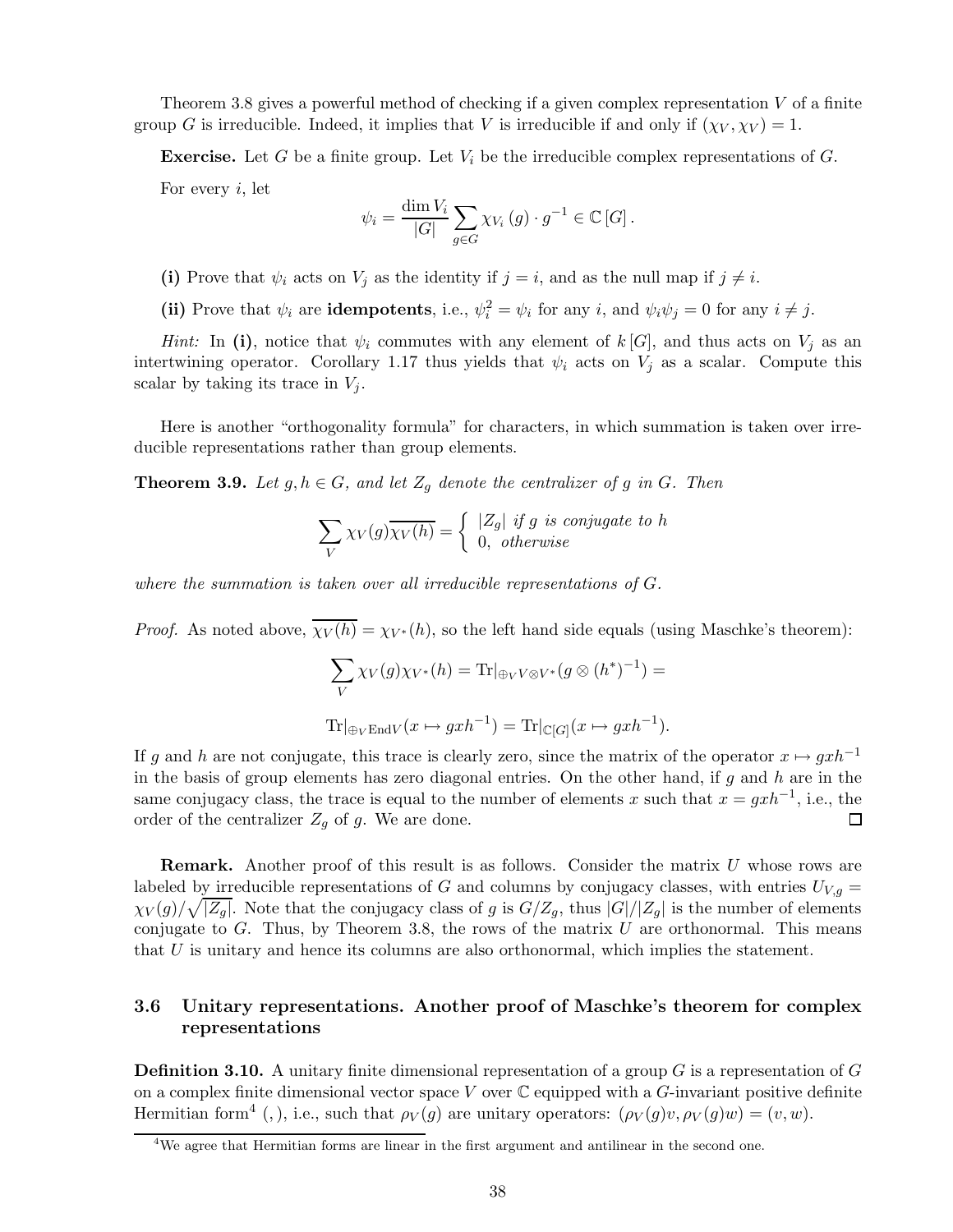Theorem 3.8 gives a powerful method of checking if a given complex representation  $V$  of a finite group G is irreducible. Indeed, it implies that V is irreducible if and only if  $(\chi_V, \chi_V) = 1$ .

**Exercise.** Let G be a finite group. Let  $V_i$  be the irreducible complex representations of G.

For every  $i$ , let

$$
\psi_i = \frac{\dim V_i}{|G|} \sum_{g \in G} \chi_{V_i}(g) \cdot g^{-1} \in \mathbb{C}[G].
$$

(i) Prove that  $\psi_i$  acts on  $V_j$  as the identity if  $j = i$ , and as the null map if  $j \neq i$ .

(ii) Prove that  $\psi_i$  are **idempotents**, i.e.,  $\psi_i^2 = \psi_i$  for any  $i$ , and  $\psi_i \psi_j = 0$  for any  $i \neq j$ .

*Hint:* In (i), notice that  $\psi_i$  commutes with any element of  $k[G]$ , and thus acts on  $V_j$  as an intertwining operator. Corollary 1.17 thus yields that  $\psi_i$  acts on  $V_j$  as a scalar. Compute this scalar by taking its trace in  $V_j$ .

Here is another "orthogonality formula" for characters, in which summation is taken over irreducible representations rather than group elements.

**Theorem 3.9.** *Let*  $g, h \in G$ *, and let*  $Z_g$  *denote the centralizer of*  $g$  *in*  $G$ *. Then* 

$$
\sum_{V} \chi_{V}(g) \overline{\chi_{V}(h)} = \begin{cases} |Z_g| & \text{if } g \text{ is conjugate to } h \\ 0, & \text{otherwise} \end{cases}
$$

*where the summation is taken over all irreducible representations of* G*.*

*Proof.* As noted above,  $\overline{\chi_V(h)} = \chi_{V^*}(h)$ , so the left hand side equals (using Maschke's theorem):

$$
\sum_{V} \chi_{V}(g) \chi_{V^*}(h) = \text{Tr}|_{\oplus_V V \otimes V^*}(g \otimes (h^*)^{-1}) =
$$
  

$$
\text{Tr}|_{\oplus_V \to M} (x \mapsto gxh^{-1}) = \text{Tr}|_{\mathbb{C}[G]}(x \mapsto gxh^{-1}).
$$

If g and h are not conjugate, this trace is clearly zero, since the matrix of the operator  $x \mapsto g x h^{-1}$ in the basis of group elements has zero diagonal entries. On the other hand, if  $g$  and  $h$  are in the same conjugacy class, the trace is equal to the number of elements x such that  $x = g x h^{-1}$ , i.e., the order of the centralizer  $Z_g$  of g. We are done.  $\Box$ 

**Remark.** Another proof of this result is as follows. Consider the matrix  $U$  whose rows are labeled by irreducible representations of G and columns by conjugacy classes, with entries  $U_{V,g}$  =  $\chi_V(g)/\sqrt{|Z_g|}$ . Note that the conjugacy class of g is  $G/Z_g$ , thus  $|G|/|Z_g|$  is the number of elements conjugate to  $G$ . Thus, by Theorem 3.8, the rows of the matrix  $U$  are orthonormal. This means that U is unitary and hence its columns are also orthonormal, which implies the statement.

# 3.6 Unitary representations. Another proof of Maschke's theorem for complex representations

**Definition 3.10.** A unitary finite dimensional representation of a group  $G$  is a representation of  $G$ on a complex finite dimensional vector space V over  $\mathbb C$  equipped with a G-invariant positive definite Hermitian form<sup>4</sup> (, ), i.e., such that  $\rho_V(g)$  are unitary operators:  $(\rho_V(g)v, \rho_V(g)w) = (v, w)$ .

<sup>4</sup>We agree that Hermitian forms are linear in the first argument and antilinear in the second one.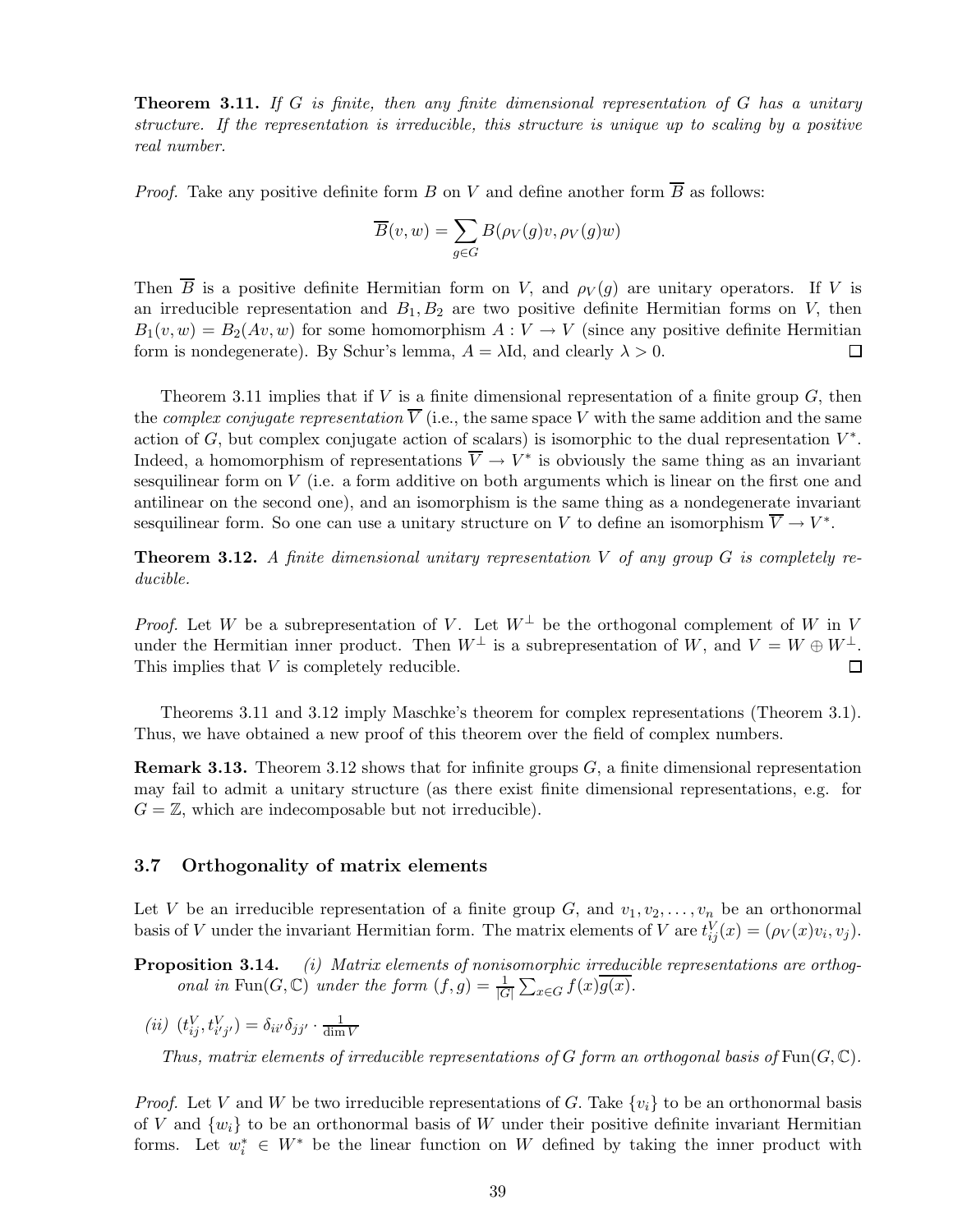Theorem 3.11. *If* G *is finite, then any finite dimensional representation of* G *has a unitary structure. If the representation is irreducible, this structure is unique up to scaling by a positive real number.*

*Proof.* Take any positive definite form B on V and define another form  $\overline{B}$  as follows:

$$
\overline{B}(v, w) = \sum_{g \in G} B(\rho_V(g)v, \rho_V(g)w)
$$

Then  $\overline{B}$  is a positive definite Hermitian form on V, and  $\rho_V(g)$  are unitary operators. If V is an irreducible representation and  $B_1, B_2$  are two positive definite Hermitian forms on V, then  $B_1(v, w) = B_2(Av, w)$  for some homomorphism  $A : V \to V$  (since any positive definite Hermitian form is nondegenerate). By Schur's lemma,  $A = \lambda \text{Id}$ , and clearly  $\lambda > 0$ . form is nondegenerate). By Schur's lemma,  $A = \lambda \text{Id}$ , and clearly  $\lambda > 0$ .

Theorem 3.11 implies that if V is a finite dimensional representation of a finite group  $G$ , then the *complex conjugate representation*  $\overline{V}$  (i.e., the same space V with the same addition and the same action of G, but complex conjugate action of scalars) is isomorphic to the dual representation  $V^*$ . Indeed, a homomorphism of representations  $V \to V^*$  is obviously the same thing as an invariant sesquilinear form on V (i.e. a form additive on both arguments which is linear on the first one and antilinear on the second one), and an isomorphism is the same thing as a nondegenerate invariant sesquilinear form. So one can use a unitary structure on V to define an isomorphism  $V \to V^*$ .

Theorem 3.12. *A finite dimensional unitary representation* V *of any group* G *is completely reducible.*

*Proof.* Let W be a subrepresentation of V. Let  $W^{\perp}$  be the orthogonal complement of W in V under the Hermitian inner product. Then  $W^{\perp}$  is a subrepresentation of W, and  $V = W \oplus W^{\perp}$ .<br>This implies that V is completely reducible. This implies that V is completely reducible.

Theorems 3.11 and 3.12 imply Maschke's theorem for complex representations (Theorem 3.1). Thus, we have obtained a new proof of this theorem over the field of complex numbers.

**Remark 3.13.** Theorem 3.12 shows that for infinite groups  $G$ , a finite dimensional representation may fail to admit a unitary structure (as there exist finite dimensional representations, e.g. for  $G = \mathbb{Z}$ , which are indecomposable but not irreducible).

### 3.7 Orthogonality of matrix elements

Let V be an irreducible representation of a finite group G, and  $v_1, v_2, \ldots, v_n$  be an orthonormal basis of V under the invariant Hermitian form. The matrix elements of V are  $t_{ij}^V(x) = (\rho_V(x)v_i, v_j)$ .

Proposition 3.14. *(i) Matrix elements of nonisomorphic irreducible representations are orthogonal in* Fun( $G$ , $\mathbb{C}$ ) *under the form*  $(f,g) = \frac{1}{|G|}$  $\sum_{x \in G} f(x) \overline{g(x)}$ .

 $(iii)$   $(t_{ij}^V, t_{i'j'}^V) = \delta_{ii'}\delta_{jj'} \cdot \frac{1}{\text{dim}}$ dim V

*Thus, matrix elements of irreducible representations of* G *form an orthogonal basis of*  $\text{Fun}(G,\mathbb{C})$ *.* 

*Proof.* Let V and W be two irreducible representations of G. Take  $\{v_i\}$  to be an orthonormal basis of V and  $\{w_i\}$  to be an orthonormal basis of W under their positive definite invariant Hermitian forms. Let  $w_i^* \in W^*$  be the linear function on W defined by taking the inner product with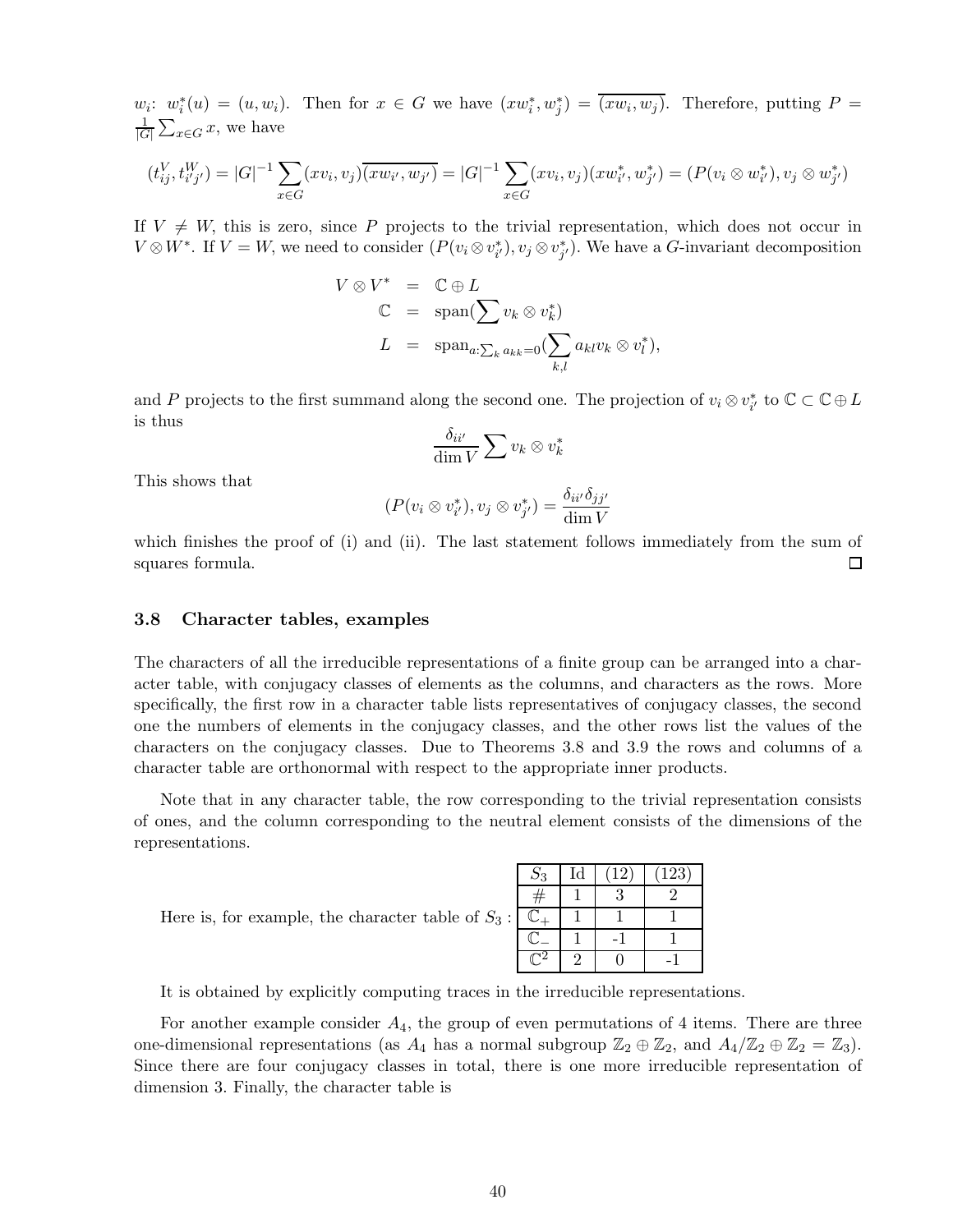$w_i: w_i^*(u) = (u, w_i)$ . Then for  $x \in G$  we have  $(xw_i^*, w_j^*) = (xw_i, w_j)$ . Therefore, putting  $P =$ 1  $|G|$  $\sum_{x \in G} x$ , we have

$$
(t_{ij}^V, t_{i'j'}^W) = |G|^{-1} \sum_{x \in G} (xv_i, v_j) \overline{(xw_{i'}, w_{j'})} = |G|^{-1} \sum_{x \in G} (xv_i, v_j) (xw_{i'}^*, w_{j'}^*) = (P(v_i \otimes w_{i'}^*), v_j \otimes w_{j'}^*)
$$

If  $V \neq W$ , this is zero, since P projects to the trivial representation, which does not occur in  $V \otimes W^*$ . If  $V = W$ , we need to consider  $(P(v_i \otimes v_{i'}^*), v_j \otimes v_{j'}^*)$ . We have a G-invariant decomposition

$$
V \otimes V^* = \mathbb{C} \oplus L
$$
  

$$
\mathbb{C} = \text{span}(\sum v_k \otimes v_k^*)
$$
  

$$
L = \text{span}_{a:\sum_k a_{kk}=0}(\sum_{k,l} a_{kl}v_k \otimes v_l^*),
$$

and P projects to the first summand along the second one. The projection of  $v_i \otimes v_{i'}^*$  to  $\mathbb{C} \subset \mathbb{C} \oplus L$ is thus

$$
\frac{\delta_{ii'}}{\dim V} \sum v_k \otimes v_k^*
$$

This shows that

$$
(P(v_i \otimes v_{i'}^*), v_j \otimes v_{j'}^*) = \frac{\delta_{ii'}\delta_{jj'}}{\dim V}
$$

which finishes the proof of (i) and (ii). The last statement follows immediately from the sum of squares formula. 口

#### 3.8 Character tables, examples

The characters of all the irreducible representations of a finite group can be arranged into a character table, with conjugacy classes of elements as the columns, and characters as the rows. More specifically, the first row in a character table lists representatives of conjugacy classes, the second one the numbers of elements in the conjugacy classes, and the other rows list the values of the characters on the conjugacy classes. Due to Theorems 3.8 and 3.9 the rows and columns of a character table are orthonormal with respect to the appropriate inner products.

Note that in any character table, the row corresponding to the trivial representation consists of ones, and the column corresponding to the neutral element consists of the dimensions of the representations.

Here is, for example, the character table of  $S_3$ :

| $S_3$ | Id | $12^{\circ}$ | (123) |
|-------|----|--------------|-------|
|       |    |              |       |
|       |    |              |       |
|       |    |              |       |
|       |    |              |       |

It is obtained by explicitly computing traces in the irreducible representations.

For another example consider  $A_4$ , the group of even permutations of 4 items. There are three one-dimensional representations (as  $A_4$  has a normal subgroup  $\mathbb{Z}_2 \oplus \mathbb{Z}_2$ , and  $A_4/\mathbb{Z}_2 \oplus \mathbb{Z}_2 = \mathbb{Z}_3$ ). Since there are four conjugacy classes in total, there is one more irreducible representation of dimension 3. Finally, the character table is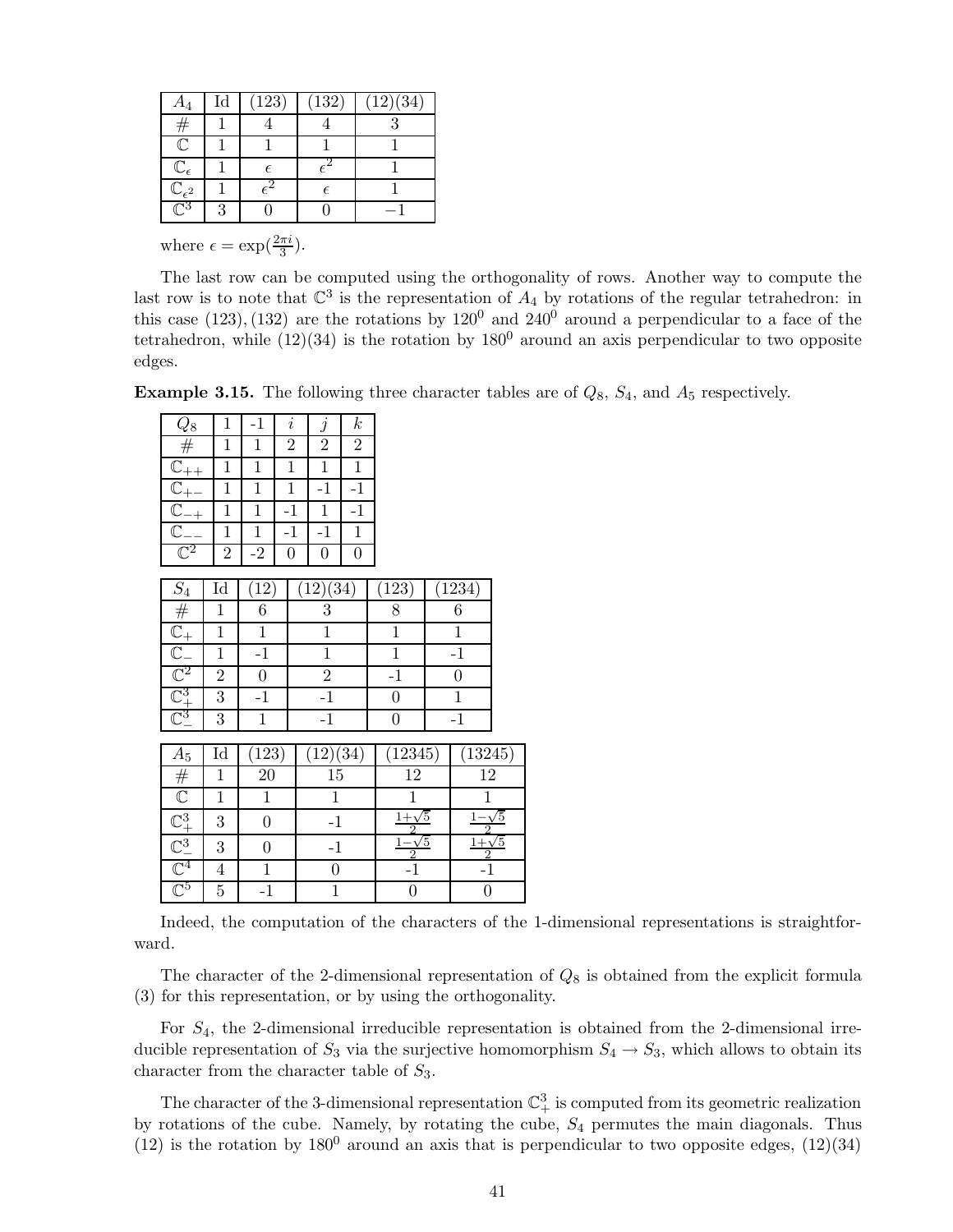| A4                              | $_{\rm Id}$ | (123)        | (132) | (12)(34) |
|---------------------------------|-------------|--------------|-------|----------|
| #                               |             |              |       |          |
| $\bar{\mathbb{C}}$              |             |              |       |          |
| $\mathbb{C}_\epsilon$           |             | F            |       |          |
| $\bar{\mathbb{C}}_{\epsilon^2}$ |             | $\epsilon^2$ | F     |          |
| $\sqrt{3}$                      |             |              |       |          |

where  $\epsilon = \exp(\frac{2\pi i}{3})$ .

The last row can be computed using the orthogonality of rows. Another way to compute the last row is to note that  $\mathbb{C}^3$  is the representation of  $A_4$  by rotations of the regular tetrahedron: in this case (123), (132) are the rotations by  $120^0$  and  $240^0$  around a perpendicular to a face of the tetrahedron, while  $(12)(34)$  is the rotation by  $180^0$  around an axis perpendicular to two opposite edges.

**Example 3.15.** The following three character tables are of  $Q_8$ ,  $S_4$ , and  $A_5$  respectively.

| $Q_8$                                                                                                                                                                                                                                                                                                                                              | 1                          | $-1$             | $\it i$          | $\boldsymbol{j}$ | $_{k}$           |                        |                           |            |
|----------------------------------------------------------------------------------------------------------------------------------------------------------------------------------------------------------------------------------------------------------------------------------------------------------------------------------------------------|----------------------------|------------------|------------------|------------------|------------------|------------------------|---------------------------|------------|
|                                                                                                                                                                                                                                                                                                                                                    | $\mathbf{1}$               | $\mathbf{1}$     | $\overline{2}$   | $\overline{2}$   | $\overline{2}$   |                        |                           |            |
|                                                                                                                                                                                                                                                                                                                                                    | $\mathbf{1}$               | $\mathbf{1}$     | $\mathbf{1}$     | $\mathbf 1$      | $\overline{1}$   |                        |                           |            |
|                                                                                                                                                                                                                                                                                                                                                    | $\mathbf{1}$               | $\mathbf{1}$     | $\overline{1}$   | $-1$             | $-1$             |                        |                           |            |
| $\frac{V_0}{\frac{C_{++}}{C_{++}}}$<br>$\frac{C_{++}}{C_{-+}}$                                                                                                                                                                                                                                                                                     | $1\,$                      | $\mathbf{1}$     | $-1$             | $\mathbf{1}$     | $-1$             |                        |                           |            |
|                                                                                                                                                                                                                                                                                                                                                    | $\mathbf{1}$               | $1\,$            | $-1$             | $-1$             | $\overline{1}$   |                        |                           |            |
| $\mathbb{C}^2$                                                                                                                                                                                                                                                                                                                                     | $\overline{2}$             | $-2$             | $\boldsymbol{0}$ | $\boldsymbol{0}$ | $\boldsymbol{0}$ |                        |                           |            |
|                                                                                                                                                                                                                                                                                                                                                    |                            |                  |                  |                  |                  |                        |                           |            |
|                                                                                                                                                                                                                                                                                                                                                    | $\mathop{\rm Id}\nolimits$ | (12)             |                  | (12)(34)         |                  | (123)                  | (1234)                    |            |
|                                                                                                                                                                                                                                                                                                                                                    | $\mathbf{1}$               | $\overline{6}$   |                  | $\boldsymbol{3}$ |                  | $\overline{8}$         | $\,6\,$                   |            |
|                                                                                                                                                                                                                                                                                                                                                    | $\mathbf{1}$               | $\overline{1}$   |                  | $\mathbf{1}$     |                  | $\overline{1}$         | $\mathbf{1}$              |            |
|                                                                                                                                                                                                                                                                                                                                                    | $\mathbf{1}$               | $-1$             |                  | $\mathbf{1}$     |                  | $\,1$                  | $-1$                      |            |
|                                                                                                                                                                                                                                                                                                                                                    | $\overline{2}$             | $\overline{0}$   |                  | $\overline{2}$   |                  | $-1$                   | $\overline{0}$            |            |
| $\begin{array}{c}\n\underline{S_4} \\ \hline\n\end{array}$ $\begin{array}{c}\n\hline\n\end{array}$ $\begin{array}{c}\n\hline\n\end{array}$ $\begin{array}{c}\n\hline\n\end{array}$ $\begin{array}{c}\n\hline\n\end{array}$ $\begin{array}{c}\n\hline\n\end{array}$ $\begin{array}{c}\n\hline\n\end{array}$ $\begin{array}{c}\n\hline\n\end{array}$ | $\overline{3}$             | $-1$             |                  | $-1$             |                  | $\overline{0}$         | $1\,$                     |            |
|                                                                                                                                                                                                                                                                                                                                                    | 3                          | $1\,$            |                  | $-1$             |                  | $\boldsymbol{0}$       | $-1$                      |            |
|                                                                                                                                                                                                                                                                                                                                                    |                            |                  |                  |                  |                  |                        |                           |            |
| $A_5$                                                                                                                                                                                                                                                                                                                                              | Id                         | (123)            |                  | (12)(34)         |                  | (12345)                | (13245)                   |            |
|                                                                                                                                                                                                                                                                                                                                                    | $\mathbf{1}$               | $\overline{20}$  |                  | $15\,$           |                  | $12\,$                 | $\overline{12}$           |            |
|                                                                                                                                                                                                                                                                                                                                                    | $\mathbf{1}$               | $\overline{1}$   |                  | $\mathbf{1}$     |                  | $\mathbf{1}$           | $\mathbf{1}$              |            |
|                                                                                                                                                                                                                                                                                                                                                    | 3                          | $\boldsymbol{0}$ |                  | $-1$             |                  | $\frac{1+\sqrt{5}}{2}$ | $\frac{1-\sqrt{2}}{2}$    | $\sqrt{5}$ |
| $\frac{\frac{1}{2} \times \frac{1}{2}}{\frac{1}{2} \times \frac{1}{2}}$                                                                                                                                                                                                                                                                            | 3                          | $\boldsymbol{0}$ |                  | $-1$             |                  | $1-\sqrt{5}$           | $\frac{1+\sqrt{5}}{2}$ -1 |            |
|                                                                                                                                                                                                                                                                                                                                                    | $\overline{4}$             | $\,1$            |                  | $\boldsymbol{0}$ |                  | $\frac{2}{-1}$         |                           |            |
| $\mathbb{C}^5$                                                                                                                                                                                                                                                                                                                                     | $\overline{5}$             | $-1$             |                  | $\mathbf{1}$     |                  | $\boldsymbol{0}$       | $\boldsymbol{0}$          |            |

Indeed, the computation of the characters of the 1-dimensional representations is straightforward.

The character of the 2-dimensional representation of  $Q_8$  is obtained from the explicit formula (3) for this representation, or by using the orthogonality.

For  $S_4$ , the 2-dimensional irreducible representation is obtained from the 2-dimensional irreducible representation of  $S_3$  via the surjective homomorphism  $S_4 \rightarrow S_3$ , which allows to obtain its character from the character table of  $S_3$ .

The character of the 3-dimensional representation  $\mathbb{C}^3_+$  is computed from its geometric realization by rotations of the cube. Namely, by rotating the cube,  $S_4$  permutes the main diagonals. Thus (12) is the rotation by  $180^0$  around an axis that is perpendicular to two opposite edges,  $(12)(34)$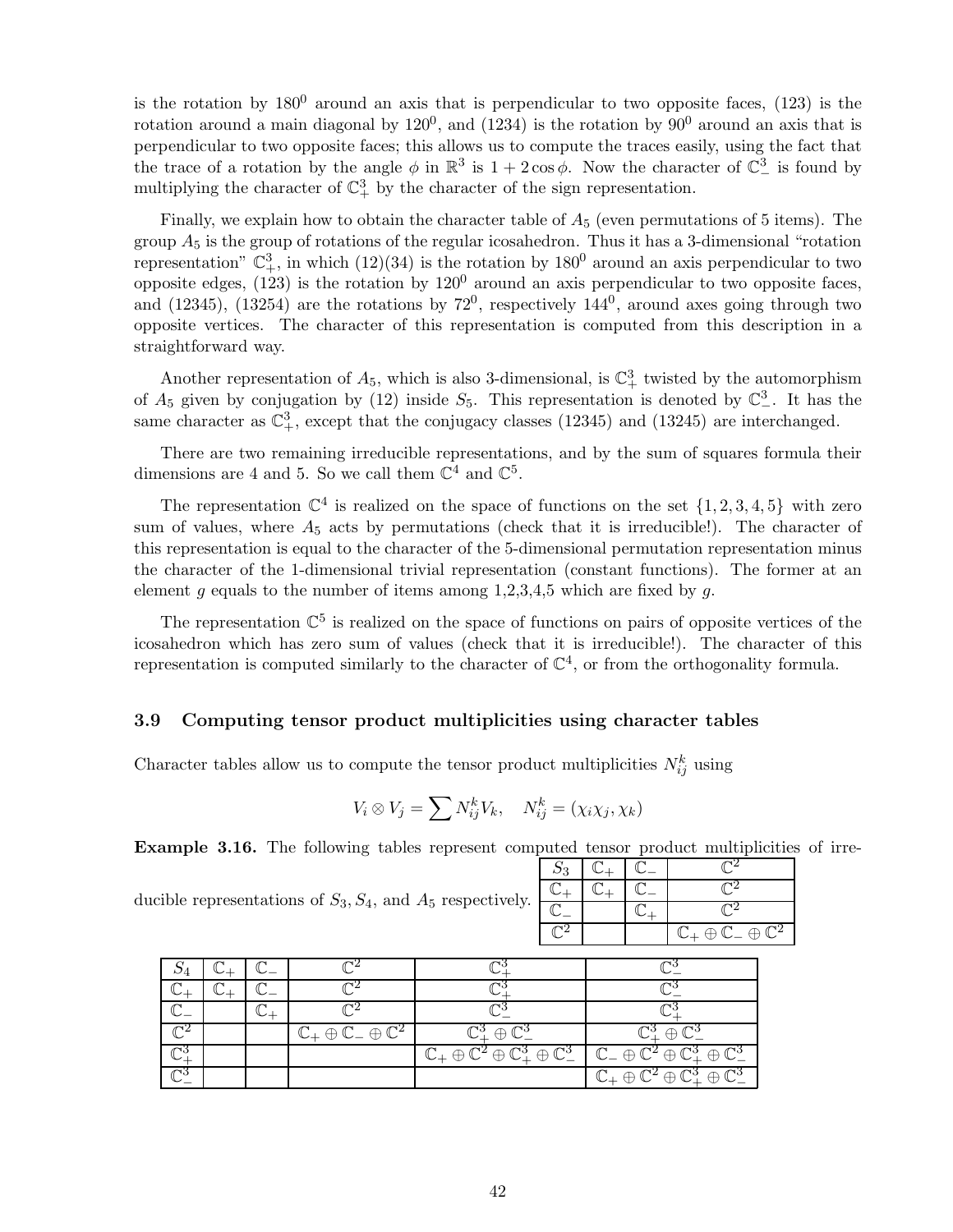is the rotation by  $180^0$  around an axis that is perpendicular to two opposite faces, (123) is the rotation around a main diagonal by  $120^0$ , and  $(1234)$  is the rotation by  $90^0$  around an axis that is perpendicular to two opposite faces; this allows us to compute the traces easily, using the fact that the trace of a rotation by the angle  $\phi$  in  $\mathbb{R}^3$  is  $1 + 2 \cos \phi$ . Now the character of  $\mathbb{C}^3$  is found by multiplying the character of  $\mathbb{C}^3_+$  by the character of the sign representation.

Finally, we explain how to obtain the character table of  $A_5$  (even permutations of 5 items). The group  $A_5$  is the group of rotations of the regular icosahedron. Thus it has a 3-dimensional "rotation" representation"  $\mathbb{C}^3_+$ , in which  $(12)(34)$  is the rotation by  $180^0$  around an axis perpendicular to two opposite edges,  $(123)$  is the rotation by  $120^0$  around an axis perpendicular to two opposite faces, and  $(12345)$ ,  $(13254)$  are the rotations by  $72^0$ , respectively  $144^0$ , around axes going through two opposite vertices. The character of this representation is computed from this description in a straightforward way.

Another representation of  $A_5$ , which is also 3-dimensional, is  $\mathbb{C}^3_+$  twisted by the automorphism of  $A_5$  given by conjugation by (12) inside  $S_5$ . This representation is denoted by  $\mathbb{C}^3_-$ . It has the same character as  $\mathbb{C}^3_+$ , except that the conjugacy classes (12345) and (13245) are interchanged.

There are two remaining irreducible representations, and by the sum of squares formula their dimensions are 4 and 5. So we call them  $\mathbb{C}^4$  and  $\mathbb{C}^5$ .

The representation  $\mathbb{C}^4$  is realized on the space of functions on the set  $\{1, 2, 3, 4, 5\}$  with zero sum of values, where  $A_5$  acts by permutations (check that it is irreducible!). The character of this representation is equal to the character of the 5-dimensional permutation representation minus the character of the 1-dimensional trivial representation (constant functions). The former at an element g equals to the number of items among  $1,2,3,4,5$  which are fixed by g.

The representation  $\mathbb{C}^5$  is realized on the space of functions on pairs of opposite vertices of the icosahedron which has zero sum of values (check that it is irreducible!). The character of this representation is computed similarly to the character of  $\mathbb{C}^4$ , or from the orthogonality formula.

### 3.9 Computing tensor product multiplicities using character tables

Character tables allow us to compute the tensor product multiplicities  $N_{ij}^k$  using

$$
V_i \otimes V_j = \sum N_{ij}^k V_k, \quad N_{ij}^k = (\chi_i \chi_j, \chi_k)
$$

Example 3.16. The following tables represent computed tensor product multiplicities of irre-

2

 $\overline{\mathbb{C}^2}$ 

 $\mathbb{C}^2$ 

 $\oplus \mathbb{C}^2$ 

 $\mathbb{C}_{+}\oplus \overline{\mathbb{C}_{-}}$ 

| ducible representations of $S_3, S_4$ , and $A_5$ respectively. |  |  |
|-----------------------------------------------------------------|--|--|
|                                                                 |  |  |
|                                                                 |  |  |

|  | $\mathbb{C}_+ \oplus \mathbb{C}_- \oplus \mathbb{C}^2$ | $\mathbb{C}^3_+ \oplus \mathbb{C}^3_+$                                                                                                                        | $\mathbb{C}^3$ $\oplus$ $\mathbb{C}$                                           |
|--|--------------------------------------------------------|---------------------------------------------------------------------------------------------------------------------------------------------------------------|--------------------------------------------------------------------------------|
|  |                                                        | $\mathbb{C}_+ \oplus \mathbb{C}^2 \oplus \mathbb{C}_+^3 \oplus \mathbb{C}_-^3$ $\mathbb{C}_- \oplus \mathbb{C}^2 \oplus \mathbb{C}_+^3 \oplus \mathbb{C}_-^3$ |                                                                                |
|  |                                                        |                                                                                                                                                               | $\mathbb{C}_+ \oplus \mathbb{C}^2 \oplus \mathbb{C}^3_+ \oplus \mathbb{C}^3_-$ |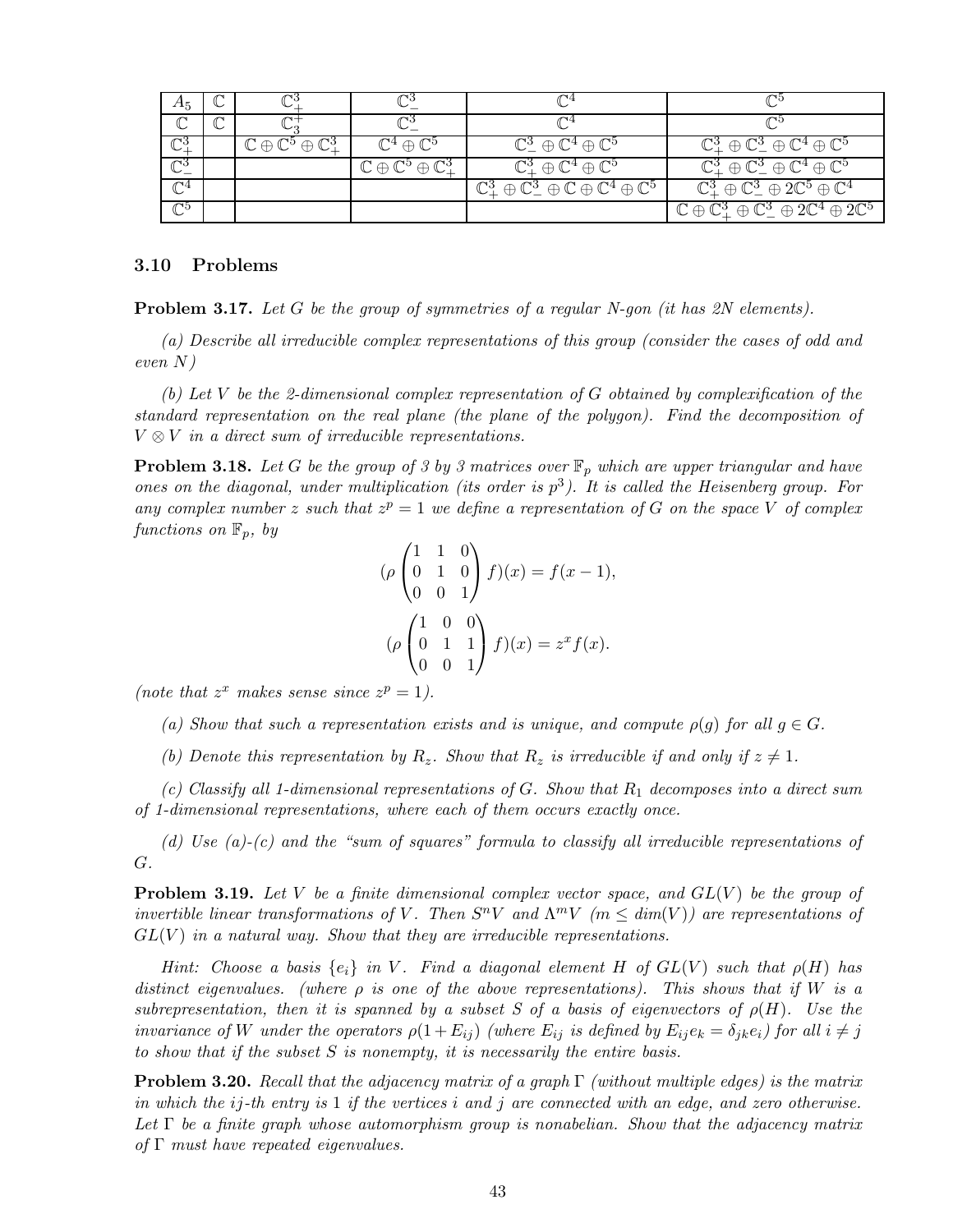| $A_5$            |                                                    |                                                  |                                                                                                  |                                                                                                    |
|------------------|----------------------------------------------------|--------------------------------------------------|--------------------------------------------------------------------------------------------------|----------------------------------------------------------------------------------------------------|
|                  |                                                    |                                                  |                                                                                                  |                                                                                                    |
| $\mathbb{C}^3_+$ | $\mathbb{C}\oplus\mathbb{C}^5\oplus\mathbb{C}^3_+$ | $\mathbb{C}^4\oplus\mathbb{C}^5$                 | $\mathbb{C}^3_-\oplus \mathbb{C}^4\oplus \mathbb{C}^5$                                           | $\mathbb{C}^3_+ \oplus \mathbb{C}^3_- \oplus \mathbb{C}^4 \oplus \mathbb{C}^5$                     |
| $\mathbb{C}^3_-$ |                                                    | $\mathbb{C}\oplus\mathbb{C}^5\oplus\mathbb{C}^3$ | $\mathbb{C}^3_+ \oplus \mathbb{C}^4 \oplus \mathbb{C}^5$                                         | $\mathbb{C}^3_+ \oplus \mathbb{C}^3_- \oplus \mathbb{C}^4 \oplus \mathbb{C}^5$                     |
| $\mathcal{T}^4$  |                                                    |                                                  | $\mathbb{C}^3_+ \oplus \mathbb{C}^3_- \oplus \mathbb{C} \oplus \mathbb{C}^4 \oplus \mathbb{C}^5$ | $\mathbb{C}^3_+ \oplus \mathbb{C}^3_- \oplus 2\mathbb{C}^5 \oplus \mathbb{C}^4$                    |
| $\mathcal{T}^5$  |                                                    |                                                  |                                                                                                  | $\mathbb{C} \oplus \mathbb{C}^3_+ \oplus \mathbb{C}^3_- \oplus 2\mathbb{C}^4 \oplus 2\mathbb{C}^5$ |

## 3.10 Problems

Problem 3.17. *Let* G *be the group of symmetries of a regular N-gon (it has 2N elements).*

*(a) Describe all irreducible complex representations of this group (consider the cases of odd and even* N*)*

*(b) Let* V *be the 2-dimensional complex representation of* G *obtained by complexification of the standard representation on the real plane (the plane of the polygon). Find the decomposition of* V ⊗ V *in a direct sum of irreducible representations.*

**Problem 3.18.** Let G be the group of 3 by 3 matrices over  $\mathbb{F}_p$  which are upper triangular and have *ones on the diagonal, under multiplication (its order is* p 3 *). It is called the Heisenberg group. For* any complex number z such that  $z^p = 1$  we define a representation of G on the space V of complex *functions on*  $\mathbb{F}_p$ *, by* 

$$
(\rho \begin{pmatrix} 1 & 1 & 0 \\ 0 & 1 & 0 \\ 0 & 0 & 1 \end{pmatrix} f)(x) = f(x - 1),
$$
  
\n
$$
(\rho \begin{pmatrix} 1 & 0 & 0 \\ 0 & 1 & 1 \\ 0 & 0 & 1 \end{pmatrix} f)(x) = z^x f(x).
$$

(note that  $z^x$  makes sense since  $z^p = 1$ ).

- (a) Show that such a representation exists and is unique, and compute  $\rho(g)$  for all  $g \in G$ .
- *(b)* Denote this representation by  $R_z$ . Show that  $R_z$  is irreducible if and only if  $z \neq 1$ .

*(c) Classify all 1-dimensional representations of* G*. Show that* R<sup>1</sup> *decomposes into a direct sum of 1-dimensional representations, where each of them occurs exactly once.*

*(d) Use (a)-(c) and the "sum of squares" formula to classify all irreducible representations of* G*.*

Problem 3.19. *Let* V *be a finite dimensional complex vector space, and* GL(V ) *be the group of invertible linear transformations of* V. Then  $S^nV$  and  $\Lambda^mV$  ( $m \leq dim(V)$ ) are representations of GL(V ) *in a natural way. Show that they are irreducible representations.*

*Hint:* Choose a basis  $\{e_i\}$  *in* V. Find a diagonal element H of  $GL(V)$  such that  $\rho(H)$  has *distinct eigenvalues. (where* ρ *is one of the above representations). This shows that if* W *is a subrepresentation, then it is spanned by a subset S of a basis of eigenvectors of*  $\rho(H)$ *. Use the invariance of* W *under the operators*  $\rho(1 + E_{ij})$  *(where*  $E_{ij}$  *is defined by*  $E_{ij}e_k = \delta_{ik}e_i$ *)* for all  $i \neq j$ *to show that if the subset* S *is nonempty, it is necessarily the entire basis.*

Problem 3.20. *Recall that the adjacency matrix of a graph* Γ *(without multiple edges) is the matrix in which the* ij*-th entry is* 1 *if the vertices* i *and* j *are connected with an edge, and zero otherwise. Let* Γ *be a finite graph whose automorphism group is nonabelian. Show that the adjacency matrix of* Γ *must have repeated eigenvalues.*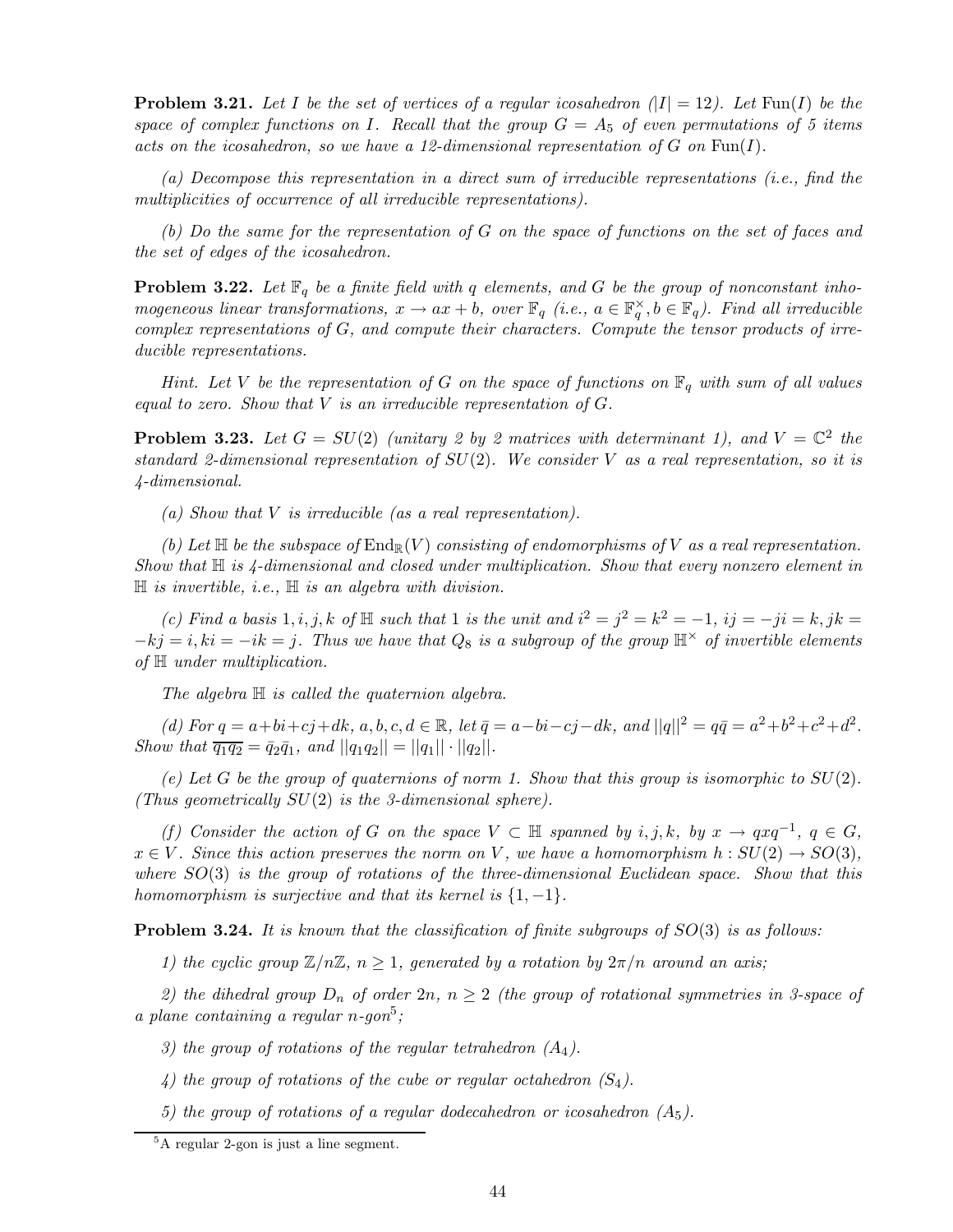**Problem 3.21.** Let I be the set of vertices of a regular icosahedron  $|I| = 12$ . Let  $\text{Fun}(I)$  be the *space of complex functions on* I*. Recall that the group* G = A<sup>5</sup> *of even permutations of 5 items acts on the icosahedron, so we have a 12-dimensional representation of* G *on* Fun(I)*.*

*(a) Decompose this representation in a direct sum of irreducible representations (i.e., find the multiplicities of occurrence of all irreducible representations).*

*(b) Do the same for the representation of* G *on the space of functions on the set of faces and the set of edges of the icosahedron.*

**Problem 3.22.** Let  $\mathbb{F}_q$  be a finite field with q elements, and G be the group of nonconstant inho*mogeneous linear transformations,*  $x \to ax + b$ , over  $\mathbb{F}_q$  (*i.e.*,  $a \in \mathbb{F}_q^{\times}$ ,  $b \in \mathbb{F}_q$ ). Find all irreducible *complex representations of* G*, and compute their characters. Compute the tensor products of irreducible representations.*

*Hint. Let* V *be the representation of* G *on the space of functions on*  $\mathbb{F}_q$  *with sum of all values equal to zero. Show that* V *is an irreducible representation of* G*.*

**Problem 3.23.** Let  $G = SU(2)$  (unitary 2 by 2 matrices with determinant 1), and  $V = \mathbb{C}^2$  the *standard 2-dimensional representation of* SU(2)*. We consider* V *as a real representation, so it is 4-dimensional.*

*(a) Show that* V *is irreducible (as a real representation).*

*(b)* Let  $\mathbb H$  be the subspace of  $\text{End}_{\mathbb R}(V)$  consisting of endomorphisms of V as a real representation. *Show that* H *is 4-dimensional and closed under multiplication. Show that every nonzero element in* H *is invertible, i.e.,* H *is an algebra with division.*

*(c)* Find a basis 1, i, j, k of  $\mathbb H$  such that 1 is the unit and  $i^2 = j^2 = k^2 = -1$ , ij =  $-ji = k$ , jk =  $-kj = i, ki = -ik = j$ . Thus we have that  $Q_8$  is a subgroup of the group  $\mathbb{H}^{\times}$  of invertible elements *of* H *under multiplication.*

*The algebra* H *is called the quaternion algebra.*

*(d)* For  $q = a + bi + cj + dk$ ,  $a, b, c, d \in \mathbb{R}$ , let  $\bar{q} = a - bi - cj - dk$ , and  $||q||^2 = q\bar{q} = a^2 + b^2 + c^2 + d^2$ . *Show that*  $\overline{q_1q_2} = \overline{q_2q_1}$ , and  $||q_1q_2|| = ||q_1|| \cdot ||q_2||$ .

(e) Let  $G$  be the group of quaternions of norm 1. Show that this group is isomorphic to  $SU(2)$ . *(Thus geometrically* SU(2) *is the 3-dimensional sphere).*

*(f)* Consider the action of G on the space  $V \subset \mathbb{H}$  spanned by i,j,k, by  $x \to qxq^{-1}$ ,  $q \in G$ ,  $x \in V$ *. Since this action preserves the norm on* V, we have a homomorphism  $h: SU(2) \rightarrow SO(3)$ , *where* SO(3) *is the group of rotations of the three-dimensional Euclidean space. Show that this homomorphism is surjective and that its kernel is*  ${1, -1}$ *.* 

Problem 3.24. *It is known that the classification of finite subgroups of* SO(3) *is as follows:*

*1) the cyclic group*  $\mathbb{Z}/n\mathbb{Z}$ ,  $n \geq 1$ , generated by a rotation by  $2\pi/n$  around an axis;

2) the dihedral group  $D_n$  of order  $2n$ ,  $n \geq 2$  (the group of rotational symmetries in 3-space of *a plane containing a regular* n*-gon*<sup>5</sup> *;*

*3) the group of rotations of the regular tetrahedron (*A4*).*

- *4) the group of rotations of the cube or regular octahedron*  $(S_4)$ *.*
- *5) the group of rotations of a regular dodecahedron or icosahedron*  $(A_5)$ .

<sup>5</sup>A regular 2-gon is just a line segment.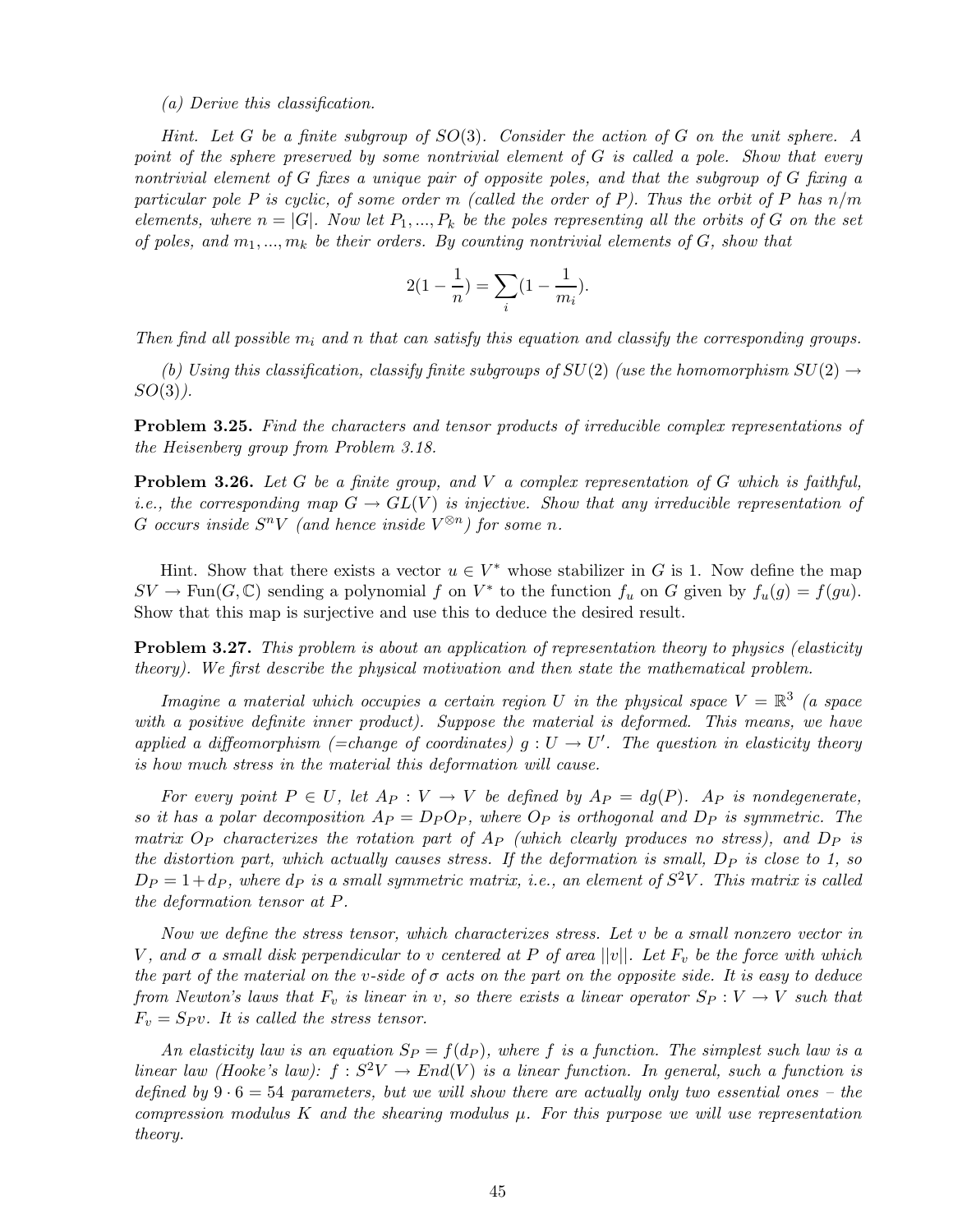#### *(a) Derive this classification.*

*Hint. Let* G *be a finite subgroup of* SO(3)*. Consider the action of* G *on the unit sphere. A point of the sphere preserved by some nontrivial element of* G *is called a pole. Show that every nontrivial element of* G *fixes a unique pair of opposite poles, and that the subgroup of* G *fixing a particular pole P is cyclic, of some order* m *(called the order of P). Thus the orbit of* P *has* n/m *elements, where*  $n = |G|$ *. Now let*  $P_1, ..., P_k$  *be the poles representing all the orbits of* G *on the set of poles, and* m1,...,m<sup>k</sup> *be their orders. By counting nontrivial elements of* G*, show that*

$$
2(1 - \frac{1}{n}) = \sum_{i} (1 - \frac{1}{m_i}).
$$

*Then find all possible*  $m_i$  *and* n *that can satisfy this equation and classify the corresponding groups.* 

*(b) Using this classification, classify finite subgroups of*  $SU(2)$  *(use the homomorphism*  $SU(2) \rightarrow$ SO(3)*).*

Problem 3.25. *Find the characters and tensor products of irreducible complex representations of the Heisenberg group from Problem 3.18.*

Problem 3.26. *Let* G *be a finite group, and* V *a complex representation of* G *which is faithful, i.e., the corresponding map*  $G \to GL(V)$  *is injective. Show that any irreducible representation of* G occurs inside  $S^nV$  (and hence inside  $V^{\otimes n}$ ) for some n.

Hint. Show that there exists a vector  $u \in V^*$  whose stabilizer in G is 1. Now define the map  $SV \to \text{Fun}(G,\mathbb{C})$  sending a polynomial f on  $V^*$  to the function  $f_u$  on G given by  $f_u(g) = f(gu)$ . Show that this map is surjective and use this to deduce the desired result.

Problem 3.27. *This problem is about an application of representation theory to physics (elasticity theory). We first describe the physical motivation and then state the mathematical problem.*

*Imagine a material which occupies a certain region* U *in the physical space*  $V = \mathbb{R}^3$  (a space *with a positive definite inner product). Suppose the material is deformed. This means, we have applied a diffeomorphism (=change of coordinates)*  $g: U \to U'$ . The question in elasticity theory *is how much stress in the material this deformation will cause.*

*For every point*  $P \in U$ , let  $A_P : V \to V$  be defined by  $A_P = dg(P)$ .  $A_P$  is nondegenerate, *so it has a polar decomposition*  $A_P = D_P O_P$ *, where*  $O_P$  *is orthogonal and*  $D_P$  *is symmetric. The matrix*  $O_P$  *characterizes the rotation part of*  $A_P$  *(which clearly produces no stress), and*  $D_P$  *is the distortion part, which actually causes stress. If the deformation is small, D<sub>P</sub> is close to 1, so*  $D_P = 1 + d_P$ , where  $d_P$  is a small symmetric matrix, i.e., an element of  $S^2V$ . This matrix is called *the deformation tensor at* P*.*

*Now we define the stress tensor, which characterizes stress. Let* v *be a small nonzero vector in* V, and  $\sigma$  a small disk perpendicular to v centered at P of area  $||v||$ . Let  $F_v$  be the force with which *the part of the material on the* v*-side of* σ *acts on the part on the opposite side. It is easy to deduce from Newton's laws that*  $F_v$  *is linear in* v, so there exists a linear operator  $S_P : V \to V$  such that  $F_v = Spv$ . It is called the stress tensor.

An elasticity law is an equation  $S_P = f(d_P)$ , where f is a function. The simplest such law is a *linear law (Hooke's law):*  $f : S^2V \to End(V)$  *is a linear function. In general, such a function is defined by* 9 · 6 = 54 *parameters, but we will show there are actually only two essential ones – the compression modulus* K *and the shearing modulus* µ*. For this purpose we will use representation theory.*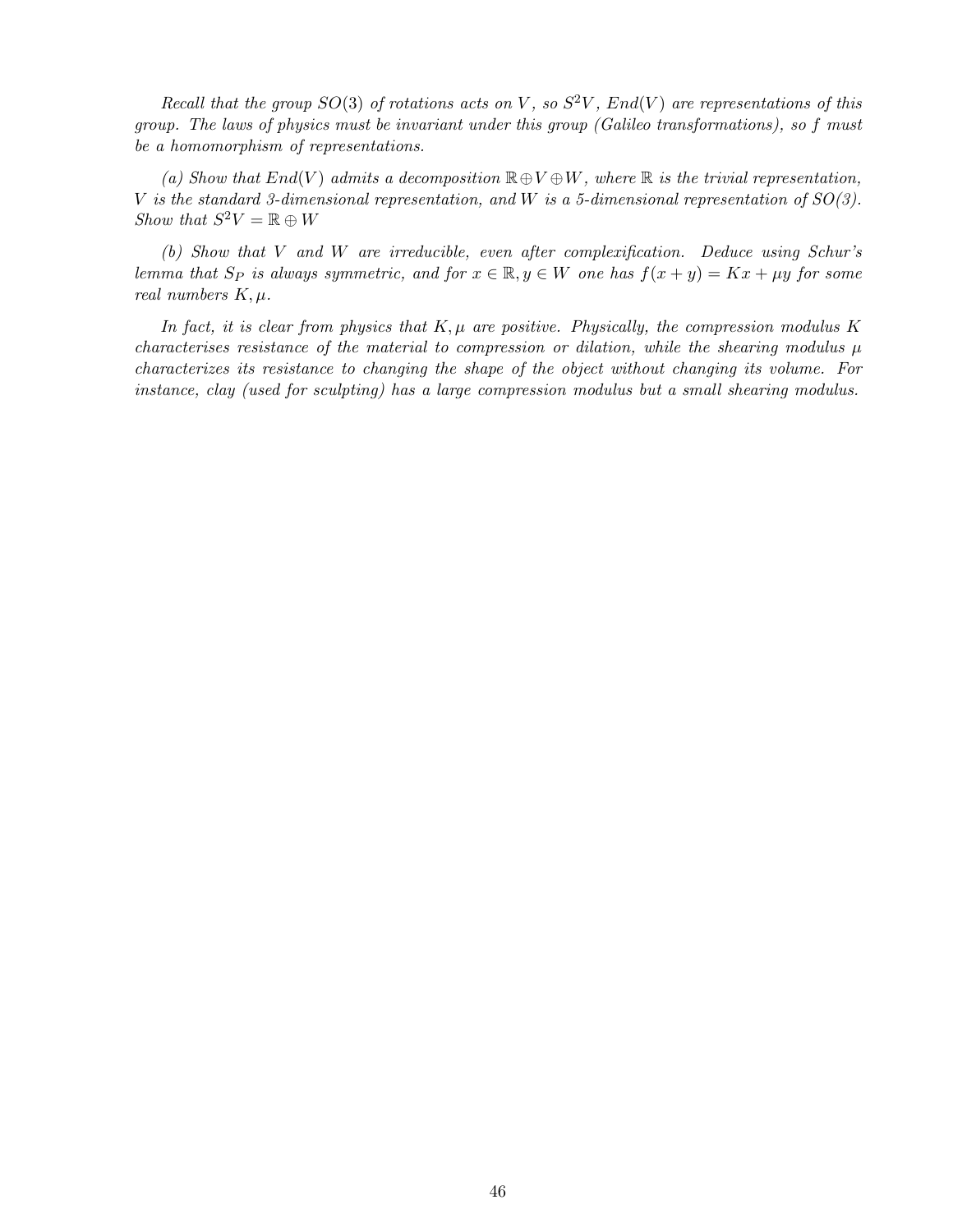*Recall that the group*  $SO(3)$  *of rotations acts on* V, so  $S^2V$ ,  $End(V)$  *are representations of this group. The laws of physics must be invariant under this group (Galileo transformations), so* f *must be a homomorphism of representations.*

(a) Show that  $End(V)$  admits a decomposition  $\mathbb{R} \oplus V \oplus W$ , where  $\mathbb{R}$  is the trivial representation, V *is the standard 3-dimensional representation, and* W *is a 5-dimensional representation of SO(3). Show that*  $S^2V = \mathbb{R} \oplus W$ 

*(b) Show that* V *and* W *are irreducible, even after complexification. Deduce using Schur's lemma that*  $S_P$  *is always symmetric, and for*  $x \in \mathbb{R}, y \in W$  *one has*  $f(x + y) = Kx + \mu y$  *for some real numbers*  $K, \mu$ .

In fact, it is clear from physics that  $K, \mu$  are positive. Physically, the compression modulus K *characterises resistance of the material to compression or dilation, while the shearing modulus* µ *characterizes its resistance to changing the shape of the object without changing its volume. For instance, clay (used for sculpting) has a large compression modulus but a small shearing modulus.*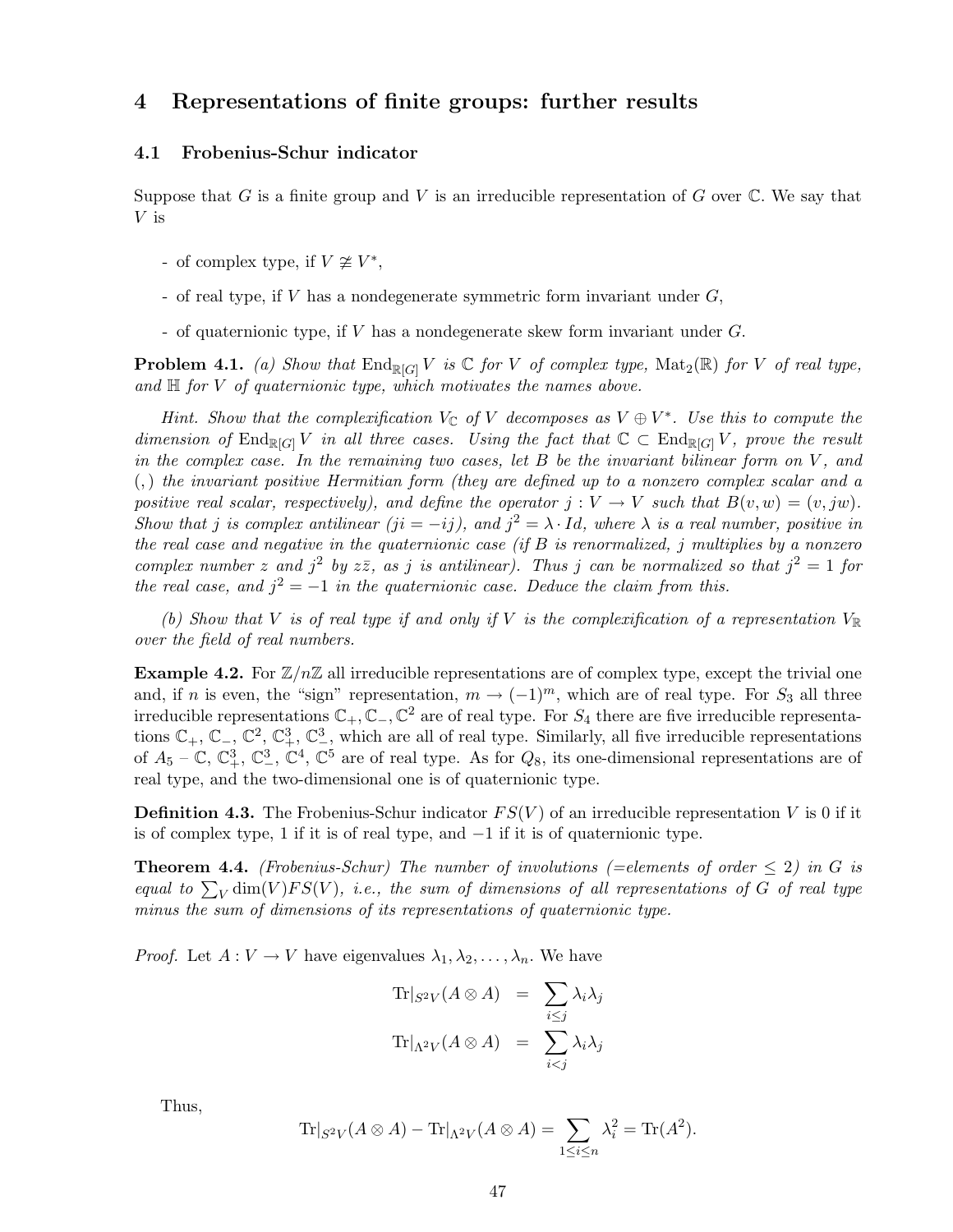# 4 Representations of finite groups: further results

# 4.1 Frobenius-Schur indicator

Suppose that G is a finite group and V is an irreducible representation of G over  $\mathbb C$ . We say that V is

- of complex type, if  $V \not\cong V^*$ ,
- of real type, if V has a nondegenerate symmetric form invariant under  $G$ ,
- of quaternionic type, if  $V$  has a nondegenerate skew form invariant under  $G$ .

**Problem 4.1.** *(a) Show that*  $\text{End}_{\mathbb{R}[G]} V$  *is*  $\mathbb{C}$  *for*  $V$  *of complex type,*  $\text{Mat}_2(\mathbb{R})$  *for*  $V$  *of real type, and* H *for* V *of quaternionic type, which motivates the names above.*

*Hint.* Show that the complexification  $V_{\mathbb{C}}$  of V decomposes as  $V \oplus V^*$ . Use this to compute the *dimension of*  $\text{End}_{\mathbb{R}[G]} V$  *in all three cases. Using the fact that*  $\mathbb{C} \subset \text{End}_{\mathbb{R}[G]} V$ *, prove the result in the complex case. In the remaining two cases, let* B *be the invariant bilinear form on* V, and (,) *the invariant positive Hermitian form (they are defined up to a nonzero complex scalar and a positive real scalar, respectively), and define the operator*  $j : V \to V$  *such that*  $B(v, w) = (v, jw)$ *. Show that j is complex antilinear (ji* = −*ij), and*  $j^2 = \lambda \cdot Id$ *, where*  $\lambda$  *is a real number, positive in the real case and negative in the quaternionic case (if* B *is renormalized,* j *multiplies by a nonzero complex number* z and  $j^2$  by  $z\overline{z}$ , as j is antilinear). Thus j can be normalized so that  $j^2 = 1$  for *the real case, and*  $j^2 = -1$  *in the quaternionic case. Deduce the claim from this.* 

(b) Show that V is of real type if and only if V is the complexification of a representation  $V_{\mathbb{R}}$ *over the field of real numbers.*

**Example 4.2.** For  $\mathbb{Z}/n\mathbb{Z}$  all irreducible representations are of complex type, except the trivial one and, if n is even, the "sign" representation,  $m \to (-1)^m$ , which are of real type. For  $S_3$  all three irreducible representations  $\mathbb{C}_+$ ,  $\mathbb{C}_-$ ,  $\mathbb{C}^2$  are of real type. For  $S_4$  there are five irreducible representations  $\mathbb{C}_+$ ,  $\mathbb{C}_-$ ,  $\mathbb{C}^2$ ,  $\mathbb{C}^3_+$ ,  $\mathbb{C}^3_-$ , which are all of real type. Similarly, all five irreducible representations of  $A_5$  –  $\mathbb{C}$ ,  $\mathbb{C}^3_+$ ,  $\mathbb{C}^2$ ,  $\mathbb{C}^4$ ,  $\mathbb{C}^5$  are of real type. As for  $Q_8$ , its one-dimensional representations are of real type, and the two-dimensional one is of quaternionic type.

**Definition 4.3.** The Frobenius-Schur indicator  $FS(V)$  of an irreducible representation V is 0 if it is of complex type, 1 if it is of real type, and  $-1$  if it is of quaternionic type.

**Theorem 4.4.** *(Frobenius-Schur)* The number of involutions (=elements of order  $\leq 2$ ) in G is *equal to*  $\sum_{V}$  dim(V)FS(V), *i.e.*, the sum of dimensions of all representations of G of real type *minus the sum of dimensions of its representations of quaternionic type.*

*Proof.* Let  $A: V \to V$  have eigenvalues  $\lambda_1, \lambda_2, \ldots, \lambda_n$ . We have

$$
\text{Tr}|_{S^2V}(A \otimes A) = \sum_{i \le j} \lambda_i \lambda_j
$$
  

$$
\text{Tr}|_{\Lambda^2V}(A \otimes A) = \sum_{i < j} \lambda_i \lambda_j
$$

Thus,

$$
\operatorname{Tr}|_{S^2V}(A \otimes A) - \operatorname{Tr}|_{\Lambda^2V}(A \otimes A) = \sum_{1 \le i \le n} \lambda_i^2 = \operatorname{Tr}(A^2).
$$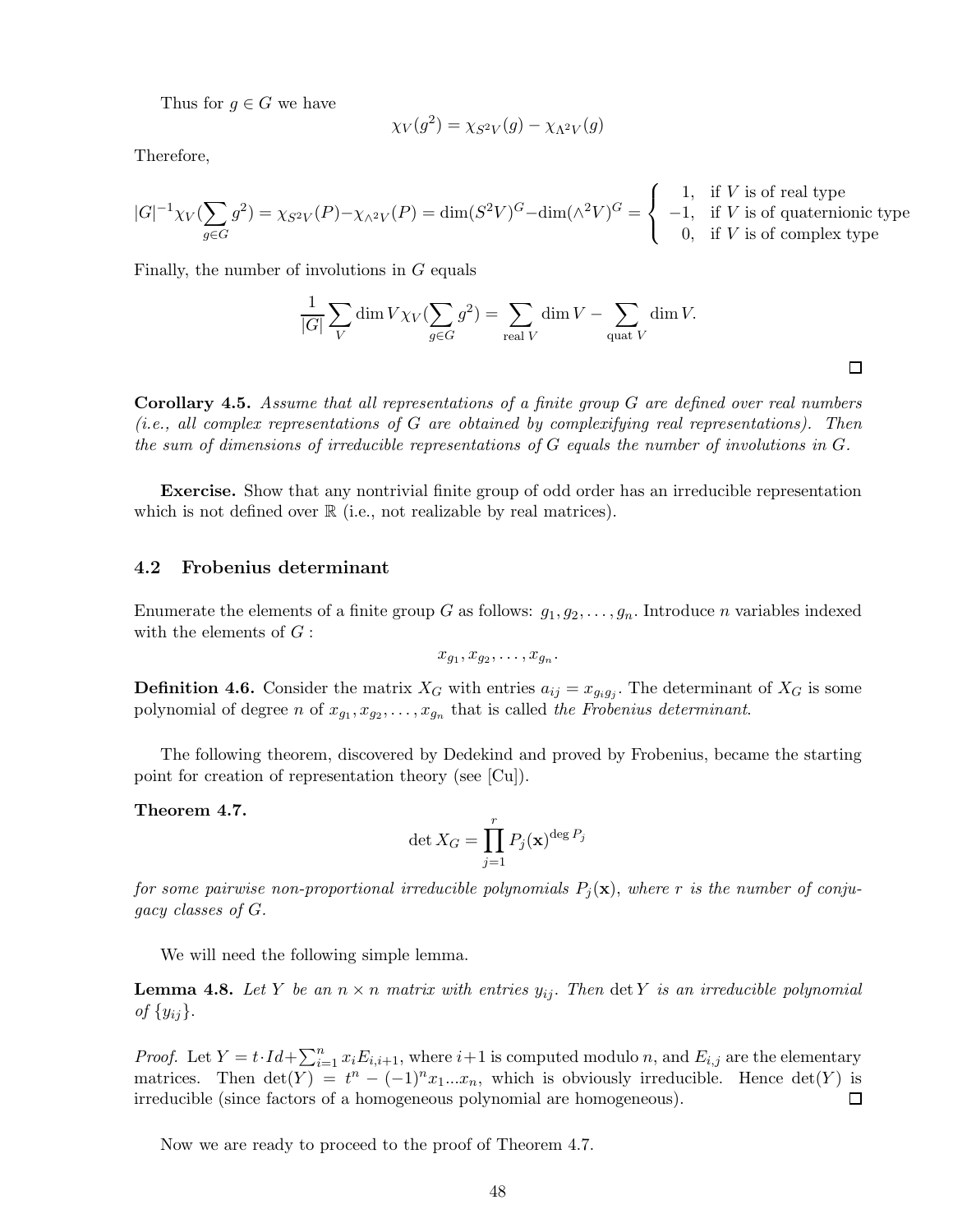Thus for  $g \in G$  we have

$$
\chi_V(g^2) = \chi_{S^2V}(g) - \chi_{\Lambda^2V}(g)
$$

Therefore,

$$
|G|^{-1}\chi_V(\sum_{g\in G}g^2)=\chi_{S^2V}(P)-\chi_{\wedge^2V}(P)=\dim(S^2V)^G-\dim(\wedge^2V)^G=\left\{\begin{array}{rl}1,&\text{if }V\text{ is of real type}\\-1,&\text{if }V\text{ is of quaternionic type}\\0,&\text{if }V\text{ is of complex type}\end{array}\right.
$$

Finally, the number of involutions in G equals

$$
\frac{1}{|G|} \sum_{V} \dim V \chi_{V} (\sum_{g \in G} g^{2}) = \sum_{\text{real } V} \dim V - \sum_{\text{quad } V} \dim V.
$$

 $\Box$ 

Corollary 4.5. *Assume that all representations of a finite group* G *are defined over real numbers (i.e., all complex representations of* G *are obtained by complexifying real representations). Then the sum of dimensions of irreducible representations of* G *equals the number of involutions in* G*.*

Exercise. Show that any nontrivial finite group of odd order has an irreducible representation which is not defined over  $\mathbb R$  (i.e., not realizable by real matrices).

### 4.2 Frobenius determinant

Enumerate the elements of a finite group G as follows:  $g_1, g_2, \ldots, g_n$ . Introduce n variables indexed with the elements of  $G$ :

$$
x_{g_1}, x_{g_2}, \ldots, x_{g_n}.
$$

**Definition 4.6.** Consider the matrix  $X_G$  with entries  $a_{ij} = x_{g_i g_j}$ . The determinant of  $X_G$  is some polynomial of degree *n* of  $x_{g_1}, x_{g_2}, \ldots, x_{g_n}$  that is called *the Frobenius determinant*.

The following theorem, discovered by Dedekind and proved by Frobenius, became the starting point for creation of representation theory (see [Cu]).

Theorem 4.7.

$$
\det X_G = \prod_{j=1}^r P_j(\mathbf{x})^{\deg P_j}
$$

*for some pairwise non-proportional irreducible polynomials*  $P_j(\mathbf{x})$ , where r *is the number of conjugacy classes of* G*.*

We will need the following simple lemma.

**Lemma 4.8.** Let Y be an  $n \times n$  matrix with entries  $y_{ij}$ . Then  $\det Y$  is an irreducible polynomial *of*  $\{y_{ij}\}.$ 

*Proof.* Let  $Y = t \cdot Id + \sum_{i=1}^{n} x_i E_{i,i+1}$ , where  $i+1$  is computed modulo n, and  $E_{i,j}$  are the elementary matrices. Then  $\det(Y) = t^n - (-1)^n x_1 ... x_n$ , which is obviously irreducible. Hence  $\det(Y)$  is irreducible (since factors of a homogeneous polynomial are homogeneous).

Now we are ready to proceed to the proof of Theorem 4.7.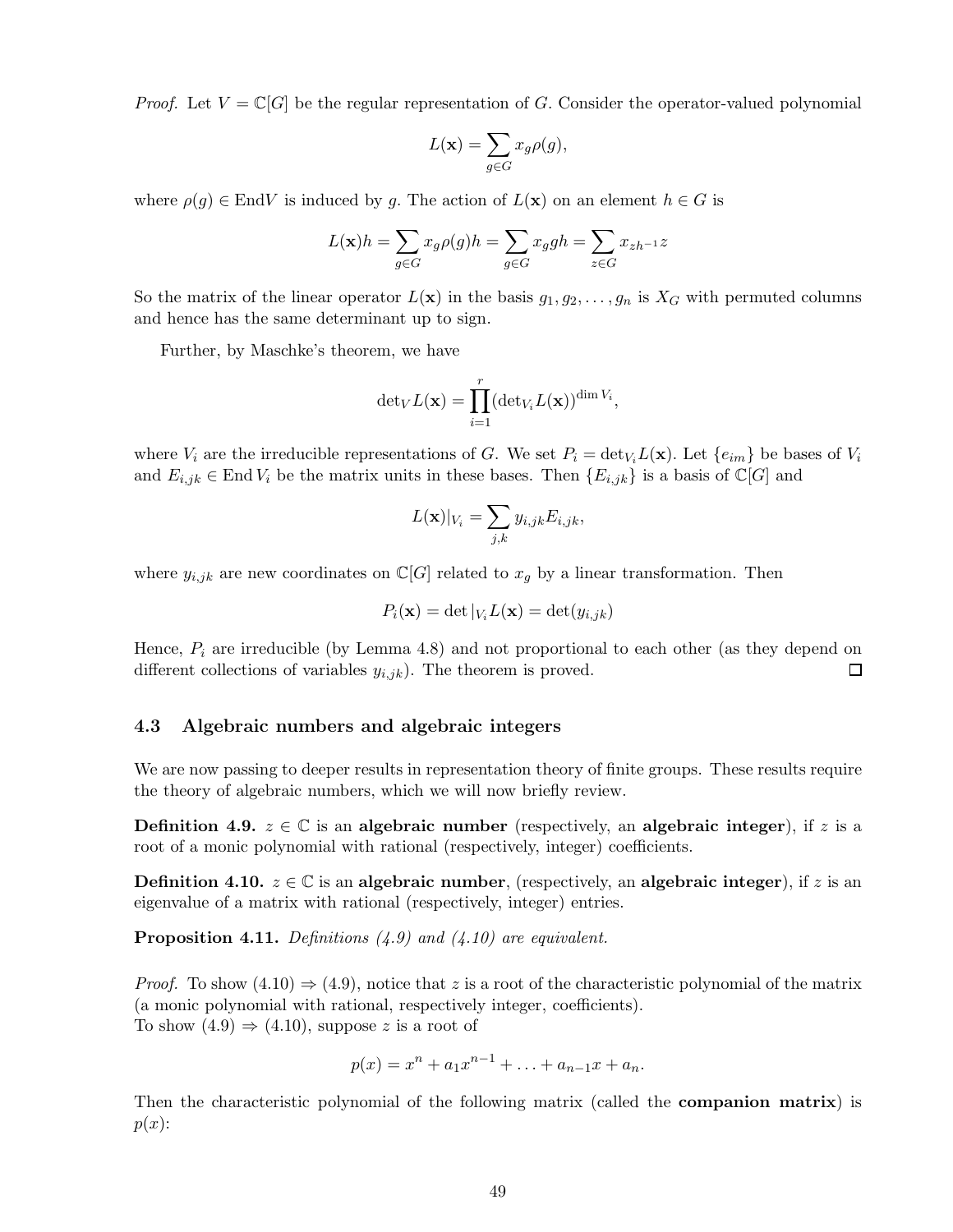*Proof.* Let  $V = \mathbb{C}[G]$  be the regular representation of G. Consider the operator-valued polynomial

$$
L(\mathbf{x}) = \sum_{g \in G} x_g \rho(g),
$$

where  $\rho(q) \in End V$  is induced by q. The action of  $L(\mathbf{x})$  on an element  $h \in G$  is

$$
L(\mathbf{x})h = \sum_{g \in G} x_g \rho(g)h = \sum_{g \in G} x_ggh = \sum_{z \in G} x_{zh^{-1}}z
$$

So the matrix of the linear operator  $L(\mathbf{x})$  in the basis  $g_1, g_2, \ldots, g_n$  is  $X_G$  with permuted columns and hence has the same determinant up to sign.

Further, by Maschke's theorem, we have

$$
\mathrm{det}_{V}L(\mathbf{x})=\prod_{i=1}^r(\mathrm{det}_{V_i}L(\mathbf{x}))^{\mathrm{dim}\,V_i},
$$

where  $V_i$  are the irreducible representations of G. We set  $P_i = det_{V_i}L(\mathbf{x})$ . Let  $\{e_{im}\}\$ be bases of  $V_i$ and  $E_{i,jk} \in \text{End } V_i$  be the matrix units in these bases. Then  $\{E_{i,jk}\}\$ is a basis of  $\mathbb{C}[G]$  and

$$
L(\mathbf{x})|_{V_i} = \sum_{j,k} y_{i,jk} E_{i,jk},
$$

where  $y_{i,jk}$  are new coordinates on  $\mathbb{C}[G]$  related to  $x_g$  by a linear transformation. Then

$$
P_i(\mathbf{x}) = \det |_{V_i} L(\mathbf{x}) = \det(y_{i,jk})
$$

Hence,  $P_i$  are irreducible (by Lemma 4.8) and not proportional to each other (as they depend on different collections of variables  $y_{i,jk}$ ). The theorem is proved. 口

## 4.3 Algebraic numbers and algebraic integers

We are now passing to deeper results in representation theory of finite groups. These results require the theory of algebraic numbers, which we will now briefly review.

**Definition 4.9.**  $z \in \mathbb{C}$  is an algebraic number (respectively, an algebraic integer), if z is a root of a monic polynomial with rational (respectively, integer) coefficients.

**Definition 4.10.**  $z \in \mathbb{C}$  is an algebraic number, (respectively, an algebraic integer), if z is an eigenvalue of a matrix with rational (respectively, integer) entries.

Proposition 4.11. *Definitions (4.9) and (4.10) are equivalent.*

*Proof.* To show  $(4.10) \Rightarrow (4.9)$ , notice that z is a root of the characteristic polynomial of the matrix (a monic polynomial with rational, respectively integer, coefficients). To show  $(4.9) \Rightarrow (4.10)$ , suppose z is a root of

$$
p(x) = xn + a1xn-1 + ... + an-1x + an.
$$

Then the characteristic polynomial of the following matrix (called the companion matrix) is  $p(x)$ :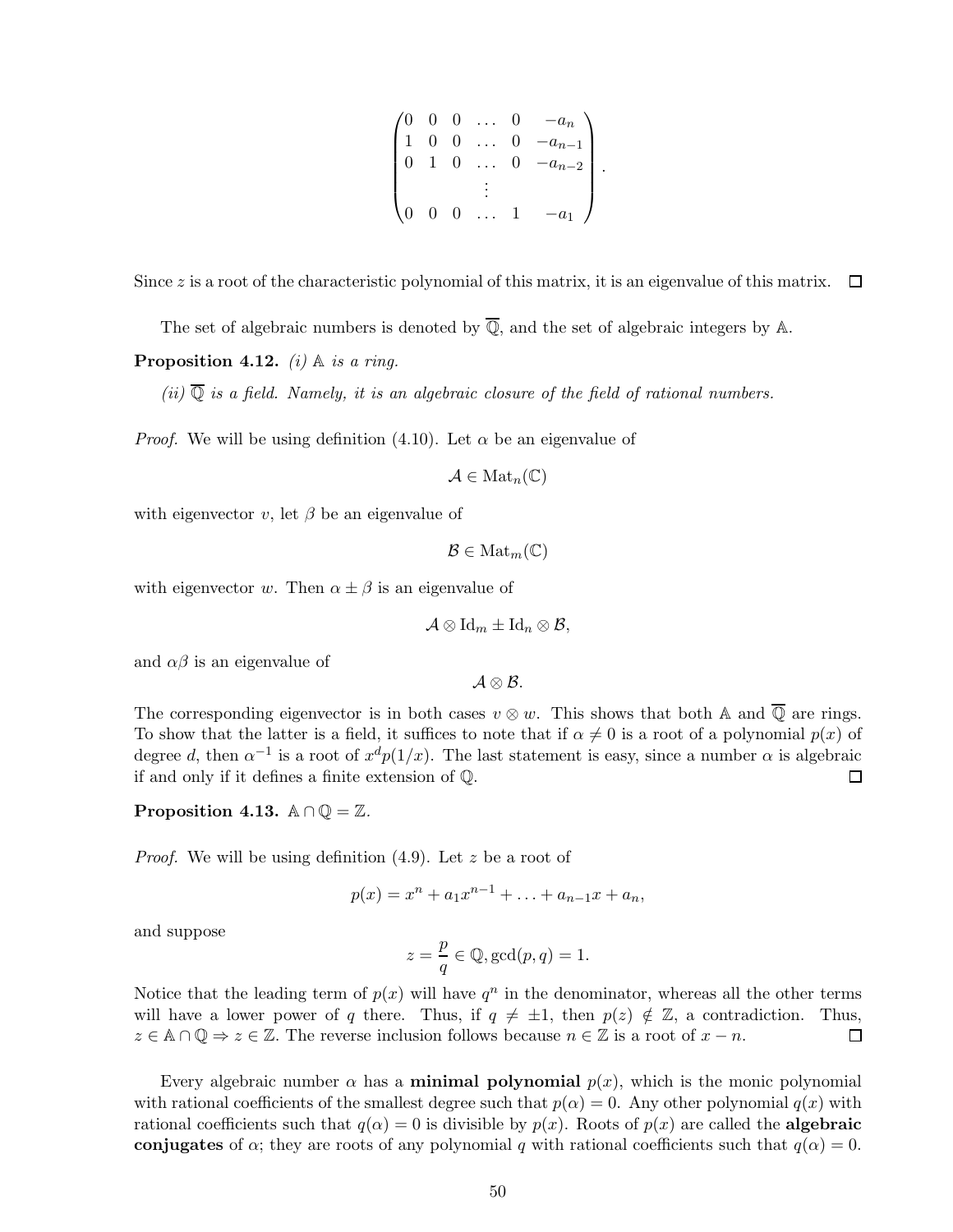$$
\begin{pmatrix}\n0 & 0 & 0 & \dots & 0 & -a_n \\
1 & 0 & 0 & \dots & 0 & -a_{n-1} \\
0 & 1 & 0 & \dots & 0 & -a_{n-2} \\
& & & \vdots & & \\
0 & 0 & 0 & \dots & 1 & -a_1\n\end{pmatrix}.
$$

Since z is a root of the characteristic polynomial of this matrix, it is an eigenvalue of this matrix.  $\Box$ 

The set of algebraic numbers is denoted by  $\overline{Q}$ , and the set of algebraic integers by A.

**Proposition 4.12.** *(i)*  $\mathbb A$  *is a ring.* 

 $(ii)$   $\overline{Q}$  *is a field. Namely, it is an algebraic closure of the field of rational numbers.* 

*Proof.* We will be using definition (4.10). Let  $\alpha$  be an eigenvalue of

 $\mathcal{A} \in \text{Mat}_n(\mathbb{C})$ 

with eigenvector v, let  $\beta$  be an eigenvalue of

$$
\mathcal{B}\in \mathrm{Mat}_m(\mathbb{C})
$$

with eigenvector w. Then  $\alpha \pm \beta$  is an eigenvalue of

$$
\mathcal{A}\otimes \mathrm{Id}_m\pm \mathrm{Id}_n\otimes \mathcal{B},
$$

and  $\alpha\beta$  is an eigenvalue of

 $\mathcal{A} \otimes \mathcal{B}$ .

The corresponding eigenvector is in both cases  $v \otimes w$ . This shows that both A and  $\overline{Q}$  are rings. To show that the latter is a field, it suffices to note that if  $\alpha \neq 0$  is a root of a polynomial  $p(x)$  of degree d, then  $\alpha^{-1}$  is a root of  $x^d p(1/x)$ . The last statement is easy, since a number  $\alpha$  is algebraic if and only if it defines a finite extension of Q. 口

Proposition 4.13.  $\mathbb{A} \cap \mathbb{Q} = \mathbb{Z}$ .

*Proof.* We will be using definition (4.9). Let z be a root of

 $p(x) = x^n + a_1 x^{n-1} + \ldots + a_{n-1} x + a_n,$ 

and suppose

$$
z = \frac{p}{q} \in \mathbb{Q}, \gcd(p, q) = 1.
$$

Notice that the leading term of  $p(x)$  will have  $q^n$  in the denominator, whereas all the other terms will have a lower power of q there. Thus, if  $q \neq \pm 1$ , then  $p(z) \notin \mathbb{Z}$ , a contradiction. Thus,  $z \in \mathbb{A} \cap \mathbb{Q} \Rightarrow z \in \mathbb{Z}$ . The reverse inclusion follows because  $n \in \mathbb{Z}$  is a root of  $x - n$ .  $z \in \mathbb{A} \cap \mathbb{Q} \Rightarrow z \in \mathbb{Z}$ . The reverse inclusion follows because  $n \in \mathbb{Z}$  is a root of  $x - n$ .

Every algebraic number  $\alpha$  has a **minimal polynomial**  $p(x)$ , which is the monic polynomial with rational coefficients of the smallest degree such that  $p(\alpha) = 0$ . Any other polynomial  $q(x)$  with rational coefficients such that  $q(\alpha) = 0$  is divisible by  $p(x)$ . Roots of  $p(x)$  are called the **algebraic** conjugates of  $\alpha$ ; they are roots of any polynomial q with rational coefficients such that  $q(\alpha) = 0$ .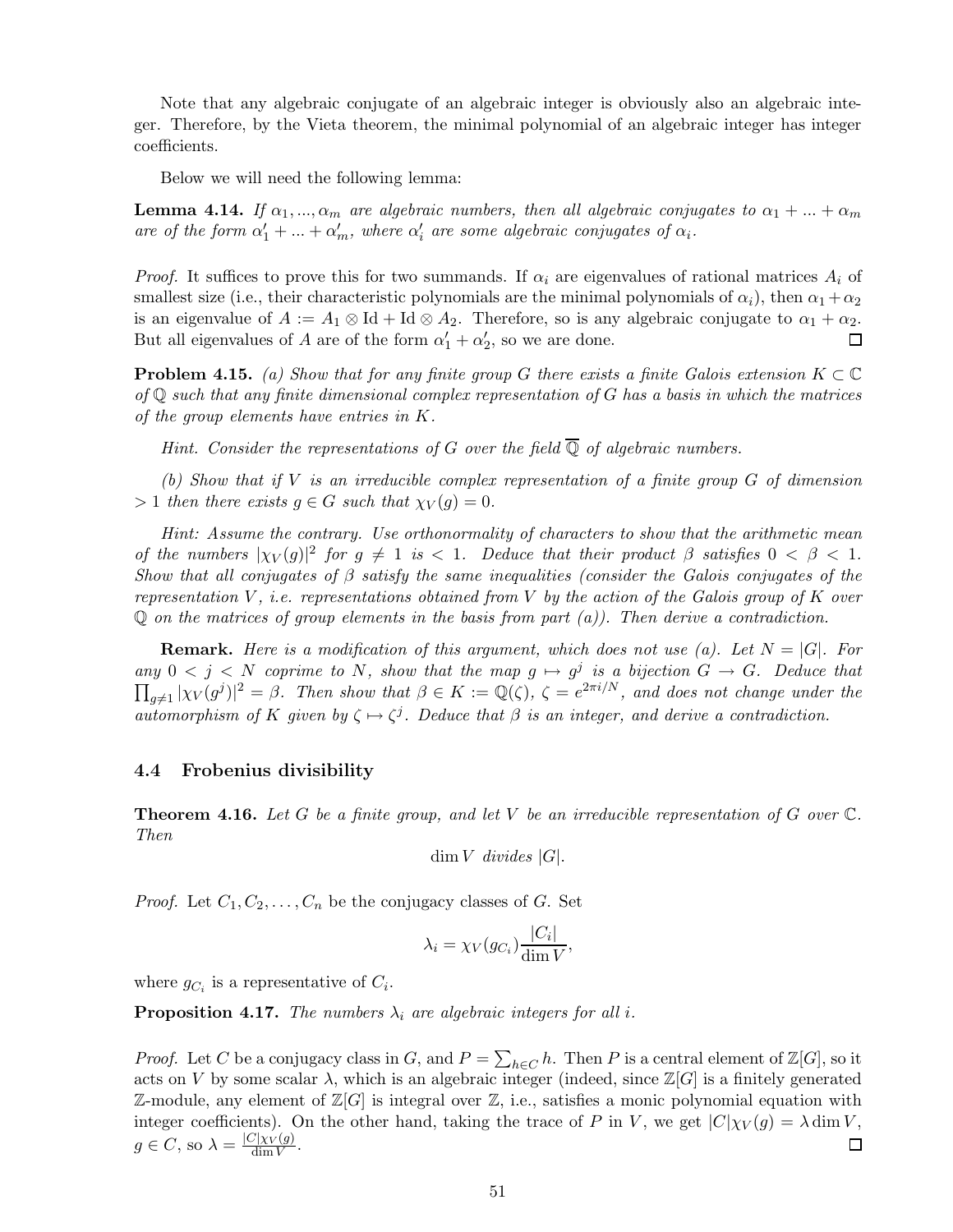Note that any algebraic conjugate of an algebraic integer is obviously also an algebraic integer. Therefore, by the Vieta theorem, the minimal polynomial of an algebraic integer has integer coefficients.

Below we will need the following lemma:

**Lemma 4.14.** *If*  $\alpha_1, ..., \alpha_m$  *are algebraic numbers, then all algebraic conjugates to*  $\alpha_1 + ... + \alpha_m$ *are of the form*  $\alpha'_1 + ... + \alpha'_m$ , where  $\alpha'_i$  are some algebraic conjugates of  $\alpha_i$ .

*Proof.* It suffices to prove this for two summands. If  $\alpha_i$  are eigenvalues of rational matrices  $A_i$  of smallest size (i.e., their characteristic polynomials are the minimal polynomials of  $\alpha_i$ ), then  $\alpha_1 + \alpha_2$ is an eigenvalue of  $A := A_1 \otimes \text{Id} + \text{Id} \otimes A_2$ . Therefore, so is any algebraic conjugate to  $\alpha_1 + \alpha_2$ .<br>But all eigenvalues of A are of the form  $\alpha'_1 + \alpha'_2$ , so we are done. But all eigenvalues of A are of the form  $\alpha'_1 + \alpha'_2$ , so we are done.

**Problem 4.15.** *(a) Show that for any finite group* G *there exists a finite Galois extension*  $K \subset \mathbb{C}$ *of* Q *such that any finite dimensional complex representation of* G *has a basis in which the matrices of the group elements have entries in* K*.*

*Hint.* Consider the representations of G over the field  $\overline{Q}$  of algebraic numbers.

*(b) Show that if* V *is an irreducible complex representation of a finite group* G *of dimension*  $> 1$  *then there exists*  $g \in G$  *such that*  $\chi_V(g) = 0$ *.* 

*Hint: Assume the contrary. Use orthonormality of characters to show that the arithmetic mean of the numbers*  $|\chi_V(g)|^2$  *for*  $g \neq 1$  *is* < 1*.* Deduce that their product  $\beta$  *satisfies*  $0 < \beta < 1$ *. Show that all conjugates of* β *satisfy the same inequalities (consider the Galois conjugates of the representation* V *, i.e. representations obtained from* V *by the action of the Galois group of* K *over* Q *on the matrices of group elements in the basis from part (a)). Then derive a contradiction.*

**Remark.** Here is a modification of this argument, which does not use (a). Let  $N = |G|$ . For  $\lim_{M \to \infty} 0 < j < N$  coprime to N, show that the map  $g \mapsto g^j$  is a bijection  $G \to G$ . Deduce that  $\prod_{g\neq 1} |\chi_V(g^j)|^2 = \beta$ . Then show that  $\beta \in K := \mathbb{Q}(\zeta)$ ,  $\zeta = e^{2\pi i/N}$ , and does not change under the *automorphism of* K *given by*  $\zeta \mapsto \zeta^j$ *. Deduce that*  $\beta$  *is an integer, and derive a contradiction.* 

### 4.4 Frobenius divisibility

Theorem 4.16. *Let* G *be a finite group, and let* V *be an irreducible representation of* G *over* C*. Then*

dim V *divides* |G|.

*Proof.* Let  $C_1, C_2, \ldots, C_n$  be the conjugacy classes of G. Set

$$
\lambda_i = \chi_V(g_{C_i}) \frac{|C_i|}{\dim V},
$$

where  $g_{C_i}$  is a representative of  $C_i$ .

**Proposition 4.17.** *The numbers*  $\lambda_i$  *are algebraic integers for all i.* 

*Proof.* Let C be a conjugacy class in G, and  $P = \sum_{h \in C} h$ . Then P is a central element of  $\mathbb{Z}[G]$ , so it acts on V by some scalar  $\lambda$ , which is an algebraic integer (indeed, since  $\mathbb{Z}[G]$  is a finitely generated  $\mathbb{Z}\text{-module},$  any element of  $\mathbb{Z}[G]$  is integral over  $\mathbb{Z}$ , i.e., satisfies a monic polynomial equation with integer coefficients). On the other hand, taking the trace of P in V, we get  $|C|\chi_V(q) = \lambda \dim V$ ,  $g \in C$ , so  $\lambda = \frac{|C|\chi_V(g)}{\dim V}$ . 口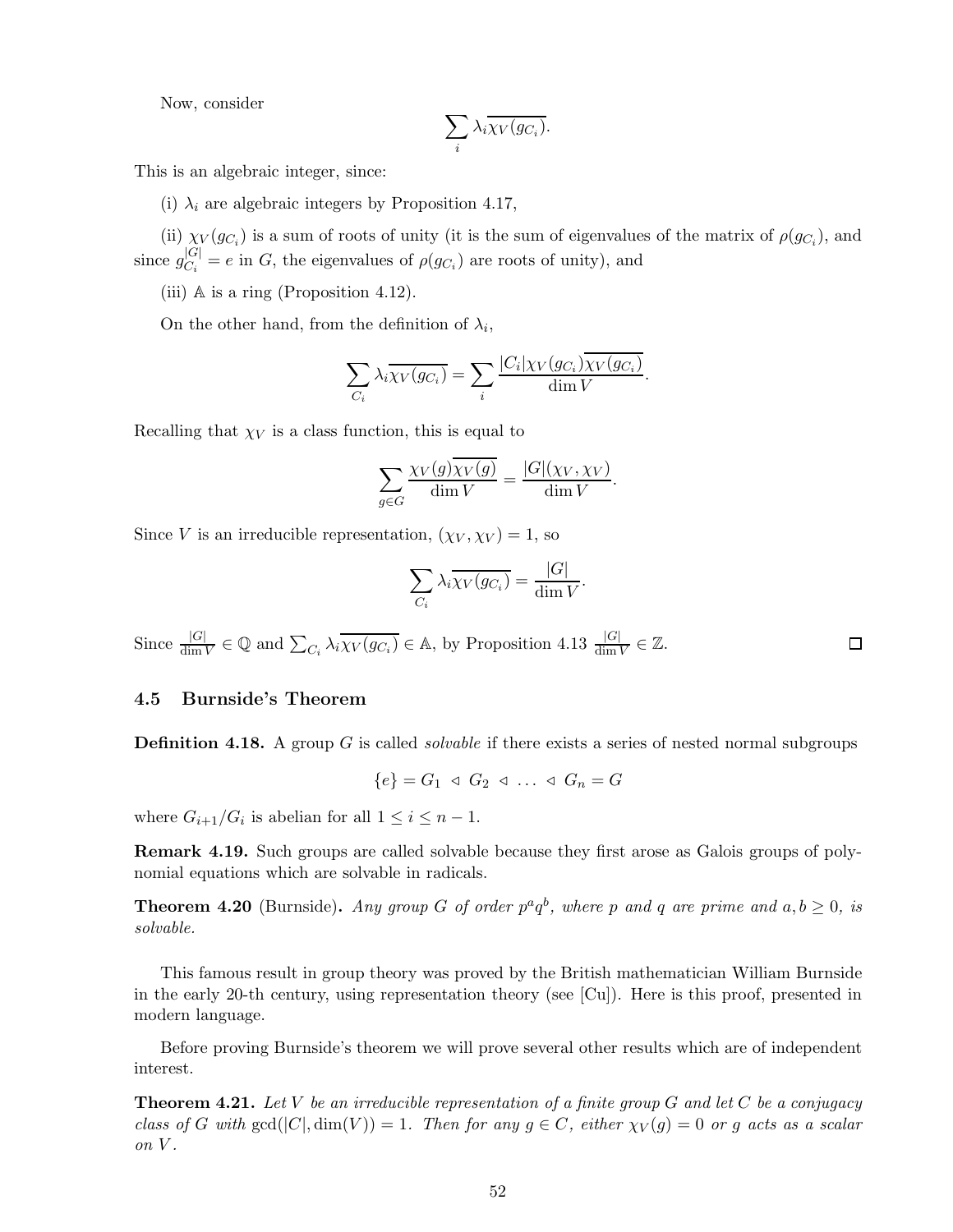Now, consider

$$
\sum_i \lambda_i \overline{\chi_V(g_{C_i})}.
$$

This is an algebraic integer, since:

(i)  $\lambda_i$  are algebraic integers by Proposition 4.17,

(ii)  $\chi_V(g_{C_i})$  is a sum of roots of unity (it is the sum of eigenvalues of the matrix of  $\rho(g_{C_i})$ , and since  $g_{C_i}^{|G|} = e$  in G, the eigenvalues of  $\rho(g_{C_i})$  are roots of unity), and

(iii) A is a ring (Proposition 4.12).

On the other hand, from the definition of  $\lambda_i$ ,

$$
\sum_{C_i} \lambda_i \overline{\chi_V(g_{C_i})} = \sum_i \frac{|C_i| \chi_V(g_{C_i}) \chi_V(g_{C_i})}{\dim V}.
$$

Recalling that  $\chi_V$  is a class function, this is equal to

$$
\sum_{g \in G} \frac{\chi_V(g) \overline{\chi_V(g)}}{\dim V} = \frac{|G|(\chi_V, \chi_V)}{\dim V}.
$$

Since V is an irreducible representation,  $(\chi_V, \chi_V) = 1$ , so

$$
\sum_{C_i} \lambda_i \overline{\chi_V(g_{C_i})} = \frac{|G|}{\dim V}.
$$

 $\Box$ 

Since  $\frac{|G|}{\dim V} \in \mathbb{Q}$  and  $\sum_{C_i} \lambda_i \overline{\chi_V(g_{C_i})} \in \mathbb{A}$ , by Proposition 4.13  $\frac{|G|}{\dim V} \in \mathbb{Z}$ .

### 4.5 Burnside's Theorem

Definition 4.18. A group G is called *solvable* if there exists a series of nested normal subgroups

$$
\{e\} = G_1 \triangleleft G_2 \triangleleft \dots \triangleleft G_n = G
$$

where  $G_{i+1}/G_i$  is abelian for all  $1 \leq i \leq n-1$ .

Remark 4.19. Such groups are called solvable because they first arose as Galois groups of polynomial equations which are solvable in radicals.

**Theorem 4.20** (Burnside). *Any group G of order*  $p^a q^b$ *, where p and q are prime and*  $a, b \ge 0$ *, is solvable.*

This famous result in group theory was proved by the British mathematician William Burnside in the early 20-th century, using representation theory (see [Cu]). Here is this proof, presented in modern language.

Before proving Burnside's theorem we will prove several other results which are of independent interest.

Theorem 4.21. *Let* V *be an irreducible representation of a finite group* G *and let* C *be a conjugacy class of* G with  $gcd(|C|, dim(V)) = 1$ . Then for any  $g \in C$ , either  $\chi_V(g) = 0$  or g acts as a scalar *on* V *.*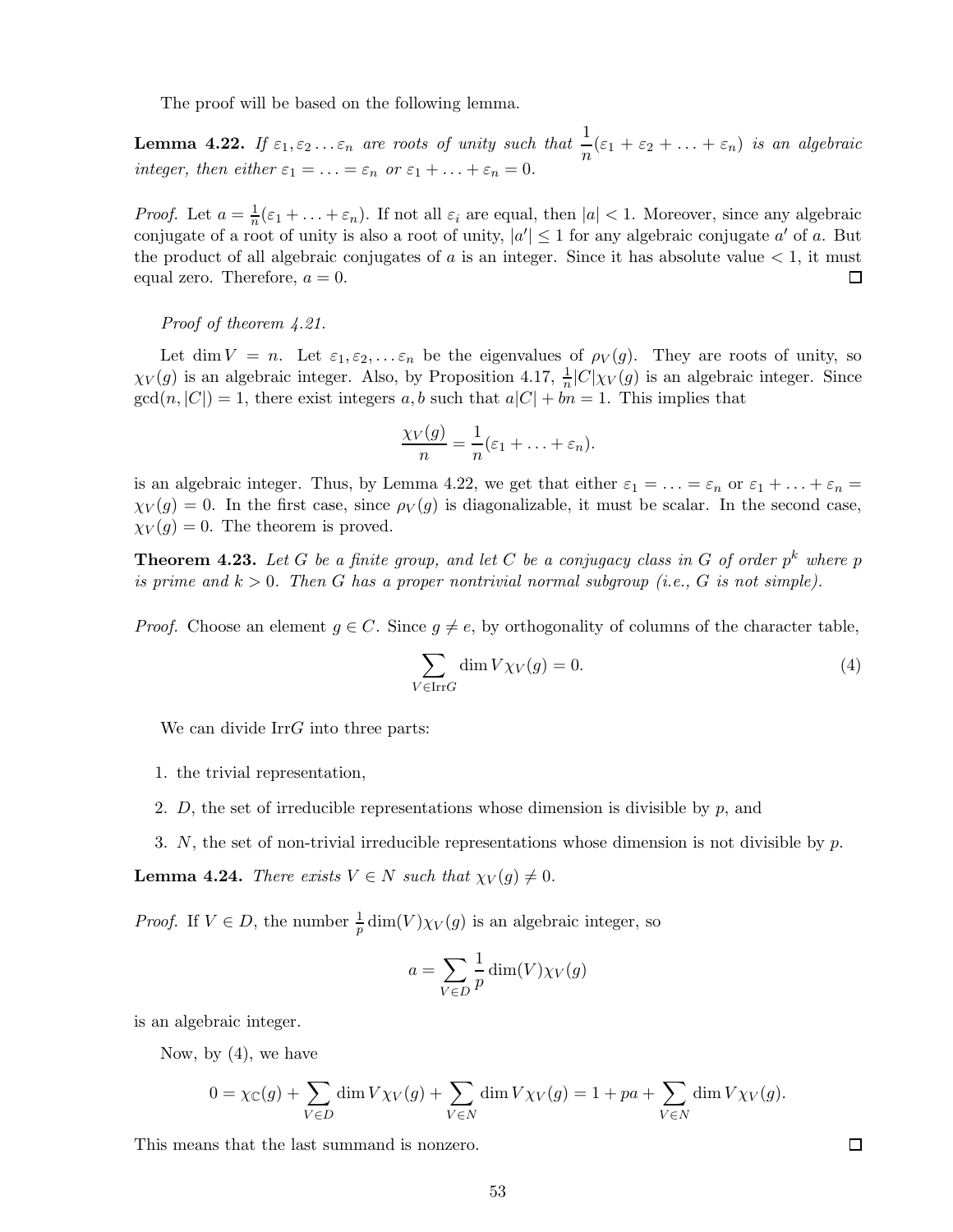The proof will be based on the following lemma.

**Lemma 4.22.** If  $\varepsilon_1, \varepsilon_2 ... \varepsilon_n$  are roots of unity such that  $\frac{1}{n}(\varepsilon_1 + \varepsilon_2 + ... + \varepsilon_n)$  is an algebraic *integer, then either*  $\varepsilon_1 = \ldots = \varepsilon_n$  *or*  $\varepsilon_1 + \ldots + \varepsilon_n = 0$ *.* 

*Proof.* Let  $a = \frac{1}{n}$  $\frac{1}{n}(\varepsilon_1 + \ldots + \varepsilon_n)$ . If not all  $\varepsilon_i$  are equal, then  $|a| < 1$ . Moreover, since any algebraic conjugate of a root of unity is also a root of unity,  $|a'| \leq 1$  for any algebraic conjugate a' of a. But the product of all algebraic conjugates of  $a$  is an integer. Since it has absolute value  $\lt 1$ , it must equal zero. Therefore,  $a = 0$ . 囗

*Proof of theorem 4.21.*

Let dim  $V = n$ . Let  $\varepsilon_1, \varepsilon_2, \dots \varepsilon_n$  be the eigenvalues of  $\rho_V(g)$ . They are roots of unity, so  $\chi_V(g)$  is an algebraic integer. Also, by Proposition 4.17,  $\frac{1}{n}|C|\chi_V(g)$  is an algebraic integer. Since  $gcd(n, |C|) = 1$ , there exist integers a, b such that  $a|C| + bn = 1$ . This implies that

$$
\frac{\chi_V(g)}{n} = \frac{1}{n}(\varepsilon_1 + \ldots + \varepsilon_n).
$$

is an algebraic integer. Thus, by Lemma 4.22, we get that either  $\varepsilon_1 = \ldots = \varepsilon_n$  or  $\varepsilon_1 + \ldots + \varepsilon_n =$  $\chi_V(g) = 0$ . In the first case, since  $\rho_V(g)$  is diagonalizable, it must be scalar. In the second case,  $\chi_V(g) = 0$ . The theorem is proved.

**Theorem 4.23.** Let G be a finite group, and let C be a conjugacy class in G of order  $p^k$  where  $p$ *is prime and* k > 0*. Then* G *has a proper nontrivial normal subgroup (i.e.,* G *is not simple).*

*Proof.* Choose an element  $g \in C$ . Since  $g \neq e$ , by orthogonality of columns of the character table,

$$
\sum_{V \in \text{Irr}G} \dim V \chi_V(g) = 0. \tag{4}
$$

We can divide IrrG into three parts:

- 1. the trivial representation,
- 2. D, the set of irreducible representations whose dimension is divisible by  $p$ , and
- 3. N, the set of non-trivial irreducible representations whose dimension is not divisible by  $p$ .

**Lemma 4.24.** *There exists*  $V \in N$  *such that*  $\chi_V(g) \neq 0$ *.* 

*Proof.* If  $V \in D$ , the number  $\frac{1}{p}$  dim(V) $\chi_V(g)$  is an algebraic integer, so

$$
a = \sum_{V \in D} \frac{1}{p} \dim(V) \chi_V(g)
$$

is an algebraic integer.

Now, by  $(4)$ , we have

$$
0 = \chi_{\mathbb{C}}(g) + \sum_{V \in D} \dim V \chi_V(g) + \sum_{V \in N} \dim V \chi_V(g) = 1 + pa + \sum_{V \in N} \dim V \chi_V(g).
$$

This means that the last summand is nonzero.

 $\Box$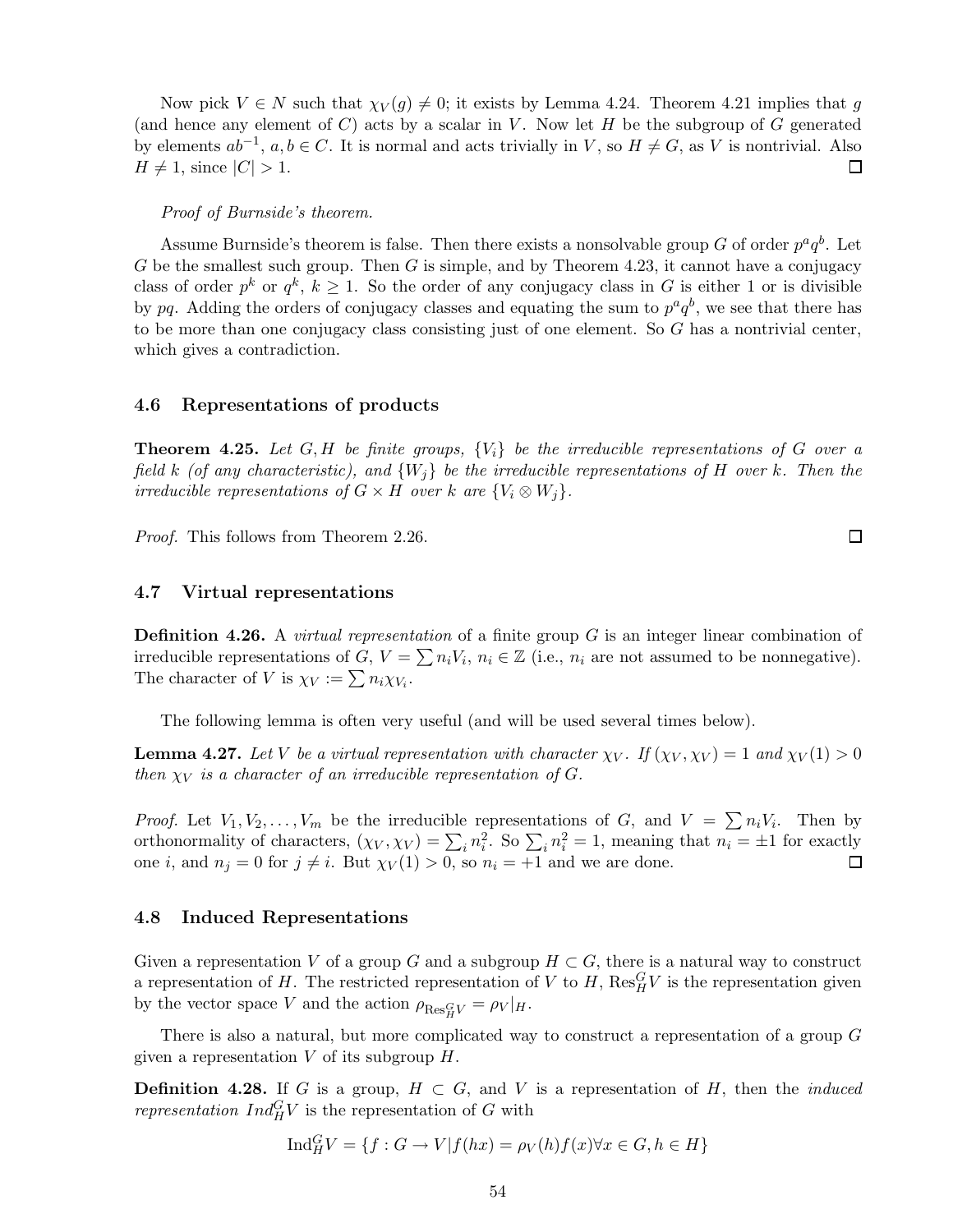Now pick  $V \in N$  such that  $\chi_V(g) \neq 0$ ; it exists by Lemma 4.24. Theorem 4.21 implies that g (and hence any element of C) acts by a scalar in V. Now let  $H$  be the subgroup of G generated by elements  $ab^{-1}$ ,  $a, b \in C$ . It is normal and acts trivially in V, so  $H \neq G$ , as V is nontrivial. Also  $H \neq 1$ , since  $|C| > 1$ .

#### *Proof of Burnside's theorem.*

Assume Burnside's theorem is false. Then there exists a nonsolvable group G of order  $p^a q^b$ . Let G be the smallest such group. Then G is simple, and by Theorem 4.23, it cannot have a conjugacy class of order  $p^k$  or  $q^k$ ,  $k \geq 1$ . So the order of any conjugacy class in G is either 1 or is divisible by pq. Adding the orders of conjugacy classes and equating the sum to  $p^a q^b$ , we see that there has to be more than one conjugacy class consisting just of one element. So G has a nontrivial center, which gives a contradiction.

### 4.6 Representations of products

Theorem 4.25. *Let* G,H *be finite groups,* {Vi} *be the irreducible representations of* G *over a field* k *(of any characteristic), and* {Wj} *be the irreducible representations of* H *over* k*. Then the irreducible representations of*  $G \times H$  *over* k are  $\{V_i \otimes W_j\}$ .

*Proof.* This follows from Theorem 2.26.

## 4.7 Virtual representations

Definition 4.26. A *virtual representation* of a finite group G is an integer linear combination of irreducible representations of  $G, V = \sum n_i V_i, n_i \in \mathbb{Z}$  (i.e.,  $n_i$  are not assumed to be nonnegative). The character of V is  $\chi_V := \sum n_i \chi_{V_i}$ .

The following lemma is often very useful (and will be used several times below).

**Lemma 4.27.** Let V be a virtual representation with character  $\chi_V$ . If  $(\chi_V, \chi_V) = 1$  and  $\chi_V(1) > 0$ *then*  $\chi_V$  *is a character of an irreducible representation of G.* 

*Proof.* Let  $V_1, V_2, \ldots, V_m$  be the irreducible representations of G, and  $V = \sum n_i V_i$ . Then by orthonormality of characters,  $(\chi_V, \chi_V) = \sum_i n_i^2$ . So  $\sum_i n_i^2 = 1$ , meaning that  $n_i = \pm 1$  for exactly one *i*, and  $n_j = 0$  for  $j \neq i$ . But  $\chi_V(1) > 0$ , so  $n_i = +1$  and we are done.

### 4.8 Induced Representations

Given a representation V of a group G and a subgroup  $H \subset G$ , there is a natural way to construct a representation of H. The restricted representation of V to H,  $\text{Res}_{H}^{G}V$  is the representation given by the vector space V and the action  $\rho_{\text{Res}_{H}^{G}V} = \rho_{V}|_{H}$ .

There is also a natural, but more complicated way to construct a representation of a group  $G$ given a representation  $V$  of its subgroup  $H$ .

**Definition 4.28.** If G is a group,  $H \subset G$ , and V is a representation of H, then the *induced representation*  $Ind_H^G V$  is the representation of G with

$$
Ind_{H}^{G}V = \{ f : G \to V | f(hx) = \rho_V(h) f(x) \forall x \in G, h \in H \}
$$

 $\Box$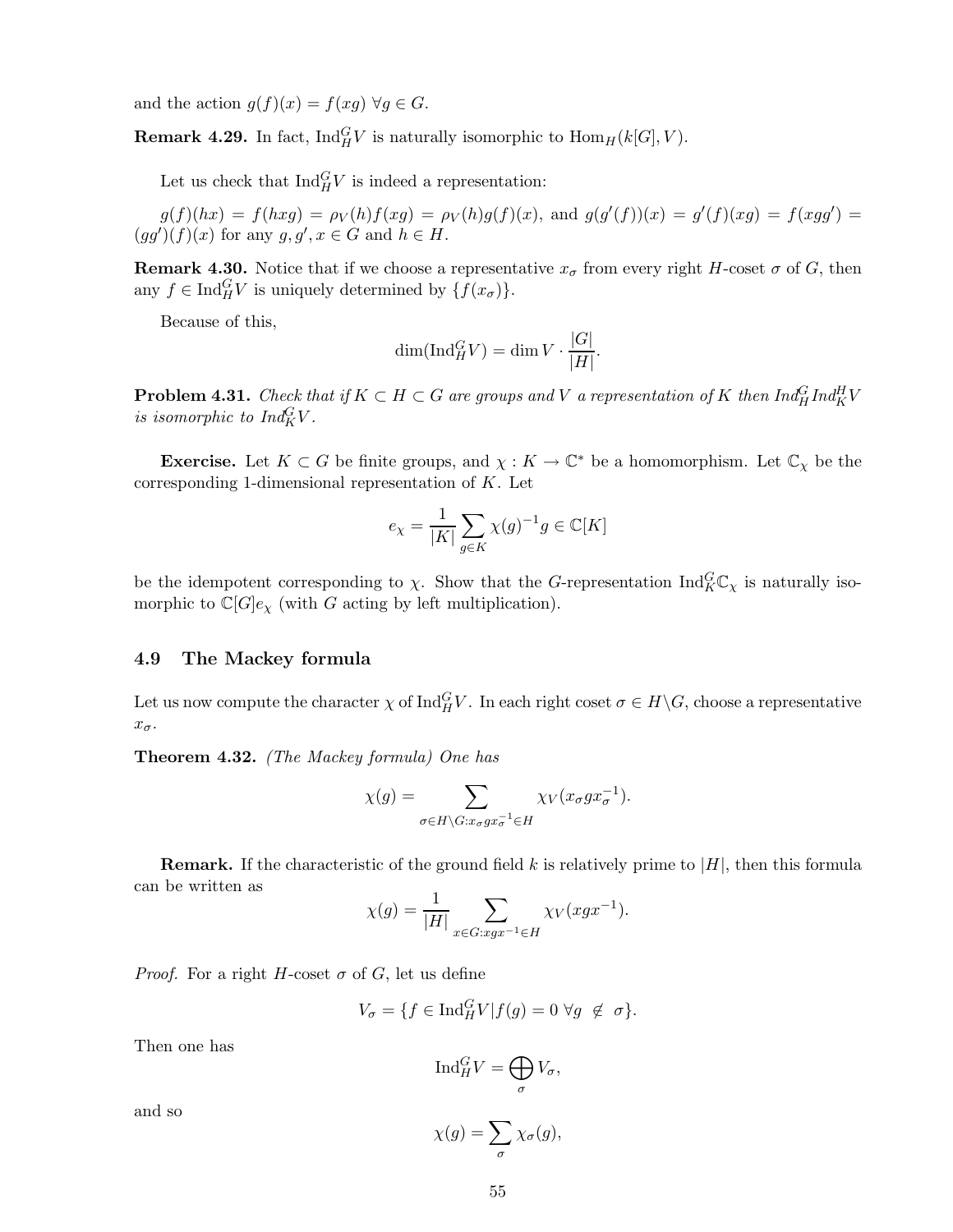and the action  $g(f)(x) = f(xg) \,\forall g \in G$ .

**Remark 4.29.** In fact,  $\text{Ind}_{H}^{G}V$  is naturally isomorphic to  $\text{Hom}_{H}(k[G], V)$ .

Let us check that  $\text{Ind}_{H}^{G}V$  is indeed a representation:

 $g(f)(hx) = f(hxg) = \rho_V(h)f(xg) = \rho_V(h)g(f)(x)$ , and  $g(g'(f))(x) = g'(f)(xg) = f(xgg') =$  $(gg')(f)(x)$  for any  $g, g', x \in G$  and  $h \in H$ .

**Remark 4.30.** Notice that if we choose a representative  $x_{\sigma}$  from every right H-coset  $\sigma$  of G, then any  $f \in \text{Ind}_{H}^{G}V$  is uniquely determined by  $\{f(x_{\sigma})\}.$ 

Because of this,

$$
\dim(\operatorname{Ind}_{H}^{G} V) = \dim V \cdot \frac{|G|}{|H|}.
$$

**Problem 4.31.** *Check that if*  $K \subset H \subset G$  *are groups and* V *a representation of* K *then*  $Ind_H^G Ind_K^H V$ *is isomorphic to*  $Ind_K^G V$ *.* 

**Exercise.** Let  $K \subset G$  be finite groups, and  $\chi : K \to \mathbb{C}^*$  be a homomorphism. Let  $\mathbb{C}_{\chi}$  be the corresponding 1-dimensional representation of  $K$ . Let

$$
e_{\chi} = \frac{1}{|K|} \sum_{g \in K} \chi(g)^{-1} g \in \mathbb{C}[K]
$$

be the idempotent corresponding to  $\chi$ . Show that the G-representation  $\text{Ind}_{K}^{G} \mathbb{C}_{\chi}$  is naturally isomorphic to  $\mathbb{C}[G]_{e_{\chi}}$  (with G acting by left multiplication).

# 4.9 The Mackey formula

Let us now compute the character  $\chi$  of  $\text{Ind}_{H}^{G}V$ . In each right coset  $\sigma \in H \backslash G$ , choose a representative  $x_{\sigma}$ .

Theorem 4.32. *(The Mackey formula) One has*

$$
\chi(g) = \sum_{\sigma \in H \backslash G: x_{\sigma}gx_{\sigma}^{-1} \in H} \chi_V(x_{\sigma}gx_{\sigma}^{-1}).
$$

**Remark.** If the characteristic of the ground field k is relatively prime to  $|H|$ , then this formula can be written as

$$
\chi(g) = \frac{1}{|H|} \sum_{x \in G : xgx^{-1} \in H} \chi_V(xgx^{-1}).
$$

*Proof.* For a right H-coset  $\sigma$  of G, let us define

$$
V_{\sigma} = \{ f \in \text{Ind}_{H}^{G} V | f(g) = 0 \ \forall g \ \notin \ \sigma \}.
$$

Then one has

$$
\mathrm{Ind}_{H}^{G}V=\bigoplus_{\sigma}V_{\sigma},
$$

and so

$$
\chi(g) = \sum_{\sigma} \chi_{\sigma}(g),
$$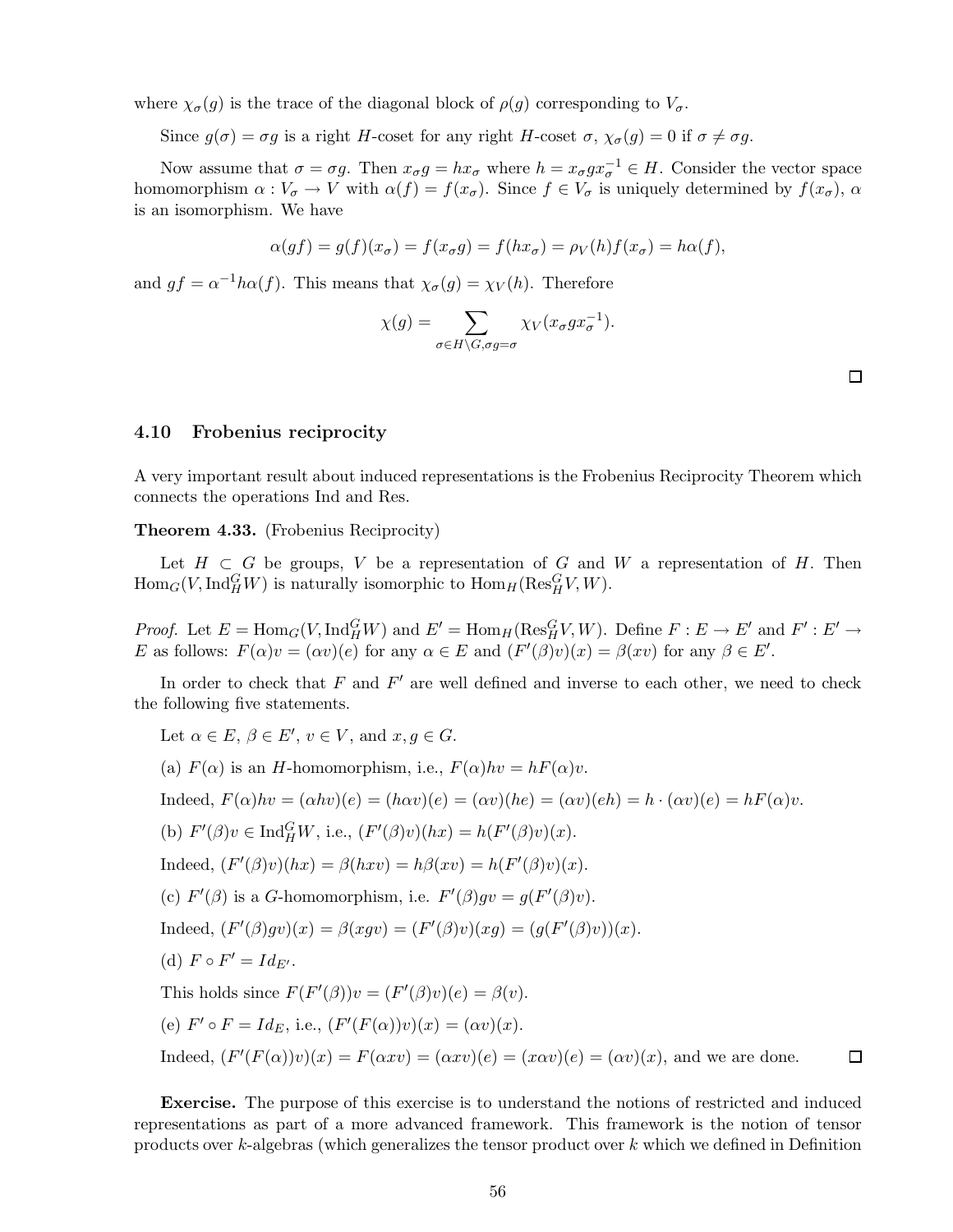where  $\chi_{\sigma}(g)$  is the trace of the diagonal block of  $\rho(g)$  corresponding to  $V_{\sigma}$ .

Since  $g(\sigma) = \sigma g$  is a right H-coset for any right H-coset  $\sigma$ ,  $\chi_{\sigma}(g) = 0$  if  $\sigma \neq \sigma g$ .

Now assume that  $\sigma = \sigma g$ . Then  $x_{\sigma}g = hx_{\sigma}$  where  $h = x_{\sigma}gx_{\sigma}^{-1} \in H$ . Consider the vector space homomorphism  $\alpha: V_{\sigma} \to V$  with  $\alpha(f) = f(x_{\sigma})$ . Since  $f \in V_{\sigma}$  is uniquely determined by  $f(x_{\sigma})$ ,  $\alpha$ is an isomorphism. We have

$$
\alpha(gf) = g(f)(x_{\sigma}) = f(x_{\sigma}g) = f(hx_{\sigma}) = \rho_V(h)f(x_{\sigma}) = h\alpha(f),
$$

and  $gf = \alpha^{-1}h\alpha(f)$ . This means that  $\chi_{\sigma}(g) = \chi_V(h)$ . Therefore

$$
\chi(g) = \sum_{\sigma \in H \setminus G, \sigma g = \sigma} \chi_V(x_{\sigma} g x_{\sigma}^{-1}).
$$

 $\Box$ 

# 4.10 Frobenius reciprocity

A very important result about induced representations is the Frobenius Reciprocity Theorem which connects the operations Ind and Res.

Theorem 4.33. (Frobenius Reciprocity)

Let  $H \subset G$  be groups, V be a representation of G and W a representation of H. Then  $\text{Hom}_G(V, \text{Ind}_H^G W)$  is naturally isomorphic to  $\text{Hom}_H(\text{Res}_H^G V, W)$ .

*Proof.* Let  $E = \text{Hom}_G(V, \text{Ind}_H^G W)$  and  $E' = \text{Hom}_H(\text{Res}_H^G V, W)$ . Define  $F : E \to E'$  and  $F' : E' \to E'$ E as follows:  $F(\alpha)v = (\alpha v)(e)$  for any  $\alpha \in E$  and  $(F'(\beta)v)(x) = \beta(xv)$  for any  $\beta \in E'$ .

In order to check that  $F$  and  $F'$  are well defined and inverse to each other, we need to check the following five statements.

Let  $\alpha \in E$ ,  $\beta \in E'$ ,  $v \in V$ , and  $x, g \in G$ . (a)  $F(\alpha)$  is an H-homomorphism, i.e.,  $F(\alpha)hv = hF(\alpha)v$ . Indeed,  $F(\alpha)hv = (\alpha hv)(e) = (h\alpha v)(e) = (\alpha v)(he) = (\alpha v)(eh) = h \cdot (\alpha v)(e) = hF(\alpha)v.$ (b)  $F'(\beta)v \in \text{Ind}_{H}^{G}W$ , i.e.,  $(F'(\beta)v)(hx) = h(F'(\beta)v)(x)$ . Indeed,  $(F'(\beta)v)(hx) = \beta(hxv) = h\beta(xv) = h(F'(\beta)v)(x)$ . (c)  $F'(\beta)$  is a G-homomorphism, i.e.  $F'(\beta)gv = g(F'(\beta)v)$ . Indeed,  $(F'(\beta)gv)(x) = \beta(xgv) = (F'(\beta)v)(xg) = (g(F'(\beta)v))(x)$ . (d)  $F \circ F' = Id_{E'}$ . This holds since  $F(F'(\beta))v = (F'(\beta)v)(e) = \beta(v)$ . (e)  $F' \circ F = Id_E$ , i.e.,  $(F'(F(\alpha))v)(x) = (\alpha v)(x)$ .  $\Box$ Indeed,  $(F'(F(\alpha))v)(x) = F(\alpha xv) = (\alpha xv)(e) = (\alpha vv)(e) = (\alpha v)(x)$ , and we are done.

Exercise. The purpose of this exercise is to understand the notions of restricted and induced representations as part of a more advanced framework. This framework is the notion of tensor products over k-algebras (which generalizes the tensor product over k which we defined in Definition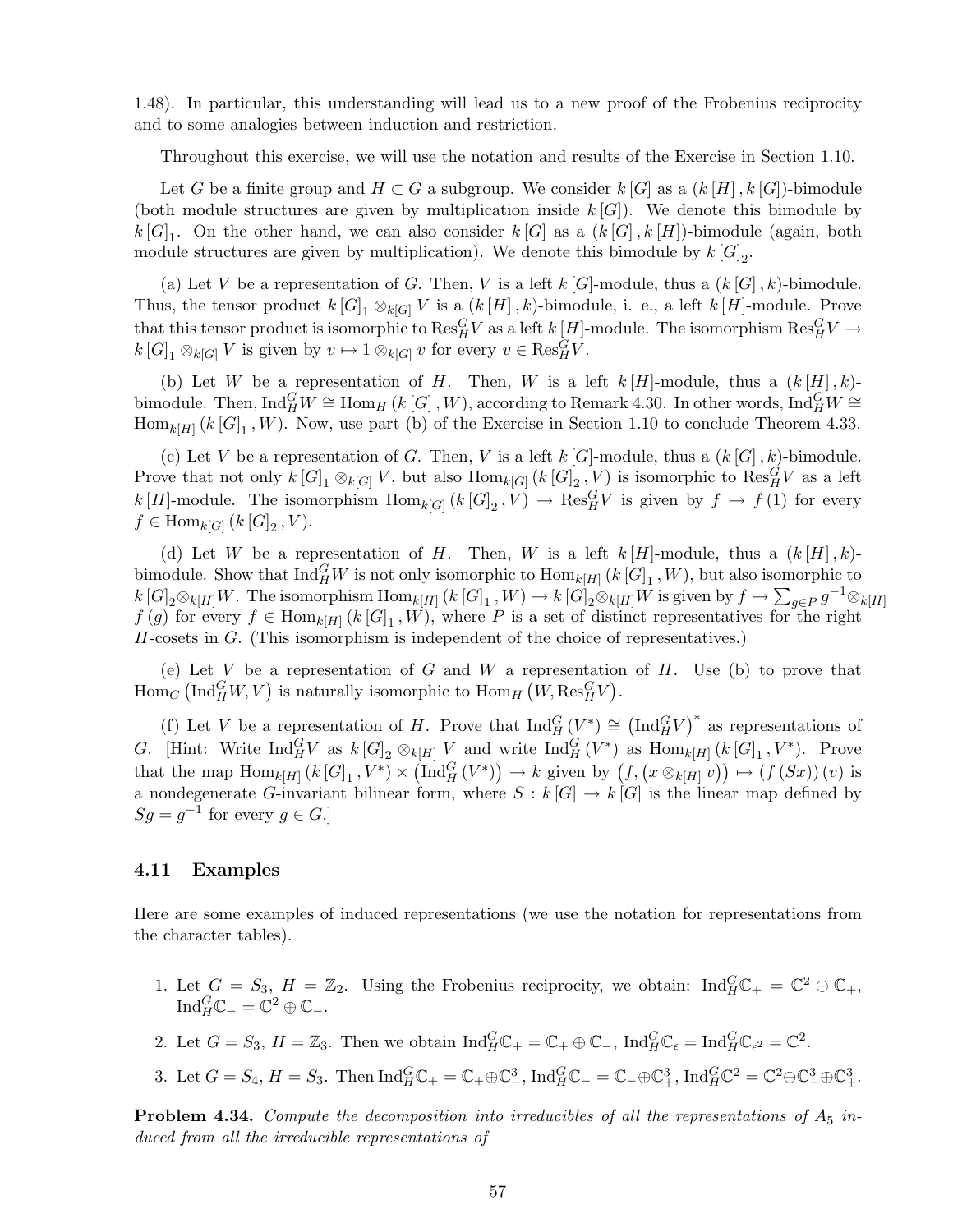1.48). In particular, this understanding will lead us to a new proof of the Frobenius reciprocity and to some analogies between induction and restriction.

Throughout this exercise, we will use the notation and results of the Exercise in Section 1.10.

Let G be a finite group and  $H \subset G$  a subgroup. We consider  $k[G]$  as a  $(k[H], k[G])$ -bimodule (both module structures are given by multiplication inside  $k[G]$ ). We denote this bimodule by  $k[G]_1$ . On the other hand, we can also consider  $k[G]$  as a  $(k[G], k[H])$ -bimodule (again, both module structures are given by multiplication). We denote this bimodule by  $k[G]_2$ .

(a) Let V be a representation of G. Then, V is a left k [G]-module, thus a  $(k |G|, k)$ -bimodule. Thus, the tensor product  $k[G]_1 \otimes_{k[G]} V$  is a  $(k[H], k)$ -bimodule, i. e., a left  $k[H]$ -module. Prove that this tensor product is isomorphic to  $\text{Res}_{H}^{G}V$  as a left  $k[H]$ -module. The isomorphism  $\text{Res}_{H}^{G}V \rightarrow$  $k[G]_1 \otimes_{k[G]} V$  is given by  $v \mapsto 1 \otimes_{k[G]} v$  for every  $v \in \text{Res}_H^G V$ .

(b) Let W be a representation of H. Then, W is a left  $k[H]$ -module, thus a  $(k[H], k)$ bimodule. Then,  $\text{Ind}_{H}^{G}W \cong \text{Hom}_{H} (k [G], W)$ , according to Remark 4.30. In other words,  $\text{Ind}_{H}^{G}W \cong$  $\text{Hom}_{k[H]}(k[G]_1, W)$ . Now, use part (b) of the Exercise in Section 1.10 to conclude Theorem 4.33.

(c) Let V be a representation of G. Then, V is a left  $k[G]$ -module, thus a  $(k[G], k)$ -bimodule. Prove that not only  $k[G]_1 \otimes_{k[G]} V$ , but also  $\text{Hom}_{k[G]} (k[G]_2, V)$  is isomorphic to  $\text{Res}_{H}^{G}V$  as a left  $k[H]$ -module. The isomorphism  $\text{Hom}_{k[G]}(k[G]_2, V) \to \text{Res}_{H}^{G}V$  is given by  $f \mapsto f(1)$  for every  $f \in \text{Hom}_{k[G]} (k[G]_2, V).$ 

(d) Let W be a representation of H. Then, W is a left  $k[H]$ -module, thus a  $(k[H], k)$ bimodule. Show that  $\text{Ind}_{H}^{G}W$  is not only isomorphic to  $\text{Hom}_{k[H]}(k[G]_1, W)$ , but also isomorphic to  $k[G]_2 \otimes_{k[H]} W$ . The isomorphism  $\text{Hom}_{k[H]} (k[G]_1, W) \to k[G]_2 \otimes_{k[H]} W$  is given by  $f \mapsto \sum_{g \in P} g^{-1} \otimes_{k[H]} W$  $f(g)$  for every  $f \in \text{Hom}_{k[H]}(k[G]_1, W)$ , where P is a set of distinct representatives for the right H-cosets in G. (This isomorphism is independent of the choice of representatives.)

(e) Let V be a representation of G and W a representation of H. Use (b) to prove that  $\text{Hom}_G \left( \text{Ind}_H^G W, V \right)$  is naturally isomorphic to  $\text{Hom}_H \left( W, \text{Res}_H^G V \right)$ .

(f) Let V be a representation of H. Prove that  $\text{Ind}_{H}^{G}(V^*) \cong (\text{Ind}_{H}^{G}V)^*$  as representations of G. [Hint: Write  $\text{Ind}_{H}^{G}V$  as  $k[G]_2 \otimes_{k[H]} V$  and write  $\text{Ind}_{H}^{G}(V^*)$  as  $\text{Hom}_{k[H]}(k[G]_1, V^*)$ . Prove that the map  $\text{Hom}_{k[H]}(k[G]_1, V^*) \times (\text{Ind}_{H}^{G}(V^*)) \to k$  given by  $(f, (x \otimes_{k[H]} v)) \mapsto (f(Sx))(v)$  is a nondegenerate G-invariant bilinear form, where  $S : k[G] \to k[G]$  is the linear map defined by  $Sg = g^{-1}$  for every  $g \in G$ .]

# 4.11 Examples

Here are some examples of induced representations (we use the notation for representations from the character tables).

- 1. Let  $G = S_3$ ,  $H = \mathbb{Z}_2$ . Using the Frobenius reciprocity, we obtain:  $\text{Ind}_{H}^{G} \mathbb{C}_{+} = \mathbb{C}^2 \oplus \mathbb{C}_{+}$ ,  $\operatorname{Ind}_{H}^{G} \mathbb{C}_{-} = \mathbb{C}^{2} \oplus \mathbb{C}_{-}.$
- 2. Let  $G = S_3$ ,  $H = \mathbb{Z}_3$ . Then we obtain  $\text{Ind}_{H}^{G} \mathbb{C}_+ = \mathbb{C}_+ \oplus \mathbb{C}_-, \text{Ind}_{H}^{G} \mathbb{C}_\epsilon = \text{Ind}_{H}^{G} \mathbb{C}_{\epsilon^2} = \mathbb{C}^2$ .
- 3. Let  $G = S_4$ ,  $H = S_3$ . Then  $\text{Ind}_{H}^{G} \mathbb{C}_{+} = \mathbb{C}_{+} \oplus \mathbb{C}_{-}^{3}$ ,  $\text{Ind}_{H}^{G} \mathbb{C}_{-} = \mathbb{C}_{-} \oplus \mathbb{C}_{+}^{3}$ ,  $\text{Ind}_{H}^{G} \mathbb{C}^{2} = \mathbb{C}^{2} \oplus \mathbb{C}_{-}^{3} \oplus \mathbb{C}_{+}^{3}$ .

**Problem 4.34.** Compute the decomposition into irreducibles of all the representations of  $A_5$  in*duced from all the irreducible representations of*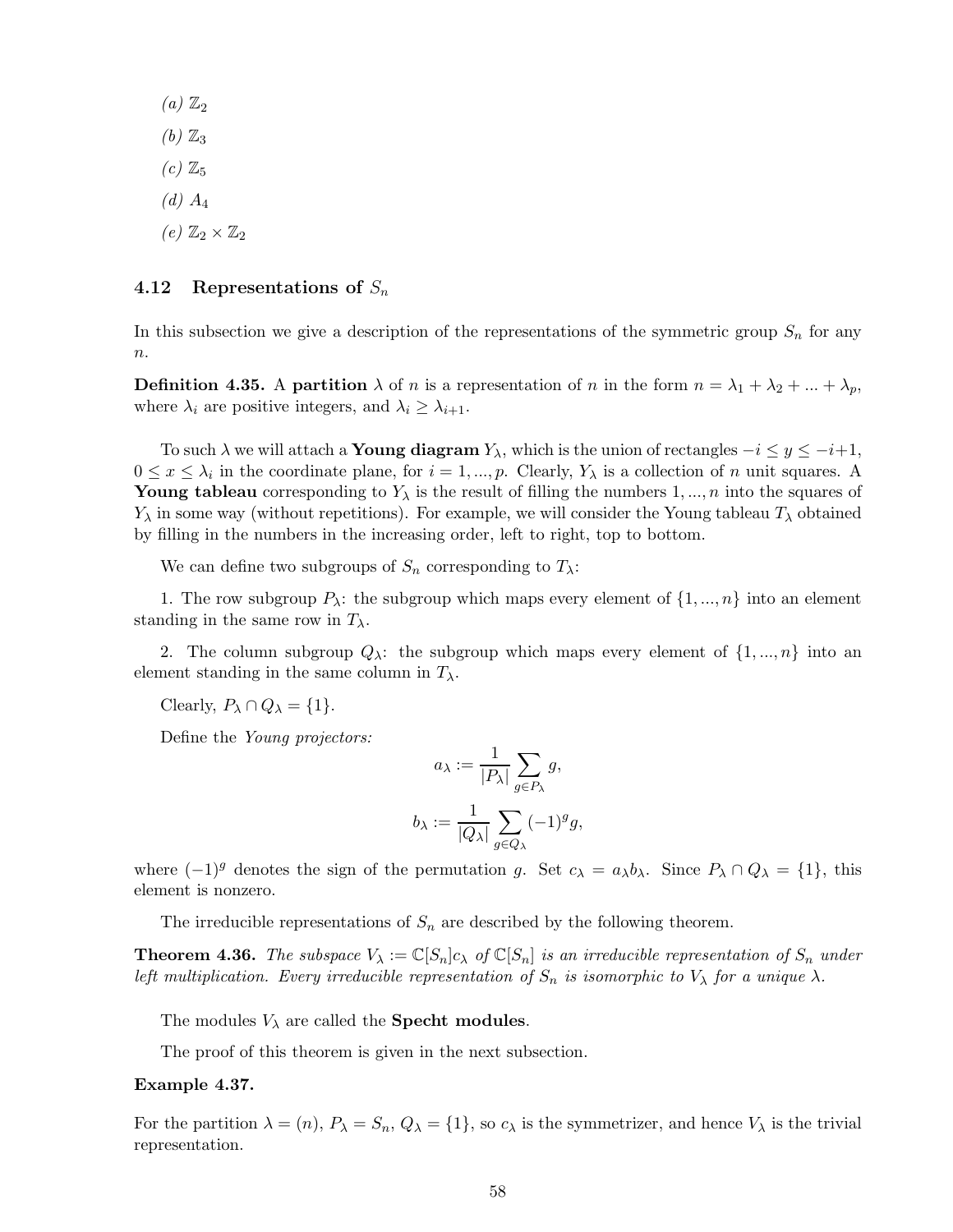$(a)$   $\mathbb{Z}_2$  $(b)$   $\mathbb{Z}_3$  $(c)$   $\mathbb{Z}_5$ *(d)* A<sup>4</sup>  $(e)$   $\mathbb{Z}_2 \times \mathbb{Z}_2$ 

# 4.12 Representations of  $S_n$

In this subsection we give a description of the representations of the symmetric group  $S_n$  for any  $\boldsymbol{n}$ .

**Definition 4.35.** A partition  $\lambda$  of n is a representation of n in the form  $n = \lambda_1 + \lambda_2 + ... + \lambda_p$ , where  $\lambda_i$  are positive integers, and  $\lambda_i \geq \lambda_{i+1}$ .

To such  $\lambda$  we will attach a **Young diagram**  $Y_{\lambda}$ , which is the union of rectangles  $-i \leq y \leq -i+1$ ,  $0 \le x \le \lambda_i$  in the coordinate plane, for  $i = 1, ..., p$ . Clearly,  $Y_\lambda$  is a collection of n unit squares. A Young tableau corresponding to  $Y_{\lambda}$  is the result of filling the numbers 1, ..., n into the squares of  $Y_{\lambda}$  in some way (without repetitions). For example, we will consider the Young tableau  $T_{\lambda}$  obtained by filling in the numbers in the increasing order, left to right, top to bottom.

We can define two subgroups of  $S_n$  corresponding to  $T_\lambda$ :

1. The row subgroup  $P_{\lambda}$ : the subgroup which maps every element of  $\{1,...,n\}$  into an element standing in the same row in  $T_{\lambda}$ .

2. The column subgroup  $Q_\lambda$ : the subgroup which maps every element of  $\{1,...,n\}$  into an element standing in the same column in  $T_{\lambda}$ .

Clearly,  $P_{\lambda} \cap Q_{\lambda} = \{1\}.$ 

Define the *Young projectors:*

$$
a_{\lambda} := \frac{1}{|P_{\lambda}|} \sum_{g \in P_{\lambda}} g,
$$
  

$$
b_{\lambda} := \frac{1}{|Q_{\lambda}|} \sum_{g \in Q_{\lambda}} (-1)^g g,
$$

where  $(-1)^g$  denotes the sign of the permutation g. Set  $c_\lambda = a_\lambda b_\lambda$ . Since  $P_\lambda \cap Q_\lambda = \{1\}$ , this element is nonzero.

The irreducible representations of  $S_n$  are described by the following theorem.

**Theorem 4.36.** The subspace  $V_\lambda := \mathbb{C}[S_n]c_\lambda$  of  $\mathbb{C}[S_n]$  is an irreducible representation of  $S_n$  under *left multiplication. Every irreducible representation of*  $S_n$  *is isomorphic to*  $V_\lambda$  *for a unique*  $\lambda$ *.* 

The modules  $V_{\lambda}$  are called the **Specht modules**.

The proof of this theorem is given in the next subsection.

#### Example 4.37.

For the partition  $\lambda = (n)$ ,  $P_{\lambda} = S_n$ ,  $Q_{\lambda} = \{1\}$ , so  $c_{\lambda}$  is the symmetrizer, and hence  $V_{\lambda}$  is the trivial representation.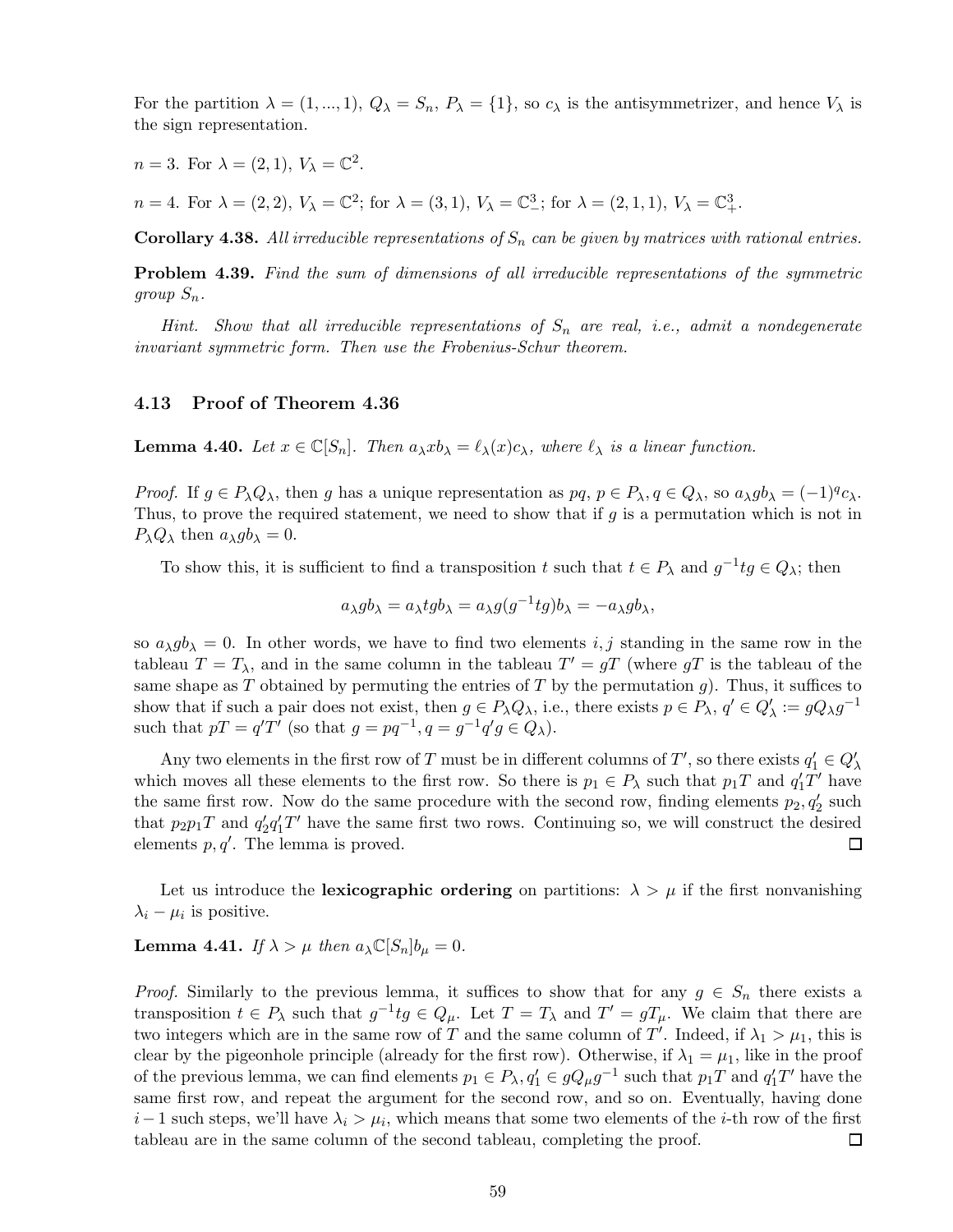For the partition  $\lambda = (1,...,1), Q_{\lambda} = S_n, P_{\lambda} = \{1\}$ , so  $c_{\lambda}$  is the antisymmetrizer, and hence  $V_{\lambda}$  is the sign representation.

 $n = 3$ . For  $\lambda = (2, 1)$ ,  $V_{\lambda} = \mathbb{C}^2$ .

 $n = 4.$  For  $\lambda = (2, 2), V_{\lambda} = \mathbb{C}^2$ ; for  $\lambda = (3, 1), V_{\lambda} = \mathbb{C}^3$ ; for  $\lambda = (2, 1, 1), V_{\lambda} = \mathbb{C}^3_+$ .

Corollary 4.38. All irreducible representations of  $S_n$  can be given by matrices with rational entries.

Problem 4.39. *Find the sum of dimensions of all irreducible representations of the symmetric group*  $S_n$ .

*Hint. Show that all irreducible representations of* S<sup>n</sup> *are real, i.e., admit a nondegenerate invariant symmetric form. Then use the Frobenius-Schur theorem.*

# 4.13 Proof of Theorem 4.36

**Lemma 4.40.** Let  $x \in \mathbb{C}[S_n]$ . Then  $a_\lambda x b_\lambda = \ell_\lambda(x) c_\lambda$ , where  $\ell_\lambda$  is a linear function.

*Proof.* If  $g \in P_\lambda Q_\lambda$ , then g has a unique representation as  $pq, p \in P_\lambda, q \in Q_\lambda$ , so  $a_\lambda gb_\lambda = (-1)^q c_\lambda$ . Thus, to prove the required statement, we need to show that if  $g$  is a permutation which is not in  $P_{\lambda}Q_{\lambda}$  then  $a_{\lambda}gb_{\lambda}=0$ .

To show this, it is sufficient to find a transposition t such that  $t \in P_\lambda$  and  $g^{-1}tg \in Q_\lambda$ ; then

$$
a_{\lambda}gb_{\lambda} = a_{\lambda}tgb_{\lambda} = a_{\lambda}g(g^{-1}tg)b_{\lambda} = -a_{\lambda}gb_{\lambda},
$$

so  $a_{\lambda}gb_{\lambda} = 0$ . In other words, we have to find two elements i, j standing in the same row in the tableau  $T = T_{\lambda}$ , and in the same column in the tableau  $T' = gT$  (where  $gT$  is the tableau of the same shape as T obtained by permuting the entries of T by the permutation q). Thus, it suffices to show that if such a pair does not exist, then  $g \in P_{\lambda} Q_{\lambda}$ , i.e., there exists  $p \in P_{\lambda}$ ,  $q' \in Q'_{\lambda} := g Q_{\lambda} g^{-1}$ such that  $pT = q'T'$  (so that  $g = pq^{-1}, q = g^{-1}q'g \in Q_\lambda$ ).

Any two elements in the first row of T must be in different columns of T', so there exists  $q'_1 \in Q'_\lambda$ which moves all these elements to the first row. So there is  $p_1 \in P_\lambda$  such that  $p_1T$  and  $q'_1T'$  have the same first row. Now do the same procedure with the second row, finding elements  $p_2, q'_2$  such that  $p_2p_1T$  and  $q'_2q'_1T'$  have the same first two rows. Continuing so, we will construct the desired elements  $p, q'$ . The lemma is proved. 囗

Let us introduce the lexicographic ordering on partitions:  $\lambda > \mu$  if the first nonvanishing  $\lambda_i - \mu_i$  is positive.

# **Lemma 4.41.** *If*  $\lambda > \mu$  *then*  $a_{\lambda} \mathbb{C}[S_n] b_{\mu} = 0$ *.*

*Proof.* Similarly to the previous lemma, it suffices to show that for any  $g \in S_n$  there exists a transposition  $t \in P_\lambda$  such that  $g^{-1}tg \in Q_\mu$ . Let  $T = T_\lambda$  and  $T' = gT_\mu$ . We claim that there are two integers which are in the same row of T and the same column of T'. Indeed, if  $\lambda_1 > \mu_1$ , this is clear by the pigeonhole principle (already for the first row). Otherwise, if  $\lambda_1 = \mu_1$ , like in the proof of the previous lemma, we can find elements  $p_1 \in P_{\lambda}$ ,  $q_1' \in gQ_{\mu}g^{-1}$  such that  $p_1T$  and  $q_1'T'$  have the same first row, and repeat the argument for the second row, and so on. Eventually, having done  $i-1$  such steps, we'll have  $\lambda_i > \mu_i$ , which means that some two elements of the *i*-th row of the first tableau are in the same column of the second tableau, completing the proof. 囗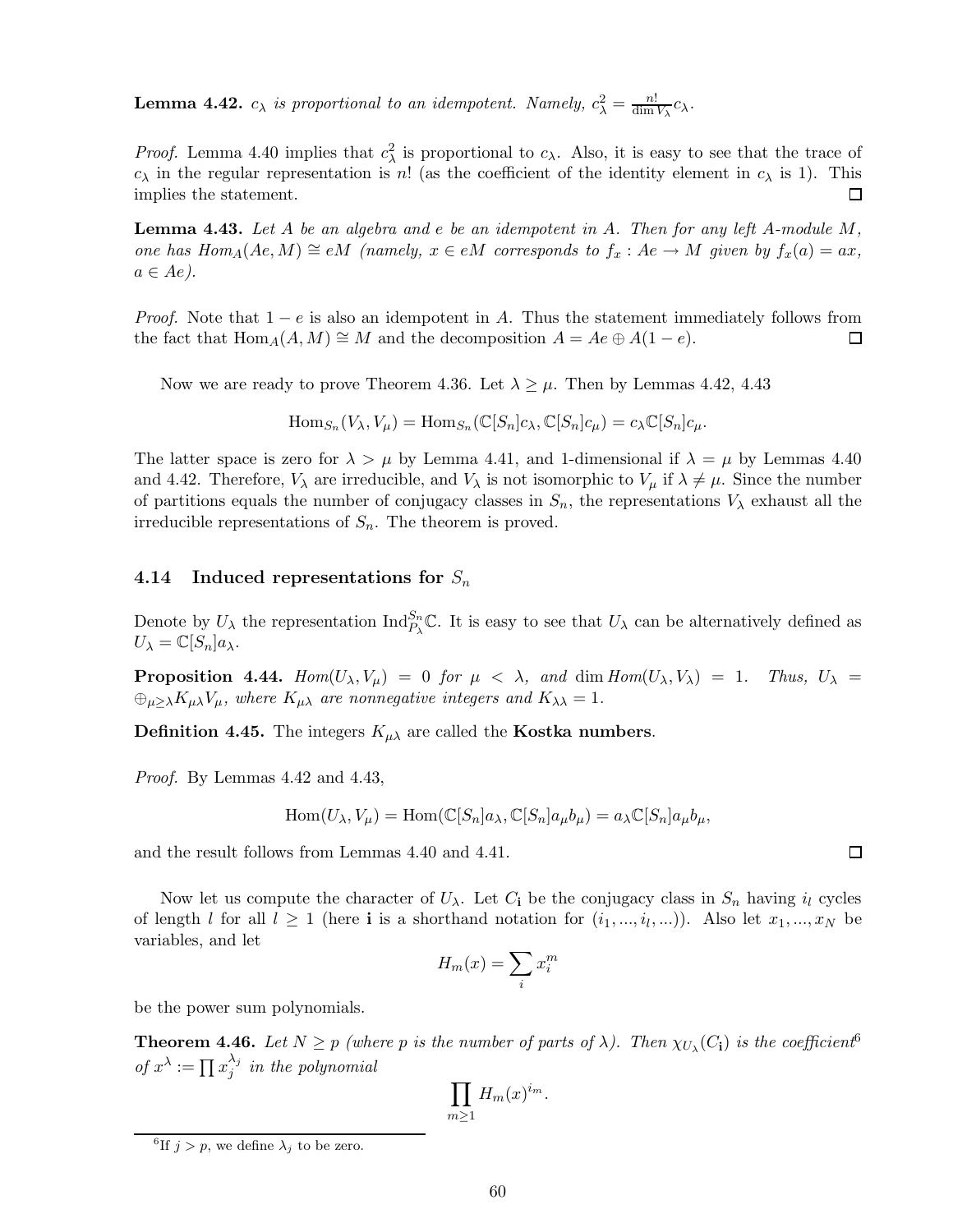**Lemma 4.42.**  $c_{\lambda}$  is proportional to an idempotent. Namely,  $c_{\lambda}^2 = \frac{n!}{\dim n!}$  $\frac{n!}{\dim V_\lambda}c_\lambda.$ 

*Proof.* Lemma 4.40 implies that  $c_{\lambda}^2$  is proportional to  $c_{\lambda}$ . Also, it is easy to see that the trace of  $c_{\lambda}$  in the regular representation is n! (as the coefficient of the identity element in  $c_{\lambda}$  is 1). This implies the statement. □

Lemma 4.43. *Let* A *be an algebra and* e *be an idempotent in* A*. Then for any left* A*-module* M*, one has*  $Hom_A(Ae, M) \cong eM$  *(namely,*  $x \in eM$  *corresponds to*  $f_x : Ae \rightarrow M$  *given by*  $f_x(a) = ax$ *,*  $a \in Ae$ ).

*Proof.* Note that  $1 - e$  is also an idempotent in A. Thus the statement immediately follows from the fact that Hom  $_A(A, M) \cong M$  and the decomposition  $A = Ae \oplus A(1 - e)$ . the fact that  $\text{Hom}_{A}(A,M) \cong M$  and the decomposition  $A = Ae \oplus A(1-e)$ .

Now we are ready to prove Theorem 4.36. Let  $\lambda \geq \mu$ . Then by Lemmas 4.42, 4.43

 $\text{Hom}_{S_n}(V_\lambda, V_\mu) = \text{Hom}_{S_n}(\mathbb{C}[S_n]c_\lambda, \mathbb{C}[S_n]c_\mu) = c_\lambda \mathbb{C}[S_n]c_\mu.$ 

The latter space is zero for  $\lambda > \mu$  by Lemma 4.41, and 1-dimensional if  $\lambda = \mu$  by Lemmas 4.40 and 4.42. Therefore,  $V_{\lambda}$  are irreducible, and  $V_{\lambda}$  is not isomorphic to  $V_{\mu}$  if  $\lambda \neq \mu$ . Since the number of partitions equals the number of conjugacy classes in  $S_n$ , the representations  $V_\lambda$  exhaust all the irreducible representations of  $S_n$ . The theorem is proved.

# 4.14 Induced representations for  $S_n$

Denote by  $U_{\lambda}$  the representation  $\text{Ind}_{P_{\lambda}}^{S_n} \mathbb{C}$ . It is easy to see that  $U_{\lambda}$  can be alternatively defined as  $U_{\lambda} = \mathbb{C}[S_n]a_{\lambda}.$ 

**Proposition 4.44.**  $Hom(U_\lambda, V_\mu) = 0$  for  $\mu < \lambda$ , and  $dim Hom(U_\lambda, V_\lambda) = 1$ . Thus,  $U_\lambda =$  $\bigoplus_{\mu\geq\lambda}K_{\mu\lambda}V_{\mu}$ , where  $K_{\mu\lambda}$  are nonnegative integers and  $K_{\lambda\lambda}=1$ .

**Definition 4.45.** The integers  $K_{\mu\lambda}$  are called the **Kostka numbers.** 

*Proof.* By Lemmas 4.42 and 4.43,

$$
\operatorname{Hom}(U_{\lambda}, V_{\mu}) = \operatorname{Hom}(\mathbb{C}[S_n]a_{\lambda}, \mathbb{C}[S_n]a_{\mu}b_{\mu}) = a_{\lambda}\mathbb{C}[S_n]a_{\mu}b_{\mu},
$$

and the result follows from Lemmas 4.40 and 4.41.

Now let us compute the character of  $U_\lambda$ . Let  $C_i$  be the conjugacy class in  $S_n$  having  $i_l$  cycles of length l for all  $l \geq 1$  (here **i** is a shorthand notation for  $(i_1, ..., i_l, ...)$ ). Also let  $x_1, ..., x_N$  be variables, and let

$$
H_m(x) = \sum_i x_i^m
$$

be the power sum polynomials.

**Theorem 4.46.** Let  $N \geq p$  (where p is the number of parts of  $\lambda$ ). Then  $\chi_{U_{\lambda}}(C_i)$  is the coefficient<sup>6</sup> *of*  $x^{\lambda} := \prod x_i^{\lambda_j}$  $\hat{j}^j$  *in the polynomial* 

$$
\prod_{m\geq 1} H_m(x)^{i_m}.
$$

<sup>&</sup>lt;sup>6</sup>If  $j > p$ , we define  $\lambda_j$  to be zero.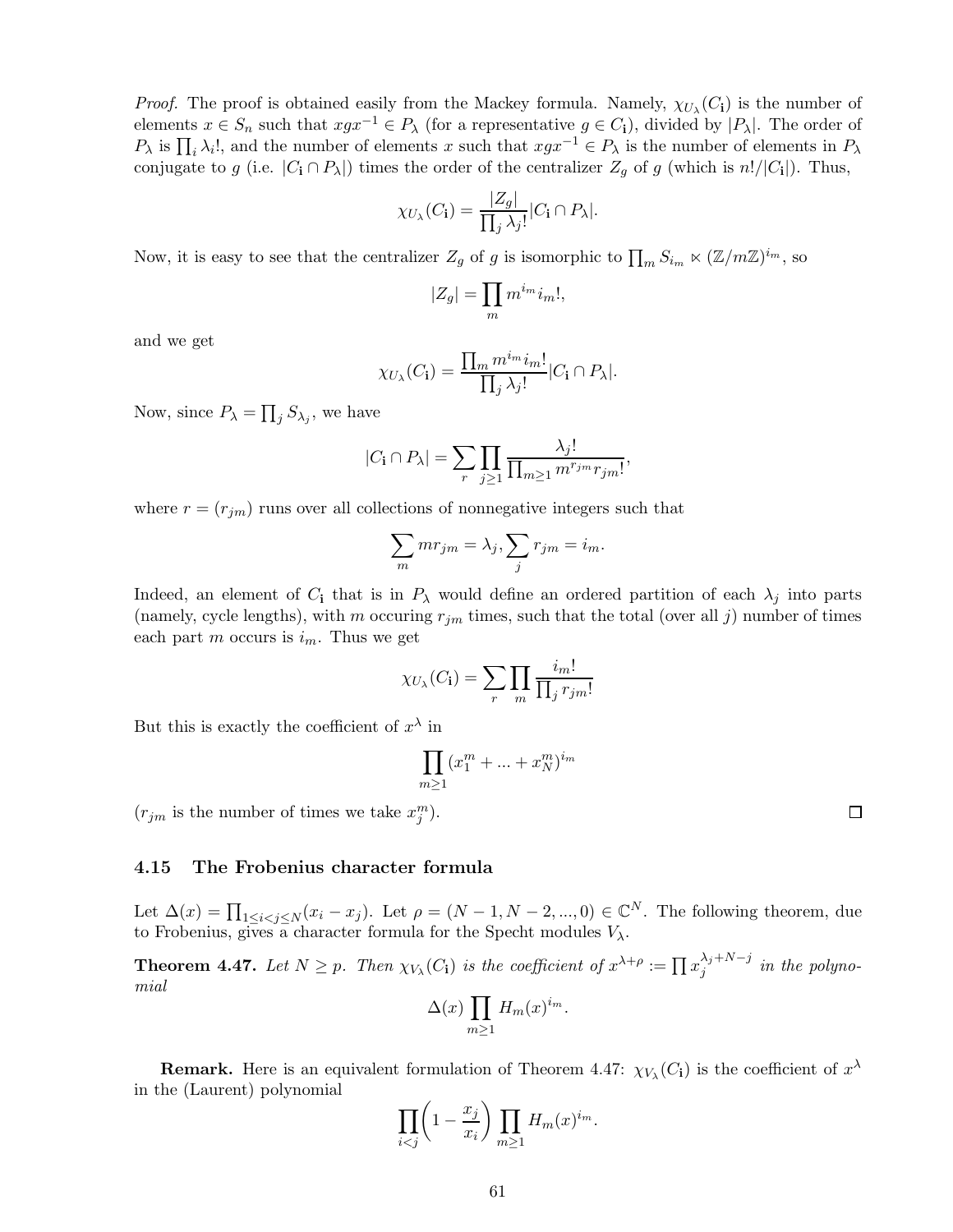*Proof.* The proof is obtained easily from the Mackey formula. Namely,  $\chi_{U_\lambda}(C_i)$  is the number of elements  $x \in S_n$  such that  $xgx^{-1} \in P_\lambda$  (for a representative  $g \in C_i$ ), divided by  $|P_\lambda|$ . The order of  $P_{\lambda}$  is  $\prod_i \lambda_i!$ , and the number of elements x such that  $xgx^{-1} \in P_{\lambda}$  is the number of elements in  $P_{\lambda}$ conjugate to g (i.e.  $|C_i \cap P_\lambda|$ ) times the order of the centralizer  $Z_g$  of g (which is  $n!/|C_i|$ ). Thus,

$$
\chi_{U_{\lambda}}(C_{\mathbf{i}}) = \frac{|Z_g|}{\prod_j \lambda_j!} |C_{\mathbf{i}} \cap P_{\lambda}|.
$$

Now, it is easy to see that the centralizer  $Z_g$  of g is isomorphic to  $\prod_m S_{i_m} \ltimes (\mathbb{Z}/m\mathbb{Z})^{i_m}$ , so

$$
|Z_g| = \prod_m m^{i_m} i_m!,
$$

and we get

$$
\chi_{U_{\lambda}}(C_{\mathbf{i}}) = \frac{\prod_{m} m^{i_m} i_m!}{\prod_j \lambda_j!} |C_{\mathbf{i}} \cap P_{\lambda}|.
$$

Now, since  $P_{\lambda} = \prod_j S_{\lambda_j}$ , we have

$$
|C_{\mathbf{i}} \cap P_{\lambda}| = \sum_{r} \prod_{j \geq 1} \frac{\lambda_j!}{\prod_{m \geq 1} m^{r_{jm}} r_{jm}!},
$$

where  $r = (r_{jm})$  runs over all collections of nonnegative integers such that

$$
\sum_{m} mr_{jm} = \lambda_j, \sum_{j} r_{jm} = i_m.
$$

Indeed, an element of  $C_i$  that is in  $P_\lambda$  would define an ordered partition of each  $\lambda_j$  into parts (namely, cycle lengths), with m occuring  $r_{jm}$  times, such that the total (over all j) number of times each part m occurs is  $i_m$ . Thus we get

$$
\chi_{U_{\lambda}}(C_{\mathbf{i}}) = \sum_{r} \prod_{m} \frac{i_{m}!}{\prod_{j} r_{jm}!}
$$

But this is exactly the coefficient of  $x^{\lambda}$  in

$$
\prod_{m\geq 1} (x_1^m + \dots + x_N^m)^{i_m}
$$

 $(r_{jm}$  is the number of times we take  $x_j^m$ ).

## 4.15 The Frobenius character formula

Let  $\Delta(x) = \prod_{1 \leq i < j \leq N} (x_i - x_j)$ . Let  $\rho = (N - 1, N - 2, ..., 0) \in \mathbb{C}^N$ . The following theorem, due to Frobenius, gives a character formula for the Specht modules  $V_{\lambda}$ .

**Theorem 4.47.** Let  $N \geq p$ . Then  $\chi_{V_{\lambda}}(C_i)$  is the coefficient of  $x^{\lambda+\rho} := \prod_{i} x_j^{\lambda_j+N-j}$  in the polyno*mial*

$$
\Delta(x) \prod_{m \ge 1} H_m(x)^{i_m}.
$$

**Remark.** Here is an equivalent formulation of Theorem 4.47:  $\chi_{V_{\lambda}}(C_i)$  is the coefficient of  $x^{\lambda}$ in the (Laurent) polynomial

$$
\prod_{i < j} \left( 1 - \frac{x_j}{x_i} \right) \prod_{m \ge 1} H_m(x)^{i_m}.
$$

61

 $\Box$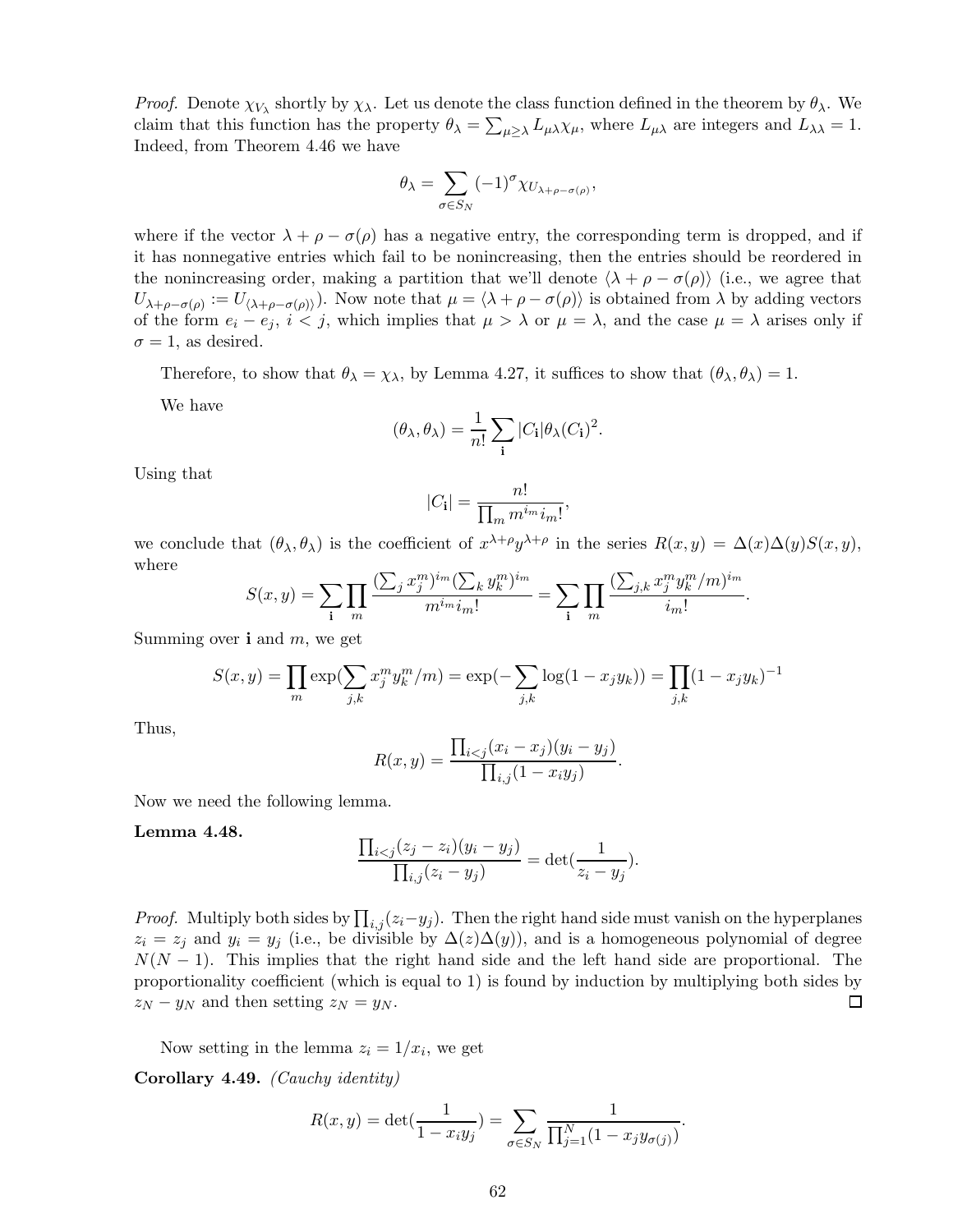*Proof.* Denote  $\chi_{V_\lambda}$  shortly by  $\chi_\lambda$ . Let us denote the class function defined in the theorem by  $\theta_\lambda$ . We claim that this function has the property  $\theta_{\lambda} = \sum_{\mu \geq \lambda} L_{\mu} \lambda \chi_{\mu}$ , where  $L_{\mu} \lambda$  are integers and  $L_{\lambda} \lambda = 1$ . Indeed, from Theorem 4.46 we have

$$
\theta_{\lambda} = \sum_{\sigma \in S_N} (-1)^{\sigma} \chi_{U_{\lambda + \rho - \sigma(\rho)}},
$$

where if the vector  $\lambda + \rho - \sigma(\rho)$  has a negative entry, the corresponding term is dropped, and if it has nonnegative entries which fail to be nonincreasing, then the entries should be reordered in the nonincreasing order, making a partition that we'll denote  $\langle \lambda + \rho - \sigma(\rho) \rangle$  (i.e., we agree that  $U_{\lambda+\rho-\sigma(\rho)}:=U_{\langle\lambda+\rho-\sigma(\rho)\rangle}$ . Now note that  $\mu=\langle\lambda+\rho-\sigma(\rho)\rangle$  is obtained from  $\lambda$  by adding vectors of the form  $e_i - e_j$ ,  $i < j$ , which implies that  $\mu > \lambda$  or  $\mu = \lambda$ , and the case  $\mu = \lambda$  arises only if  $\sigma = 1$ , as desired.

Therefore, to show that  $\theta_{\lambda} = \chi_{\lambda}$ , by Lemma 4.27, it suffices to show that  $(\theta_{\lambda}, \theta_{\lambda}) = 1$ .

We have

$$
(\theta_{\lambda}, \theta_{\lambda}) = \frac{1}{n!} \sum_{\mathbf{i}} |C_{\mathbf{i}}| \theta_{\lambda} (C_{\mathbf{i}})^2.
$$

Using that

$$
|C_{\mathbf{i}}| = \frac{n!}{\prod_{m} m^{i_m} i_m!}
$$

,

we conclude that  $(\theta_{\lambda}, \theta_{\lambda})$  is the coefficient of  $x^{\lambda+\rho}y^{\lambda+\rho}$  in the series  $R(x, y) = \Delta(x)\Delta(y)S(x, y)$ , where

$$
S(x,y) = \sum_{\mathbf{i}} \prod_{m} \frac{(\sum_{j} x_j^m)^{i_m} (\sum_{k} y_k^m)^{i_m}}{m^{i_m} i_m!} = \sum_{\mathbf{i}} \prod_{m} \frac{(\sum_{j,k} x_j^m y_k^m/m)^{i_m}}{i_m!}.
$$

Summing over  $\mathbf{i}$  and  $m$ , we get

$$
S(x, y) = \prod_{m} \exp\left(\sum_{j,k} x_j^m y_k^m / m\right) = \exp\left(-\sum_{j,k} \log(1 - x_j y_k)\right) = \prod_{j,k} (1 - x_j y_k)^{-1}
$$

Thus,

$$
R(x, y) = \frac{\prod_{i < j} (x_i - x_j)(y_i - y_j)}{\prod_{i, j} (1 - x_i y_j)}.
$$

Now we need the following lemma.

#### Lemma 4.48.

$$
\frac{\prod_{i < j} (z_j - z_i)(y_i - y_j)}{\prod_{i, j} (z_i - y_j)} = \det(\frac{1}{z_i - y_j}).
$$

*Proof.* Multiply both sides by  $\prod_{i,j} (z_i - y_j)$ . Then the right hand side must vanish on the hyperplanes  $z_i = z_j$  and  $y_i = y_j$  (i.e., be divisible by  $\Delta(z)\Delta(y)$ ), and is a homogeneous polynomial of degree  $N(N-1)$ . This implies that the right hand side and the left hand side are proportional. The proportionality coefficient (which is equal to 1) is found by induction by multiplying both sides by  $z_N - y_N$  and then setting  $z_N = y_N$ . 囗

Now setting in the lemma  $z_i = 1/x_i$ , we get

Corollary 4.49. *(Cauchy identity)*

$$
R(x,y) = \det(\frac{1}{1 - x_i y_j}) = \sum_{\sigma \in S_N} \frac{1}{\prod_{j=1}^N (1 - x_j y_{\sigma(j)})}.
$$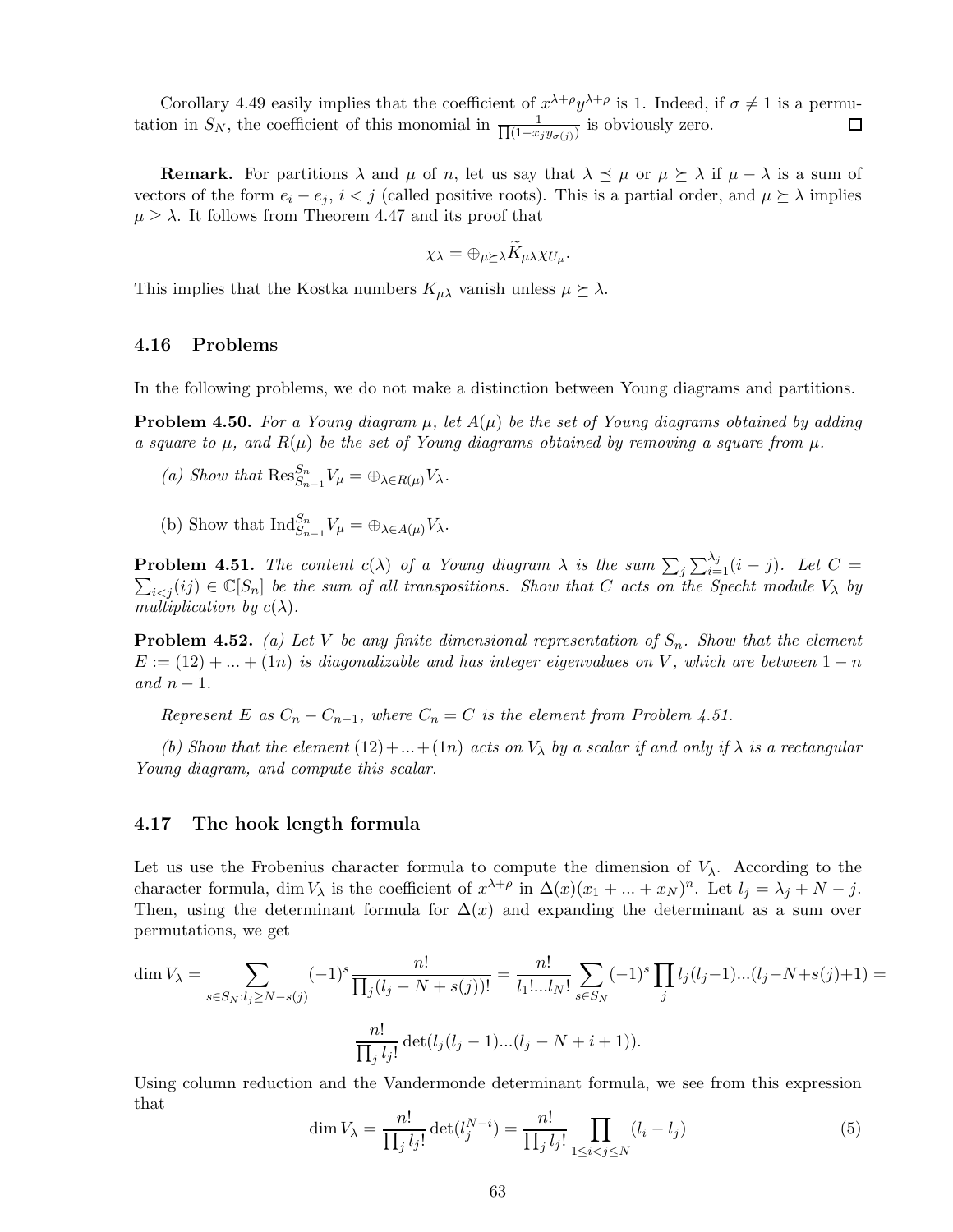Corollary 4.49 easily implies that the coefficient of  $x^{\lambda+\rho}y^{\lambda+\rho}$  is 1. Indeed, if  $\sigma \neq 1$  is a permutation in  $S_N$ , the coefficient of this monomial in  $\frac{1}{\prod_{i=1}^{N} x_i}$  $\frac{1}{(1-x_jy_{\sigma(j)})}$  is obviously zero.

**Remark.** For partitions  $\lambda$  and  $\mu$  of n, let us say that  $\lambda \preceq \mu$  or  $\mu \succeq \lambda$  if  $\mu - \lambda$  is a sum of vectors of the form  $e_i - e_j$ ,  $i < j$  (called positive roots). This is a partial order, and  $\mu \succeq \lambda$  implies  $\mu \geq \lambda$ . It follows from Theorem 4.47 and its proof that

$$
\chi_{\lambda} = \oplus_{\mu \succeq \lambda} \widetilde{K}_{\mu\lambda} \chi_{U_{\mu}}.
$$

This implies that the Kostka numbers  $K_{\mu\lambda}$  vanish unless  $\mu \succeq \lambda$ .

# 4.16 Problems

In the following problems, we do not make a distinction between Young diagrams and partitions.

**Problem 4.50.** For a Young diagram  $\mu$ , let  $A(\mu)$  be the set of Young diagrams obtained by adding *a square to*  $\mu$ , and  $R(\mu)$  be the set of Young diagrams obtained by removing a square from  $\mu$ .

- (a) Show that  $\operatorname{Res}_{S_{n-1}}^{S_n} V_\mu = \bigoplus_{\lambda \in R(\mu)} V_\lambda$ .
- (b) Show that  $\text{Ind}_{S_{n-1}}^{S_n} V_\mu = \bigoplus_{\lambda \in A(\mu)} V_\lambda$ .

**Problem 4.51.** The content  $c(\lambda)$  of a Young diagram  $\lambda$  is the sum  $\sum_j \sum_{i=1}^{\lambda_j} (i-j)$ . Let  $C =$  $\sum_{i \leq j} (ij) \in \mathbb{C}[S_n]$  *be the sum of all transpositions. Show that* C *acts on the Specht module*  $V_\lambda$  *by multiplication by*  $c(\lambda)$ *.* 

**Problem 4.52.** *(a) Let V be any finite dimensional representation of*  $S_n$ *. Show that the element*  $E := (12) + ... + (1n)$  *is diagonalizable and has integer eigenvalues on* V, which are between  $1 - n$  $and n-1$ .

*Represent* E as  $C_n - C_{n-1}$ , where  $C_n = C$  *is the element from Problem 4.51.* 

*(b)* Show that the element  $(12) + ... + (1n)$  acts on  $V_{\lambda}$  by a scalar if and only if  $\lambda$  is a rectangular *Young diagram, and compute this scalar.*

### 4.17 The hook length formula

Let us use the Frobenius character formula to compute the dimension of  $V_\lambda$ . According to the character formula, dim  $V_{\lambda}$  is the coefficient of  $x^{\lambda+\rho}$  in  $\Delta(x)(x_1 + ... + x_N)^n$ . Let  $l_j = \lambda_j + N - j$ . Then, using the determinant formula for  $\Delta(x)$  and expanding the determinant as a sum over permutations, we get

$$
\dim V_{\lambda} = \sum_{s \in S_N : l_j \ge N - s(j)} (-1)^s \frac{n!}{\prod_j (l_j - N + s(j))!} = \frac{n!}{l_1! \dots l_N!} \sum_{s \in S_N} (-1)^s \prod_j l_j(l_j - 1) \dots (l_j - N + s(j) + 1) = \frac{n!}{\prod_j l_j!} \det(l_j(l_j - 1) \dots (l_j - N + i + 1)).
$$

Using column reduction and the Vandermonde determinant formula, we see from this expression that

$$
\dim V_{\lambda} = \frac{n!}{\prod_{j} l_{j}!} \det(l_{j}^{N-i}) = \frac{n!}{\prod_{j} l_{j}!} \prod_{1 \leq i < j \leq N} (l_{i} - l_{j}) \tag{5}
$$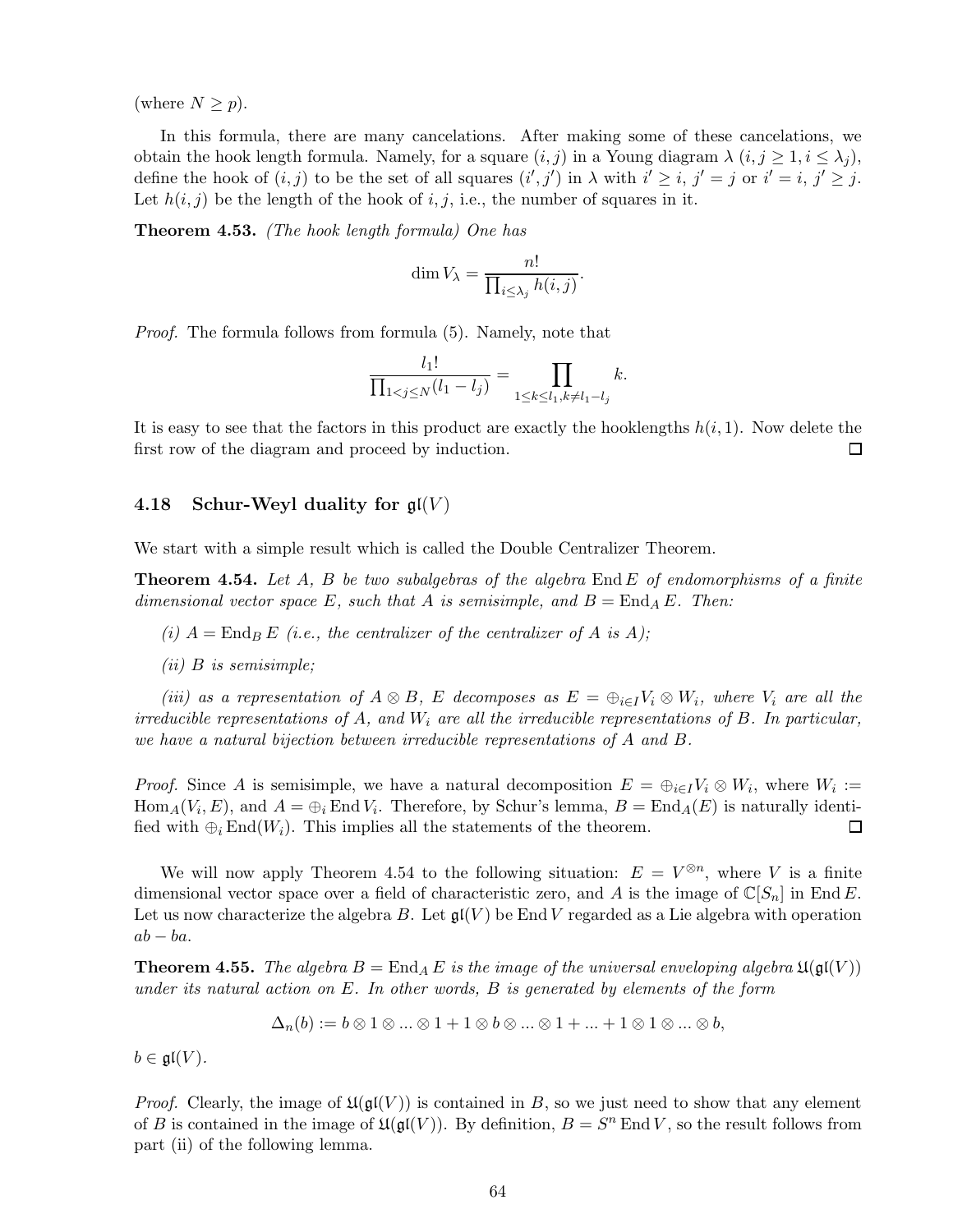(where  $N \geq p$ ).

In this formula, there are many cancelations. After making some of these cancelations, we obtain the hook length formula. Namely, for a square  $(i,j)$  in a Young diagram  $\lambda$   $(i,j \geq 1, i \leq \lambda_i)$ , define the hook of  $(i, j)$  to be the set of all squares  $(i', j')$  in  $\lambda$  with  $i' \geq i$ ,  $j' = j$  or  $i' = i$ ,  $j' \geq j$ . Let  $h(i, j)$  be the length of the hook of i, j, i.e., the number of squares in it.

Theorem 4.53. *(The hook length formula) One has*

$$
\dim V_{\lambda} = \frac{n!}{\prod_{i \leq \lambda_j} h(i,j)}.
$$

*Proof.* The formula follows from formula (5). Namely, note that

$$
\frac{l_1!}{\prod_{1 < j \le N} (l_1 - l_j)} = \prod_{1 \le k \le l_1, k \ne l_1 - l_j} k.
$$

It is easy to see that the factors in this product are exactly the hooklengths  $h(i, 1)$ . Now delete the first row of the diagram and proceed by induction.  $\Box$ 

# 4.18 Schur-Weyl duality for  $\mathfrak{gl}(V)$

We start with a simple result which is called the Double Centralizer Theorem.

Theorem 4.54. *Let* A*,* B *be two subalgebras of the algebra* End E *of endomorphisms of a finite dimensional vector space* E, such that A is semisimple, and  $B = \text{End}_A E$ . Then:

*(i)*  $A = \text{End}_B E$  *(i.e., the centralizer of the centralizer of* A *is* A);

*(ii)* B *is semisimple;*

*(iii)* as a representation of  $A \otimes B$ , E decomposes as  $E = \bigoplus_{i \in I} V_i \otimes W_i$ , where  $V_i$  are all the *irreducible representations of* A*, and* W<sup>i</sup> *are all the irreducible representations of* B*. In particular, we have a natural bijection between irreducible representations of* A *and* B*.*

*Proof.* Since A is semisimple, we have a natural decomposition  $E = \bigoplus_{i \in I} V_i \otimes W_i$ , where  $W_i :=$  $\text{Hom}_A(V_i, E)$ , and  $A = \bigoplus_i \text{End } V_i$ . Therefore, by Schur's lemma,  $B = \text{End}_A(E)$  is naturally identified with  $\oplus_i$  End( $W_i$ ). This implies all the statements of the theorem.  $\Box$ 

We will now apply Theorem 4.54 to the following situation:  $E = V^{\otimes n}$ , where V is a finite dimensional vector space over a field of characteristic zero, and A is the image of  $\mathbb{C}[S_n]$  in End E. Let us now characterize the algebra B. Let  $\mathfrak{gl}(V)$  be End V regarded as a Lie algebra with operation  $ab - ba$ .

**Theorem 4.55.** The algebra  $B = \text{End}_A E$  is the image of the universal enveloping algebra  $\mathfrak{U}(\mathfrak{gl}(V))$ *under its natural action on* E*. In other words,* B *is generated by elements of the form*

$$
\Delta_n(b) := b \otimes 1 \otimes \ldots \otimes 1 + 1 \otimes b \otimes \ldots \otimes 1 + \ldots + 1 \otimes 1 \otimes \ldots \otimes b,
$$

 $b \in \mathfrak{gl}(V)$ .

*Proof.* Clearly, the image of  $\mathfrak{U}(\mathfrak{gl}(V))$  is contained in B, so we just need to show that any element of B is contained in the image of  $\mathfrak{U}(\mathfrak{gl}(V))$ . By definition,  $B = S^n$  End V, so the result follows from part (ii) of the following lemma.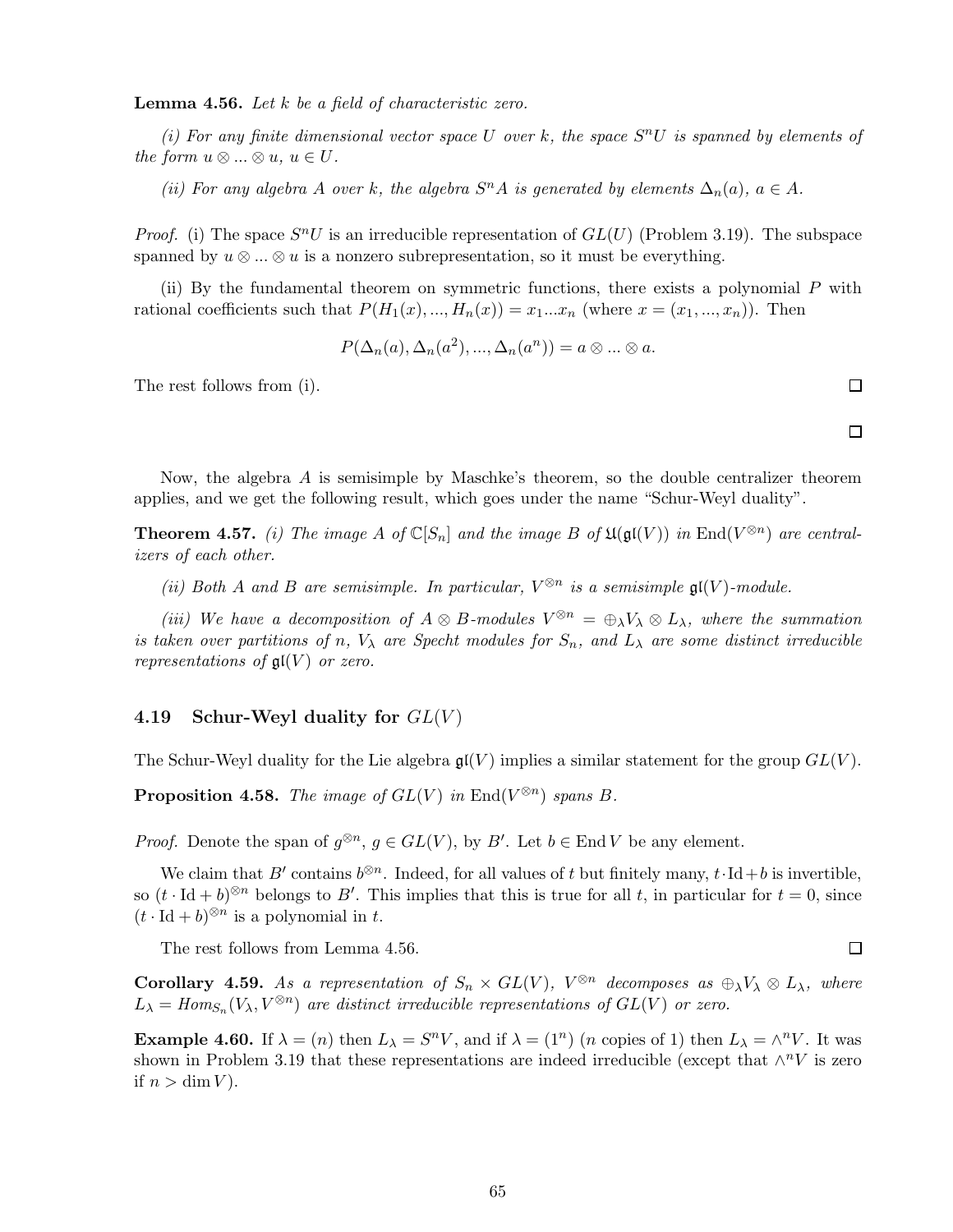Lemma 4.56. *Let* k *be a field of characteristic zero.*

(*i*) For any finite dimensional vector space U over k, the space  $S<sup>n</sup>U$  is spanned by elements of *the form*  $u \otimes ... \otimes u$ ,  $u \in U$ .

*(ii)* For any algebra A over k, the algebra  $S<sup>n</sup>A$  is generated by elements  $\Delta_n(a)$ ,  $a \in A$ .

*Proof.* (i) The space  $S^nU$  is an irreducible representation of  $GL(U)$  (Problem 3.19). The subspace spanned by  $u \otimes ... \otimes u$  is a nonzero subrepresentation, so it must be everything.

(ii) By the fundamental theorem on symmetric functions, there exists a polynomial P with rational coefficients such that  $P(H_1(x),...,H_n(x)) = x_1...x_n$  (where  $x = (x_1,...,x_n)$ ). Then

$$
P(\Delta_n(a), \Delta_n(a^2), ..., \Delta_n(a^n)) = a \otimes ... \otimes a.
$$

The rest follows from (i).

Now, the algebra A is semisimple by Maschke's theorem, so the double centralizer theorem applies, and we get the following result, which goes under the name "Schur-Weyl duality".

**Theorem 4.57.** *(i)* The image A of  $\mathbb{C}[S_n]$  and the image B of  $\mathfrak{U}(\mathfrak{gl}(V))$  in  $\text{End}(V^{\otimes n})$  are central*izers of each other.*

(*ii*) Both A and B are semisimple. In particular,  $V^{\otimes n}$  is a semisimple  $\mathfrak{gl}(V)$ -module.

*(iii)* We have a decomposition of  $A \otimes B$ -modules  $V^{\otimes n} = \bigoplus_{\lambda} V_{\lambda} \otimes L_{\lambda}$ , where the summation *is taken over partitions of* n,  $V_{\lambda}$  *are Specht modules for*  $S_n$ *, and*  $L_{\lambda}$  *are some distinct irreducible representations of*  $\mathfrak{gl}(V)$  *or zero.* 

### 4.19 Schur-Weyl duality for  $GL(V)$

The Schur-Weyl duality for the Lie algebra  $\mathfrak{gl}(V)$  implies a similar statement for the group  $GL(V)$ .

**Proposition 4.58.** *The image of*  $GL(V)$  *in*  $End(V^{\otimes n})$  *spans* B.

*Proof.* Denote the span of  $g^{\otimes n}$ ,  $g \in GL(V)$ , by B'. Let  $b \in End V$  be any element.

We claim that B' contains  $b^{\otimes n}$ . Indeed, for all values of t but finitely many,  $t \cdot \text{Id} + b$  is invertible, so  $(t \cdot \text{Id} + b)^{\otimes n}$  belongs to B'. This implies that this is true for all t, in particular for  $t = 0$ , since  $(t \cdot \text{Id} + b)^{\otimes n}$  is a polynomial in t.

The rest follows from Lemma 4.56.

**Corollary 4.59.** As a representation of  $S_n \times GL(V)$ ,  $V^{\otimes n}$  decomposes as  $\bigoplus_{\lambda} V_{\lambda} \otimes L_{\lambda}$ , where  $L_{\lambda} = Hom_{S_n}(V_{\lambda}, V^{\otimes n})$  are distinct irreducible representations of  $GL(V)$  or zero.

**Example 4.60.** If  $\lambda = (n)$  then  $L_{\lambda} = S^n V$ , and if  $\lambda = (1^n)$  (*n* copies of 1) then  $L_{\lambda} = \wedge^n V$ . It was shown in Problem 3.19 that these representations are indeed irreducible (except that  $\wedge^n V$  is zero if  $n > \dim V$ ).

 $\Box$ 

 $\Box$ 

 $\Box$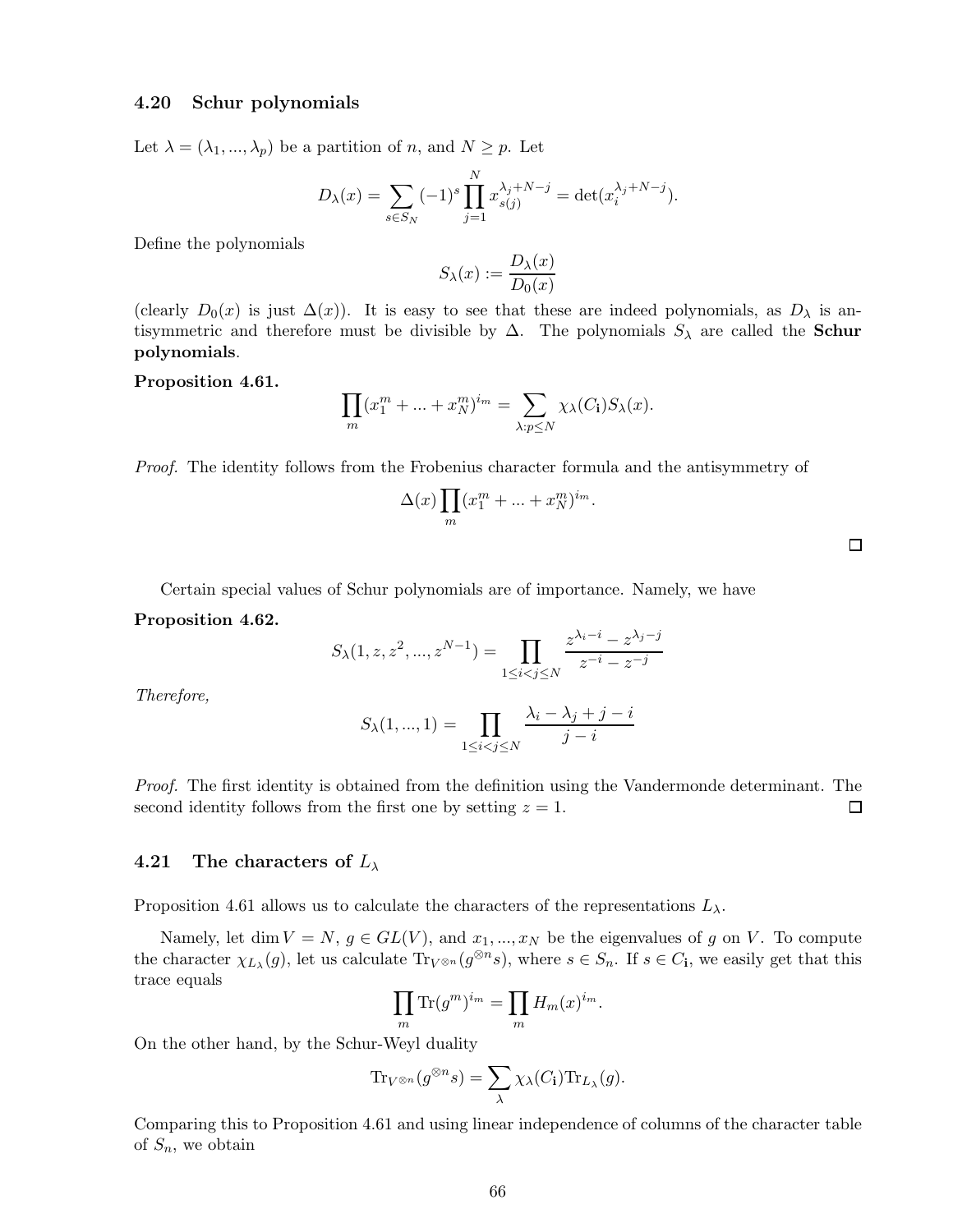### 4.20 Schur polynomials

Let  $\lambda = (\lambda_1, ..., \lambda_p)$  be a partition of n, and  $N \geq p$ . Let

$$
D_{\lambda}(x) = \sum_{s \in S_N} (-1)^s \prod_{j=1}^N x_{s(j)}^{\lambda_j + N - j} = \det(x_i^{\lambda_j + N - j}).
$$

Define the polynomials

$$
S_{\lambda}(x) := \frac{D_{\lambda}(x)}{D_0(x)}
$$

(clearly  $D_0(x)$  is just  $\Delta(x)$ ). It is easy to see that these are indeed polynomials, as  $D_\lambda$  is antisymmetric and therefore must be divisible by  $\Delta$ . The polynomials  $S_{\lambda}$  are called the **Schur** polynomials.

#### Proposition 4.61.

$$
\prod_{m} (x_1^m + \dots + x_N^m)^{i_m} = \sum_{\lambda: p \le N} \chi_{\lambda}(C_1) S_{\lambda}(x).
$$

*Proof.* The identity follows from the Frobenius character formula and the antisymmetry of

$$
\Delta(x) \prod_m (x_1^m + \ldots + x_N^m)^{i_m}.
$$

Certain special values of Schur polynomials are of importance. Namely, we have

Proposition 4.62.

$$
S_{\lambda}(1, z, z^2, ..., z^{N-1}) = \prod_{1 \le i < j \le N} \frac{z^{\lambda_i - i} - z^{\lambda_j - j}}{z^{-i} - z^{-j}}
$$

*Therefore,*

$$
S_{\lambda}(1,...,1) = \prod_{1 \leq i < j \leq N} \frac{\lambda_i - \lambda_j + j - i}{j - i}
$$

*Proof.* The first identity is obtained from the definition using the Vandermonde determinant. The second identity follows from the first one by setting  $z = 1$ .  $\Box$ 

### 4.21 The characters of  $L_{\lambda}$

Proposition 4.61 allows us to calculate the characters of the representations  $L_{\lambda}$ .

Namely, let dim  $V = N$ ,  $g \in GL(V)$ , and  $x_1, ..., x_N$  be the eigenvalues of g on V. To compute the character  $\chi_{L_\lambda}(g)$ , let us calculate  $\text{Tr}_{V^{\otimes n}}(g^{\otimes n}s)$ , where  $s \in S_n$ . If  $s \in C_i$ , we easily get that this trace equals

$$
\prod_m \text{Tr}(g^m)^{i_m} = \prod_m H_m(x)^{i_m}.
$$

On the other hand, by the Schur-Weyl duality

$$
\mathrm{Tr}_{V^{\otimes n}}(g^{\otimes n}s) = \sum_{\lambda} \chi_{\lambda}(C_{\mathbf{i}}) \mathrm{Tr}_{L_{\lambda}}(g).
$$

Comparing this to Proposition 4.61 and using linear independence of columns of the character table of  $S_n$ , we obtain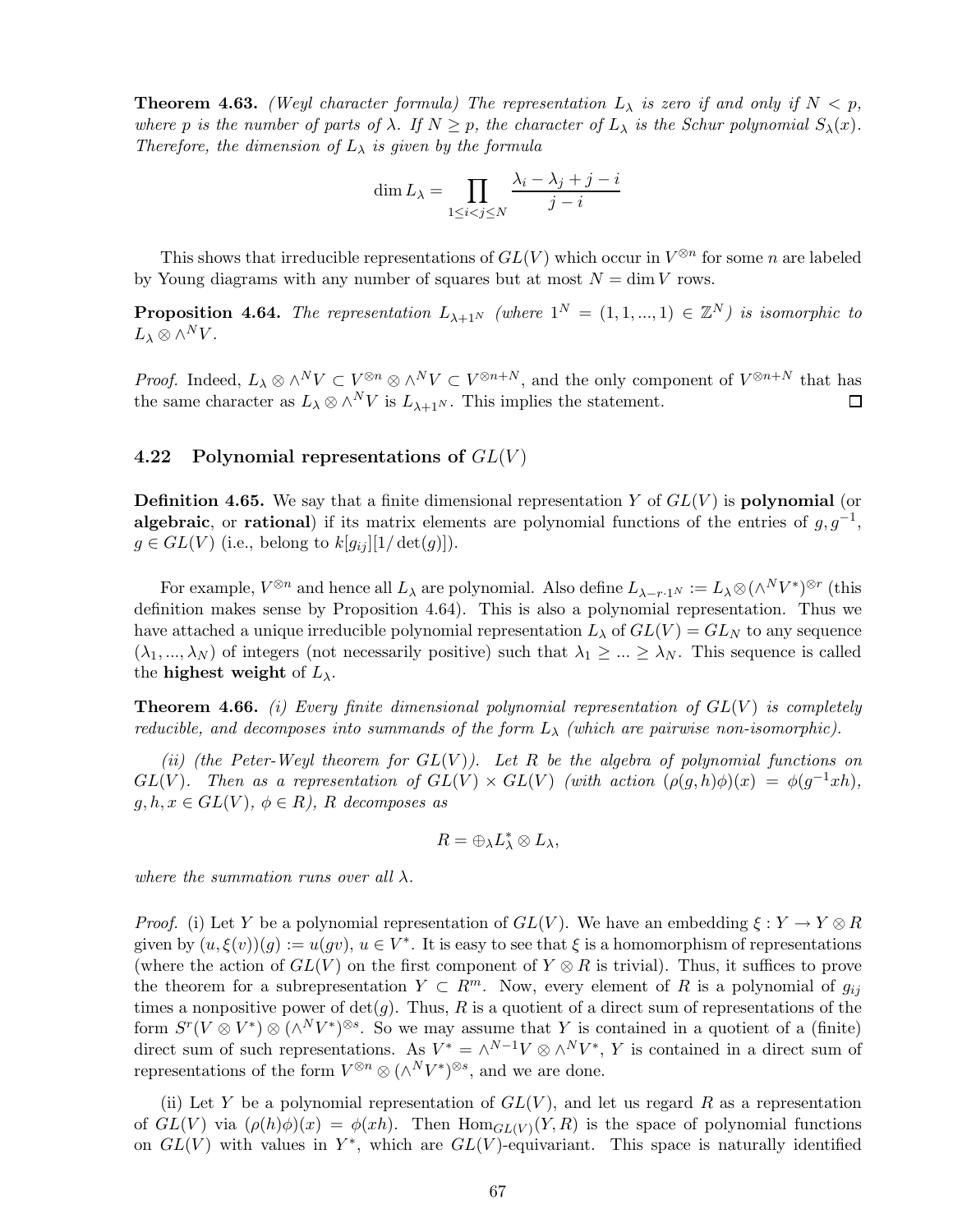**Theorem 4.63.** *(Weyl character formula) The representation*  $L_{\lambda}$  *is zero if and only if*  $N < p$ , *where* p *is the number of parts of*  $\lambda$ *. If*  $N \geq p$ *, the character of*  $L_{\lambda}$  *is the Schur polynomial*  $S_{\lambda}(x)$ *. Therefore, the dimension of*  $L_{\lambda}$  *is given by the formula* 

$$
\dim L_{\lambda} = \prod_{1 \le i < j \le N} \frac{\lambda_i - \lambda_j + j - i}{j - i}
$$

This shows that irreducible representations of  $GL(V)$  which occur in  $V^{\otimes n}$  for some n are labeled by Young diagrams with any number of squares but at most  $N = \dim V$  rows.

**Proposition 4.64.** The representation  $L_{\lambda+1^N}$  (where  $1^N = (1, 1, ..., 1) \in \mathbb{Z}^N$ ) is isomorphic to  $L_\lambda \otimes \wedge^N V$ .

*Proof.* Indeed,  $L_\lambda \otimes \wedge^N V \subset V^{\otimes n} \otimes \wedge^N V \subset V^{\otimes n+N}$ , and the only component of  $V^{\otimes n+N}$  that has the same character as  $L_\lambda \otimes \wedge^N V$  is  $L_{\lambda+1^N}$ . This implies the statement.  $\Box$ 

### 4.22 Polynomial representations of  $GL(V)$

**Definition 4.65.** We say that a finite dimensional representation Y of  $GL(V)$  is **polynomial** (or algebraic, or rational) if its matrix elements are polynomial functions of the entries of  $g, g^{-1}$ ,  $g \in GL(V)$  (i.e., belong to  $k[g_{ij}][1/\det(g)]$ ).

For example,  $V^{\otimes n}$  and hence all  $L_{\lambda}$  are polynomial. Also define  $L_{\lambda-r,1^N} := L_{\lambda} \otimes (\wedge^N V^*)^{\otimes r}$  (this definition makes sense by Proposition 4.64). This is also a polynomial representation. Thus we have attached a unique irreducible polynomial representation  $L_{\lambda}$  of  $GL(V) = GL<sub>N</sub>$  to any sequence  $(\lambda_1,...,\lambda_N)$  of integers (not necessarily positive) such that  $\lambda_1 \geq ... \geq \lambda_N$ . This sequence is called the highest weight of  $L_{\lambda}$ .

Theorem 4.66. *(i) Every finite dimensional polynomial representation of* GL(V ) *is completely reducible, and decomposes into summands of the form*  $L_{\lambda}$  *(which are pairwise non-isomorphic).* 

*(ii) (the Peter-Weyl theorem for* GL(V )*). Let* R *be the algebra of polynomial functions on* GL(V). Then as a representation of  $GL(V) \times GL(V)$  (with action  $(\rho(g,h)\phi)(x) = \phi(g^{-1}xh)$ ,  $g, h, x \in GL(V), \phi \in R$ *), R decomposes as* 

$$
R=\oplus_{\lambda}L_{\lambda}^*\otimes L_{\lambda},
$$

*where the summation runs over all* λ*.*

*Proof.* (i) Let Y be a polynomial representation of  $GL(V)$ . We have an embedding  $\xi: Y \to Y \otimes R$ given by  $(u, \xi(v))(g) := u(gv), u \in V^*$ . It is easy to see that  $\xi$  is a homomorphism of representations (where the action of  $GL(V)$  on the first component of  $Y \otimes R$  is trivial). Thus, it suffices to prove the theorem for a subrepresentation  $Y \subset R^m$ . Now, every element of R is a polynomial of  $g_{ij}$ times a nonpositive power of  $\det(q)$ . Thus, R is a quotient of a direct sum of representations of the form  $S^{r}(V \otimes V^{*}) \otimes (\wedge^{N}V^{*})^{\otimes s}$ . So we may assume that Y is contained in a quotient of a (finite) direct sum of such representations. As  $V^* = \wedge^{N-1} V \otimes \wedge^N V^*$ , Y is contained in a direct sum of representations of the form  $V^{\otimes n} \otimes (\wedge^N V^*)^{\otimes s}$ , and we are done.

(ii) Let Y be a polynomial representation of  $GL(V)$ , and let us regard R as a representation of  $GL(V)$  via  $(\rho(h)\phi)(x) = \phi(xh)$ . Then  $Hom_{GL(V)}(Y,R)$  is the space of polynomial functions on  $GL(V)$  with values in Y<sup>\*</sup>, which are  $GL(V)$ -equivariant. This space is naturally identified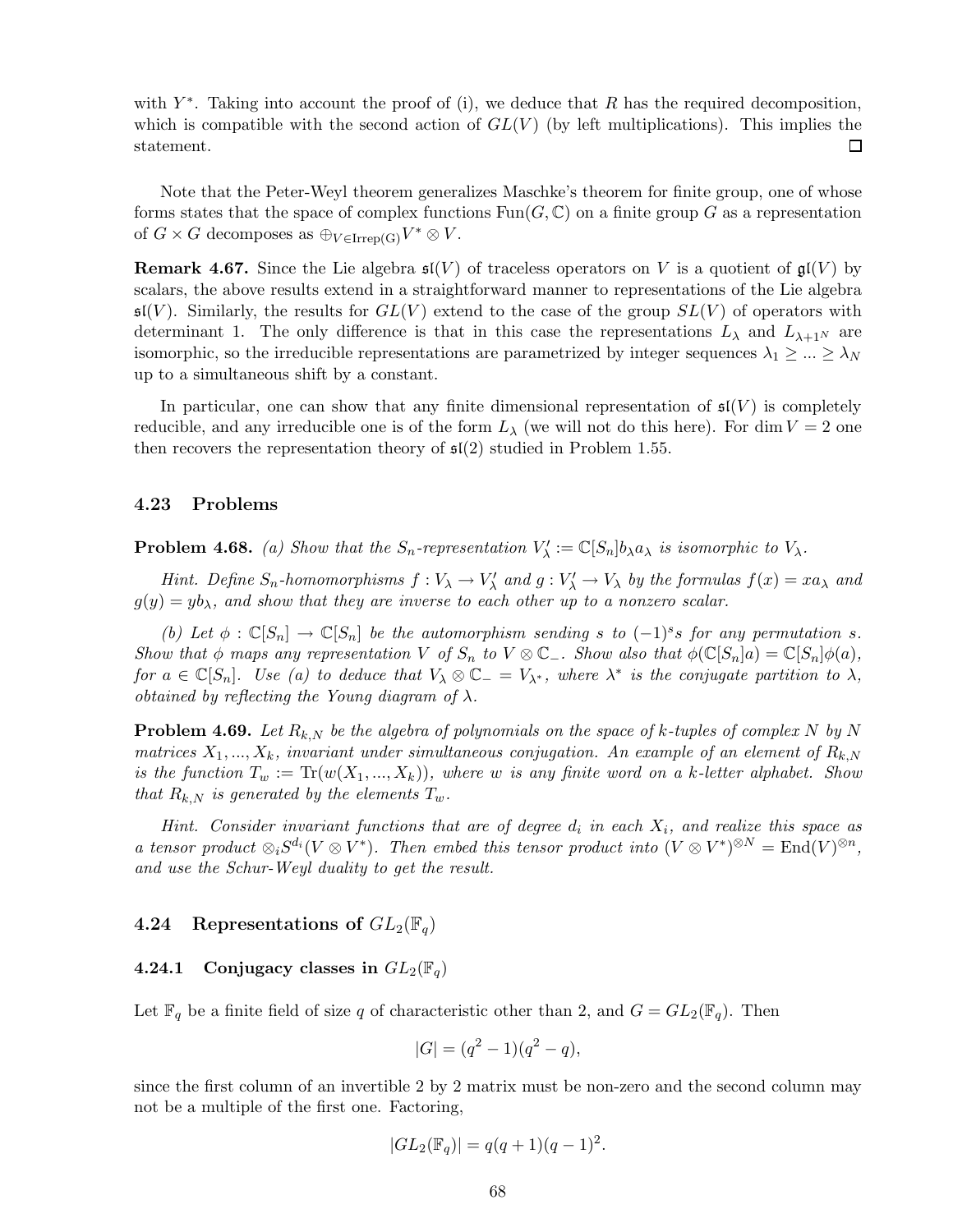with  $Y^*$ . Taking into account the proof of (i), we deduce that R has the required decomposition, which is compatible with the second action of  $GL(V)$  (by left multiplications). This implies the statement. 囗

Note that the Peter-Weyl theorem generalizes Maschke's theorem for finite group, one of whose forms states that the space of complex functions  $\text{Fun}(G,\mathbb{C})$  on a finite group G as a representation of  $G \times G$  decomposes as  $\bigoplus_{V \in \text{Irrep(G)}} V^* \otimes V$ .

**Remark 4.67.** Since the Lie algebra  $\mathfrak{sl}(V)$  of traceless operators on V is a quotient of  $\mathfrak{gl}(V)$  by scalars, the above results extend in a straightforward manner to representations of the Lie algebra  $\mathfrak{sl}(V)$ . Similarly, the results for  $GL(V)$  extend to the case of the group  $SL(V)$  of operators with determinant 1. The only difference is that in this case the representations  $L_{\lambda}$  and  $L_{\lambda+1}$ <sup>N</sup> are isomorphic, so the irreducible representations are parametrized by integer sequences  $\lambda_1 \geq ... \geq \lambda_N$ up to a simultaneous shift by a constant.

In particular, one can show that any finite dimensional representation of  $\mathfrak{sl}(V)$  is completely reducible, and any irreducible one is of the form  $L<sub>\lambda</sub>$  (we will not do this here). For dim  $V = 2$  one then recovers the representation theory of  $\mathfrak{sl}(2)$  studied in Problem 1.55.

# 4.23 Problems

**Problem 4.68.** (a) Show that the  $S_n$ -representation  $V'_\lambda := \mathbb{C}[S_n]b_\lambda a_\lambda$  is isomorphic to  $V_\lambda$ .

*Hint.* Define  $S_n$ -homomorphisms  $f: V_\lambda \to V'_\lambda$  and  $g: V'_\lambda \to V_\lambda$  by the formulas  $f(x) = xa_\lambda$  and  $g(y) = yb<sub>\lambda</sub>$ , and show that they are inverse to each other up to a nonzero scalar.

*(b)* Let  $\phi$  :  $\mathbb{C}[S_n] \to \mathbb{C}[S_n]$  *be the automorphism sending* s to  $(-1)^s s$  *for any permutation* s. *Show that*  $\phi$  *maps any representation* V *of*  $S_n$  *to* V  $\otimes$   $\mathbb{C}_-$ *. Show also that*  $\phi(\mathbb{C}[S_n]a) = \mathbb{C}[S_n]\phi(a)$ *,*  $for a \in \mathbb{C}[S_n]$ . Use (a) to deduce that  $V_\lambda \otimes \mathbb{C}_- = V_{\lambda^*}$ , where  $\lambda^*$  is the conjugate partition to  $\lambda$ , *obtained by reflecting the Young diagram of* λ*.*

**Problem 4.69.** Let  $R_{k,N}$  be the algebra of polynomials on the space of k-tuples of complex N by N *matrices*  $X_1, ..., X_k$ *, invariant under simultaneous conjugation. An example of an element of*  $R_{k,N}$ *is the function*  $T_w := \text{Tr}(w(X_1, ..., X_k))$ *, where* w *is any finite word on a k-letter alphabet. Show that*  $R_{k,N}$  *is generated by the elements*  $T_w$ *.* 

*Hint.* Consider invariant functions that are of degree  $d_i$  in each  $X_i$ , and realize this space as *a* tensor product  $\otimes_i S^{d_i}(V \otimes V^*)$ . Then embed this tensor product into  $(V \otimes V^*)^{\otimes N} = \text{End}(V)^{\otimes n}$ , *and use the Schur-Weyl duality to get the result.*

### 4.24 Representations of  $GL_2(\mathbb{F}_q)$

# 4.24.1 Conjugacy classes in  $GL_2(\mathbb{F}_q)$

Let  $\mathbb{F}_q$  be a finite field of size q of characteristic other than 2, and  $G = GL_2(\mathbb{F}_q)$ . Then

$$
|G| = (q^2 - 1)(q^2 - q),
$$

since the first column of an invertible 2 by 2 matrix must be non-zero and the second column may not be a multiple of the first one. Factoring,

$$
|GL_2(\mathbb{F}_q)| = q(q+1)(q-1)^2.
$$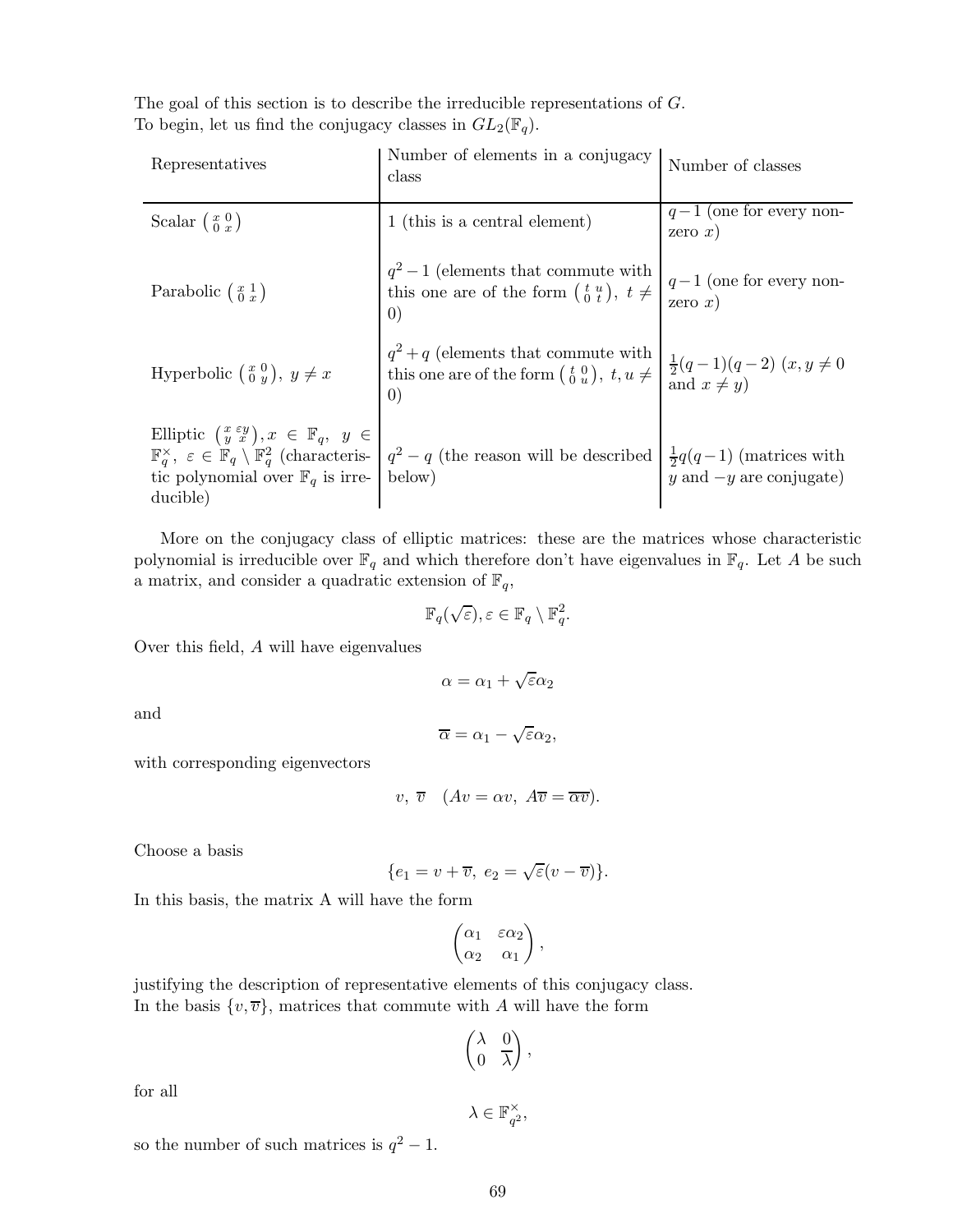The goal of this section is to describe the irreducible representations of G. To begin, let us find the conjugacy classes in  $GL_2(\mathbb{F}_q)$ .

| Representatives                                                                                                                                                    | Number of elements in a conjugacy<br>class                                                                                                                                               | Number of classes                                                                      |
|--------------------------------------------------------------------------------------------------------------------------------------------------------------------|------------------------------------------------------------------------------------------------------------------------------------------------------------------------------------------|----------------------------------------------------------------------------------------|
| Scalar $\left(\begin{smallmatrix} x & 0 \\ 0 & x \end{smallmatrix}\right)$                                                                                         | 1 (this is a central element)                                                                                                                                                            | $q-1$ (one for every non-<br>zero $x)$                                                 |
| Parabolic $\left(\begin{smallmatrix} x & 1 \\ 0 & x \end{smallmatrix}\right)$                                                                                      | $q^2-1$ (elements that commute with<br>this one are of the form $\begin{pmatrix} t & u \\ 0 & t \end{pmatrix}$ , $t \neq$<br>$\left( 0\right)$                                           | $q-1$ (one for every non-<br>zero $x)$                                                 |
| Hyperbolic $\begin{pmatrix} x & 0 \\ 0 & y \end{pmatrix}$ , $y \neq x$                                                                                             | $q^2+q$ (elements that commute with<br>this one are of the form $\begin{pmatrix} t & 0 \\ 0 & u \end{pmatrix}$ , $t, u \neq$<br>$\left( 0\right)$                                        | $\begin{cases} \frac{1}{2}(q-1)(q-2)(x, y \neq 0 \\ \text{and } x \neq y) \end{cases}$ |
| Elliptic $\left(\begin{array}{c}x\,\,\varepsilon y\\y\,\,\,x\end{array}\right), x\in\mathbb{F}_q, y\in$<br>tic polynomial over $\mathbb{F}_q$ is irre-<br>ducible) | $\mathbb{F}_q^{\times}$ , $\varepsilon \in \mathbb{F}_q \setminus \mathbb{F}_q^2$ (characteris- $ q^2 - q $ (the reason will be described $ \frac{1}{2}q(q-1) $ (matrices with<br>below) | $y$ and $-y$ are conjugate)                                                            |

More on the conjugacy class of elliptic matrices: these are the matrices whose characteristic polynomial is irreducible over  $\mathbb{F}_q$  and which therefore don't have eigenvalues in  $\mathbb{F}_q$ . Let A be such a matrix, and consider a quadratic extension of  $\mathbb{F}_q$ ,

$$
\mathbb{F}_q(\sqrt{\varepsilon}), \varepsilon \in \mathbb{F}_q \setminus \mathbb{F}_q^2.
$$

Over this field, A will have eigenvalues

 $\alpha = \alpha_1 + \sqrt{\varepsilon} \alpha_2$ 

and

$$
\overline{\alpha} = \alpha_1 - \sqrt{\varepsilon} \alpha_2,
$$

with corresponding eigenvectors

$$
v, \overline{v} \quad (Av = \alpha v, \ A\overline{v} = \overline{\alpha v}).
$$

Choose a basis

$$
\{e_1=v+\overline{v},\ e_2=\sqrt{\varepsilon}(v-\overline{v})\}.
$$

In this basis, the matrix A will have the form

$$
\begin{pmatrix} \alpha_1 & \varepsilon \alpha_2 \\ \alpha_2 & \alpha_1 \end{pmatrix},
$$

justifying the description of representative elements of this conjugacy class. In the basis  $\{v, \overline{v}\}\)$ , matrices that commute with A will have the form

$$
\begin{pmatrix} \lambda & 0 \\ 0 & \overline{\lambda} \end{pmatrix},
$$

for all

$$
\lambda \in \mathbb{F}_{q^2}^{\times},
$$

so the number of such matrices is  $q^2 - 1$ .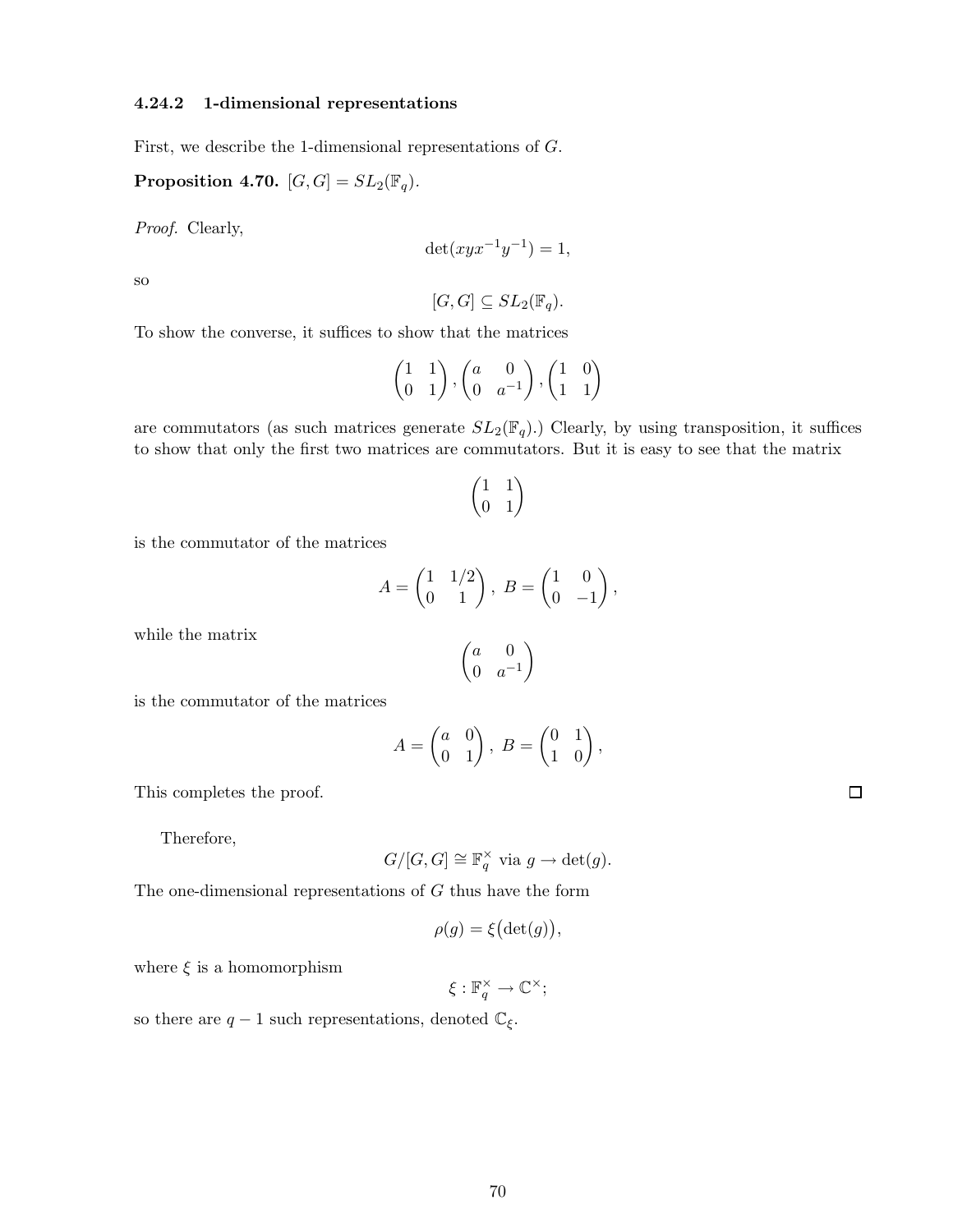## 4.24.2 1-dimensional representations

First, we describe the 1-dimensional representations of G.

Proposition 4.70.  $[G,G] = SL_2(\mathbb{F}_q)$ .

*Proof.* Clearly,

$$
\det(xyx^{-1}y^{-1}) = 1,
$$

so

$$
[G, G] \subseteq SL_2(\mathbb{F}_q).
$$

To show the converse, it suffices to show that the matrices

$$
\begin{pmatrix} 1 & 1 \\ 0 & 1 \end{pmatrix}, \begin{pmatrix} a & 0 \\ 0 & a^{-1} \end{pmatrix}, \begin{pmatrix} 1 & 0 \\ 1 & 1 \end{pmatrix}
$$

are commutators (as such matrices generate  $SL_2(\mathbb{F}_q)$ .) Clearly, by using transposition, it suffices to show that only the first two matrices are commutators. But it is easy to see that the matrix

$$
\begin{pmatrix} 1 & 1 \\ 0 & 1 \end{pmatrix}
$$

is the commutator of the matrices

$$
A = \begin{pmatrix} 1 & 1/2 \\ 0 & 1 \end{pmatrix}, B = \begin{pmatrix} 1 & 0 \\ 0 & -1 \end{pmatrix},
$$

 $\int a$  0 0  $a^{-1}$ 

 $\overline{ }$ 

while the matrix

is the commutator of the matrices

$$
A = \begin{pmatrix} a & 0 \\ 0 & 1 \end{pmatrix}, B = \begin{pmatrix} 0 & 1 \\ 1 & 0 \end{pmatrix},
$$

This completes the proof.

Therefore,

$$
G/[G,G] \cong \mathbb{F}_q^{\times}
$$
 via  $g \to \det(g)$ .

The one-dimensional representations of G thus have the form

$$
\rho(g) = \xi\big(\det(g)\big),\,
$$

where  $\xi$  is a homomorphism

 $\xi: \mathbb{F}_q^{\times} \to \mathbb{C}^{\times};$ 

so there are  $q-1$  such representations, denoted  $\mathbb{C}_{\xi}.$ 

 $\Box$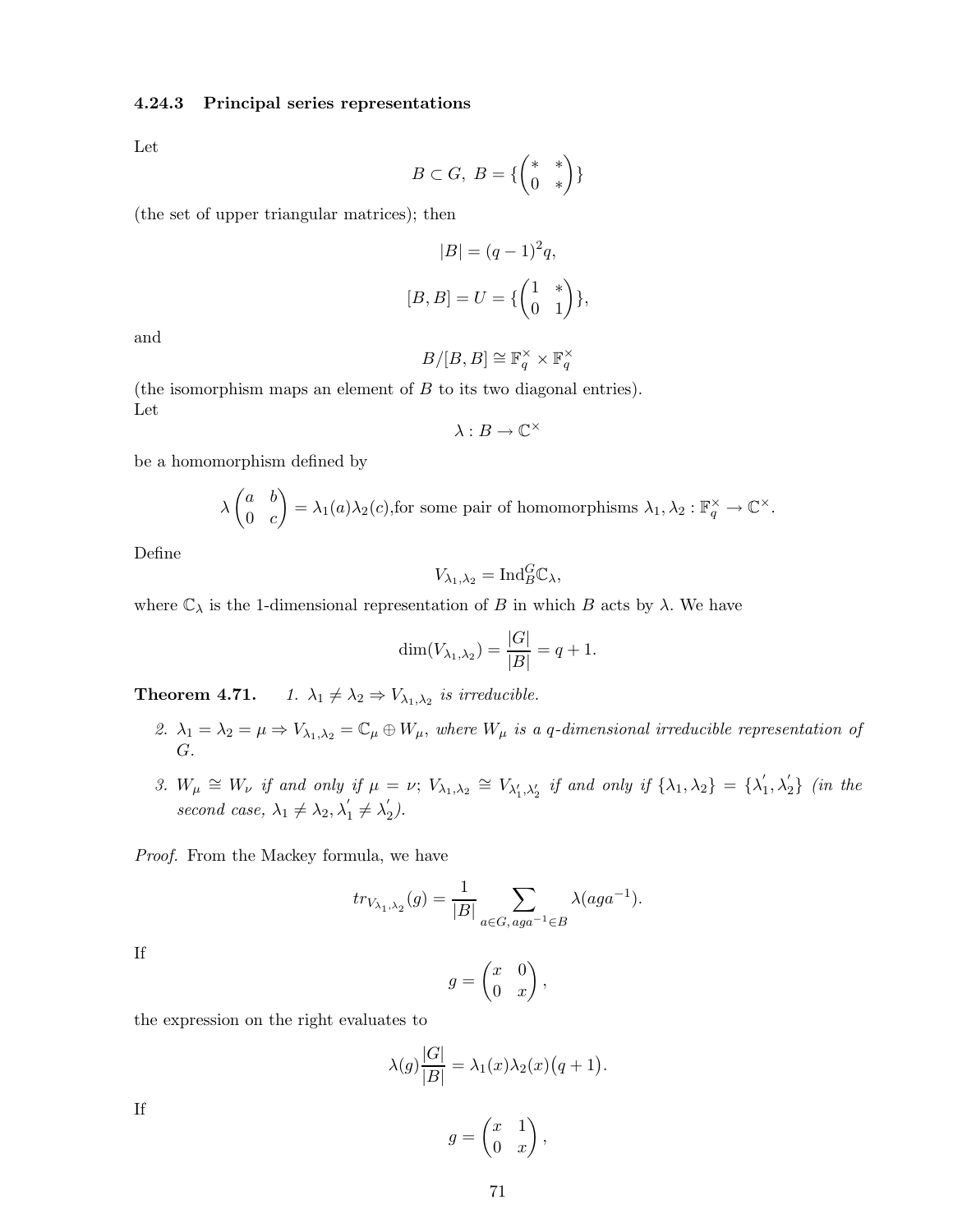## 4.24.3 Principal series representations

Let

$$
B\subset G,\;B=\{\left(\begin{matrix} *&*\\ 0&*\end{matrix}\right)\}
$$

(the set of upper triangular matrices); then

$$
|B| = (q-1)2q,
$$
  
[B, B] = U = { $\begin{pmatrix} 1 & * \\ 0 & 1 \end{pmatrix}$ },

and

$$
B/[B,B]\cong \mathbb{F}_q^\times\times \mathbb{F}_q^\times
$$

(the isomorphism maps an element of  $B$  to its two diagonal entries). Let

$$
\lambda:B\to\mathbb{C}^\times
$$

be a homomorphism defined by

$$
\lambda \begin{pmatrix} a & b \\ 0 & c \end{pmatrix} = \lambda_1(a)\lambda_2(c)
$$
, for some pair of homomorphisms  $\lambda_1, \lambda_2 : \mathbb{F}_q^{\times} \to \mathbb{C}^{\times}$ .

Define

$$
V_{\lambda_1,\lambda_2} = \text{Ind}_{B}^{G} \mathbb{C}_{\lambda},
$$

where  $\mathbb{C}_{\lambda}$  is the 1-dimensional representation of B in which B acts by  $\lambda$ . We have

$$
\dim(V_{\lambda_1,\lambda_2}) = \frac{|G|}{|B|} = q + 1.
$$

**Theorem 4.71.** *1.*  $\lambda_1 \neq \lambda_2 \Rightarrow V_{\lambda_1, \lambda_2}$  is irreducible.

- 2.  $\lambda_1 = \lambda_2 = \mu \Rightarrow V_{\lambda_1, \lambda_2} = \mathbb{C}_{\mu} \oplus W_{\mu}$ , where  $W_{\mu}$  is a q-dimensional irreducible representation of G*.*
- 3.  $W_{\mu} \cong W_{\nu}$  *if and only if*  $\mu = \nu$ ;  $V_{\lambda_1, \lambda_2} \cong V_{\lambda'_1, \lambda'_2}$  *if and only if*  $\{\lambda_1, \lambda_2\} = \{\lambda'_1, \lambda'_2, \lambda'_3, \lambda'_4, \lambda'_5\}$  $\langle 1, \lambda_2' \rangle$  *(in the*) *second case,*  $\lambda_1 \neq \lambda_2, \lambda'_1 \neq \lambda'_2$  $'_{2}$ .

*Proof.* From the Mackey formula, we have

$$
tr_{V_{\lambda_1,\lambda_2}}(g) = \frac{1}{|B|} \sum_{a \in G, \, aga^{-1} \in B} \lambda (aga^{-1}).
$$

If

$$
g = \begin{pmatrix} x & 0 \\ 0 & x \end{pmatrix},
$$

the expression on the right evaluates to

$$
\lambda(g)\frac{|G|}{|B|} = \lambda_1(x)\lambda_2(x)\big(q+1\big).
$$

If

$$
g = \begin{pmatrix} x & 1 \\ 0 & x \end{pmatrix},
$$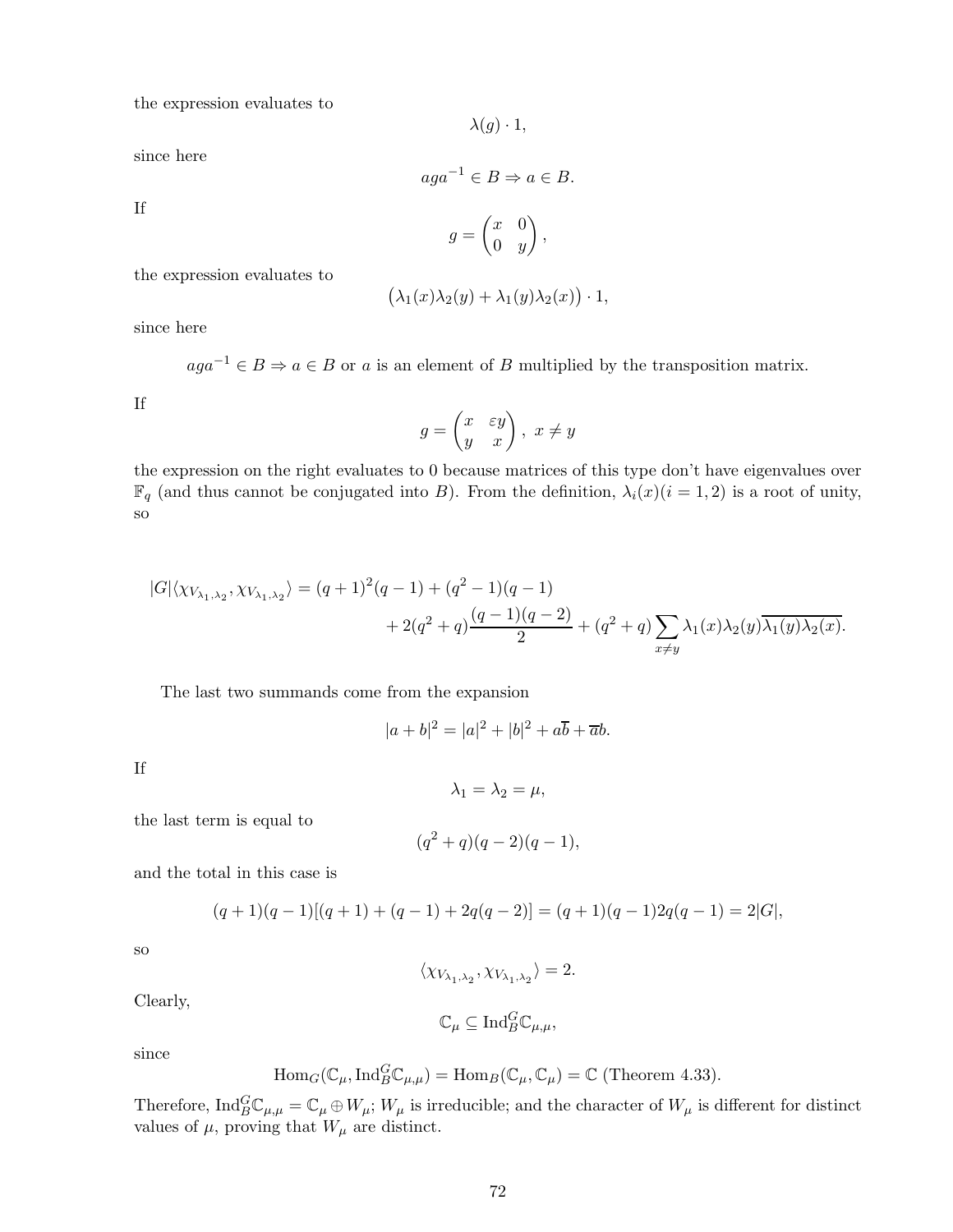the expression evaluates to

 $\lambda(g) \cdot 1$ ,

since here

$$
aga^{-1} \in B \Rightarrow a \in B.
$$

If

$$
g = \begin{pmatrix} x & 0 \\ 0 & y \end{pmatrix},
$$

the expression evaluates to

$$
(\lambda_1(x)\lambda_2(y) + \lambda_1(y)\lambda_2(x)) \cdot 1,
$$

since here

 $aga^{-1} \in B \Rightarrow a \in B$  or a is an element of B multiplied by the transposition matrix.

If

$$
g = \begin{pmatrix} x & \varepsilon y \\ y & x \end{pmatrix}, \ x \neq y
$$

the expression on the right evaluates to 0 because matrices of this type don't have eigenvalues over  $\mathbb{F}_q$  (and thus cannot be conjugated into B). From the definition,  $\lambda_i(x)(i=1,2)$  is a root of unity, so

$$
|G|\langle \chi_{V_{\lambda_1,\lambda_2}}, \chi_{V_{\lambda_1,\lambda_2}} \rangle = (q+1)^2(q-1) + (q^2-1)(q-1) + 2(q^2+q)\frac{(q-1)(q-2)}{2} + (q^2+q)\sum_{x \neq y} \lambda_1(x)\lambda_2(y)\overline{\lambda_1(y)\lambda_2(x)}.
$$

The last two summands come from the expansion

$$
|a+b|^2 = |a|^2 + |b|^2 + a\overline{b} + \overline{a}b.
$$

If

$$
\lambda_1=\lambda_2=\mu,
$$

the last term is equal to

$$
(q^2+q)(q-2)(q-1),
$$

and the total in this case is

$$
(q+1)(q-1)[(q+1)+(q-1)+2q(q-2)] = (q+1)(q-1)2q(q-1) = 2|G|,
$$

so

$$
\langle \chi_{V_{\lambda_1,\lambda_2}}, \chi_{V_{\lambda_1,\lambda_2}} \rangle = 2.
$$

Clearly,

$$
\mathbb{C}_{\mu} \subseteq \mathrm{Ind}_{B}^{G} \mathbb{C}_{\mu,\mu},
$$

since

$$
\text{Hom}_G(\mathbb{C}_{\mu}, \text{Ind}_{B}^{G}\mathbb{C}_{\mu,\mu}) = \text{Hom}_B(\mathbb{C}_{\mu}, \mathbb{C}_{\mu}) = \mathbb{C}
$$
 (Theorem 4.33).

Therefore,  $\text{Ind}_{B}^{G} \mathbb{C}_{\mu,\mu} = \mathbb{C}_{\mu} \oplus W_{\mu}$ ;  $W_{\mu}$  is irreducible; and the character of  $W_{\mu}$  is different for distinct values of  $\mu$ , proving that  $W_{\mu}$  are distinct.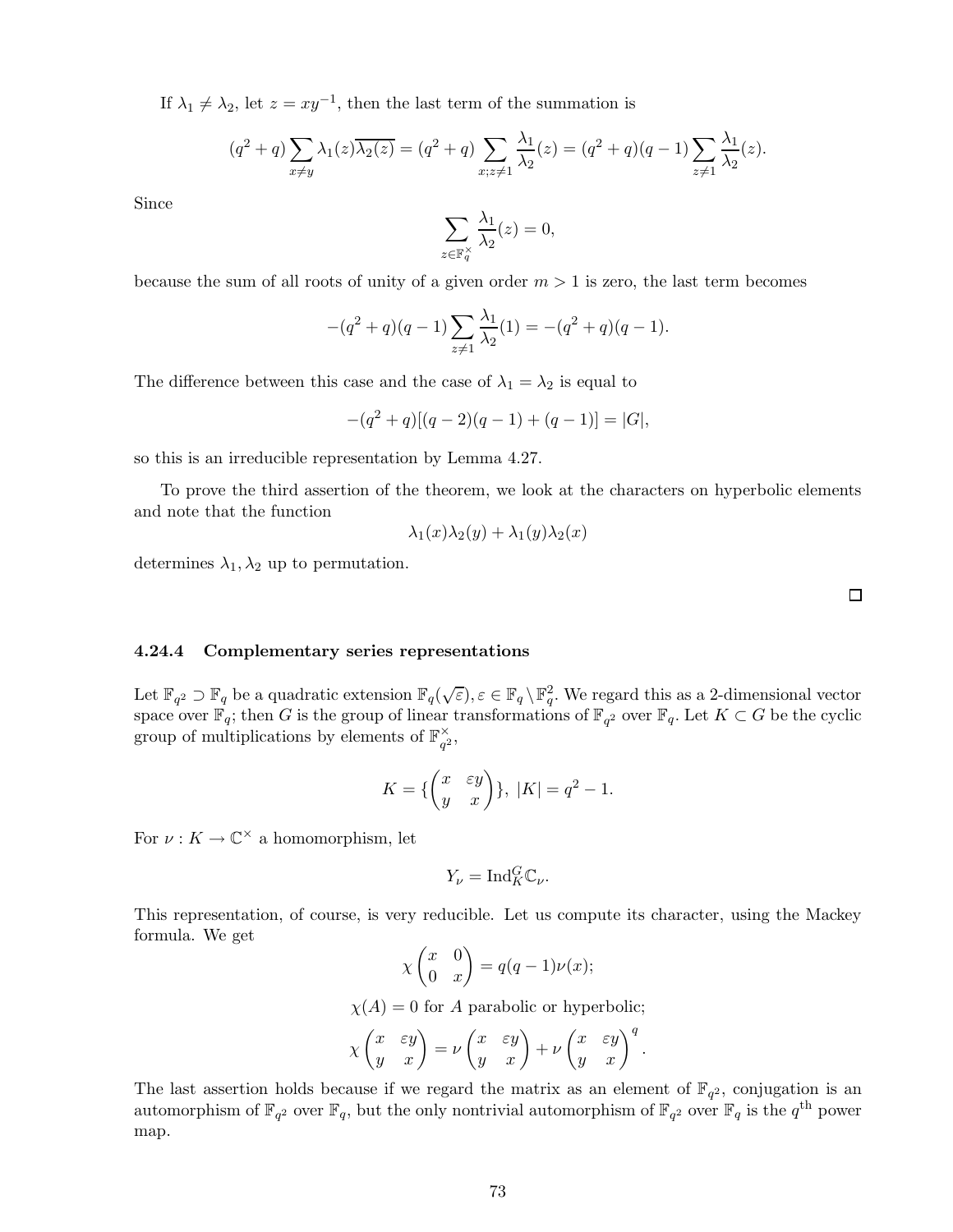If  $\lambda_1 \neq \lambda_2$ , let  $z = xy^{-1}$ , then the last term of the summation is

$$
(q^{2} + q) \sum_{x \neq y} \lambda_{1}(z) \overline{\lambda_{2}(z)} = (q^{2} + q) \sum_{x; z \neq 1} \frac{\lambda_{1}}{\lambda_{2}}(z) = (q^{2} + q)(q - 1) \sum_{z \neq 1} \frac{\lambda_{1}}{\lambda_{2}}(z).
$$

Since

$$
\sum_{z\in\mathbb{F}_q^{\times}}\frac{\lambda_1}{\lambda_2}(z)=0,
$$

because the sum of all roots of unity of a given order  $m > 1$  is zero, the last term becomes

$$
-(q^{2} + q)(q - 1)\sum_{z \neq 1} \frac{\lambda_{1}}{\lambda_{2}}(1) = -(q^{2} + q)(q - 1).
$$

The difference between this case and the case of  $\lambda_1 = \lambda_2$  is equal to

$$
-(q2 + q)[(q - 2)(q - 1) + (q - 1)] = |G|,
$$

so this is an irreducible representation by Lemma 4.27.

To prove the third assertion of the theorem, we look at the characters on hyperbolic elements and note that the function

$$
\lambda_1(x)\lambda_2(y) + \lambda_1(y)\lambda_2(x)
$$

determines  $\lambda_1, \lambda_2$  up to permutation.

 $\Box$ 

#### 4.24.4 Complementary series representations

Let  $\mathbb{F}_{q^2} \supset \mathbb{F}_q$  be a quadratic extension  $\mathbb{F}_q(\sqrt{\varepsilon}), \varepsilon \in \mathbb{F}_q \setminus \mathbb{F}_q^2$ . We regard this as a 2-dimensional vector space over  $\mathbb{F}_q$ ; then G is the group of linear transformations of  $\mathbb{F}_{q^2}$  over  $\mathbb{F}_q$ . Let  $K \subset G$  be the cyclic group of multiplications by elements of  $\mathbb{F}_{q^2}^{\times}$ ,

$$
K = \{ \begin{pmatrix} x & \varepsilon y \\ y & x \end{pmatrix} \}, \ |K| = q^2 - 1.
$$

For  $\nu: K \to \mathbb{C}^{\times}$  a homomorphism, let

$$
Y_{\nu} = \text{Ind}_{K}^{G} \mathbb{C}_{\nu}.
$$

This representation, of course, is very reducible. Let us compute its character, using the Mackey formula. We get

$$
\chi \begin{pmatrix} x & 0 \\ 0 & x \end{pmatrix} = q(q-1)\nu(x);
$$

 $\chi(A) = 0$  for A parabolic or hyperbolic;

$$
\chi \begin{pmatrix} x & \varepsilon y \\ y & x \end{pmatrix} = \nu \begin{pmatrix} x & \varepsilon y \\ y & x \end{pmatrix} + \nu \begin{pmatrix} x & \varepsilon y \\ y & x \end{pmatrix}^q.
$$

The last assertion holds because if we regard the matrix as an element of  $\mathbb{F}_{q^2}$ , conjugation is an automorphism of  $\mathbb{F}_{q^2}$  over  $\mathbb{F}_q$ , but the only nontrivial automorphism of  $\mathbb{F}_{q^2}$  over  $\mathbb{F}_q$  is the  $q^{\text{th}}$  power map.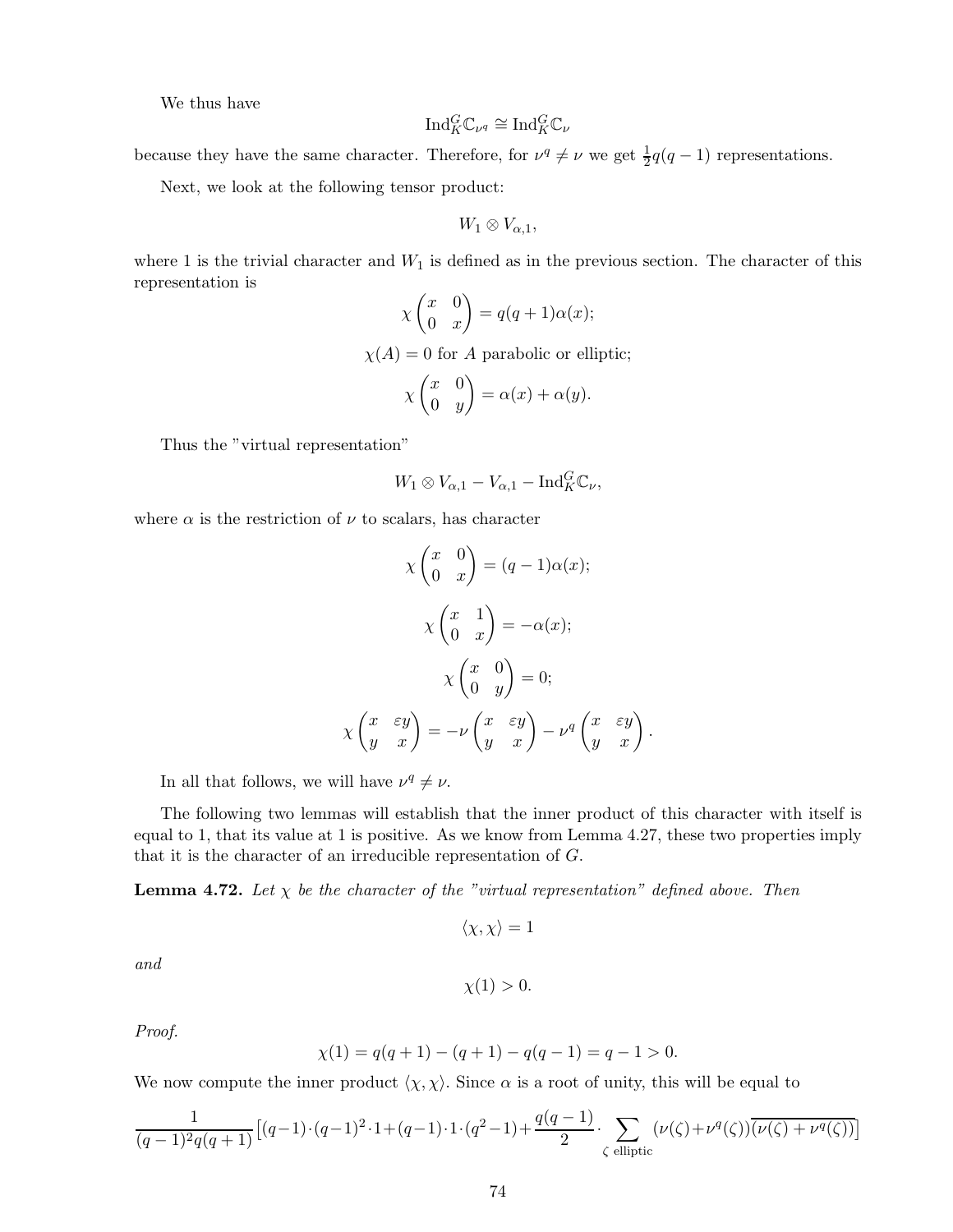We thus have

$$
\mathrm{Ind}_{K}^{G} \mathbb{C}_{\nu^{q}} \cong \mathrm{Ind}_{K}^{G} \mathbb{C}_{\nu}
$$

because they have the same character. Therefore, for  $\nu^q \neq \nu$  we get  $\frac{1}{2}q(q-1)$  representations.

Next, we look at the following tensor product:

$$
W_1\otimes V_{\alpha,1},
$$

where 1 is the trivial character and  $W_1$  is defined as in the previous section. The character of this representation is

$$
\chi\begin{pmatrix} x & 0 \\ 0 & x \end{pmatrix}=q(q+1)\alpha(x);
$$

 $\chi(A) = 0$  for A parabolic or elliptic;

$$
\chi \begin{pmatrix} x & 0 \\ 0 & y \end{pmatrix} = \alpha(x) + \alpha(y).
$$

Thus the "virtual representation"

$$
W_1 \otimes V_{\alpha,1} - V_{\alpha,1} - \mathrm{Ind}_{K}^{G} \mathbb{C}_{\nu},
$$

where  $\alpha$  is the restriction of  $\nu$  to scalars, has character

$$
\chi \begin{pmatrix} x & 0 \\ 0 & x \end{pmatrix} = (q-1)\alpha(x);
$$

$$
\chi \begin{pmatrix} x & 1 \\ 0 & x \end{pmatrix} = -\alpha(x);
$$

$$
\chi \begin{pmatrix} x & 0 \\ 0 & y \end{pmatrix} = 0;
$$

$$
\chi \begin{pmatrix} x & \varepsilon y \\ y & x \end{pmatrix} = -\nu \begin{pmatrix} x & \varepsilon y \\ y & x \end{pmatrix} - \nu^q \begin{pmatrix} x & \varepsilon y \\ y & x \end{pmatrix}
$$

.

In all that follows, we will have  $\nu^q \neq \nu$ .

The following two lemmas will establish that the inner product of this character with itself is equal to 1, that its value at 1 is positive. As we know from Lemma 4.27, these two properties imply that it is the character of an irreducible representation of G.

**Lemma 4.72.** Let  $\chi$  be the character of the "virtual representation" defined above. Then

$$
\langle \chi, \chi \rangle = 1
$$

*and*

$$
\chi(1) > 0.
$$

*Proof.*

$$
\chi(1) = q(q+1) - (q+1) - q(q-1) = q-1 > 0.
$$

We now compute the inner product  $\langle \chi, \chi \rangle$ . Since  $\alpha$  is a root of unity, this will be equal to

$$
\frac{1}{(q-1)^2 q(q+1)} \left[ (q-1) \cdot (q-1)^2 \cdot 1 + (q-1) \cdot 1 \cdot (q^2-1) + \frac{q(q-1)}{2} \cdot \sum_{\zeta \text{ elliptic}} (\nu(\zeta) + \nu^q(\zeta)) \overline{(\nu(\zeta) + \nu^q(\zeta))} \right]
$$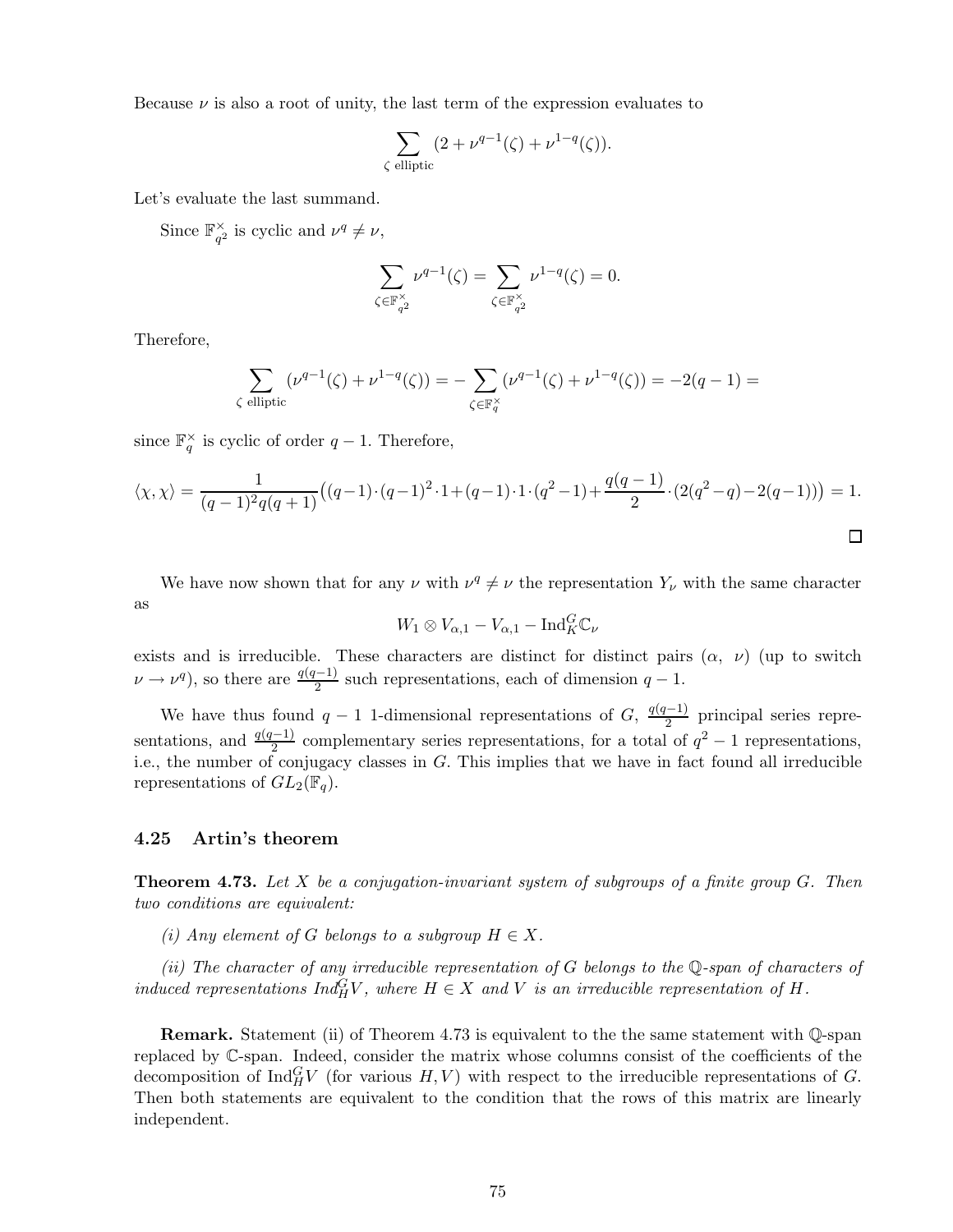Because  $\nu$  is also a root of unity, the last term of the expression evaluates to

$$
\sum_{\zeta \text{ elliptic}} (2 + \nu^{q-1}(\zeta) + \nu^{1-q}(\zeta)).
$$

Let's evaluate the last summand.

Since  $\mathbb{F}_{q^2}^{\times}$  is cyclic and  $\nu^q \neq \nu$ ,

$$
\sum_{\zeta \in \mathbb{F}_{q^2}^{\times}} \nu^{q-1}(\zeta) = \sum_{\zeta \in \mathbb{F}_{q^2}^{\times}} \nu^{1-q}(\zeta) = 0.
$$

Therefore,

$$
\sum_{\zeta \text{ elliptic}} (\nu^{q-1}(\zeta) + \nu^{1-q}(\zeta)) = -\sum_{\zeta \in \mathbb{F}_q^{\times}} (\nu^{q-1}(\zeta) + \nu^{1-q}(\zeta)) = -2(q-1) =
$$

since  $\mathbb{F}_q^{\times}$  is cyclic of order  $q-1$ . Therefore,

$$
\langle \chi, \chi \rangle = \frac{1}{(q-1)^2 q(q+1)} \big( (q-1) \cdot (q-1)^2 \cdot 1 + (q-1) \cdot 1 \cdot (q^2-1) + \frac{q(q-1)}{2} \cdot (2(q^2-q) - 2(q-1)) \big) = 1.
$$

We have now shown that for any  $\nu$  with  $\nu^q \neq \nu$  the representation  $Y_{\nu}$  with the same character as

$$
W_1 \otimes V_{\alpha,1} - V_{\alpha,1} - \mathrm{Ind}_{K}^{G} \mathbb{C}_{\nu}
$$

exists and is irreducible. These characters are distinct for distinct pairs  $(\alpha, \nu)$  (up to switch  $\nu \rightarrow \nu^q$ , so there are  $\frac{q(q-1)}{2}$  such representations, each of dimension  $q-1$ .

We have thus found  $q-1$  1-dimensional representations of G,  $\frac{q(q-1)}{2}$  principal series representations, and  $\frac{q(q-1)}{2}$  complementary series representations, for a total of  $q^2-1$  representations, i.e., the number of conjugacy classes in  $G$ . This implies that we have in fact found all irreducible representations of  $GL_2(\mathbb{F}_q)$ .

### 4.25 Artin's theorem

Theorem 4.73. *Let* X *be a conjugation-invariant system of subgroups of a finite group* G*. Then two conditions are equivalent:*

*(i)* Any element of G belongs to a subgroup  $H \in X$ .

*(ii) The character of any irreducible representation of* G *belongs to the* Q*-span of characters of induced representations*  $Ind_H^G V$ *, where*  $H \in X$  *and*  $V$  *is an irreducible representation of*  $H$ *.* 

Remark. Statement (ii) of Theorem 4.73 is equivalent to the the same statement with Q-span replaced by C-span. Indeed, consider the matrix whose columns consist of the coefficients of the decomposition of  $\text{Ind}_{H}^{G}V$  (for various  $H, V$ ) with respect to the irreducible representations of G. Then both statements are equivalent to the condition that the rows of this matrix are linearly independent.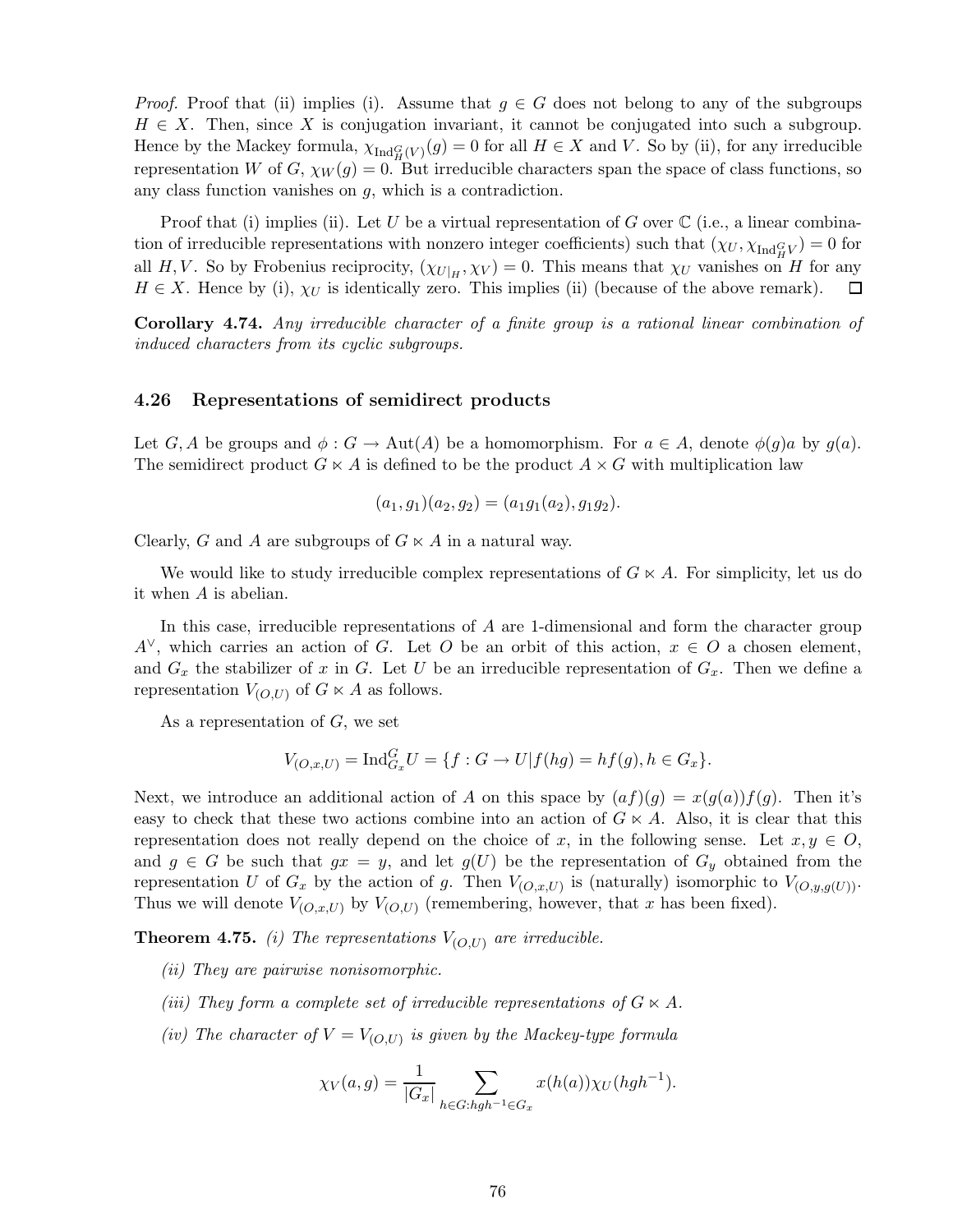*Proof.* Proof that (ii) implies (i). Assume that  $g \in G$  does not belong to any of the subgroups  $H \in X$ . Then, since X is conjugation invariant, it cannot be conjugated into such a subgroup. Hence by the Mackey formula,  $\chi_{Ind_H^G(V)}(g) = 0$  for all  $H \in X$  and V. So by (ii), for any irreducible representation W of G,  $\chi_W(g) = 0$ . But irreducible characters span the space of class functions, so any class function vanishes on g, which is a contradiction.

Proof that (i) implies (ii). Let U be a virtual representation of G over  $\mathbb C$  (i.e., a linear combination of irreducible representations with nonzero integer coefficients) such that  $(\chi_U, \chi_{Ind_H^G})_0 = 0$  for all H,V. So by Frobenius reciprocity,  $(\chi_{U|H}, \chi_V) = 0$ . This means that  $\chi_U$  vanishes on H for any  $H \in X$ . Hence by (i),  $\chi_U$  is identically zero. This implies (ii) (because of the above remark). 口

Corollary 4.74. *Any irreducible character of a finite group is a rational linear combination of induced characters from its cyclic subgroups.*

### 4.26 Representations of semidirect products

Let G, A be groups and  $\phi: G \to \text{Aut}(A)$  be a homomorphism. For  $a \in A$ , denote  $\phi(g)a$  by  $g(a)$ . The semidirect product  $G \ltimes A$  is defined to be the product  $A \times G$  with multiplication law

$$
(a_1, g_1)(a_2, g_2) = (a_1g_1(a_2), g_1g_2).
$$

Clearly, G and A are subgroups of  $G \ltimes A$  in a natural way.

We would like to study irreducible complex representations of  $G \ltimes A$ . For simplicity, let us do it when A is abelian.

In this case, irreducible representations of A are 1-dimensional and form the character group  $A^{\vee}$ , which carries an action of G. Let O be an orbit of this action,  $x \in O$  a chosen element, and  $G_x$  the stabilizer of x in G. Let U be an irreducible representation of  $G_x$ . Then we define a representation  $V_{(O,U)}$  of  $G \ltimes A$  as follows.

As a representation of  $G$ , we set

$$
V_{(O,x,U)} = \text{Ind}_{G_x}^G U = \{ f : G \to U | f(hg) = hf(g), h \in G_x \}.
$$

Next, we introduce an additional action of A on this space by  $(af)(q) = x(q(a))f(q)$ . Then it's easy to check that these two actions combine into an action of  $G \ltimes A$ . Also, it is clear that this representation does not really depend on the choice of x, in the following sense. Let  $x, y \in O$ , and  $g \in G$  be such that  $gx = y$ , and let  $g(U)$  be the representation of  $G_y$  obtained from the representation U of  $G_x$  by the action of g. Then  $V_{(O,x,U)}$  is (naturally) isomorphic to  $V_{(O,y,g(U))}$ . Thus we will denote  $V_{(O,x,U)}$  by  $V_{(O,U)}$  (remembering, however, that x has been fixed).

**Theorem 4.75.** *(i) The representations*  $V_{(O,U)}$  *are irreducible.* 

- *(ii) They are pairwise nonisomorphic.*
- *(iii)* They form a complete set of irreducible representations of  $G \ltimes A$ *.*
- *(iv)* The character of  $V = V_{(O,U)}$  is given by the Mackey-type formula

$$
\chi_V(a,g) = \frac{1}{|G_x|} \sum_{h \in G: hgh^{-1} \in G_x} x(h(a)) \chi_U(hgh^{-1}).
$$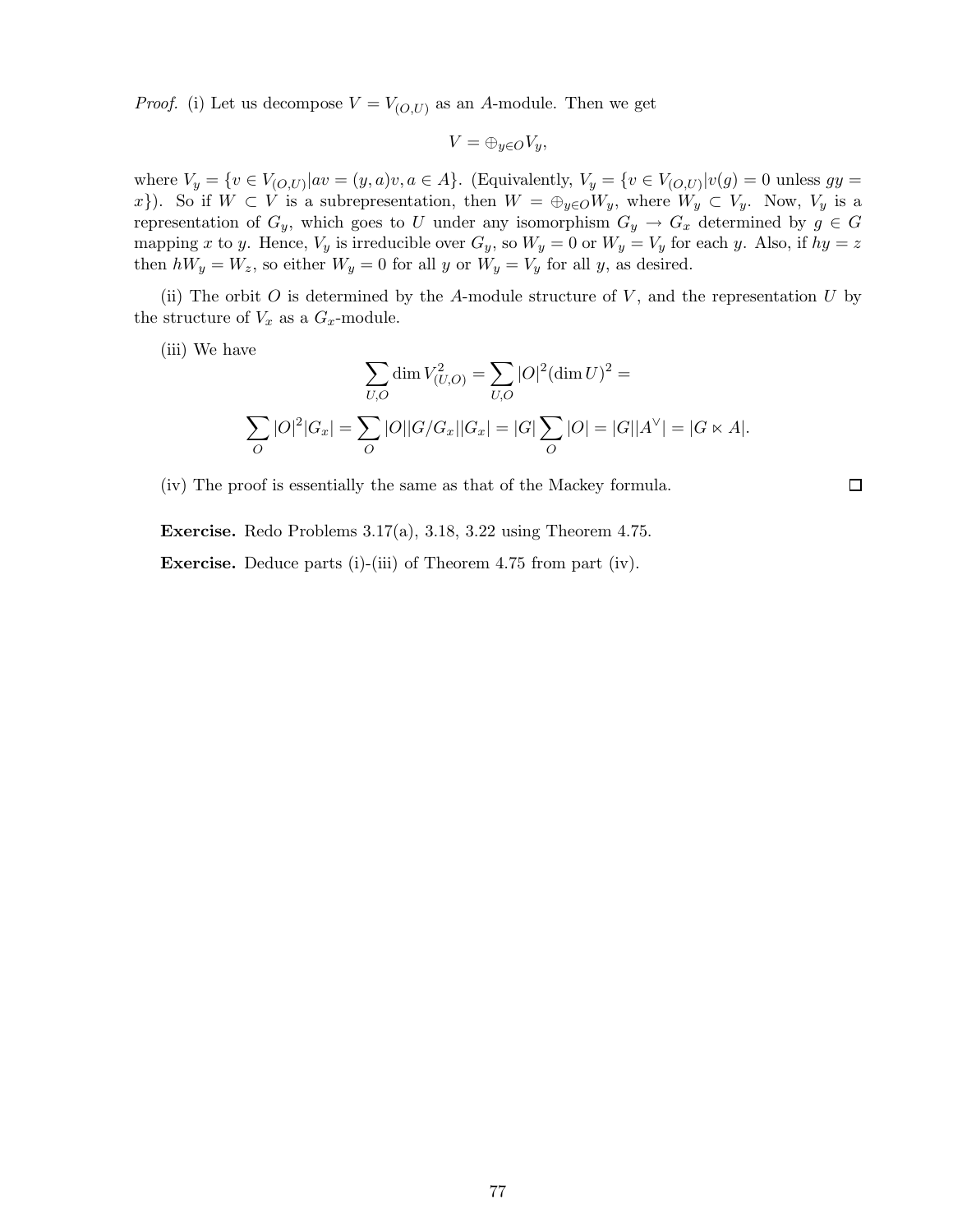*Proof.* (i) Let us decompose  $V = V_{(O,U)}$  as an A-module. Then we get

$$
V=\oplus_{y\in O}V_y,
$$

where  $V_y = \{v \in V_{(O,U)} | av = (y, a)v, a \in A\}$ . (Equivalently,  $V_y = \{v \in V_{(O,U)} | v(g) = 0 \text{ unless } gy = 0\}$ x}). So if  $W \subset V$  is a subrepresentation, then  $W = \bigoplus_{y \in O} W_y$ , where  $W_y \subset V_y$ . Now,  $V_y$  is a representation of  $G_y$ , which goes to U under any isomorphism  $G_y \to G_x$  determined by  $g \in G$ mapping x to y. Hence,  $V_y$  is irreducible over  $G_y$ , so  $W_y = 0$  or  $W_y = V_y$  for each y. Also, if  $hy = z$ then  $hW_y = W_z$ , so either  $W_y = 0$  for all y or  $W_y = V_y$  for all y, as desired.

(ii) The orbit  $O$  is determined by the A-module structure of  $V$ , and the representation  $U$  by the structure of  $V_x$  as a  $G_x$ -module.

(iii) We have

$$
\sum_{U,O} \dim V_{(U,O)}^2 = \sum_{U,O} |O|^2 (\dim U)^2 =
$$
  

$$
\sum_O |O|^2 |G_x| = \sum_O |O| |G/G_x| |G_x| = |G| \sum_O |O| = |G| |A^{\vee}| = |G \ltimes A|.
$$

 $\Box$ 

(iv) The proof is essentially the same as that of the Mackey formula.

Exercise. Redo Problems 3.17(a), 3.18, 3.22 using Theorem 4.75.

Exercise. Deduce parts (i)-(iii) of Theorem 4.75 from part (iv).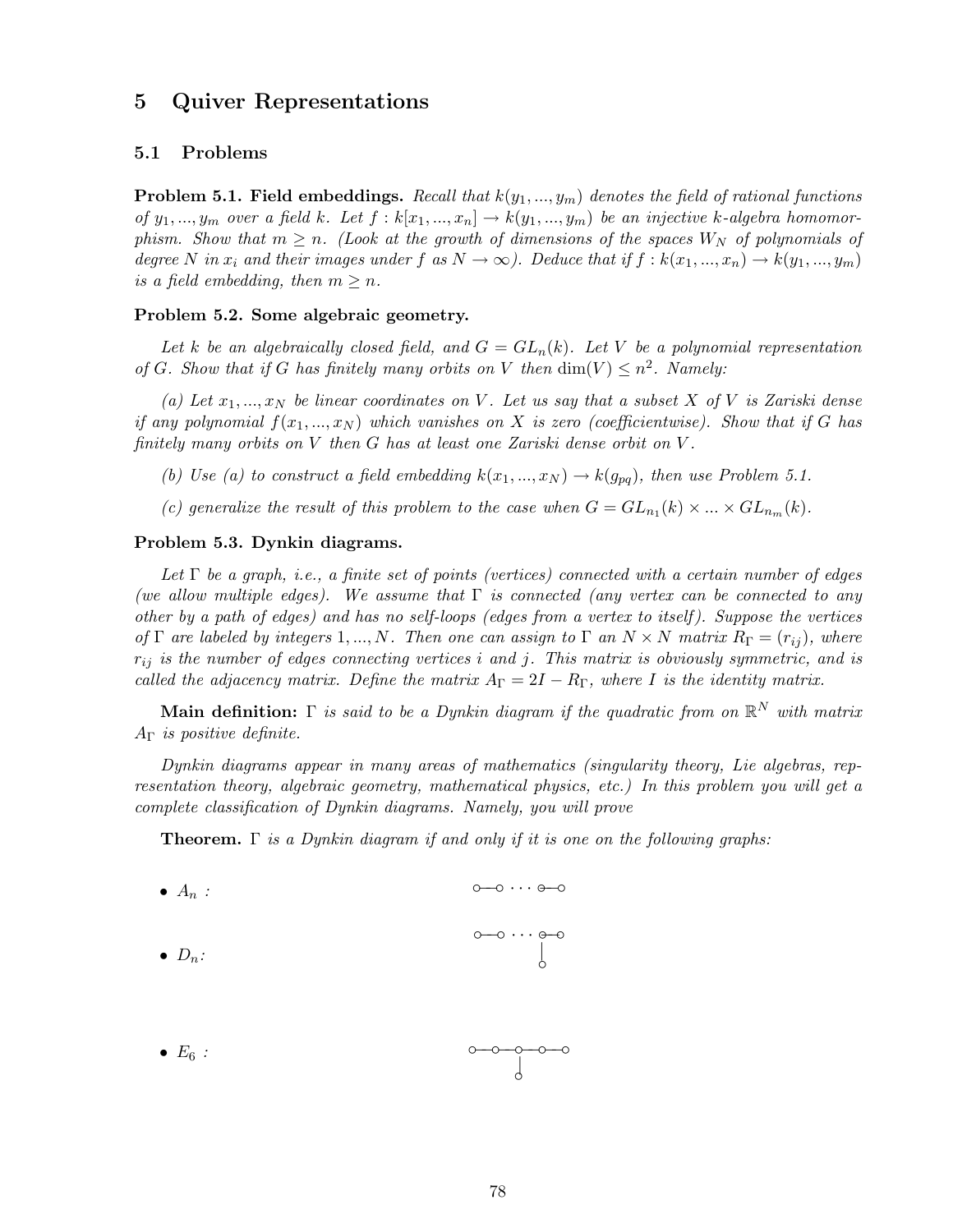# 5 Quiver Representations

## 5.1 Problems

Problem 5.1. Field embeddings. *Recall that*  $k(y_1,...,y_m)$  *denotes the field of rational functions of*  $y_1, ..., y_m$  *over a field k. Let*  $f : k[x_1, ..., x_n] \to k(y_1, ..., y_m)$  *be an injective k-algebra homomorphism. Show that*  $m \geq n$ . (Look at the growth of dimensions of the spaces  $W_N$  of polynomials of *degree* N in  $x_i$  and their images under f as  $N \to \infty$ ). Deduce that if  $f : k(x_1, ..., x_n) \to k(y_1, ..., y_m)$ *is a field embedding, then*  $m \geq n$ .

#### Problem 5.2. Some algebraic geometry.

Let k be an algebraically closed field, and  $G = GL_n(k)$ . Let V be a polynomial representation *of* G. Show that if G has finitely many orbits on V then  $\dim(V) \leq n^2$ . Namely:

 $(a)$  Let  $x_1, \ldots, x_N$  be linear coordinates on V. Let us say that a subset X of V is Zariski dense *if any polynomial*  $f(x_1,...,x_N)$  *which vanishes on* X *is zero (coefficientwise). Show that if* G *has finitely many orbits on* V *then* G *has at least one Zariski dense orbit on* V *.*

*(b) Use (a) to construct a field embedding*  $k(x_1,...,x_N) \rightarrow k(g_{pq})$ , then use Problem 5.1.

(c) generalize the result of this problem to the case when  $G = GL_{n_1}(k) \times ... \times GL_{n_m}(k)$ .

### Problem 5.3. Dynkin diagrams.

*Let* Γ *be a graph, i.e., a finite set of points (vertices) connected with a certain number of edges (we allow multiple edges). We assume that* Γ *is connected (any vertex can be connected to any other by a path of edges) and has no self-loops (edges from a vertex to itself). Suppose the vertices of*  $\Gamma$  *are labeled by integers* 1,..., *N*. Then one can assign to  $\Gamma$  *an*  $N \times N$  *matrix*  $R_{\Gamma} = (r_{ij})$ *, where* rij *is the number of edges connecting vertices* i *and* j*. This matrix is obviously symmetric, and is called the adjacency matrix. Define the matrix*  $A_{\Gamma} = 2I - R_{\Gamma}$ *, where I is the identity matrix.* 

Main definition: Γ *is said to be a Dynkin diagram if the quadratic from on* R <sup>N</sup> *with matrix* A<sup>Γ</sup> *is positive definite.*

*Dynkin diagrams appear in many areas of mathematics (singularity theory, Lie algebras, representation theory, algebraic geometry, mathematical physics, etc.) In this problem you will get a complete classification of Dynkin diagrams. Namely, you will prove*

Theorem. Γ *is a Dynkin diagram if and only if it is one on the following graphs:*

\n- $$
A_n
$$
:
\n- $O\rightarrow O \cdots O\rightarrow O$
\n- $D_n$ :
\n- $O\rightarrow O \cdots O\rightarrow O$
\n

•  $E_6$  *:* <u>○−○−○−</u>−−−−−○ | ◦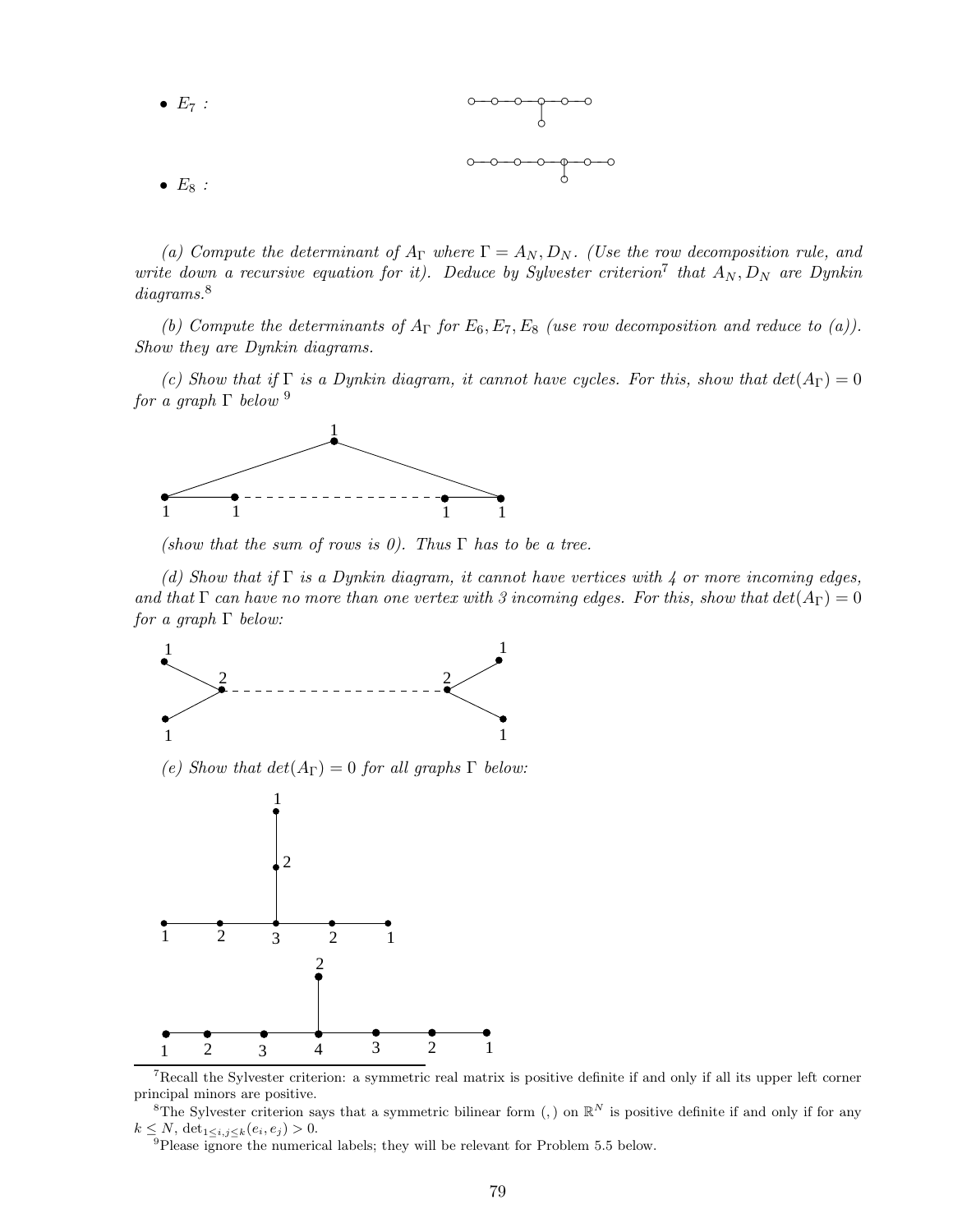• 
$$
E_7
$$
 :  $0 - 0 - 0 - 0$   
•  $E_8$  :

(a) Compute the determinant of  $A_{\Gamma}$  where  $\Gamma = A_N, D_N$ . (Use the row decomposition rule, and *write down a recursive equation for it). Deduce by Sylvester criterion*<sup>7</sup> that  $A_N, D_N$  are Dynkin *diagrams.*<sup>8</sup>

*(b) Compute the determinants of*  $A_\Gamma$  *for*  $E_6$ ,  $E_7$ ,  $E_8$  *(use row decomposition and reduce to (a)). Show they are Dynkin diagrams.*

*(c)* Show that if  $\Gamma$  is a Dynkin diagram, it cannot have cycles. For this, show that  $det(A_{\Gamma}) = 0$ *for a graph* Γ *below* <sup>9</sup>



*(show that the sum of rows is 0). Thus* Γ *has to be a tree.*

*(d) Show that if* Γ *is a Dynkin diagram, it cannot have vertices with 4 or more incoming edges, and that*  $\Gamma$  *can have no more than one vertex with* 3 incoming edges. For this, show that  $det(A_{\Gamma}) = 0$ *for a graph* Γ *below:*



<sup>7</sup>Recall the Sylvester criterion: a symmetric real matrix is positive definite if and only if all its upper left corner principal minors are positive.

<sup>8</sup>The Sylvester criterion says that a symmetric bilinear form (,) on  $\mathbb{R}^N$  is positive definite if and only if for any  $k \leq N$ ,  $\det_{1 \leq i,j \leq k} (e_i, e_j) > 0$ .

<sup>9</sup>Please ignore the numerical labels; they will be relevant for Problem 5.5 below.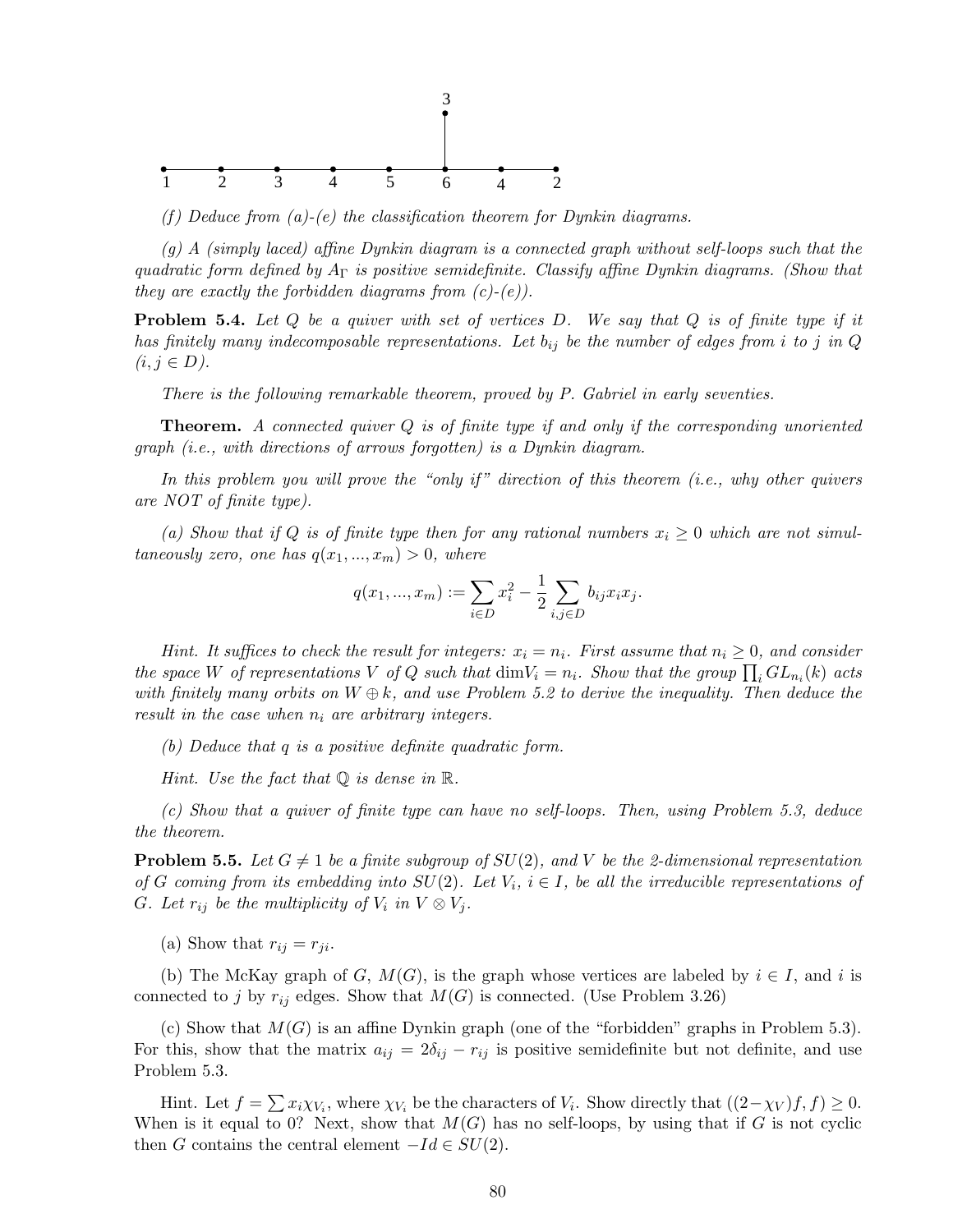

*(f) Deduce from (a)-(e) the classification theorem for Dynkin diagrams.*

*(g) A (simply laced) affine Dynkin diagram is a connected graph without self-loops such that the quadratic form defined by* A<sup>Γ</sup> *is positive semidefinite. Classify affine Dynkin diagrams. (Show that they are exactly the forbidden diagrams from (c)-(e)).*

Problem 5.4. *Let* Q *be a quiver with set of vertices* D*. We say that* Q *is of finite type if it has finitely many indecomposable representations. Let*  $b_{ij}$  *be the number of edges from i to j in Q*  $(i, j ∈ D)$ *.* 

*There is the following remarkable theorem, proved by P. Gabriel in early seventies.*

Theorem. *A connected quiver* Q *is of finite type if and only if the corresponding unoriented graph (i.e., with directions of arrows forgotten) is a Dynkin diagram.*

*In this problem you will prove the "only if" direction of this theorem (i.e., why other quivers are NOT of finite type).*

(a) Show that if Q is of finite type then for any rational numbers  $x_i \geq 0$  which are not simul*taneously zero, one has*  $q(x_1, ..., x_m) > 0$ *, where* 

$$
q(x_1, ..., x_m) := \sum_{i \in D} x_i^2 - \frac{1}{2} \sum_{i,j \in D} b_{ij} x_i x_j.
$$

*Hint. It suffices to check the result for integers:*  $x_i = n_i$ *. First assume that*  $n_i \geq 0$ *, and consider the space* W of representations V of Q such that  $\dim V_i = n_i$ . Show that the group  $\prod_i GL_{n_i}(k)$  acts *with finitely many orbits on*  $W \oplus k$ *, and use Problem 5.2 to derive the inequality. Then deduce the result in the case when*  $n_i$  *are arbitrary integers.* 

*(b) Deduce that* q *is a positive definite quadratic form.*

*Hint. Use the fact that* Q *is dense in* R*.*

*(c) Show that a quiver of finite type can have no self-loops. Then, using Problem 5.3, deduce the theorem.*

**Problem 5.5.** Let  $G \neq 1$  be a finite subgroup of  $SU(2)$ , and V be the 2-dimensional representation *of* G coming from its embedding into  $SU(2)$ . Let  $V_i$ ,  $i \in I$ , be all the irreducible representations of G. Let  $r_{ij}$  be the multiplicity of  $V_i$  in  $V \otimes V_j$ .

(a) Show that  $r_{ij} = r_{ji}$ .

(b) The McKay graph of G,  $M(G)$ , is the graph whose vertices are labeled by  $i \in I$ , and i is connected to j by  $r_{ij}$  edges. Show that  $M(G)$  is connected. (Use Problem 3.26)

(c) Show that  $M(G)$  is an affine Dynkin graph (one of the "forbidden" graphs in Problem 5.3). For this, show that the matrix  $a_{ij} = 2\delta_{ij} - r_{ij}$  is positive semidefinite but not definite, and use Problem 5.3.

Hint. Let  $f = \sum x_i \chi_{V_i}$ , where  $\chi_{V_i}$  be the characters of  $V_i$ . Show directly that  $((2-\chi_V)f, f) \ge 0$ . When is it equal to 0? Next, show that  $M(G)$  has no self-loops, by using that if G is not cyclic then G contains the central element  $-Id \in SU(2)$ .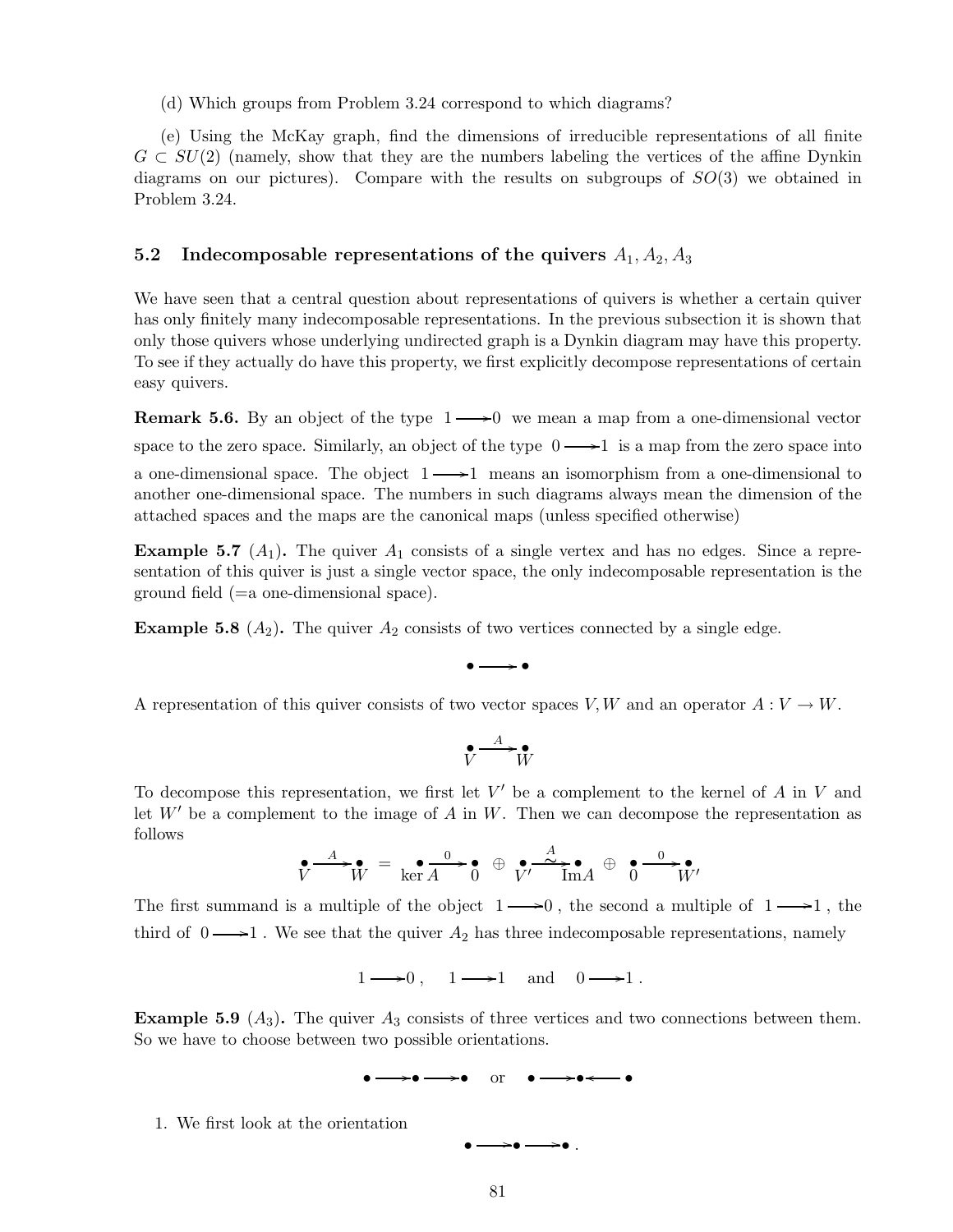(d) Which groups from Problem 3.24 correspond to which diagrams?

(e) Using the McKay graph, find the dimensions of irreducible representations of all finite  $G \subset SU(2)$  (namely, show that they are the numbers labeling the vertices of the affine Dynkin diagrams on our pictures). Compare with the results on subgroups of  $SO(3)$  we obtained in Problem 3.24.

## 5.2 Indecomposable representations of the quivers  $A_1, A_2, A_3$

We have seen that a central question about representations of quivers is whether a certain quiver has only finitely many indecomposable representations. In the previous subsection it is shown that only those quivers whose underlying undirected graph is a Dynkin diagram may have this property. To see if they actually do have this property, we first explicitly decompose representations of certain easy quivers.

**Remark 5.6.** By an object of the type  $1 \rightarrow 0$  we mean a map from a one-dimensional vector space to the zero space. Similarly, an object of the type  $0 \longrightarrow 1$  is a map from the zero space into a one-dimensional space. The object  $1 \longrightarrow 1$  means an isomorphism from a one-dimensional to another one-dimensional space. The numbers in such diagrams always mean the dimension of the attached spaces and the maps are the canonical maps (unless specified otherwise)

**Example 5.7** ( $A_1$ ). The quiver  $A_1$  consists of a single vertex and has no edges. Since a representation of this quiver is just a single vector space, the only indecomposable representation is the ground field (=a one-dimensional space).

**Example 5.8** ( $A_2$ ). The quiver  $A_2$  consists of two vertices connected by a single edge.

 $\bullet \longrightarrow \bullet$ 

A representation of this quiver consists of two vector spaces V, W and an operator  $A: V \to W$ .

$$
\overset{\bullet}{V} \xrightarrow{A} \overset{\bullet}{W}
$$

To decompose this representation, we first let  $V'$  be a complement to the kernel of A in V and let  $W'$  be a complement to the image of A in W. Then we can decompose the representation as follows

• V <sup>A</sup> /• W = • ker A <sup>0</sup> /• 0 ⊕ • V ′ / A <sup>∼</sup> • ImA ⊕ • 0 <sup>0</sup> /• W′

The first summand is a multiple of the object  $1 \longrightarrow 0$ , the second a multiple of  $1 \longrightarrow 1$ , the third of  $0 \longrightarrow 1$ . We see that the quiver  $A_2$  has three indecomposable representations, namely

 $1 \longrightarrow 0$ ,  $1 \longrightarrow 1$  and  $0 \longrightarrow 1$ .

**Example 5.9** ( $A_3$ ). The quiver  $A_3$  consists of three vertices and two connections between them. So we have to choose between two possible orientations.

> • /•  $\rightarrow \bullet$  or  $\bullet =$  $\bullet \longrightarrow \bullet$

1. We first look at the orientation

 $\bullet \longrightarrow \bullet$  .

•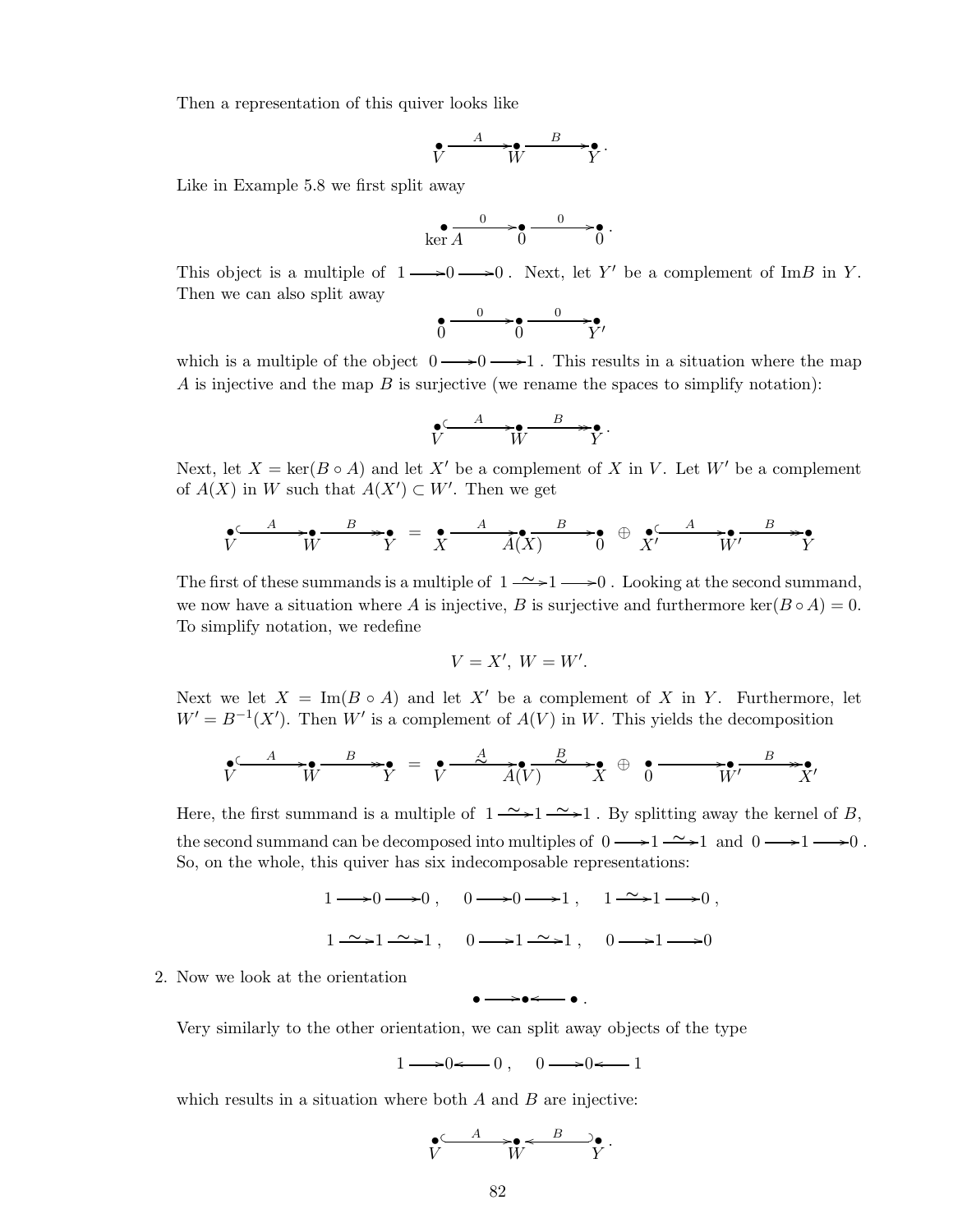Then a representation of this quiver looks like

$$
\mathbf{v} \xrightarrow{A} \mathbf{v} \xrightarrow{B} \mathbf{v}.
$$

Like in Example 5.8 we first split away

$$
\ker \overline{A} \xrightarrow{0} \overline{0} \xrightarrow{0} \overline{0}.
$$

This object is a multiple of  $1 \longrightarrow 0 \longrightarrow 0$ . Next, let Y' be a complement of ImB in Y. Then we can also split away

$$
\bullet \xrightarrow{\hspace{1cm} 0 \hspace{1cm} 0 \hspace{1cm} \longrightarrow \hspace{1cm} 0 \hspace{1cm} \longrightarrow}
$$

which is a multiple of the object  $0 \rightarrow 0 \rightarrow 1$ . This results in a situation where the map A is injective and the map  $B$  is surjective (we rename the spaces to simplify notation):

$$
\mathbf{V} \xrightarrow{A} \mathbf{W} \xrightarrow{B} \mathbf{V}.
$$

Next, let  $X = \ker(B \circ A)$  and let X' be a complement of X in V. Let W' be a complement of  $A(X)$  in W such that  $A(X') \subset W'$ . Then we get

$$
\mathbf{y} \xrightarrow{A} \mathbf{y} \xrightarrow{B} \mathbf{y} = \mathbf{y} \xrightarrow{A} \widetilde{A(X)} \xrightarrow{B} \mathbf{y} \xrightarrow{A} \mathbf{y} \mathbf{y}
$$

The first of these summands is a multiple of  $1 \rightarrow 1 \rightarrow 0$ . Looking at the second summand, we now have a situation where A is injective, B is surjective and furthermore ker( $B \circ A$ ) = 0. To simplify notation, we redefine

$$
V = X', W = W'.
$$

Next we let  $X = \text{Im}(B \circ A)$  and let X' be a complement of X in Y. Furthermore, let  $W' = B^{-1}(X')$ . Then W' is a complement of  $A(V)$  in W. This yields the decomposition

$$
\mathbf{v} \xrightarrow{A} \mathbf{v} \xrightarrow{B} \mathbf{v} = \mathbf{v} \xrightarrow{A} \mathbf{A}(V) \xrightarrow{B} \mathbf{v} \xrightarrow{B} \mathbf{v} \xrightarrow{B} \mathbf{v}
$$

Here, the first summand is a multiple of  $1 \rightarrow \rightarrow 1 \rightarrow 1$ . By splitting away the kernel of B, the second summand can be decomposed into multiples of  $0 \longrightarrow 1 \longrightarrow 1$  and  $0 \longrightarrow 1 \longrightarrow 0$ . So, on the whole, this quiver has six indecomposable representations:

> $1 \longrightarrow 0 \longrightarrow 0$ ,  $0 \longrightarrow 0 \longrightarrow 1$ ,  $1 \longrightarrow 1 \longrightarrow 0$ ,  $1 \rightarrow 1 \rightarrow 1$ ,  $0 \rightarrow 1 \rightarrow 1$ ,  $0 \rightarrow 1 \rightarrow 0$

> > $\bullet \longrightarrow \bullet \longleftarrow \bullet$  .

2. Now we look at the orientation

Very similarly to the other orientation, we can split away objects of the type

$$
1 \longrightarrow 0 \longleftarrow 0 \,, \quad 0 \longrightarrow 0 \longleftarrow 1
$$

which results in a situation where both  $A$  and  $B$  are injective:

$$
\mathbf{V} \xrightarrow{\mathbf{A}} \mathbf{W} \xrightarrow{\mathbf{B}} \mathbf{O} \bullet \mathbf{V}.
$$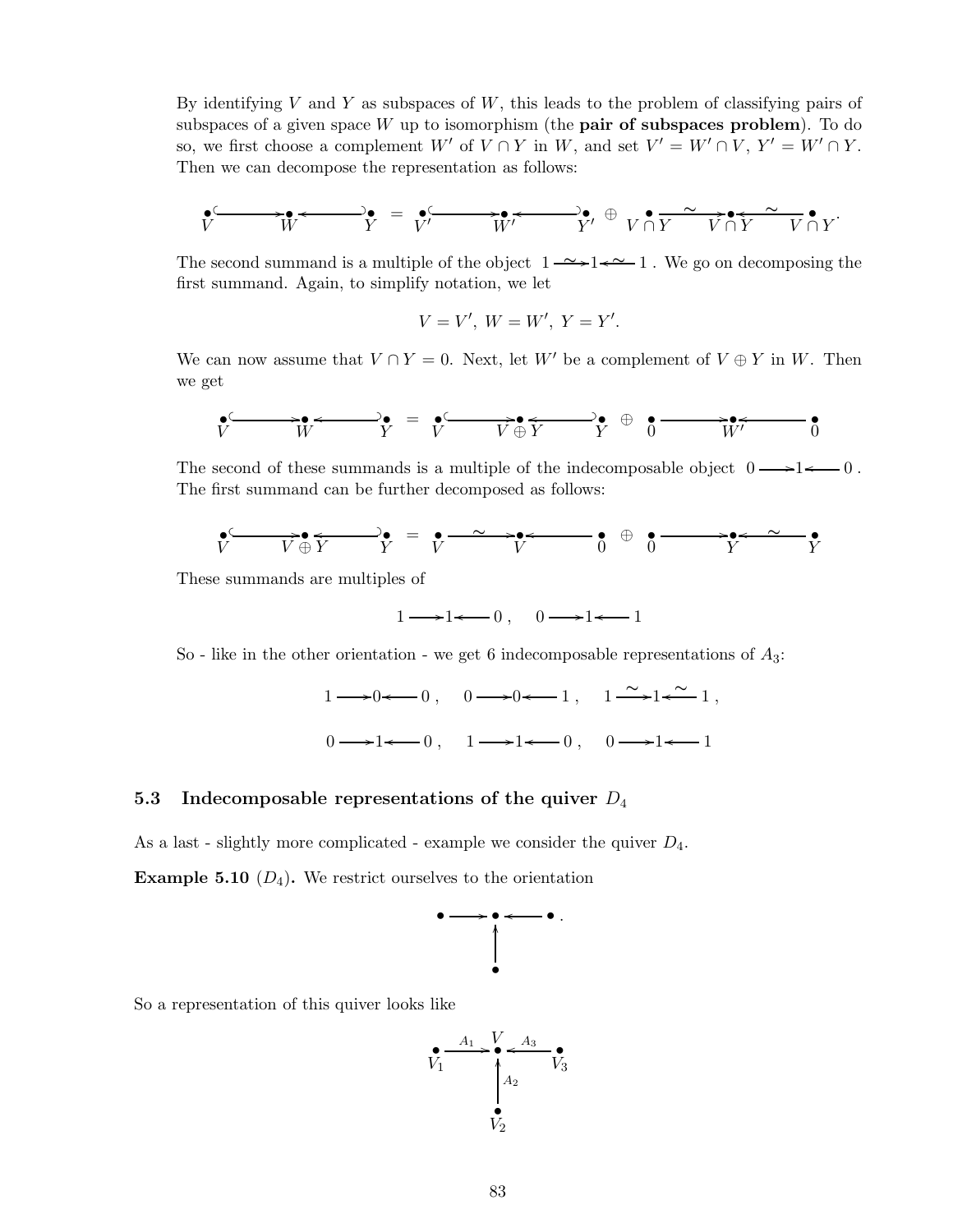By identifying V and Y as subspaces of  $W$ , this leads to the problem of classifying pairs of subspaces of a given space  $W$  up to isomorphism (the **pair of subspaces problem**). To do so, we first choose a complement  $W'$  of  $V \cap Y$  in  $W$ , and set  $V' = W' \cap V$ ,  $Y' = W' \cap Y$ . Then we can decompose the representation as follows:

$$
\underbrace{\bullet}_{V}\underbrace{\bullet\bullet\bullet\bullet\bullet}_{W}\underbrace{\bullet\bullet\bullet\bullet\bullet\bullet\bullet\bullet\bullet\bullet}_{Y'}\oplus\underbrace{\bullet\bullet\bullet\bullet\bullet\bullet\bullet\bullet\bullet\bullet\bullet\bullet\bullet}_{Y'\cap Y}\underbrace{\bullet\bullet\bullet\bullet\bullet\bullet\bullet\bullet\bullet\bullet}_{V\cap Y}\bullet_{V'\cap Y}\bullet
$$

The second summand is a multiple of the object 1 ∼ /1 1 o ∼ . We go on decomposing the first summand. Again, to simplify notation, we let

$$
V = V', W = W', Y = Y'.
$$

We can now assume that  $V \cap Y = 0$ . Next, let W' be a complement of  $V \oplus Y$  in W. Then we get

$$
\bullet \xrightarrow[V]{\bullet} W \xrightarrow{V} Y = \bullet \xrightarrow[V]{\bullet} V \xrightarrow{V} \oplus Y \xrightarrow{V} 0 \xrightarrow{V'} W'
$$

The second of these summands is a multiple of the indecomposable object  $0 \longrightarrow 1 \longleftarrow 0$ . The first summand can be further decomposed as follows:

$$
\mathbf{v} \longrightarrow \mathbf{v} \longrightarrow \mathbf{v}
$$

These summands are multiples of

$$
1 \longrightarrow 1 \longleftarrow 0 \,, \quad 0 \longrightarrow 1 \longleftarrow 1
$$

So - like in the other orientation - we get 6 indecomposable representations of  $A_3$ :

$$
1 \longrightarrow 0 \longleftarrow 0, \quad 0 \longrightarrow 0 \longleftarrow 1, \quad 1 \stackrel{\sim}{\longrightarrow} 1 \longleftarrow 1,
$$
  

$$
0 \longrightarrow 1 \longleftarrow 0, \quad 1 \longrightarrow 1 \longleftarrow 0, \quad 0 \longrightarrow 1 \longleftarrow 1
$$

# 5.3 Indecomposable representations of the quiver  $D_4$

As a last - slightly more complicated - example we consider the quiver  $D_4$ .

**Example 5.10**  $(D_4)$ . We restrict ourselves to the orientation



So a representation of this quiver looks like

$$
V_1 \xrightarrow{A_1} V A_3
$$
\n
$$
A_2
$$
\n
$$
V_3
$$
\n
$$
V_2
$$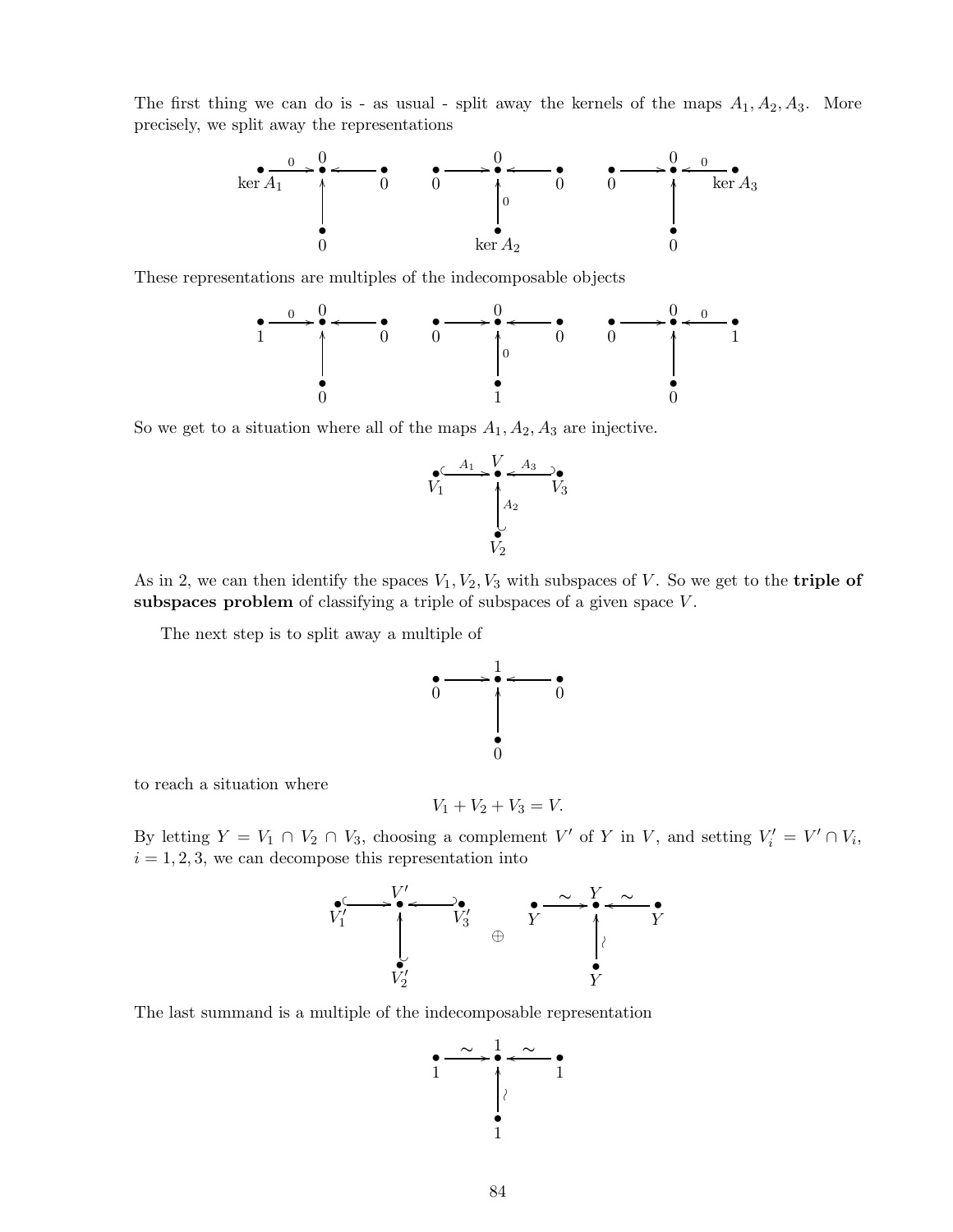The first thing we can do is - as usual - split away the kernels of the maps  $A_1, A_2, A_3$ . More precisely, we split away the representations



These representations are multiples of the indecomposable objects



So we get to a situation where all of the maps  $A_1, A_2, A_3$  are injective.



As in 2, we can then identify the spaces  $V_1, V_2, V_3$  with subspaces of V. So we get to the **triple of** subspaces problem of classifying a triple of subspaces of a given space  $V$ .

The next step is to split away a multiple of



to reach a situation where

$$
V_1 + V_2 + V_3 = V.
$$

By letting  $Y = V_1 \cap V_2 \cap V_3$ , choosing a complement V' of Y in V, and setting  $V_i' = V' \cap V_i$ ,  $i = 1, 2, 3$ , we can decompose this representation into



The last summand is a multiple of the indecomposable representation

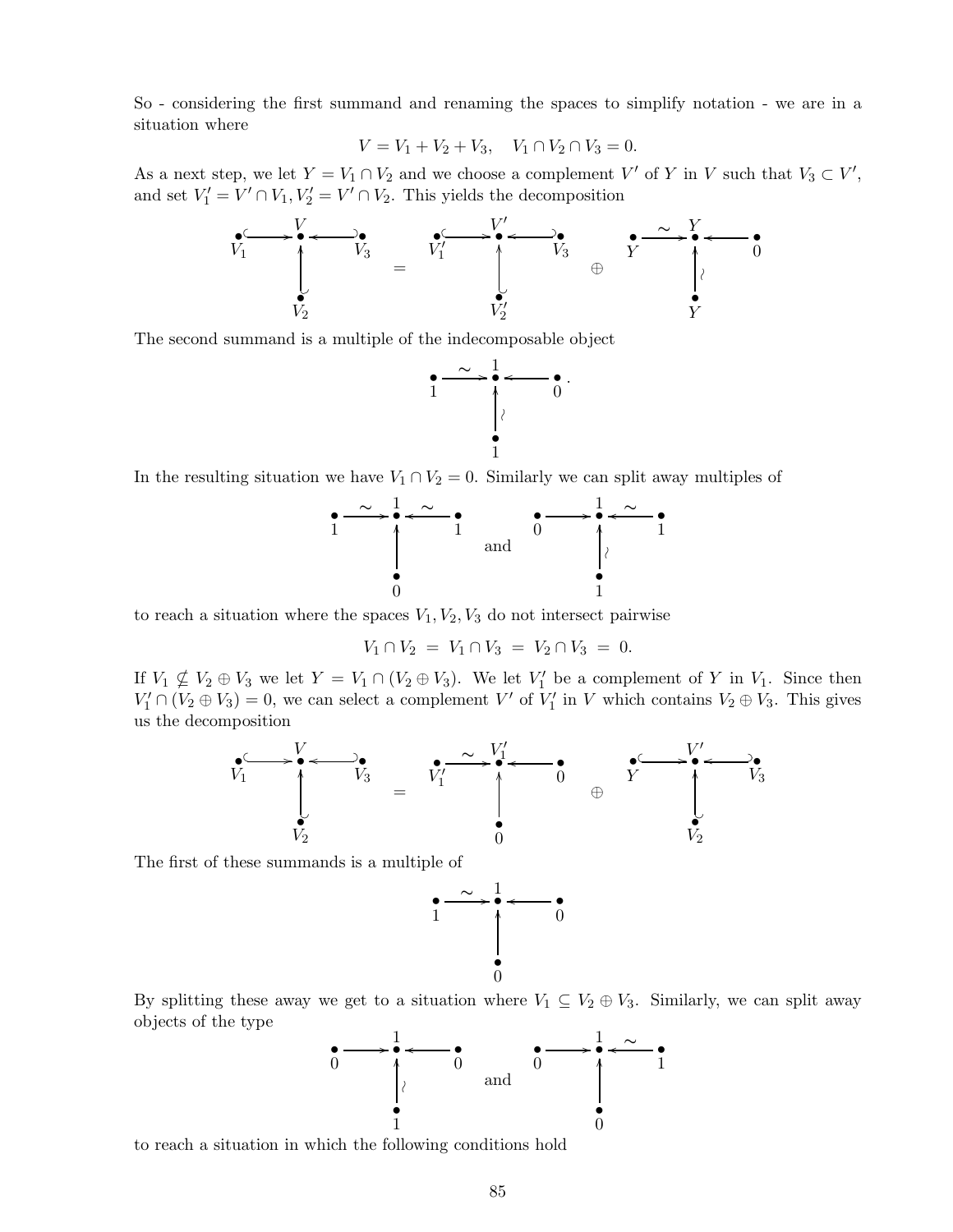So - considering the first summand and renaming the spaces to simplify notation - we are in a situation where

$$
V = V_1 + V_2 + V_3, \quad V_1 \cap V_2 \cap V_3 = 0.
$$

As a next step, we let  $Y = V_1 \cap V_2$  and we choose a complement  $V'$  of Y in V such that  $V_3 \subset V'$ , and set  $V'_1 = V' \cap V_1, V'_2 = V' \cap V_2$ . This yields the decomposition



The second summand is a multiple of the indecomposable object



In the resulting situation we have  $V_1 \cap V_2 = 0$ . Similarly we can split away multiples of



to reach a situation where the spaces  $V_1, V_2, V_3$  do not intersect pairwise

$$
V_1 \cap V_2 = V_1 \cap V_3 = V_2 \cap V_3 = 0.
$$

If  $V_1 \nsubseteq V_2 \oplus V_3$  we let  $Y = V_1 \cap (V_2 \oplus V_3)$ . We let  $V_1'$  be a complement of Y in  $V_1$ . Since then  $V'_1 \cap (V_2 \oplus V_3) = 0$ , we can select a complement V' of  $V'_1$  in V which contains  $V_2 \oplus V_3$ . This gives us the decomposition



The first of these summands is a multiple of



By splitting these away we get to a situation where  $V_1 \subseteq V_2 \oplus V_3$ . Similarly, we can split away objects of the type



to reach a situation in which the following conditions hold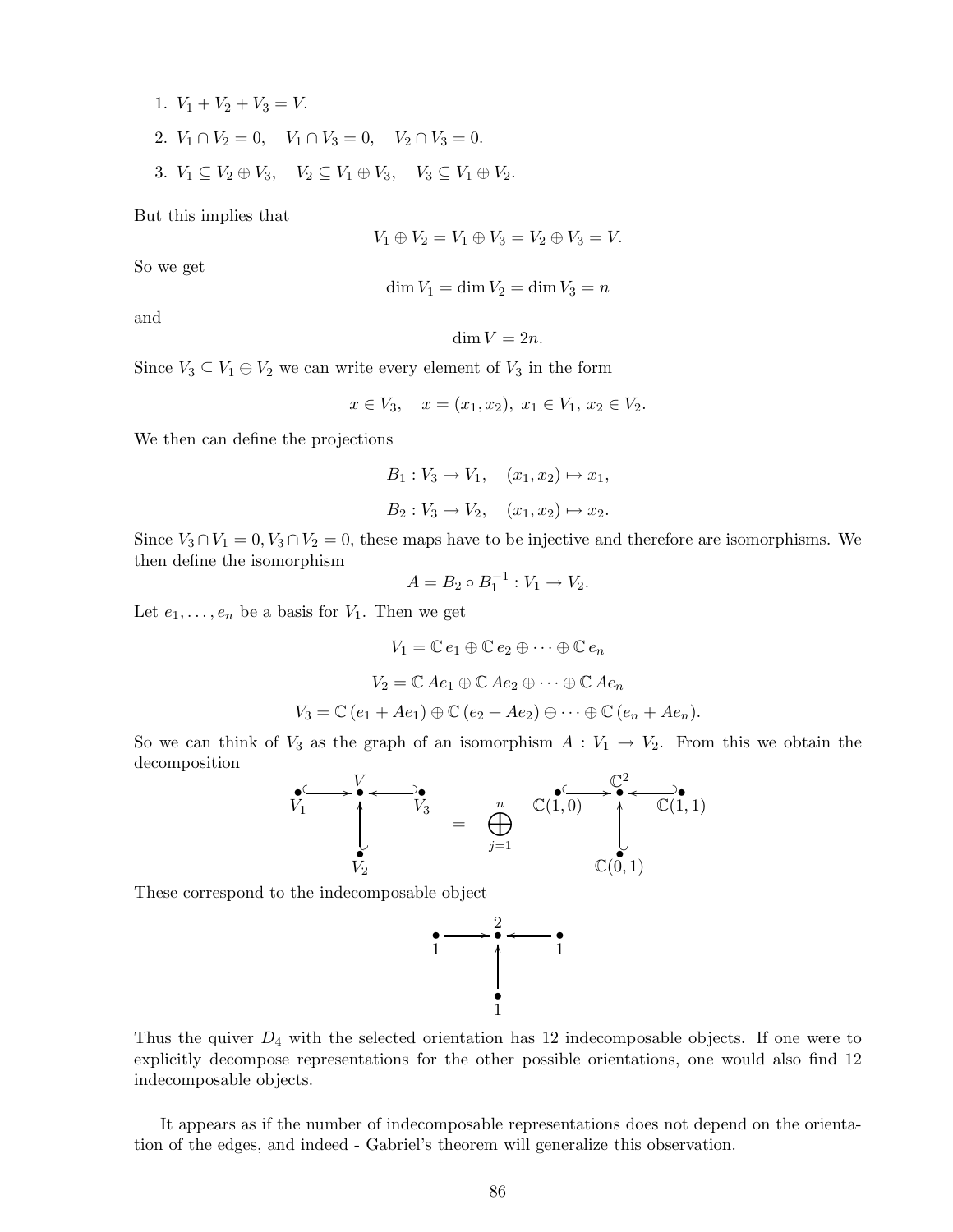1.  $V_1 + V_2 + V_3 = V$ . 2.  $V_1 \cap V_2 = 0$ ,  $V_1 \cap V_3 = 0$ ,  $V_2 \cap V_3 = 0$ . 3.  $V_1 \subseteq V_2 \oplus V_3$ ,  $V_2 \subseteq V_1 \oplus V_3$ ,  $V_3 \subseteq V_1 \oplus V_2$ .

But this implies that

$$
V_1 \oplus V_2 = V_1 \oplus V_3 = V_2 \oplus V_3 = V.
$$

So we get

$$
\dim V_1 = \dim V_2 = \dim V_3 = n
$$

and

$$
\dim V = 2n.
$$

Since  $V_3 \subseteq V_1 \oplus V_2$  we can write every element of  $V_3$  in the form

$$
x \in V_3
$$
,  $x = (x_1, x_2)$ ,  $x_1 \in V_1$ ,  $x_2 \in V_2$ .

We then can define the projections

$$
B_1: V_3 \to V_1, \quad (x_1, x_2) \mapsto x_1,
$$
  
\n $B_2: V_3 \to V_2, \quad (x_1, x_2) \mapsto x_2.$ 

Since  $V_3 \cap V_1 = 0, V_3 \cap V_2 = 0$ , these maps have to be injective and therefore are isomorphisms. We then define the isomorphism

$$
A=B_2\circ B_1^{-1}:V_1\to V_2.
$$

Let  $e_1, \ldots, e_n$  be a basis for  $V_1$ . Then we get

$$
V_1 = \mathbb{C} e_1 \oplus \mathbb{C} e_2 \oplus \cdots \oplus \mathbb{C} e_n
$$

$$
V_2 = \mathbb{C} A e_1 \oplus \mathbb{C} A e_2 \oplus \cdots \oplus \mathbb{C} A e_n
$$

$$
V_3 = \mathbb{C} (e_1 + Ae_1) \oplus \mathbb{C} (e_2 + Ae_2) \oplus \cdots \oplus \mathbb{C} (e_n + Ae_n).
$$

So we can think of  $V_3$  as the graph of an isomorphism  $A: V_1 \to V_2$ . From this we obtain the decomposition

$$
V_1 \longrightarrow V_3 \longrightarrow V_4
$$
  
\n
$$
V_2 \longrightarrow V_3 \longrightarrow V_4
$$
  
\n
$$
V_1 \longrightarrow V_5
$$
  
\n
$$
\bigoplus_{j=1}^n \bigoplus_{\mathbb{C}(1,0)}^{\mathbb{C}(2,0)} \bigoplus_{\mathbb{C}(0,1)}^{\mathbb{C}^2} \bigoplus_{\mathbb{C}(1,1)}^{\mathbb{C}(3,0)}
$$

These correspond to the indecomposable object



Thus the quiver  $D_4$  with the selected orientation has 12 indecomposable objects. If one were to explicitly decompose representations for the other possible orientations, one would also find 12 indecomposable objects.

It appears as if the number of indecomposable representations does not depend on the orientation of the edges, and indeed - Gabriel's theorem will generalize this observation.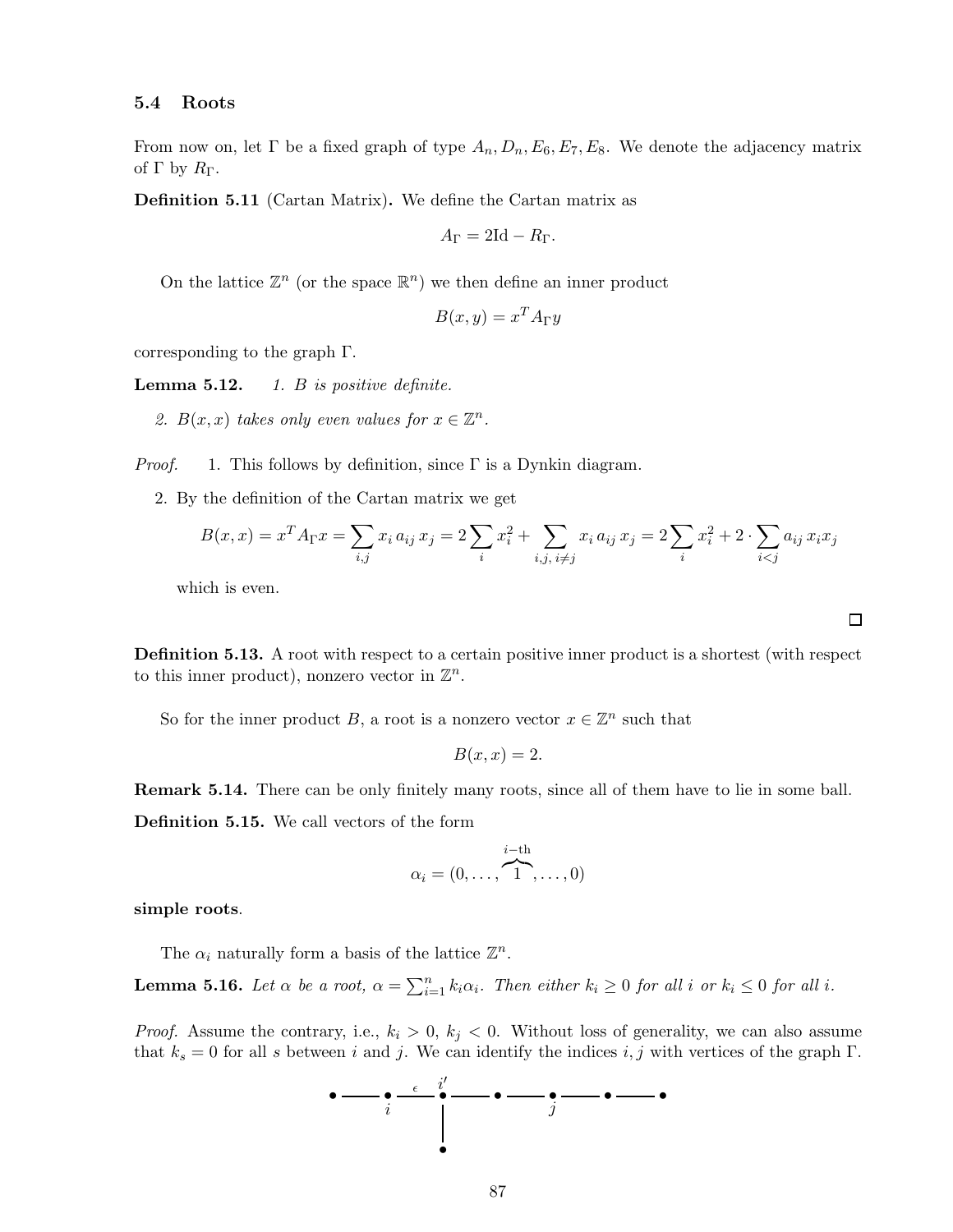### 5.4 Roots

From now on, let  $\Gamma$  be a fixed graph of type  $A_n, D_n, E_6, E_7, E_8$ . We denote the adjacency matrix of Γ by  $R_{\Gamma}$ .

Definition 5.11 (Cartan Matrix). We define the Cartan matrix as

$$
A_{\Gamma} = 2\mathrm{Id} - R_{\Gamma}.
$$

On the lattice  $\mathbb{Z}^n$  (or the space  $\mathbb{R}^n$ ) we then define an inner product

$$
B(x, y) = x^T A_{\Gamma} y
$$

corresponding to the graph Γ.

Lemma 5.12. *1.* B *is positive definite.*

2.  $B(x, x)$  takes only even values for  $x \in \mathbb{Z}^n$ .

*Proof.* 1. This follows by definition, since Γ is a Dynkin diagram.

2. By the definition of the Cartan matrix we get

$$
B(x, x) = x^T A_{\Gamma} x = \sum_{i,j} x_i a_{ij} x_j = 2 \sum_i x_i^2 + \sum_{i,j, i \neq j} x_i a_{ij} x_j = 2 \sum_i x_i^2 + 2 \cdot \sum_{i < j} a_{ij} x_i x_j
$$

which is even.

Definition 5.13. A root with respect to a certain positive inner product is a shortest (with respect to this inner product), nonzero vector in  $\mathbb{Z}^n$ .

So for the inner product B, a root is a nonzero vector  $x \in \mathbb{Z}^n$  such that

$$
B(x,x) = 2.
$$

Remark 5.14. There can be only finitely many roots, since all of them have to lie in some ball. Definition 5.15. We call vectors of the form

$$
\alpha_i = (0, \ldots, \overbrace{1}^{i-\text{th}}, \ldots, 0)
$$

simple roots.

The  $\alpha_i$  naturally form a basis of the lattice  $\mathbb{Z}^n$ .

**Lemma 5.16.** Let  $\alpha$  be a root,  $\alpha = \sum_{i=1}^{n} k_i \alpha_i$ . Then either  $k_i \geq 0$  for all i or  $k_i \leq 0$  for all i.

*Proof.* Assume the contrary, i.e.,  $k_i > 0$ ,  $k_j < 0$ . Without loss of generality, we can also assume that  $k_s = 0$  for all s between i and j. We can identify the indices i, j with vertices of the graph Γ.



囗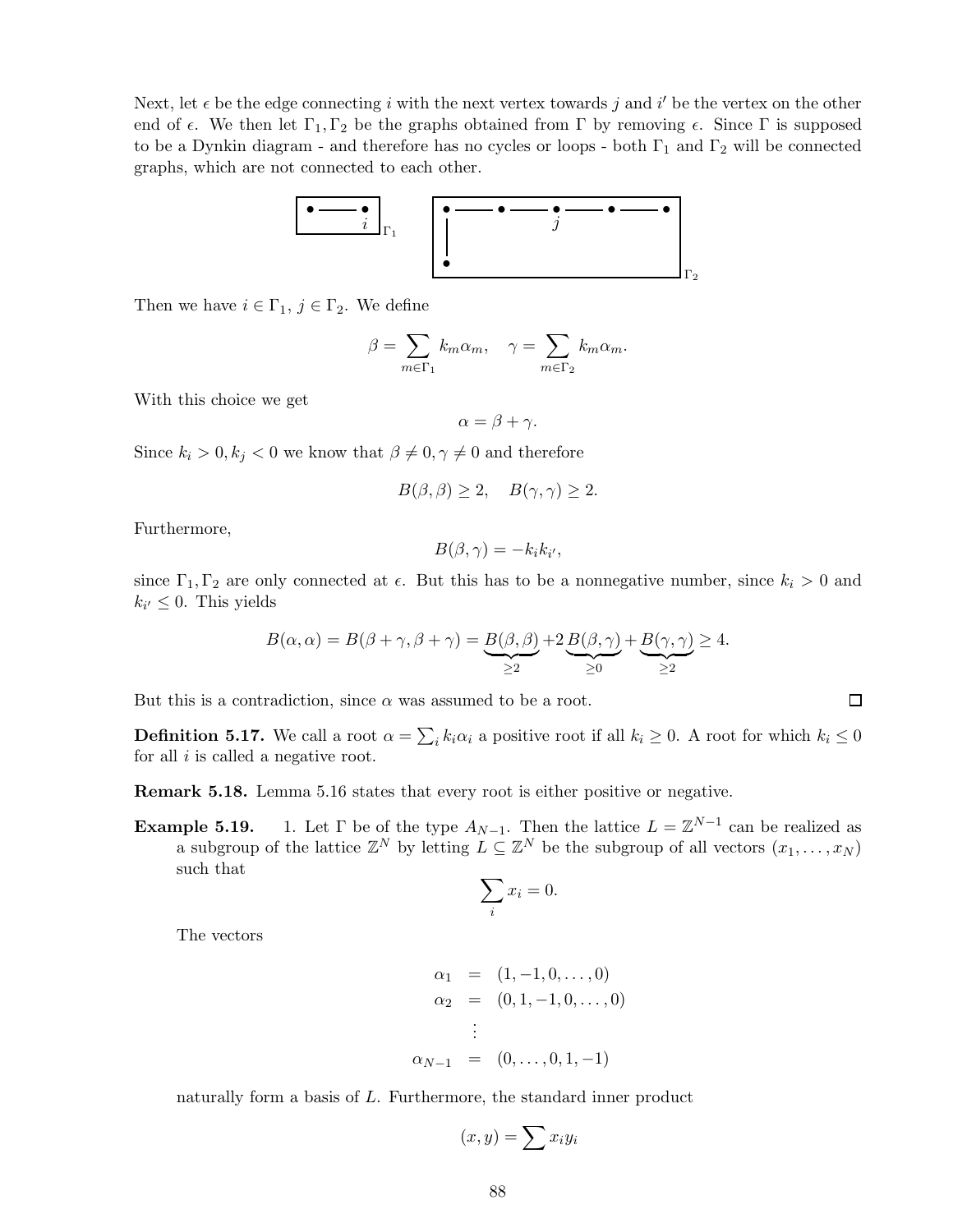Next, let  $\epsilon$  be the edge connecting i with the next vertex towards j and i' be the vertex on the other end of  $\epsilon$ . We then let  $\Gamma_1, \Gamma_2$  be the graphs obtained from  $\Gamma$  by removing  $\epsilon$ . Since  $\Gamma$  is supposed to be a Dynkin diagram - and therefore has no cycles or loops - both  $\Gamma_1$  and  $\Gamma_2$  will be connected graphs, which are not connected to each other.



Then we have  $i \in \Gamma_1, j \in \Gamma_2$ . We define

$$
\beta = \sum_{m \in \Gamma_1} k_m \alpha_m, \quad \gamma = \sum_{m \in \Gamma_2} k_m \alpha_m.
$$

With this choice we get

$$
\alpha = \beta + \gamma.
$$

Since  $k_i > 0, k_j < 0$  we know that  $\beta \neq 0, \gamma \neq 0$  and therefore

$$
B(\beta,\beta) \ge 2, \quad B(\gamma,\gamma) \ge 2.
$$

Furthermore,

$$
B(\beta,\gamma)=-k_i k_{i'},
$$

since  $\Gamma_1, \Gamma_2$  are only connected at  $\epsilon$ . But this has to be a nonnegative number, since  $k_i > 0$  and  $k_{i'} \leq 0$ . This yields

$$
B(\alpha, \alpha) = B(\beta + \gamma, \beta + \gamma) = \underbrace{B(\beta, \beta)}_{\geq 2} + 2 \underbrace{B(\beta, \gamma)}_{\geq 0} + \underbrace{B(\gamma, \gamma)}_{\geq 2} \geq 4.
$$

 $\Box$ 

But this is a contradiction, since  $\alpha$  was assumed to be a root.

**Definition 5.17.** We call a root  $\alpha = \sum_i k_i \alpha_i$  a positive root if all  $k_i \geq 0$ . A root for which  $k_i \leq 0$ for all  $i$  is called a negative root.

Remark 5.18. Lemma 5.16 states that every root is either positive or negative.

**Example 5.19.** 1. Let  $\Gamma$  be of the type  $A_{N-1}$ . Then the lattice  $L = \mathbb{Z}^{N-1}$  can be realized as a subgroup of the lattice  $\mathbb{Z}^N$  by letting  $L \subseteq \mathbb{Z}^N$  be the subgroup of all vectors  $(x_1, \ldots, x_N)$ such that

$$
\sum_i x_i = 0.
$$

The vectors

$$
\alpha_1 = (1, -1, 0, \dots, 0) \n\alpha_2 = (0, 1, -1, 0, \dots, 0) \n\vdots \n\alpha_{N-1} = (0, \dots, 0, 1, -1)
$$

naturally form a basis of L. Furthermore, the standard inner product

$$
(x,y) = \sum x_i y_i
$$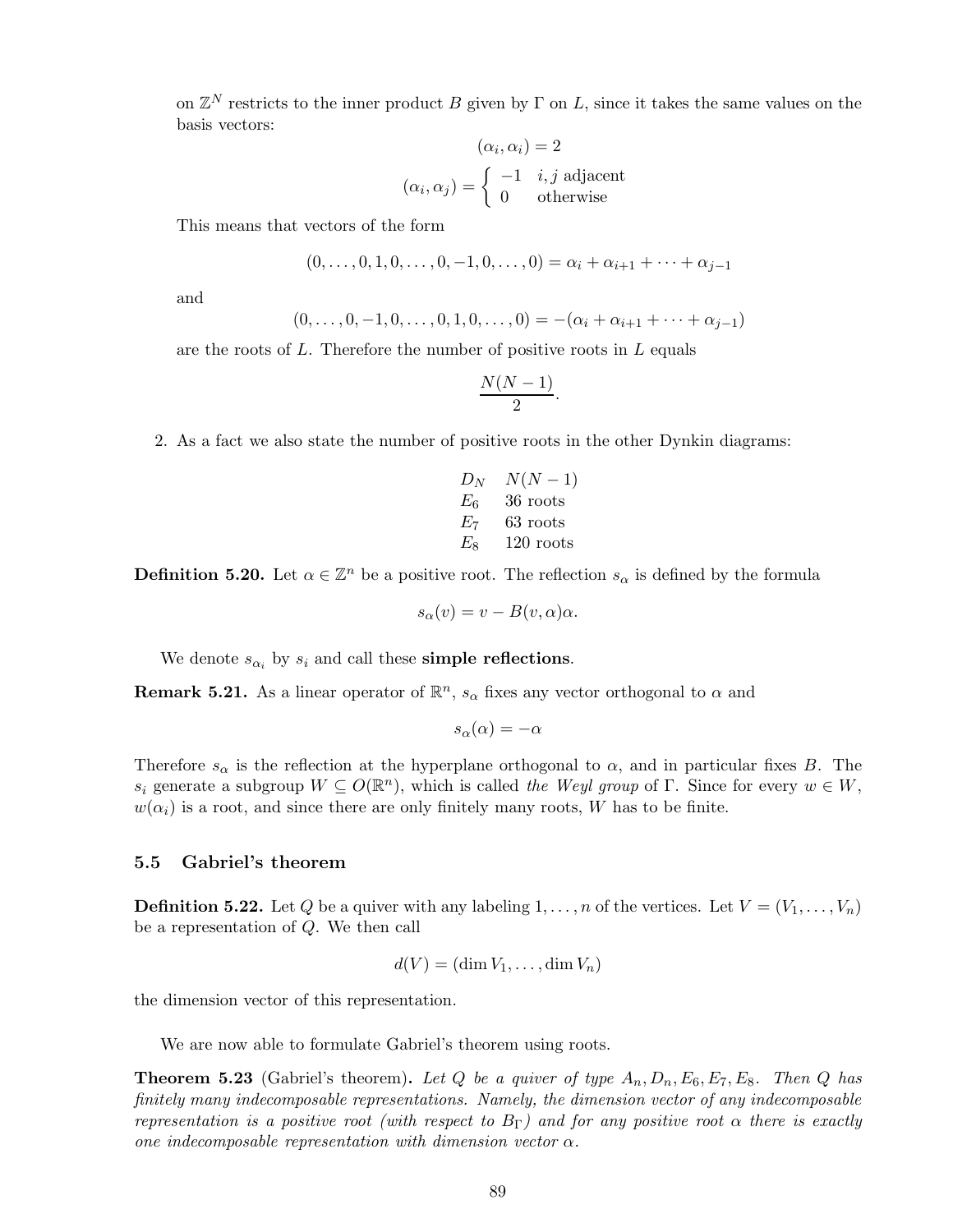on  $\mathbb{Z}^N$  restricts to the inner product B given by  $\Gamma$  on L, since it takes the same values on the basis vectors:

$$
(\alpha_i, \alpha_i) = 2
$$

$$
(\alpha_i, \alpha_j) = \begin{cases} -1 & i, j \text{ adjacent} \\ 0 & \text{otherwise} \end{cases}
$$

This means that vectors of the form

$$
(0,\ldots,0,1,0,\ldots,0,-1,0,\ldots,0) = \alpha_i + \alpha_{i+1} + \cdots + \alpha_{j-1}
$$

and

$$
(0,\ldots,0,-1,0,\ldots,0,1,0,\ldots,0) = -(\alpha_i + \alpha_{i+1} + \cdots + \alpha_{j-1})
$$

are the roots of  $L$ . Therefore the number of positive roots in  $L$  equals

$$
\frac{N(N-1)}{2}.
$$

2. As a fact we also state the number of positive roots in the other Dynkin diagrams:

$$
\begin{array}{ll}D_N & N(N-1)\\E_6 & 36\,\, \text{roots}\\E_7 & 63\,\, \text{roots}\\E_8 & 120\,\, \text{roots}\end{array}
$$

**Definition 5.20.** Let  $\alpha \in \mathbb{Z}^n$  be a positive root. The reflection  $s_\alpha$  is defined by the formula

$$
s_{\alpha}(v) = v - B(v, \alpha)\alpha.
$$

We denote  $s_{\alpha_i}$  by  $s_i$  and call these **simple reflections**.

**Remark 5.21.** As a linear operator of  $\mathbb{R}^n$ ,  $s_\alpha$  fixes any vector orthogonal to  $\alpha$  and

$$
s_{\alpha}(\alpha) = -\alpha
$$

Therefore  $s_{\alpha}$  is the reflection at the hyperplane orthogonal to  $\alpha$ , and in particular fixes B. The  $s_i$  generate a subgroup  $W \subseteq O(\mathbb{R}^n)$ , which is called *the Weyl group* of Γ. Since for every  $w \in W$ ,  $w(\alpha_i)$  is a root, and since there are only finitely many roots, W has to be finite.

## 5.5 Gabriel's theorem

**Definition 5.22.** Let Q be a quiver with any labeling  $1, \ldots, n$  of the vertices. Let  $V = (V_1, \ldots, V_n)$ be a representation of Q. We then call

$$
d(V) = (\dim V_1, \dots, \dim V_n)
$$

the dimension vector of this representation.

We are now able to formulate Gabriel's theorem using roots.

**Theorem 5.23** (Gabriel's theorem). Let Q be a quiver of type  $A_n, D_n, E_6, E_7, E_8$ . Then Q has *finitely many indecomposable representations. Namely, the dimension vector of any indecomposable representation is a positive root (with respect to*  $B_{\Gamma}$ ) and for any positive root  $\alpha$  there is exactly *one indecomposable representation with dimension vector* α*.*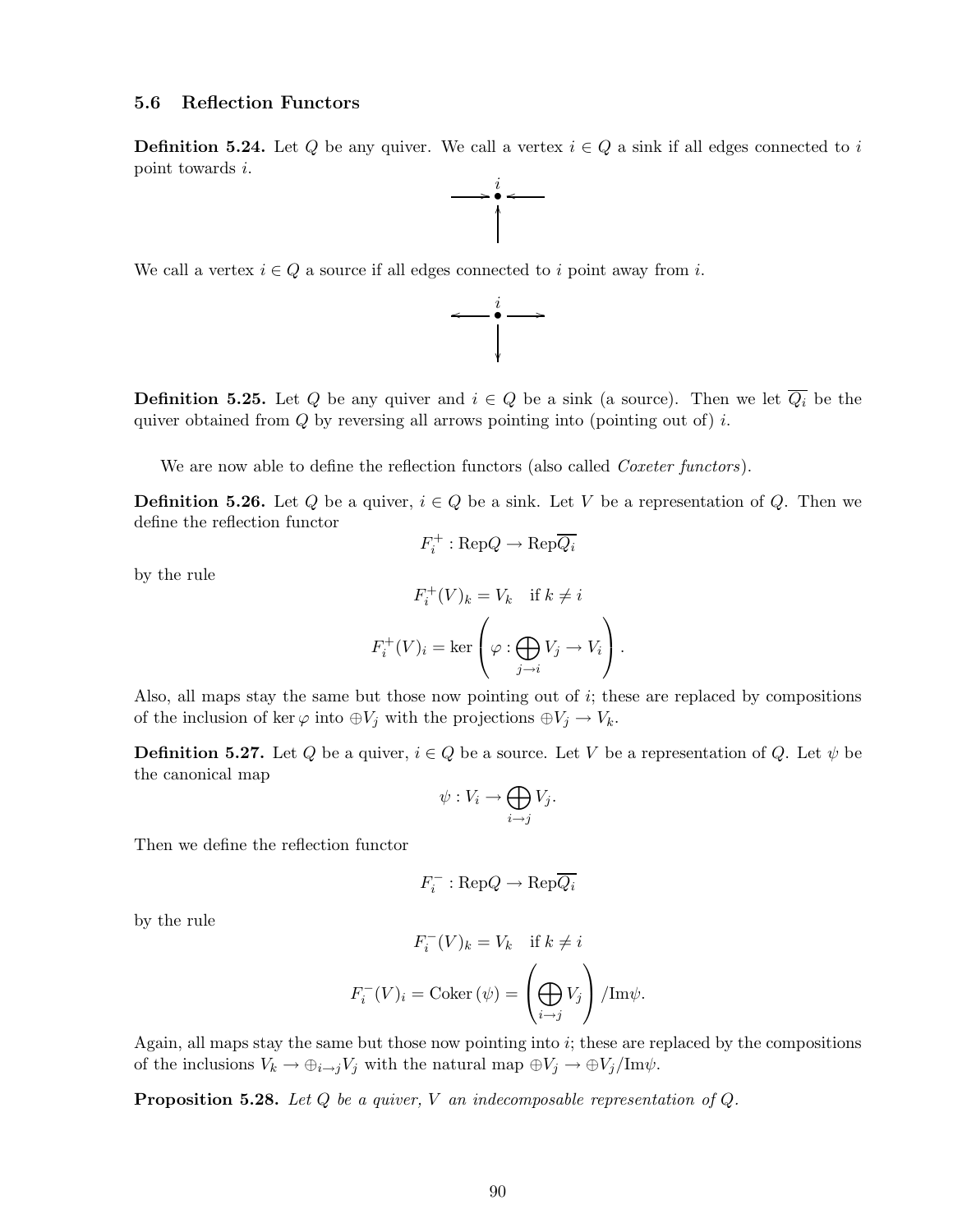## 5.6 Reflection Functors

**Definition 5.24.** Let Q be any quiver. We call a vertex  $i \in Q$  a sink if all edges connected to i point towards i.  $\int$   $\bullet$ 

 $\ddot{\bullet}$ 

.<br>I

We call a vertex  $i \in Q$  a source if all edges connected to i point away from i.



**Definition 5.25.** Let Q be any quiver and  $i \in Q$  be a sink (a source). Then we let  $\overline{Q_i}$  be the quiver obtained from  $Q$  by reversing all arrows pointing into (pointing out of) i.

We are now able to define the reflection functors (also called *Coxeter functors*).

**Definition 5.26.** Let Q be a quiver,  $i \in Q$  be a sink. Let V be a representation of Q. Then we define the reflection functor

$$
F_i^+ : \text{Rep}Q \to \text{Rep}\overline{Q_i}
$$

by the rule

$$
F_i^+(V)_k = V_k \quad \text{if } k \neq i
$$

$$
F_i^+(V)_i = \ker \left(\varphi : \bigoplus_{j \to i} V_j \to V_i\right).
$$

Also, all maps stay the same but those now pointing out of i; these are replaced by compositions of the inclusion of ker  $\varphi$  into  $\oplus V_j$  with the projections  $\oplus V_j \to V_k$ .

**Definition 5.27.** Let Q be a quiver,  $i \in Q$  be a source. Let V be a representation of Q. Let  $\psi$  be the canonical map

$$
\psi: V_i \to \bigoplus_{i \to j} V_j.
$$

Then we define the reflection functor

$$
F_i^- : \text{Rep}Q \to \text{Rep}\overline{Q_i}
$$

by the rule

$$
F_i^-(V)_k = V_k \quad \text{if } k \neq i
$$

$$
F_i^-(V)_i = \text{Coker}(\psi) = \left(\bigoplus_{i \to j} V_j\right) / \text{Im}\psi.
$$

Again, all maps stay the same but those now pointing into  $i$ ; these are replaced by the compositions of the inclusions  $V_k \to \bigoplus_{i \to j} V_j$  with the natural map  $\bigoplus V_j \to \bigoplus V_j/\text{Im}\psi$ .

Proposition 5.28. *Let* Q *be a quiver,* V *an indecomposable representation of* Q*.*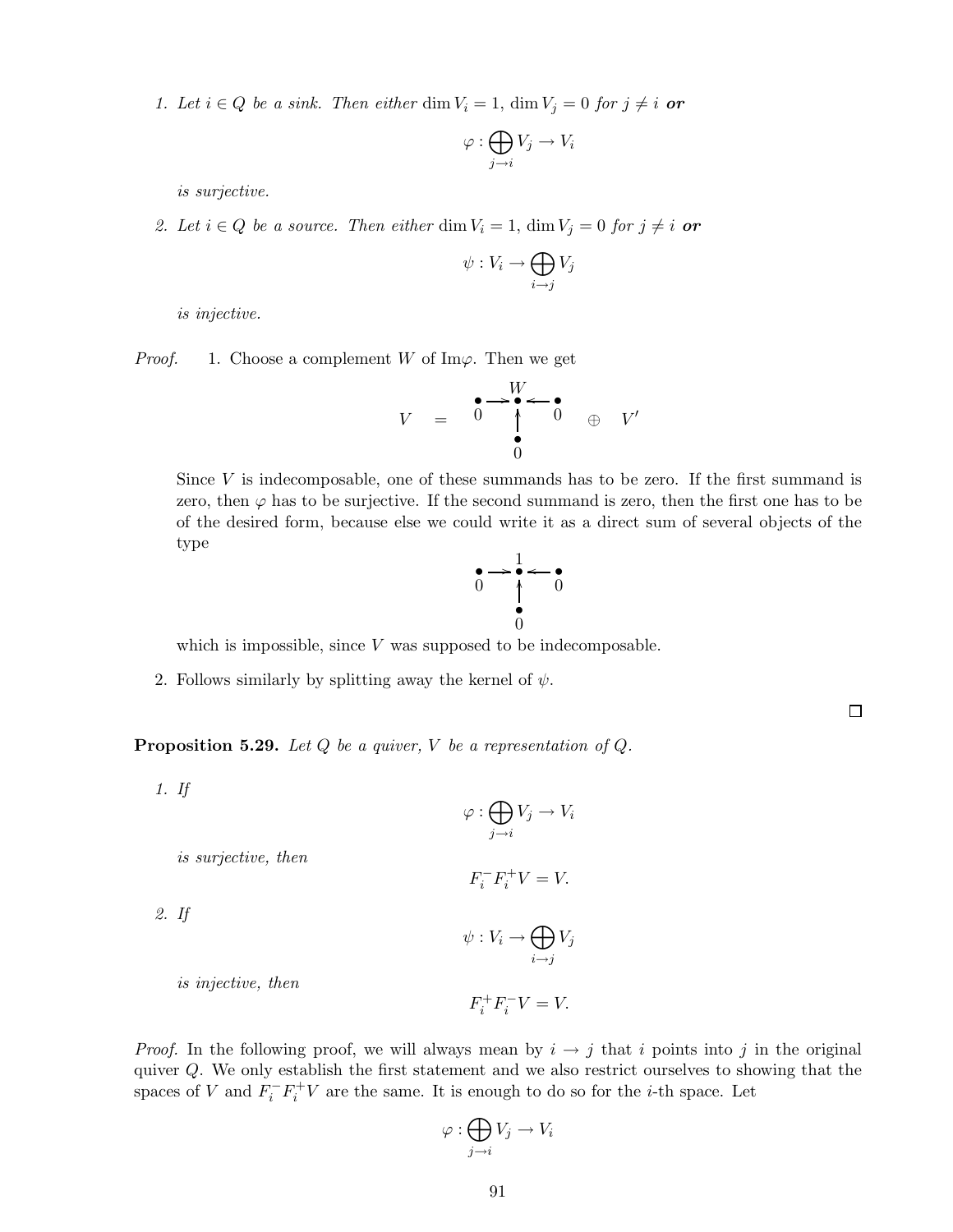*1. Let*  $i \in Q$  *be a sink. Then either* dim  $V_i = 1$ , dim  $V_j = 0$  *for*  $j \neq i$  **or** 

$$
\varphi : \bigoplus_{j \to i} V_j \to V_i
$$

*is surjective.*

2. Let  $i \in Q$  be a source. Then either dim  $V_i = 1$ , dim  $V_j = 0$  for  $j \neq i$  or

$$
\psi: V_i \to \bigoplus_{i \to j} V_j
$$

*is injective.*

*Proof.* 1. Choose a complement W of Im $\varphi$ . Then we get

$$
V = \begin{array}{c} \bullet \rightarrow \bullet \leftarrow \bullet \\ \bullet \\ \bullet \\ 0 \end{array} \quad \oplus \quad V'
$$

Since  $V$  is indecomposable, one of these summands has to be zero. If the first summand is zero, then  $\varphi$  has to be surjective. If the second summand is zero, then the first one has to be of the desired form, because else we could write it as a direct sum of several objects of the type

$$
\begin{array}{ccc}\n\bullet & \to & \bullet & \bullet \\
0 & \uparrow & \bullet & 0 \\
\bullet & & 0 & \\
0 & & & \n\end{array}
$$

 $\Box$ 

which is impossible, since  $V$  was supposed to be indecomposable.

2. Follows similarly by splitting away the kernel of  $\psi$ .

Proposition 5.29. *Let* Q *be a quiver,* V *be a representation of* Q*.*

*1. If*

$$
\varphi : \bigoplus_{j \to i} V_j \to V_i
$$

*is surjective, then*

$$
F_i^- F_i^+ V = V.
$$

*2. If*

 $\psi: V_i \to \bigoplus$  $i \rightarrow j$  $V_j$ 

 $F_i^+ F_i^- V = V.$ 

*is injective, then*

*Proof.* In the following proof, we will always mean by  $i \rightarrow j$  that i points into j in the original quiver Q. We only establish the first statement and we also restrict ourselves to showing that the spaces of V and  $F_i^- F_i^+ V$  are the same. It is enough to do so for the *i*-th space. Let

$$
\varphi : \bigoplus_{j \to i} V_j \to V_i
$$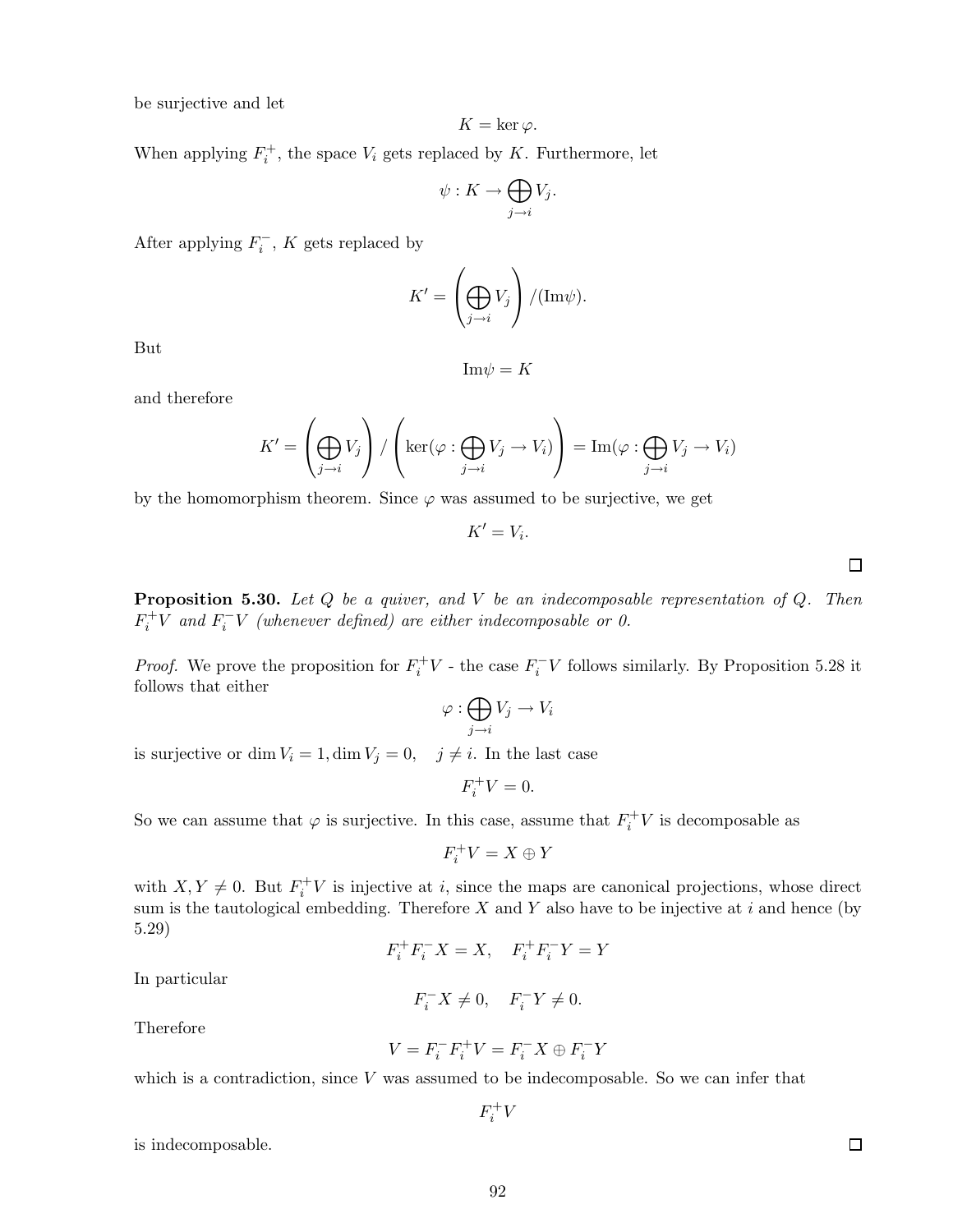be surjective and let

$$
K=\ker \varphi.
$$

When applying  $F_i^+$ , the space  $V_i$  gets replaced by K. Furthermore, let

$$
\psi: K \to \bigoplus_{j \to i} V_j.
$$

After applying  $F_i^-, K$  gets replaced by

$$
K' = \left(\bigoplus_{j \to i} V_j\right) / (\text{Im}\psi).
$$

But

$$
\mathrm{Im}\psi=K
$$

and therefore

$$
K' = \left(\bigoplus_{j \to i} V_j\right) / \left(\ker(\varphi : \bigoplus_{j \to i} V_j \to V_i)\right) = \text{Im}(\varphi : \bigoplus_{j \to i} V_j \to V_i)
$$

by the homomorphism theorem. Since  $\varphi$  was assumed to be surjective, we get

 $K'=V_i$ .

 $\Box$ 

Proposition 5.30. *Let* Q *be a quiver, and* V *be an indecomposable representation of* Q*. Then*  $F_i^+V$  and  $F_i^-V$  (whenever defined) are either indecomposable or 0.

*Proof.* We prove the proposition for  $F_i^+V$  - the case  $F_i^-V$  follows similarly. By Proposition 5.28 it follows that either

$$
\varphi : \bigoplus_{j \to i} V_j \to V_i
$$

is surjective or dim  $V_i = 1$ , dim  $V_j = 0$ ,  $j \neq i$ . In the last case

 $F_i^+ V = 0.$ 

So we can assume that  $\varphi$  is surjective. In this case, assume that  $F_i^+V$  is decomposable as

$$
F_i^+V = X \oplus Y
$$

with  $X, Y \neq 0$ . But  $F_i^{\dagger} V$  is injective at i, since the maps are canonical projections, whose direct sum is the tautological embedding. Therefore  $X$  and  $Y$  also have to be injective at i and hence (by 5.29)

$$
F_i^+ F_i^- X = X, \quad F_i^+ F_i^- Y = Y
$$

In particular

$$
F_i^- X \neq 0, \quad F_i^- Y \neq 0.
$$

Therefore

$$
V = F_i^- F_i^+ V = F_i^- X \oplus F_i^- Y
$$

which is a contradiction, since  $V$  was assumed to be indecomposable. So we can infer that

$$
F_i^+V
$$

is indecomposable.

 $\Box$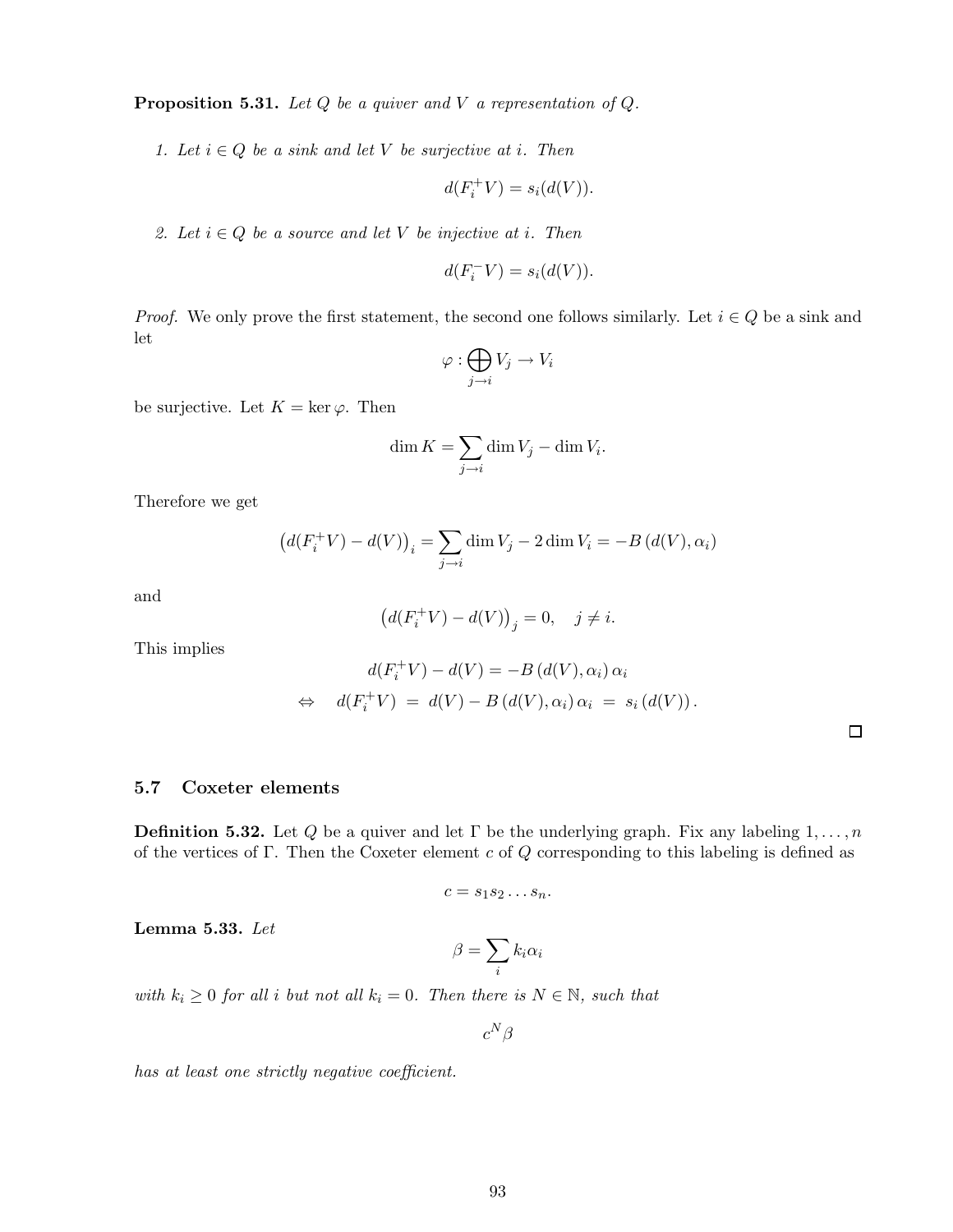Proposition 5.31. *Let* Q *be a quiver and* V *a representation of* Q*.*

*1. Let*  $i \in Q$  *be a sink and let*  $V$  *be surjective at*  $i$ *. Then* 

$$
d(F_i^+V) = s_i(d(V)).
$$

*2. Let*  $i \in Q$  *be a source and let* V *be injective at i. Then* 

$$
d(F_i^- V) = s_i(d(V)).
$$

*Proof.* We only prove the first statement, the second one follows similarly. Let  $i \in Q$  be a sink and let

$$
\varphi : \bigoplus_{j \to i} V_j \to V_i
$$

be surjective. Let  $K = \ker \varphi$ . Then

$$
\dim K = \sum_{j \to i} \dim V_j - \dim V_i.
$$

Therefore we get

$$
\left(d(F_i^+V) - d(V)\right)_i = \sum_{j \to i} \dim V_j - 2 \dim V_i = -B\left(d(V), \alpha_i\right)
$$

and

$$
\left(d(F_i^+V)-d(V)\right)_j=0,\quad j\neq i.
$$

This implies

$$
d(F_i^+ V) - d(V) = -B(d(V), \alpha_i) \alpha_i
$$
  
\n
$$
\Leftrightarrow d(F_i^+ V) = d(V) - B(d(V), \alpha_i) \alpha_i = s_i(d(V)).
$$

## 5.7 Coxeter elements

**Definition 5.32.** Let Q be a quiver and let  $\Gamma$  be the underlying graph. Fix any labeling  $1, \ldots, n$ of the vertices of Γ. Then the Coxeter element c of  $Q$  corresponding to this labeling is defined as

$$
c=s_1s_2\ldots s_n.
$$

Lemma 5.33. *Let*

$$
\beta = \sum_i k_i \alpha_i
$$

*with*  $k_i \geq 0$  *for all i but not all*  $k_i = 0$ *. Then there is*  $N \in \mathbb{N}$ *, such that* 

 $c^N\beta$ 

*has at least one strictly negative coefficient.*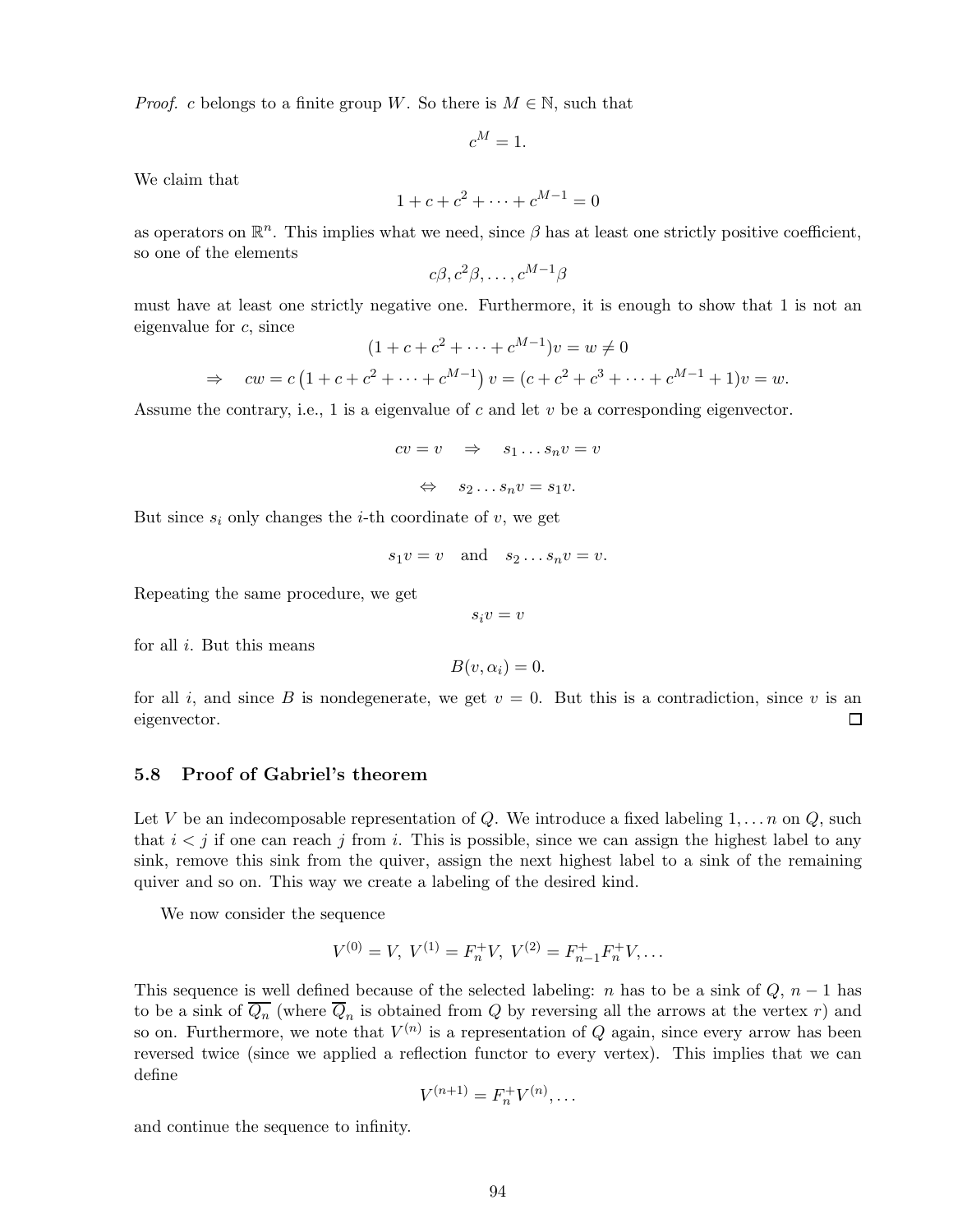*Proof.* c belongs to a finite group W. So there is  $M \in \mathbb{N}$ , such that

$$
c^M = 1.
$$

We claim that

$$
1 + c + c^2 + \dots + c^{M-1} = 0
$$

as operators on  $\mathbb{R}^n$ . This implies what we need, since  $\beta$  has at least one strictly positive coefficient, so one of the elements

$$
c\beta, c^2\beta, \ldots, c^{M-1}\beta
$$

must have at least one strictly negative one. Furthermore, it is enough to show that 1 is not an eigenvalue for c, since  $M-1$ 

$$
(1 + c + c2 + \dots + cM-1)v = w \neq 0
$$
  
\n
$$
\Rightarrow cw = c(1 + c + c2 + \dots + cM-1) v = (c + c2 + c3 + \dots + cM-1 + 1)v = w.
$$

Assume the contrary, i.e., 1 is a eigenvalue of c and let  $v$  be a corresponding eigenvector.

$$
cv = v \Rightarrow s_1 \dots s_n v = v
$$
  

$$
\Leftrightarrow s_2 \dots s_n v = s_1 v.
$$

But since  $s_i$  only changes the *i*-th coordinate of v, we get

$$
s_1v = v \quad \text{and} \quad s_2 \dots s_nv = v.
$$

Repeating the same procedure, we get

 $s_i v = v$ 

for all  $i$ . But this means

$$
B(v, \alpha_i) = 0.
$$

for all i, and since B is nondegenerate, we get  $v = 0$ . But this is a contradiction, since v is an eigenvector.  $\Box$ 

#### 5.8 Proof of Gabriel's theorem

Let V be an indecomposable representation of Q. We introduce a fixed labeling  $1, \ldots, n$  on Q, such that  $i < j$  if one can reach j from i. This is possible, since we can assign the highest label to any sink, remove this sink from the quiver, assign the next highest label to a sink of the remaining quiver and so on. This way we create a labeling of the desired kind.

We now consider the sequence

$$
V^{(0)} = V, V^{(1)} = F_n^+ V, V^{(2)} = F_{n-1}^+ F_n^+ V, \dots
$$

This sequence is well defined because of the selected labeling: n has to be a sink of  $Q$ ,  $n-1$  has to be a sink of  $Q_n$  (where  $Q_n$  is obtained from  $Q$  by reversing all the arrows at the vertex  $r$ ) and so on. Furthermore, we note that  $V^{(n)}$  is a representation of Q again, since every arrow has been reversed twice (since we applied a reflection functor to every vertex). This implies that we can define

$$
V^{(n+1)} = F_n^+ V^{(n)}, \dots
$$

and continue the sequence to infinity.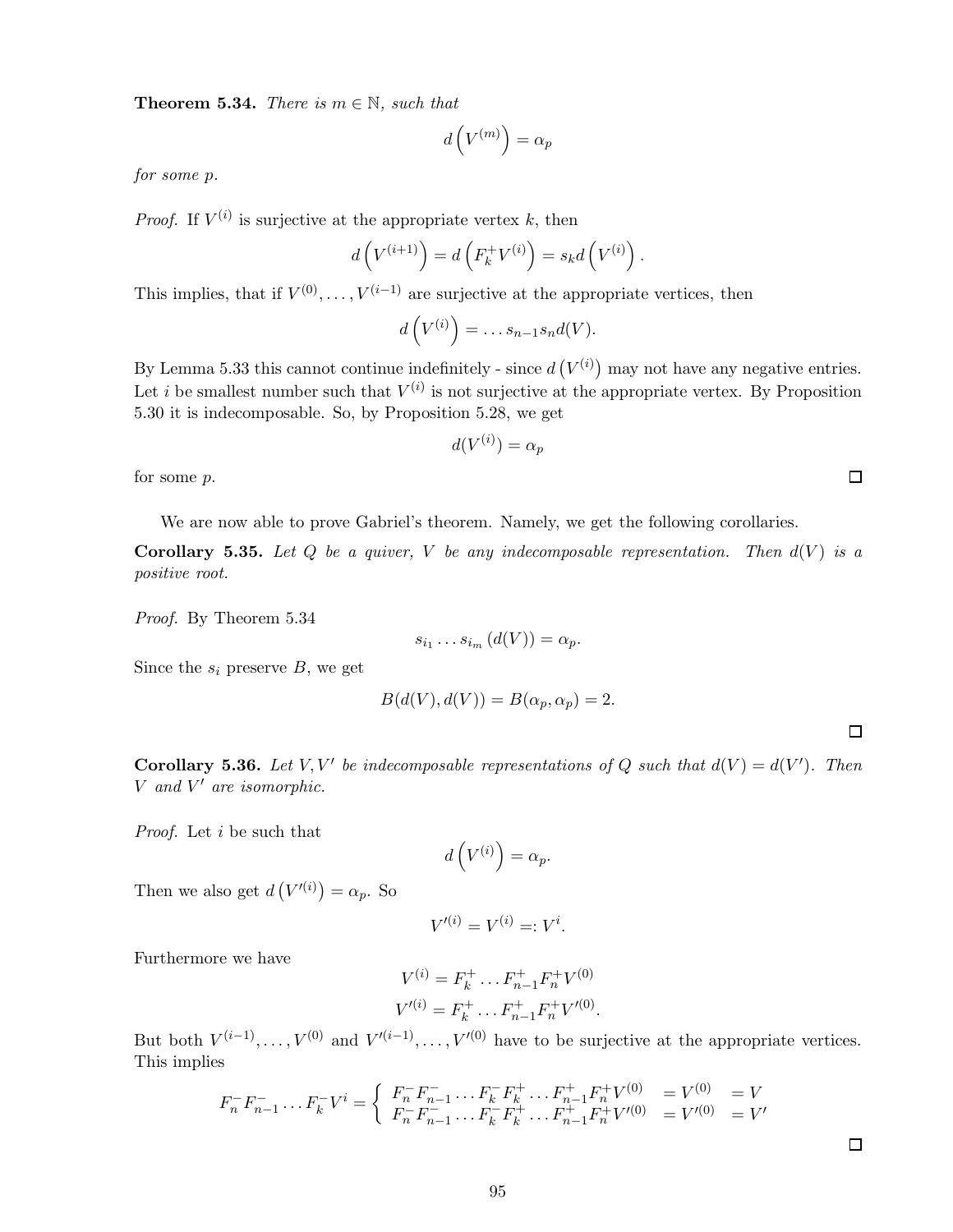**Theorem 5.34.** *There is*  $m \in \mathbb{N}$ *, such that* 

$$
d\left(V^{(m)}\right) = \alpha_p
$$

*for some* p*.*

*Proof.* If  $V^{(i)}$  is surjective at the appropriate vertex k, then

$$
d\left(V^{(i+1)}\right) = d\left(F_k^+V^{(i)}\right) = s_k d\left(V^{(i)}\right).
$$

This implies, that if  $V^{(0)}, \ldots, V^{(i-1)}$  are surjective at the appropriate vertices, then

$$
d\left(V^{(i)}\right)=\ldots s_{n-1}s_nd(V).
$$

By Lemma 5.33 this cannot continue indefinitely - since  $d(V^{(i)})$  may not have any negative entries. Let *i* be smallest number such that  $V^{(i)}$  is not surjective at the appropriate vertex. By Proposition 5.30 it is indecomposable. So, by Proposition 5.28, we get

$$
d(V^{(i)}) = \alpha_p
$$

for some p.

We are now able to prove Gabriel's theorem. Namely, we get the following corollaries.

Corollary 5.35. Let  $Q$  be a quiver,  $V$  be any indecomposable representation. Then  $d(V)$  is a *positive root.*

*Proof.* By Theorem 5.34

$$
s_{i_1}\ldots s_{i_m}\left(d(V)\right)=\alpha_p.
$$

Since the  $s_i$  preserve B, we get

$$
B(d(V), d(V)) = B(\alpha_p, \alpha_p) = 2.
$$

 $\Box$ 

 $\Box$ 

**Corollary 5.36.** Let V, V' be indecomposable representations of Q such that  $d(V) = d(V')$ . Then V *and* V ′ *are isomorphic.*

*Proof.* Let i be such that

$$
d\left(V^{(i)}\right) = \alpha_p.
$$

Then we also get  $d(V'(i)) = \alpha_p$ . So

$$
V^{\prime(i)} = V^{(i)} =: V^i.
$$

Furthermore we have

$$
V^{(i)} = F_k^+ \dots F_{n-1}^+ F_n^+ V^{(0)}
$$
  

$$
V'^{(i)} = F_k^+ \dots F_{n-1}^+ F_n^+ V'^{(0)}.
$$

But both  $V^{(i-1)}, \ldots, V^{(0)}$  and  $V'^{(i-1)}, \ldots, V'^{(0)}$  have to be surjective at the appropriate vertices. This implies

$$
F_n^- F_{n-1}^- \dots F_k^- V^i = \begin{cases} F_n^- F_{n-1}^- \dots F_k^- F_k^+ \dots F_{n-1}^+ F_n^+ V^{(0)} &= V^{(0)} = V \\ F_n^- F_{n-1}^- \dots F_k^- F_k^+ \dots F_{n-1}^+ F_n^+ V'^{(0)} &= V'^{(0)} = V' \end{cases}
$$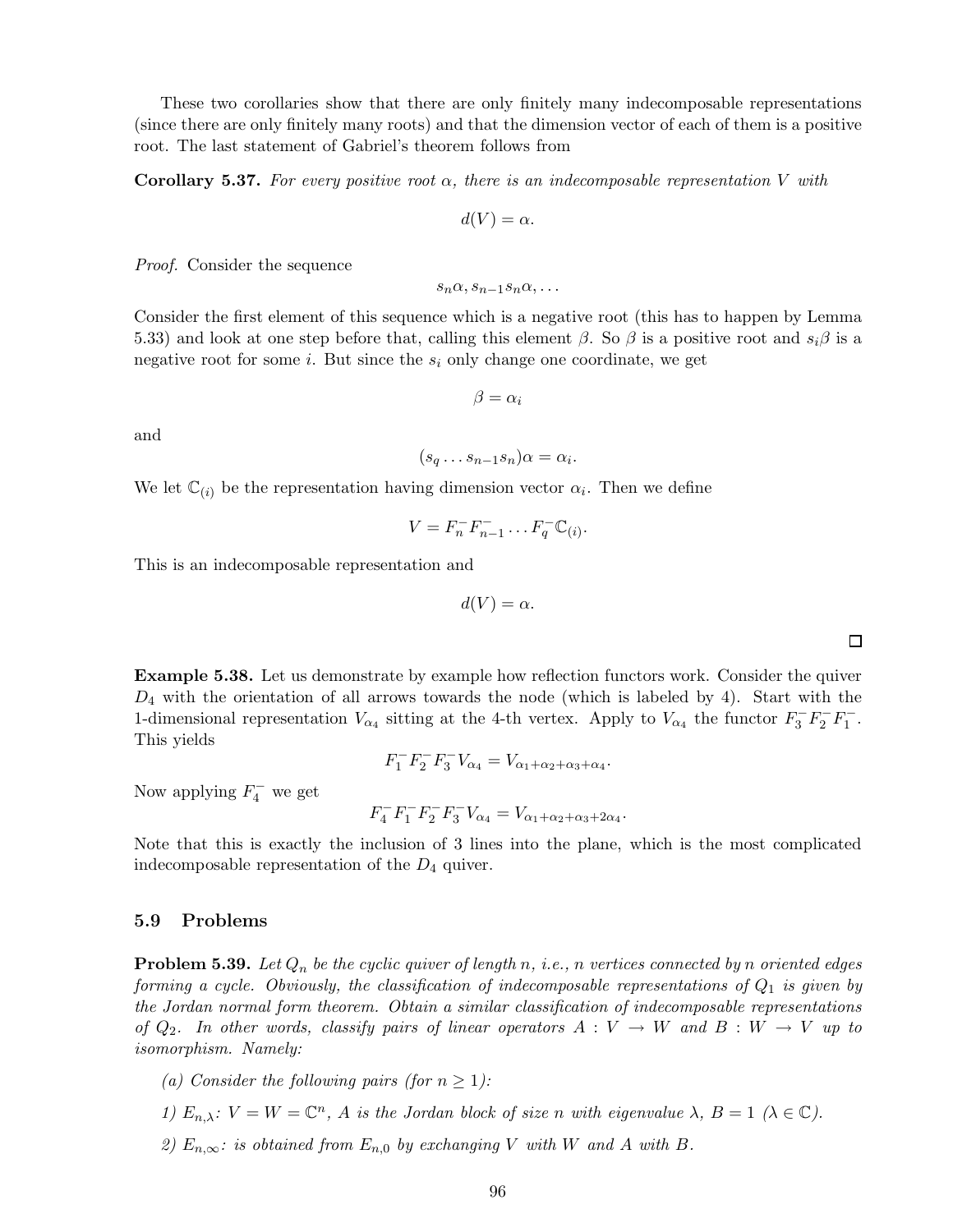These two corollaries show that there are only finitely many indecomposable representations (since there are only finitely many roots) and that the dimension vector of each of them is a positive root. The last statement of Gabriel's theorem follows from

Corollary 5.37. *For every positive root* α*, there is an indecomposable representation* V *with*

$$
d(V) = \alpha.
$$

*Proof.* Consider the sequence

$$
s_n\alpha,s_{n-1}s_n\alpha,\ldots
$$

Consider the first element of this sequence which is a negative root (this has to happen by Lemma 5.33) and look at one step before that, calling this element  $\beta$ . So  $\beta$  is a positive root and  $s_i\beta$  is a negative root for some i. But since the  $s_i$  only change one coordinate, we get

$$
\beta = \alpha_i
$$

and

$$
(s_q \dots s_{n-1} s_n) \alpha = \alpha_i
$$

.

.

We let  $\mathbb{C}_{(i)}$  be the representation having dimension vector  $\alpha_i$ . Then we define

$$
V = F_n^- F_{n-1}^- \dots F_q^- \mathbb{C}_{(i)}.
$$

This is an indecomposable representation and

$$
d(V) = \alpha.
$$

Example 5.38. Let us demonstrate by example how reflection functors work. Consider the quiver  $D_4$  with the orientation of all arrows towards the node (which is labeled by 4). Start with the 1-dimensional representation  $V_{\alpha_4}$  sitting at the 4-th vertex. Apply to  $V_{\alpha_4}$  the functor  $F_3^-F_2^-F_1^-$ . This yields

$$
F_1^- F_2^- F_3^- V_{\alpha_4} = V_{\alpha_1 + \alpha_2 + \alpha_3 + \alpha_4}
$$

Now applying  $F_4^-$  we get

 $F_4^- F_1^- F_2^- F_3^- V_{\alpha_4} = V_{\alpha_1 + \alpha_2 + \alpha_3 + 2\alpha_4}.$ 

Note that this is exactly the inclusion of 3 lines into the plane, which is the most complicated indecomposable representation of the  $D_4$  quiver.

### 5.9 Problems

Problem 5.39. *Let* Q<sup>n</sup> *be the cyclic quiver of length* n*, i.e.,* n *vertices connected by* n *oriented edges forming a cycle. Obviously, the classification of indecomposable representations of*  $Q_1$  *is given by the Jordan normal form theorem. Obtain a similar classification of indecomposable representations of*  $Q_2$ . In other words, classify pairs of linear operators  $A: V \to W$  and  $B: W \to V$  up to *isomorphism. Namely:*

*(a) Consider the following pairs (for*  $n \geq 1$ *):* 

- *1)*  $E_{n,\lambda}$ :  $V = W = \mathbb{C}^n$ , *A is the Jordan block of size n with eigenvalue*  $\lambda$ ,  $B = 1$  ( $\lambda \in \mathbb{C}$ ).
- *2)*  $E_{n,\infty}$ *: is obtained from*  $E_{n,0}$  *by exchanging* V *with* W *and* A *with* B.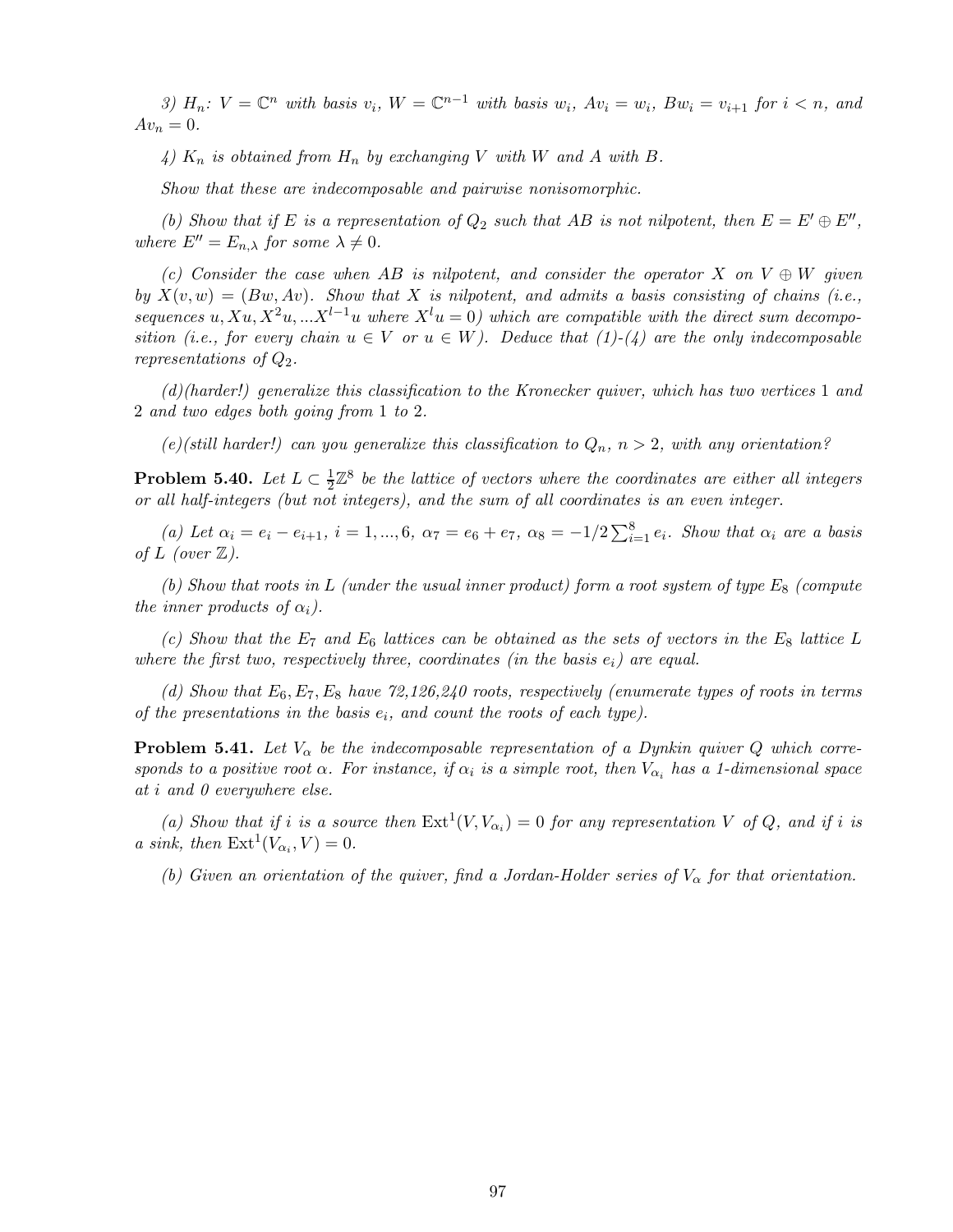*3)*  $H_n$ :  $V = \mathbb{C}^n$  *with basis*  $v_i$ ,  $W = \mathbb{C}^{n-1}$  *with basis*  $w_i$ ,  $Av_i = w_i$ ,  $Bw_i = v_{i+1}$  for  $i < n$ , and  $Av_n = 0.$ 

4)  $K_n$  *is obtained from*  $H_n$  *by exchanging* V *with* W *and* A *with* B.

*Show that these are indecomposable and pairwise nonisomorphic.*

*(b)* Show that if E is a representation of  $Q_2$  such that AB is not nilpotent, then  $E = E' \oplus E''$ , *where*  $E'' = E_{n,\lambda}$  *for some*  $\lambda \neq 0$ *.* 

*(c) Consider the case when* AB *is nilpotent, and consider the operator* X *on* V ⊕ W *given by*  $X(v, w) = (Bw, Av)$ *. Show that* X *is nilpotent, and admits a basis consisting of chains (i.e., sequences* u,  $Xu$ ,  $X^2u$ , ... $X^{l-1}u$  where  $X^l u = 0$ ) which are compatible with the direct sum decompo*sition (i.e., for every chain*  $u \in V$  *or*  $u \in W$ *). Deduce that (1)-(4) are the only indecomposable representations of* Q2*.*

*(d)(harder!) generalize this classification to the Kronecker quiver, which has two vertices* 1 *and* 2 *and two edges both going from* 1 *to* 2*.*

 $(e)$ (still harder!) can you generalize this classification to  $Q_n$ ,  $n > 2$ , with any orientation?

Problem 5.40. *Let*  $L \subset \frac{1}{2}$  $\frac{1}{2}\mathbb{Z}^8$  be the lattice of vectors where the coordinates are either all integers *or all half-integers (but not integers), and the sum of all coordinates is an even integer.*

(*a*) Let  $\alpha_i = e_i - e_{i+1}, i = 1, ..., 6, \alpha_7 = e_6 + e_7, \alpha_8 = -1/2 \sum_{i=1}^8 e_i$ . Show that  $\alpha_i$  are a basis *of*  $L$  *(over*  $\mathbb{Z}$ *).* 

 $(b)$  Show that roots in L *(under the usual inner product)* form a root system of type  $E_8$  *(compute*) *the inner products of*  $\alpha_i$ *).* 

*(c)* Show that the  $E_7$  and  $E_6$  lattices can be obtained as the sets of vectors in the  $E_8$  lattice L *where the first two, respectively three, coordinates (in the basis*  $e_i$ ) are equal.

*(d) Show that* E6,E7,E<sup>8</sup> *have 72,126,240 roots, respectively (enumerate types of roots in terms of the presentations in the basis*  $e_i$ , and count the roots of each type).

**Problem 5.41.** Let  $V_{\alpha}$  be the indecomposable representation of a Dynkin quiver Q which corre*sponds to a positive root*  $\alpha$ . For instance, if  $\alpha_i$  is a simple root, then  $V_{\alpha_i}$  has a 1-dimensional space *at* i *and 0 everywhere else.*

(a) Show that if *i* is a source then  $Ext^1(V, V_{\alpha_i}) = 0$  for any representation V of Q, and if *i* is *a sink, then*  $\text{Ext}^1(V_{\alpha_i}, V) = 0.$ 

(b) Given an orientation of the quiver, find a Jordan-Holder series of  $V_{\alpha}$  for that orientation.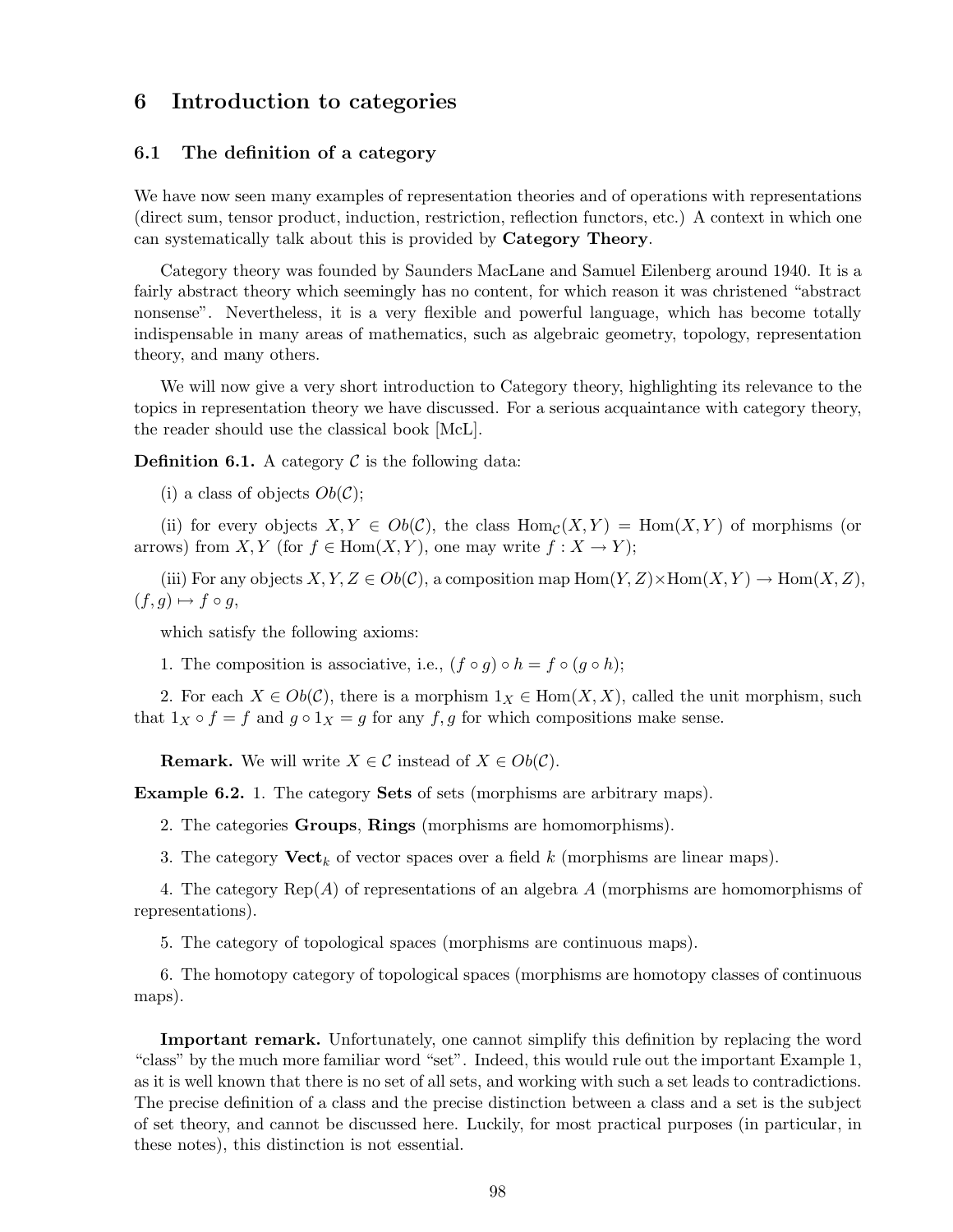# 6 Introduction to categories

## 6.1 The definition of a category

We have now seen many examples of representation theories and of operations with representations (direct sum, tensor product, induction, restriction, reflection functors, etc.) A context in which one can systematically talk about this is provided by Category Theory.

Category theory was founded by Saunders MacLane and Samuel Eilenberg around 1940. It is a fairly abstract theory which seemingly has no content, for which reason it was christened "abstract nonsense". Nevertheless, it is a very flexible and powerful language, which has become totally indispensable in many areas of mathematics, such as algebraic geometry, topology, representation theory, and many others.

We will now give a very short introduction to Category theory, highlighting its relevance to the topics in representation theory we have discussed. For a serious acquaintance with category theory, the reader should use the classical book [McL].

**Definition 6.1.** A category  $\mathcal C$  is the following data:

(i) a class of objects  $Ob(\mathcal{C});$ 

(ii) for every objects  $X, Y \in Ob(C)$ , the class  $Hom_C(X, Y) = Hom(X, Y)$  of morphisms (or arrows) from  $X, Y$  (for  $f \in Hom(X, Y)$ , one may write  $f : X \to Y$ );

(iii) For any objects  $X, Y, Z \in Ob(\mathcal{C})$ , a composition map  $\text{Hom}(Y, Z) \times \text{Hom}(X, Y) \to \text{Hom}(X, Z)$ ,  $(f,g) \mapsto f \circ g,$ 

which satisfy the following axioms:

1. The composition is associative, i.e.,  $(f \circ g) \circ h = f \circ (g \circ h);$ 

2. For each  $X \in Ob(\mathcal{C})$ , there is a morphism  $1_X \in Hom(X, X)$ , called the unit morphism, such that  $1_X \circ f = f$  and  $g \circ 1_X = g$  for any  $f, g$  for which compositions make sense.

**Remark.** We will write  $X \in \mathcal{C}$  instead of  $X \in Ob(\mathcal{C})$ .

Example 6.2. 1. The category Sets of sets (morphisms are arbitrary maps).

2. The categories Groups, Rings (morphisms are homomorphisms).

3. The category  $\mathbf{Vect}_k$  of vector spaces over a field k (morphisms are linear maps).

4. The category  $\text{Rep}(A)$  of representations of an algebra A (morphisms are homomorphisms of representations).

5. The category of topological spaces (morphisms are continuous maps).

6. The homotopy category of topological spaces (morphisms are homotopy classes of continuous maps).

Important remark. Unfortunately, one cannot simplify this definition by replacing the word "class" by the much more familiar word "set". Indeed, this would rule out the important Example 1, as it is well known that there is no set of all sets, and working with such a set leads to contradictions. The precise definition of a class and the precise distinction between a class and a set is the subject of set theory, and cannot be discussed here. Luckily, for most practical purposes (in particular, in these notes), this distinction is not essential.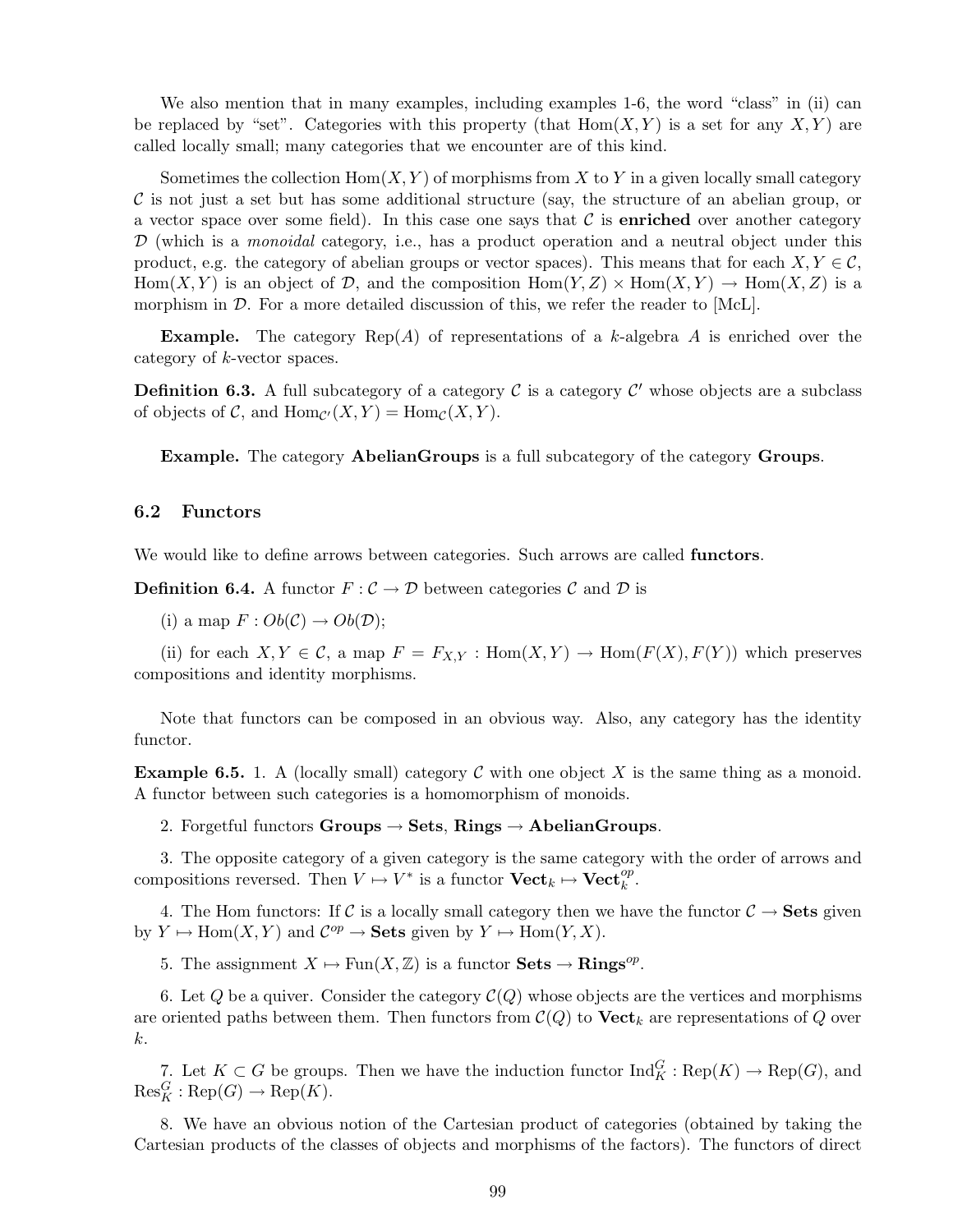We also mention that in many examples, including examples 1-6, the word "class" in (ii) can be replaced by "set". Categories with this property (that  $Hom(X, Y)$  is a set for any  $X, Y$ ) are called locally small; many categories that we encounter are of this kind.

Sometimes the collection  $\text{Hom}(X, Y)$  of morphisms from X to Y in a given locally small category  $\mathcal C$  is not just a set but has some additional structure (say, the structure of an abelian group, or a vector space over some field). In this case one says that  $\mathcal C$  is **enriched** over another category D (which is a *monoidal* category, i.e., has a product operation and a neutral object under this product, e.g. the category of abelian groups or vector spaces). This means that for each  $X, Y \in \mathcal{C}$ ,  $Hom(X, Y)$  is an object of D, and the composition  $Hom(Y, Z) \times Hom(X, Y) \to Hom(X, Z)$  is a morphism in  $\mathcal{D}$ . For a more detailed discussion of this, we refer the reader to [McL].

**Example.** The category  $\text{Rep}(A)$  of representations of a k-algebra A is enriched over the category of k-vector spaces.

**Definition 6.3.** A full subcategory of a category  $\mathcal C$  is a category  $\mathcal C'$  whose objects are a subclass of objects of  $C$ , and  $\text{Hom}_{\mathcal{C}'}(X, Y) = \text{Hom}_{\mathcal{C}}(X, Y)$ .

Example. The category AbelianGroups is a full subcategory of the category Groups.

## 6.2 Functors

We would like to define arrows between categories. Such arrows are called functors.

**Definition 6.4.** A functor  $F : \mathcal{C} \to \mathcal{D}$  between categories  $\mathcal{C}$  and  $\mathcal{D}$  is

(i) a map  $F: Ob(\mathcal{C}) \to Ob(\mathcal{D});$ 

(ii) for each  $X, Y \in \mathcal{C}$ , a map  $F = F_{X,Y} : \text{Hom}(X,Y) \to \text{Hom}(F(X),F(Y))$  which preserves compositions and identity morphisms.

Note that functors can be composed in an obvious way. Also, any category has the identity functor.

**Example 6.5.** 1. A (locally small) category C with one object X is the same thing as a monoid. A functor between such categories is a homomorphism of monoids.

2. Forgetful functors Groups  $\rightarrow$  Sets, Rings  $\rightarrow$  AbelianGroups.

3. The opposite category of a given category is the same category with the order of arrows and compositions reversed. Then  $V \mapsto V^*$  is a functor  $\mathbf{Vect}_k \mapsto \mathbf{Vect}_k^{\text{op}}$ .

4. The Hom functors: If C is a locally small category then we have the functor  $C \rightarrow$  Sets given by  $Y \mapsto \text{Hom}(X, Y)$  and  $\mathcal{C}^{op} \to \textbf{Sets}$  given by  $Y \mapsto \text{Hom}(Y, X)$ .

5. The assignment  $X \mapsto \text{Fun}(X,\mathbb{Z})$  is a functor  $\textbf{Sets} \to \textbf{Rings}^{op}$ .

6. Let Q be a quiver. Consider the category  $\mathcal{C}(Q)$  whose objects are the vertices and morphisms are oriented paths between them. Then functors from  $\mathcal{C}(Q)$  to  $\mathbf{Vect}_k$  are representations of Q over k.

7. Let  $K \subset G$  be groups. Then we have the induction functor  $\text{Ind}_{K}^{G} : \text{Rep}(K) \to \text{Rep}(G)$ , and  $\operatorname{Res}^G_K : \operatorname{Rep}(G) \to \operatorname{Rep}(K).$ 

8. We have an obvious notion of the Cartesian product of categories (obtained by taking the Cartesian products of the classes of objects and morphisms of the factors). The functors of direct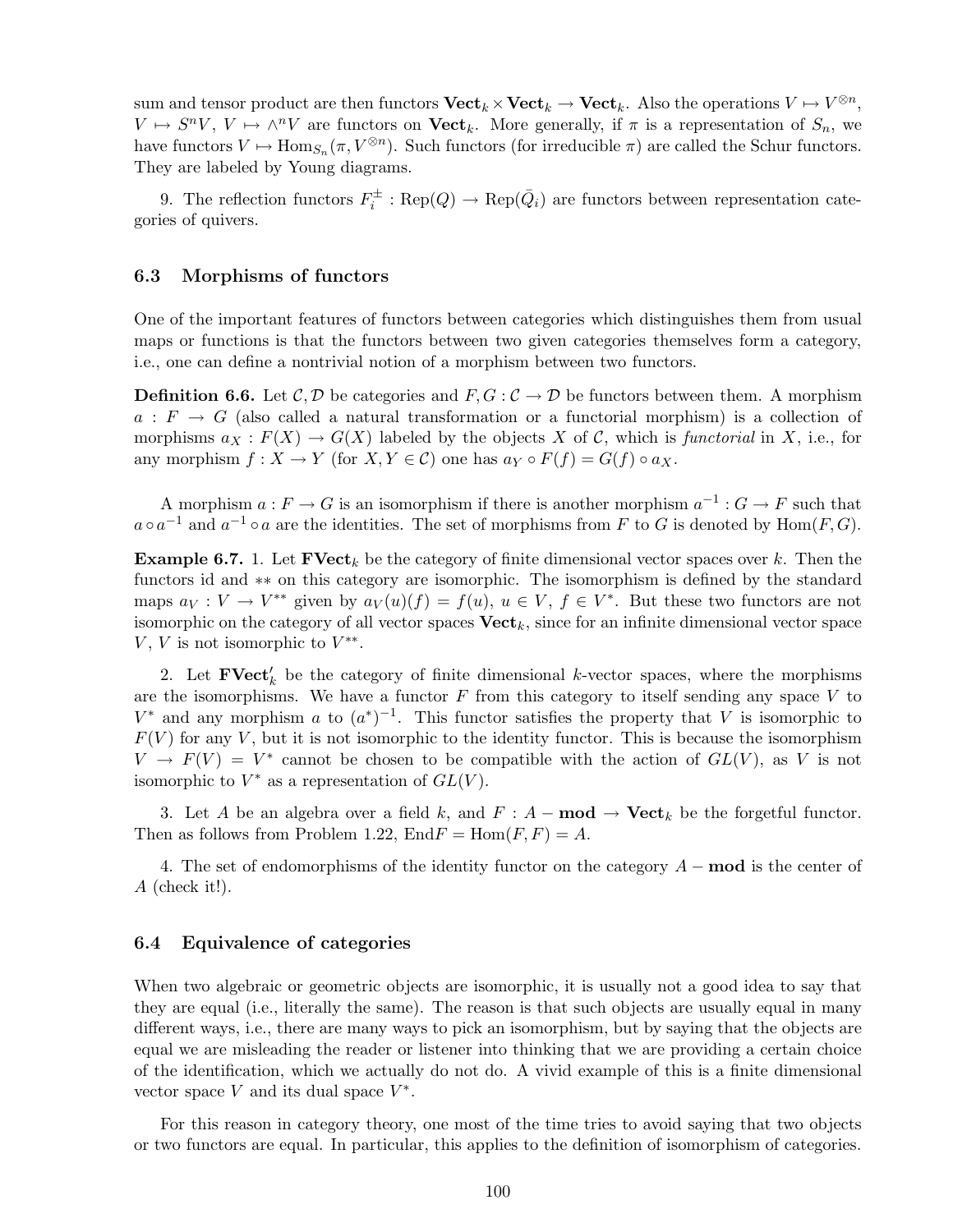sum and tensor product are then functors  $\mathbf{Vect}_k \times \mathbf{Vect}_k \to \mathbf{Vect}_k$ . Also the operations  $V \mapsto V^{\otimes n}$ ,  $V \mapsto S^n V, V \mapsto \wedge^n V$  are functors on  $\textbf{Vect}_k$ . More generally, if  $\pi$  is a representation of  $S_n$ , we have functors  $V \mapsto \text{Hom}_{S_n}(\pi, V^{\otimes n})$ . Such functors (for irreducible  $\pi$ ) are called the Schur functors. They are labeled by Young diagrams.

9. The reflection functors  $F_i^{\pm} : \text{Rep}(Q) \to \text{Rep}(\bar{Q}_i)$  are functors between representation categories of quivers.

### 6.3 Morphisms of functors

One of the important features of functors between categories which distinguishes them from usual maps or functions is that the functors between two given categories themselves form a category, i.e., one can define a nontrivial notion of a morphism between two functors.

**Definition 6.6.** Let  $\mathcal{C}, \mathcal{D}$  be categories and  $F, G: \mathcal{C} \to \mathcal{D}$  be functors between them. A morphism  $a: F \to G$  (also called a natural transformation or a functorial morphism) is a collection of morphisms  $a_X : F(X) \to G(X)$  labeled by the objects X of C, which is *functorial* in X, i.e., for any morphism  $f: X \to Y$  (for  $X, Y \in \mathcal{C}$ ) one has  $a_Y \circ F(f) = G(f) \circ a_X$ .

A morphism  $a: F \to G$  is an isomorphism if there is another morphism  $a^{-1}: G \to F$  such that  $a \circ a^{-1}$  and  $a^{-1} \circ a$  are the identities. The set of morphisms from F to G is denoted by  $Hom(F, G)$ .

**Example 6.7.** 1. Let  $\textbf{FVect}_k$  be the category of finite dimensional vector spaces over k. Then the functors id and ∗∗ on this category are isomorphic. The isomorphism is defined by the standard maps  $a_V: V \to V^{**}$  given by  $a_V(u)(f) = f(u), u \in V, f \in V^*$ . But these two functors are not isomorphic on the category of all vector spaces  $\mathbf{Vect}_k$ , since for an infinite dimensional vector space V, V is not isomorphic to  $V^{**}$ .

2. Let  $\textbf{FVect}'_k$  be the category of finite dimensional k-vector spaces, where the morphisms are the isomorphisms. We have a functor  $F$  from this category to itself sending any space  $V$  to  $V^*$  and any morphism a to  $(a^*)^{-1}$ . This functor satisfies the property that V is isomorphic to  $F(V)$  for any V, but it is not isomorphic to the identity functor. This is because the isomorphism  $V \to F(V) = V^*$  cannot be chosen to be compatible with the action of  $GL(V)$ , as V is not isomorphic to  $V^*$  as a representation of  $GL(V)$ .

3. Let A be an algebra over a field k, and  $F : A - \text{mod} \rightarrow \text{Vect}_k$  be the forgetful functor. Then as follows from Problem 1.22,  $\text{End}F = \text{Hom}(F, F) = A$ .

4. The set of endomorphisms of the identity functor on the category  $A - \text{mod}$  is the center of A (check it!).

### 6.4 Equivalence of categories

When two algebraic or geometric objects are isomorphic, it is usually not a good idea to say that they are equal (i.e., literally the same). The reason is that such objects are usually equal in many different ways, i.e., there are many ways to pick an isomorphism, but by saying that the objects are equal we are misleading the reader or listener into thinking that we are providing a certain choice of the identification, which we actually do not do. A vivid example of this is a finite dimensional vector space  $V$  and its dual space  $V^*$ .

For this reason in category theory, one most of the time tries to avoid saying that two objects or two functors are equal. In particular, this applies to the definition of isomorphism of categories.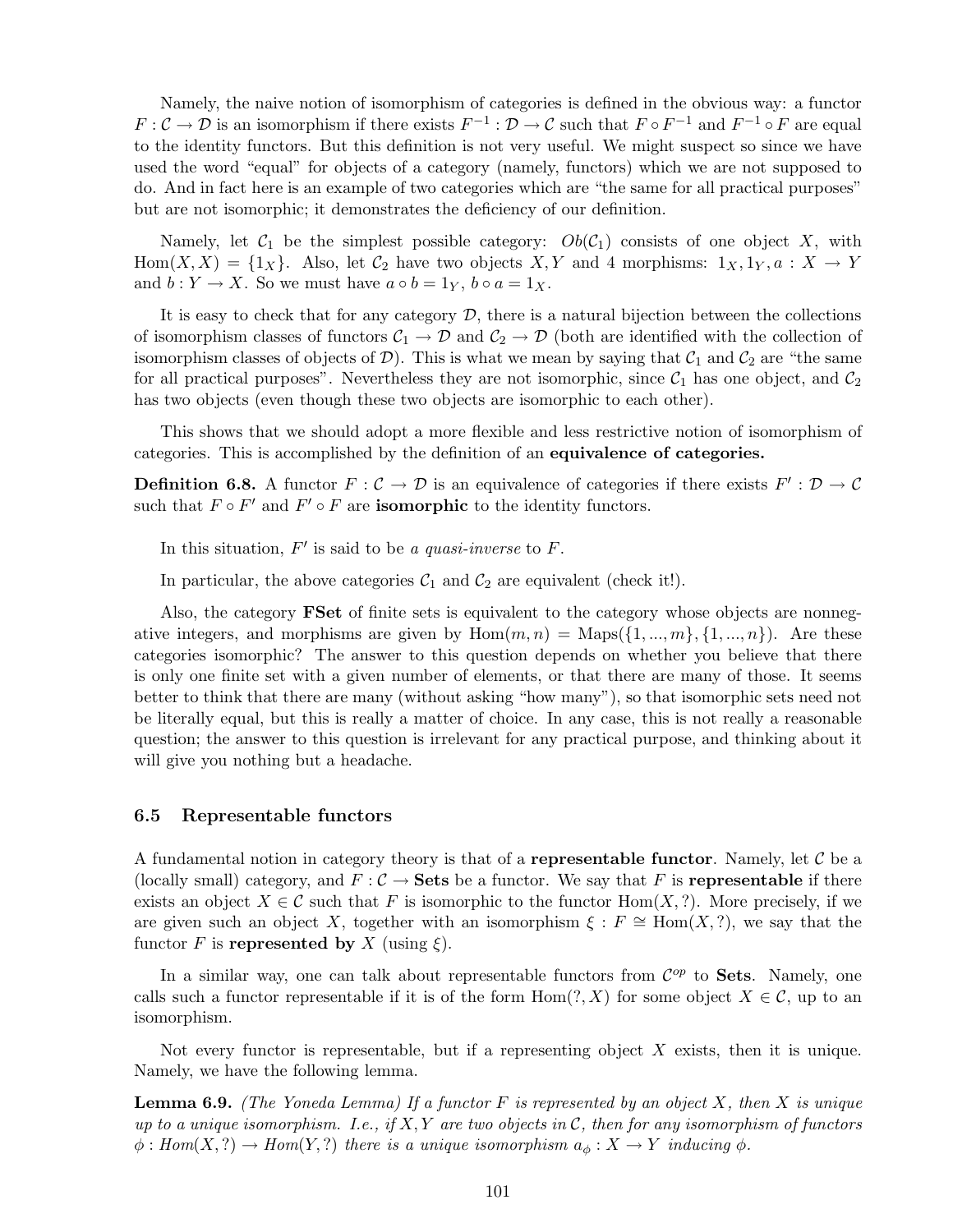Namely, the naive notion of isomorphism of categories is defined in the obvious way: a functor  $F: \mathcal{C} \to \mathcal{D}$  is an isomorphism if there exists  $F^{-1}: \mathcal{D} \to \mathcal{C}$  such that  $F \circ F^{-1}$  and  $F^{-1} \circ F$  are equal to the identity functors. But this definition is not very useful. We might suspect so since we have used the word "equal" for objects of a category (namely, functors) which we are not supposed to do. And in fact here is an example of two categories which are "the same for all practical purposes" but are not isomorphic; it demonstrates the deficiency of our definition.

Namely, let  $C_1$  be the simplest possible category:  $Ob(C_1)$  consists of one object X, with Hom $(X, X) = \{1_X\}$ . Also, let  $C_2$  have two objects  $X, Y$  and 4 morphisms:  $1_X, 1_Y, a : X \to Y$ and  $b: Y \to X$ . So we must have  $a \circ b = 1_Y$ ,  $b \circ a = 1_X$ .

It is easy to check that for any category  $D$ , there is a natural bijection between the collections of isomorphism classes of functors  $C_1 \to \mathcal{D}$  and  $C_2 \to \mathcal{D}$  (both are identified with the collection of isomorphism classes of objects of  $D$ ). This is what we mean by saying that  $C_1$  and  $C_2$  are "the same for all practical purposes". Nevertheless they are not isomorphic, since  $C_1$  has one object, and  $C_2$ has two objects (even though these two objects are isomorphic to each other).

This shows that we should adopt a more flexible and less restrictive notion of isomorphism of categories. This is accomplished by the definition of an equivalence of categories.

**Definition 6.8.** A functor  $F: \mathcal{C} \to \mathcal{D}$  is an equivalence of categories if there exists  $F': \mathcal{D} \to \mathcal{C}$ such that  $F \circ F'$  and  $F' \circ F$  are **isomorphic** to the identity functors.

In this situation, F ′ is said to be *a quasi-inverse* to F.

In particular, the above categories  $C_1$  and  $C_2$  are equivalent (check it!).

Also, the category FSet of finite sets is equivalent to the category whose objects are nonnegative integers, and morphisms are given by  $Hom(m, n) = Maps({1, ..., m}, {1, ..., n})$ . Are these categories isomorphic? The answer to this question depends on whether you believe that there is only one finite set with a given number of elements, or that there are many of those. It seems better to think that there are many (without asking "how many"), so that isomorphic sets need not be literally equal, but this is really a matter of choice. In any case, this is not really a reasonable question; the answer to this question is irrelevant for any practical purpose, and thinking about it will give you nothing but a headache.

## 6.5 Representable functors

A fundamental notion in category theory is that of a **representable functor**. Namely, let  $C$  be a (locally small) category, and  $F : C \to$  Sets be a functor. We say that F is representable if there exists an object  $X \in \mathcal{C}$  such that F is isomorphic to the functor Hom $(X, ?)$ . More precisely, if we are given such an object X, together with an isomorphism  $\xi : F \cong \text{Hom}(X, ?)$ , we say that the functor F is represented by X (using  $\xi$ ).

In a similar way, one can talk about representable functors from  $\mathcal{C}^{op}$  to **Sets**. Namely, one calls such a functor representable if it is of the form  $Hom(?, X)$  for some object  $X \in \mathcal{C}$ , up to an isomorphism.

Not every functor is representable, but if a representing object  $X$  exists, then it is unique. Namely, we have the following lemma.

Lemma 6.9. *(The Yoneda Lemma) If a functor* F *is represented by an object* X*, then* X *is unique up to a unique isomorphism. I.e., if* X,Y *are two objects in* C*, then for any isomorphism of functors*  $\phi: Hom(X, ?) \to Hom(Y, ?)$  *there is a unique isomorphism*  $a_{\phi}: X \to Y$  *inducing*  $\phi$ *.*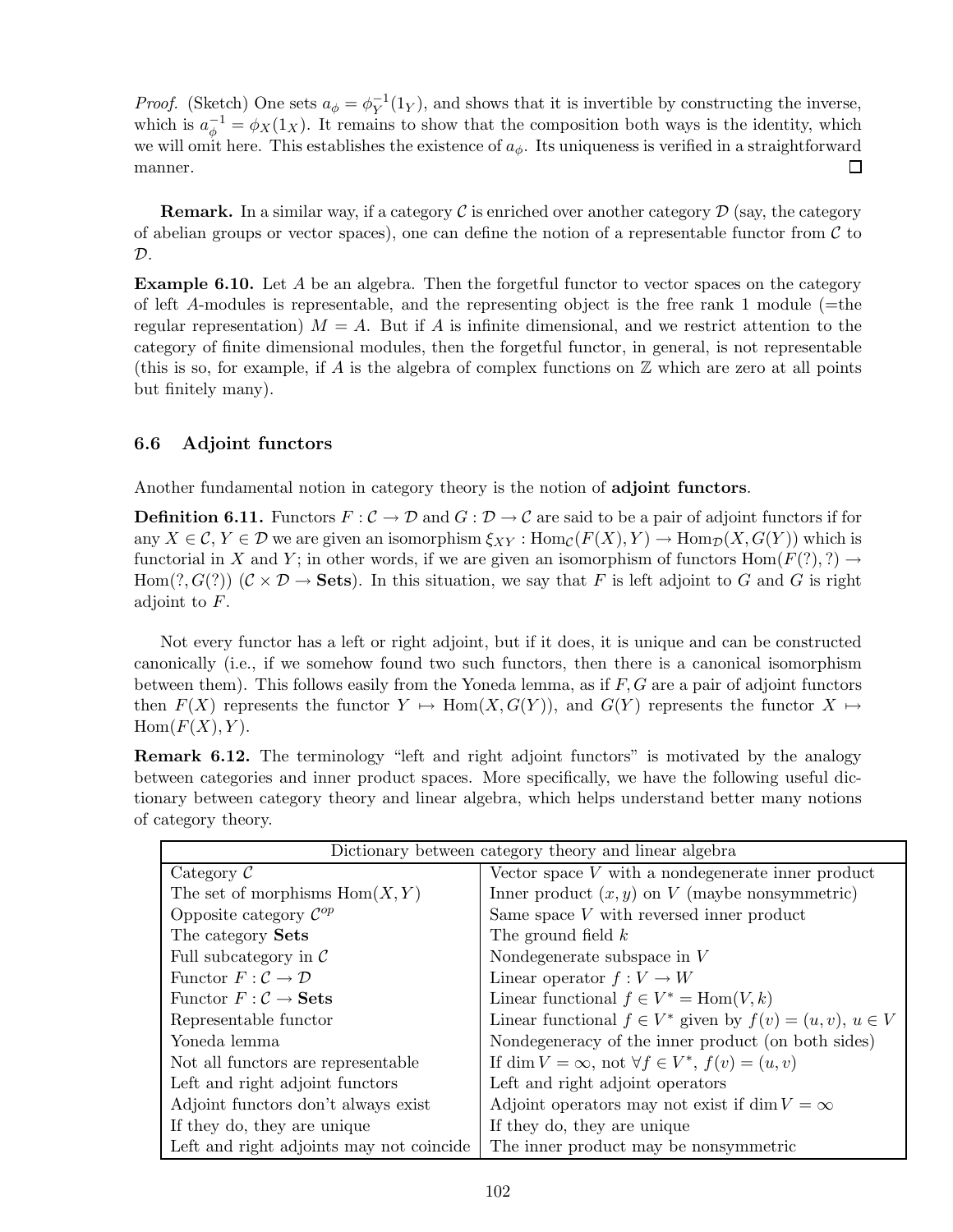*Proof.* (Sketch) One sets  $a_{\phi} = \phi_Y^{-1}(1_Y)$ , and shows that it is invertible by constructing the inverse, which is  $a_{\phi}^{-1} = \phi_X(1_X)$ . It remains to show that the composition both ways is the identity, which we will omit here. This establishes the existence of  $a_{\phi}$ . Its uniqueness is verified in a straightforward  $\Box$ manner.

**Remark.** In a similar way, if a category  $\mathcal{C}$  is enriched over another category  $\mathcal{D}$  (say, the category of abelian groups or vector spaces), one can define the notion of a representable functor from  $\mathcal C$  to  $\mathcal{D}.$ 

**Example 6.10.** Let  $A$  be an algebra. Then the forgetful functor to vector spaces on the category of left A-modules is representable, and the representing object is the free rank 1 module ( $=$ the regular representation)  $M = A$ . But if A is infinite dimensional, and we restrict attention to the category of finite dimensional modules, then the forgetful functor, in general, is not representable (this is so, for example, if A is the algebra of complex functions on  $\mathbb Z$  which are zero at all points but finitely many).

## 6.6 Adjoint functors

Another fundamental notion in category theory is the notion of adjoint functors.

**Definition 6.11.** Functors  $F: \mathcal{C} \to \mathcal{D}$  and  $G: \mathcal{D} \to \mathcal{C}$  are said to be a pair of adjoint functors if for any  $X \in \mathcal{C}, Y \in \mathcal{D}$  we are given an isomorphism  $\xi_{XY} : \text{Hom}_{\mathcal{C}}(F(X), Y) \to \text{Hom}_{\mathcal{D}}(X, G(Y))$  which is functorial in X and Y; in other words, if we are given an isomorphism of functors  $\text{Hom}(F(?)$ , ?)  $\rightarrow$ Hom $(?, G(?))$   $(C \times D \rightarrow$  Sets). In this situation, we say that F is left adjoint to G and G is right adjoint to F.

Not every functor has a left or right adjoint, but if it does, it is unique and can be constructed canonically (i.e., if we somehow found two such functors, then there is a canonical isomorphism between them). This follows easily from the Yoneda lemma, as if  $F, G$  are a pair of adjoint functors then  $F(X)$  represents the functor  $Y \mapsto \text{Hom}(X, G(Y))$ , and  $G(Y)$  represents the functor  $X \mapsto$  $Hom(F(X),Y).$ 

Remark 6.12. The terminology "left and right adjoint functors" is motivated by the analogy between categories and inner product spaces. More specifically, we have the following useful dictionary between category theory and linear algebra, which helps understand better many notions of category theory.

| Dictionary between category theory and linear algebra |                                                                 |  |
|-------------------------------------------------------|-----------------------------------------------------------------|--|
| Category $\mathcal C$                                 | Vector space $V$ with a nondegenerate inner product             |  |
| The set of morphisms $Hom(X, Y)$                      | Inner product $(x, y)$ on V (maybe nonsymmetric)                |  |
| Opposite category $\mathcal{C}^{op}$                  | Same space $V$ with reversed inner product                      |  |
| The category Sets                                     | The ground field $k$                                            |  |
| Full subcategory in $\mathcal C$                      | Nondegenerate subspace in $V$                                   |  |
| Functor $F: \mathcal{C} \to \mathcal{D}$              | Linear operator $f: V \to W$                                    |  |
| Functor $F: \mathcal{C} \to \mathbf{Sets}$            | Linear functional $f \in V^* = \text{Hom}(V, k)$                |  |
| Representable functor                                 | Linear functional $f \in V^*$ given by $f(v) = (u, v), u \in V$ |  |
| Yoneda lemma                                          | Nondegeneracy of the inner product (on both sides)              |  |
| Not all functors are representable                    | If dim $V = \infty$ , not $\forall f \in V^*$ , $f(v) = (u, v)$ |  |
| Left and right adjoint functors                       | Left and right adjoint operators                                |  |
| Adjoint functors don't always exist                   | Adjoint operators may not exist if $\dim V = \infty$            |  |
| If they do, they are unique                           | If they do, they are unique                                     |  |
| Left and right adjoints may not coincide              | The inner product may be nonsymmetric                           |  |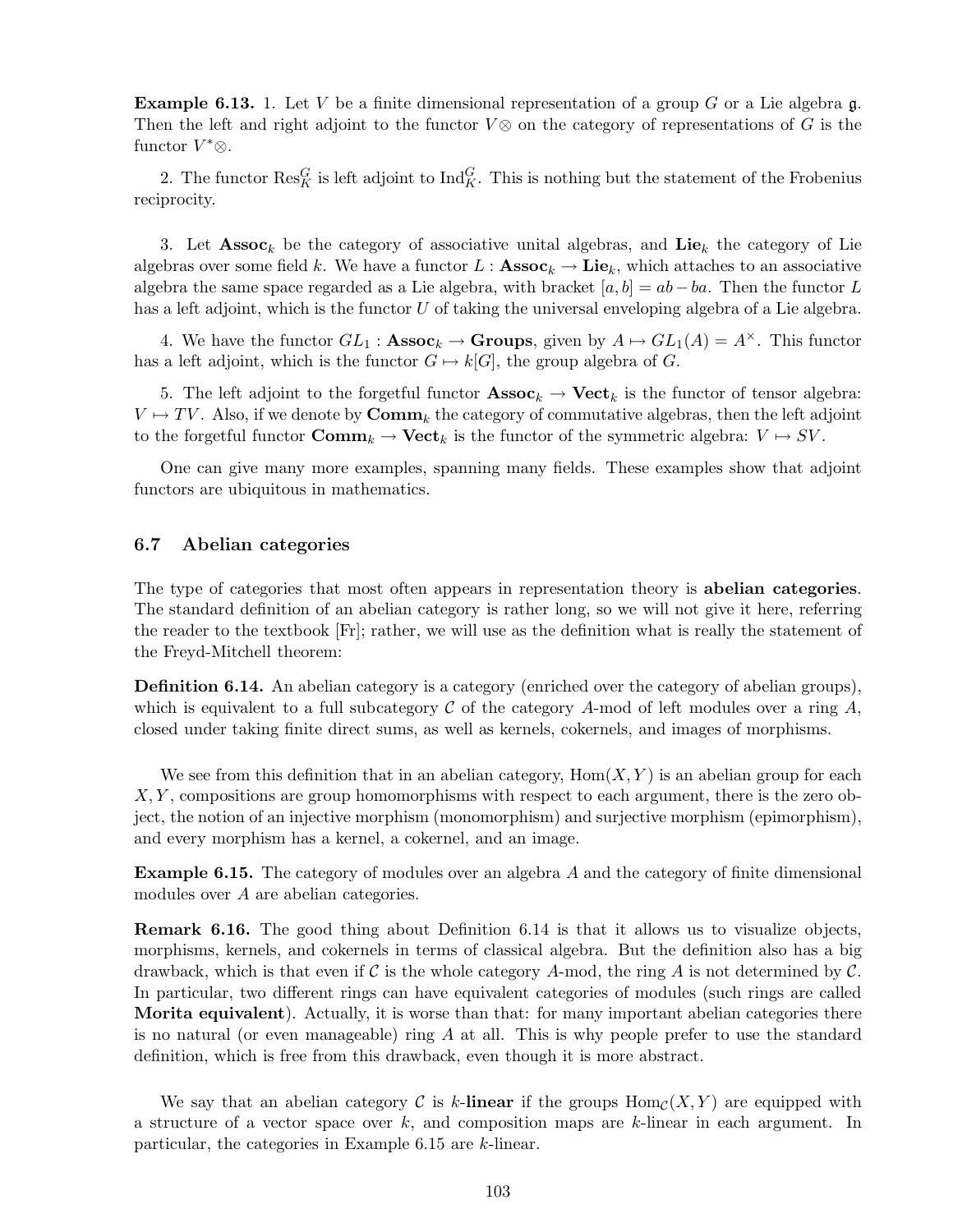**Example 6.13.** 1. Let V be a finite dimensional representation of a group G or a Lie algebra  $\mathfrak{g}$ . Then the left and right adjoint to the functor  $V \otimes$  on the category of representations of G is the functor  $V^*$ ⊗.

2. The functor  $\text{Res}_{K}^{G}$  is left adjoint to  $\text{Ind}_{K}^{G}$ . This is nothing but the statement of the Frobenius reciprocity.

3. Let  $\text{Assoc}_k$  be the category of associative unital algebras, and Lie<sub>k</sub> the category of Lie algebras over some field k. We have a functor  $L : \textbf{Assoc}_k \to \textbf{Lie}_k$ , which attaches to an associative algebra the same space regarded as a Lie algebra, with bracket  $[a,b] = ab - ba$ . Then the functor L has a left adjoint, which is the functor U of taking the universal enveloping algebra of a Lie algebra.

4. We have the functor  $GL_1: \mathbf{Assoc}_k \to \mathbf{Groups}$ , given by  $A \mapsto GL_1(A) = A^{\times}$ . This functor has a left adjoint, which is the functor  $G \mapsto k[G]$ , the group algebra of G.

5. The left adjoint to the forgetful functor  $\mathbf{Assoc}_k \to \mathbf{Vect}_k$  is the functor of tensor algebra:  $V \mapsto TV$ . Also, if we denote by  $\mathbf{Comm}_k$  the category of commutative algebras, then the left adjoint to the forgetful functor  $\text{Comm}_k \to \text{Vect}_k$  is the functor of the symmetric algebra:  $V \mapsto SV$ .

One can give many more examples, spanning many fields. These examples show that adjoint functors are ubiquitous in mathematics.

### 6.7 Abelian categories

The type of categories that most often appears in representation theory is abelian categories. The standard definition of an abelian category is rather long, so we will not give it here, referring the reader to the textbook [Fr]; rather, we will use as the definition what is really the statement of the Freyd-Mitchell theorem:

Definition 6.14. An abelian category is a category (enriched over the category of abelian groups), which is equivalent to a full subcategory  $\mathcal C$  of the category A-mod of left modules over a ring  $A$ , closed under taking finite direct sums, as well as kernels, cokernels, and images of morphisms.

We see from this definition that in an abelian category,  $Hom(X, Y)$  is an abelian group for each  $X, Y$ , compositions are group homomorphisms with respect to each argument, there is the zero object, the notion of an injective morphism (monomorphism) and surjective morphism (epimorphism), and every morphism has a kernel, a cokernel, and an image.

Example 6.15. The category of modules over an algebra A and the category of finite dimensional modules over A are abelian categories.

Remark 6.16. The good thing about Definition 6.14 is that it allows us to visualize objects, morphisms, kernels, and cokernels in terms of classical algebra. But the definition also has a big drawback, which is that even if  $\mathcal C$  is the whole category A-mod, the ring A is not determined by  $\mathcal C$ . In particular, two different rings can have equivalent categories of modules (such rings are called Morita equivalent). Actually, it is worse than that: for many important abelian categories there is no natural (or even manageable) ring  $A$  at all. This is why people prefer to use the standard definition, which is free from this drawback, even though it is more abstract.

We say that an abelian category C is k-linear if the groups  $\text{Hom}_{\mathcal{C}}(X,Y)$  are equipped with a structure of a vector space over  $k$ , and composition maps are  $k$ -linear in each argument. In particular, the categories in Example 6.15 are k-linear.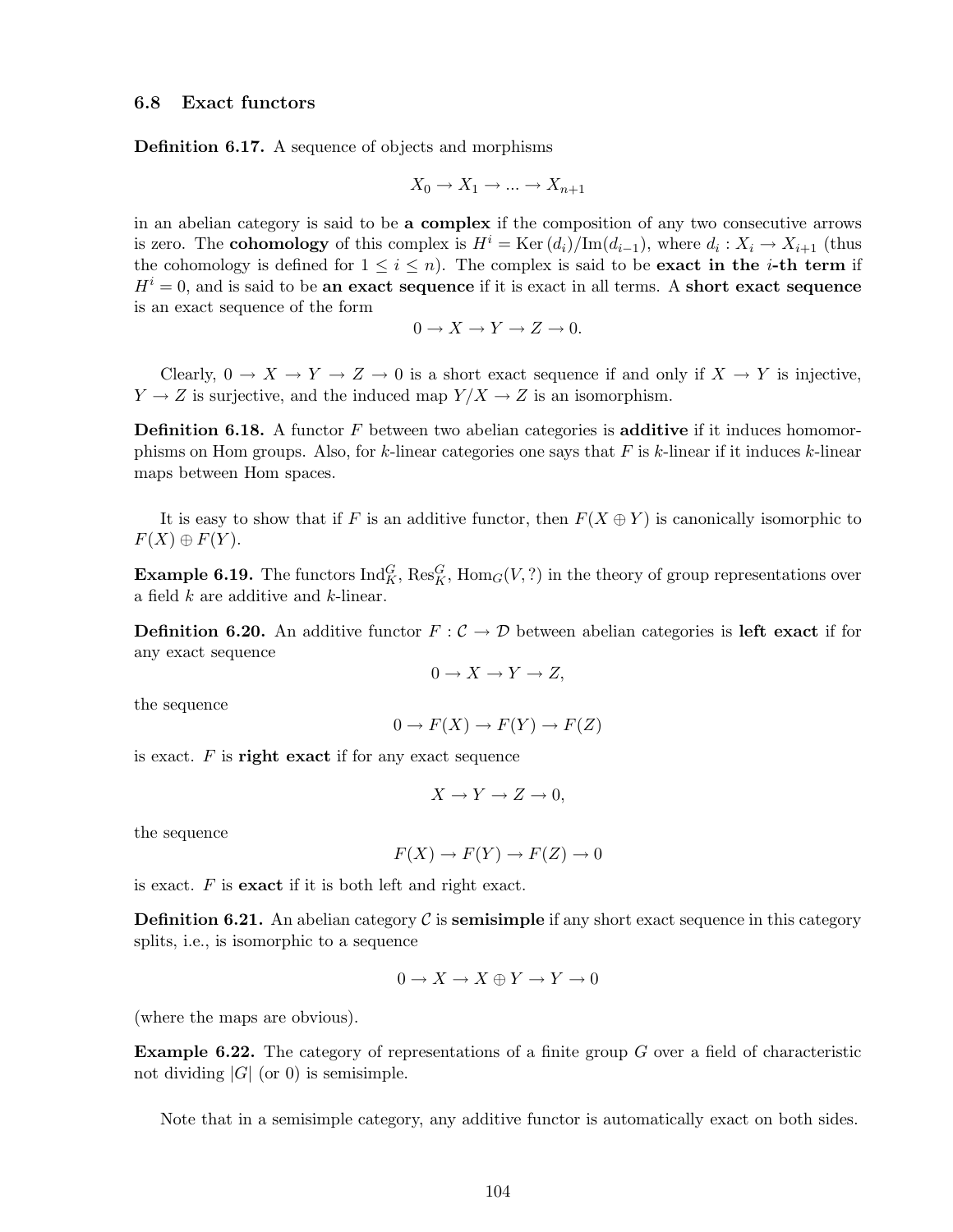Definition 6.17. A sequence of objects and morphisms

$$
X_0 \to X_1 \to \dots \to X_{n+1}
$$

in an abelian category is said to be a complex if the composition of any two consecutive arrows is zero. The **cohomology** of this complex is  $H^i = \text{Ker}(d_i)/\text{Im}(d_{i-1})$ , where  $d_i: X_i \to X_{i+1}$  (thus the cohomology is defined for  $1 \leq i \leq n$ ). The complex is said to be **exact in the** *i***-th term** if  $H<sup>i</sup> = 0$ , and is said to be an exact sequence if it is exact in all terms. A short exact sequence is an exact sequence of the form

$$
0 \to X \to Y \to Z \to 0.
$$

Clearly,  $0 \to X \to Y \to Z \to 0$  is a short exact sequence if and only if  $X \to Y$  is injective,  $Y \to Z$  is surjective, and the induced map  $Y/X \to Z$  is an isomorphism.

**Definition 6.18.** A functor  $F$  between two abelian categories is **additive** if it induces homomorphisms on Hom groups. Also, for  $k$ -linear categories one says that  $F$  is  $k$ -linear if it induces  $k$ -linear maps between Hom spaces.

It is easy to show that if F is an additive functor, then  $F(X \oplus Y)$  is canonically isomorphic to  $F(X) \oplus F(Y)$ .

**Example 6.19.** The functors  $\text{Ind}_{K}^{G}$ ,  $\text{Res}_{K}^{G}$ ,  $\text{Hom}_{G}(V, ?)$  in the theory of group representations over a field k are additive and k-linear.

**Definition 6.20.** An additive functor  $F: \mathcal{C} \to \mathcal{D}$  between abelian categories is left exact if for any exact sequence

$$
0 \to X \to Y \to Z,
$$

the sequence

$$
0 \to F(X) \to F(Y) \to F(Z)
$$

is exact.  $F$  is right exact if for any exact sequence

$$
X \to Y \to Z \to 0,
$$

the sequence

$$
F(X) \to F(Y) \to F(Z) \to 0
$$

is exact.  $F$  is **exact** if it is both left and right exact.

**Definition 6.21.** An abelian category  $\mathcal C$  is **semisimple** if any short exact sequence in this category splits, i.e., is isomorphic to a sequence

$$
0 \to X \to X \oplus Y \to Y \to 0
$$

(where the maps are obvious).

**Example 6.22.** The category of representations of a finite group  $G$  over a field of characteristic not dividing  $|G|$  (or 0) is semisimple.

Note that in a semisimple category, any additive functor is automatically exact on both sides.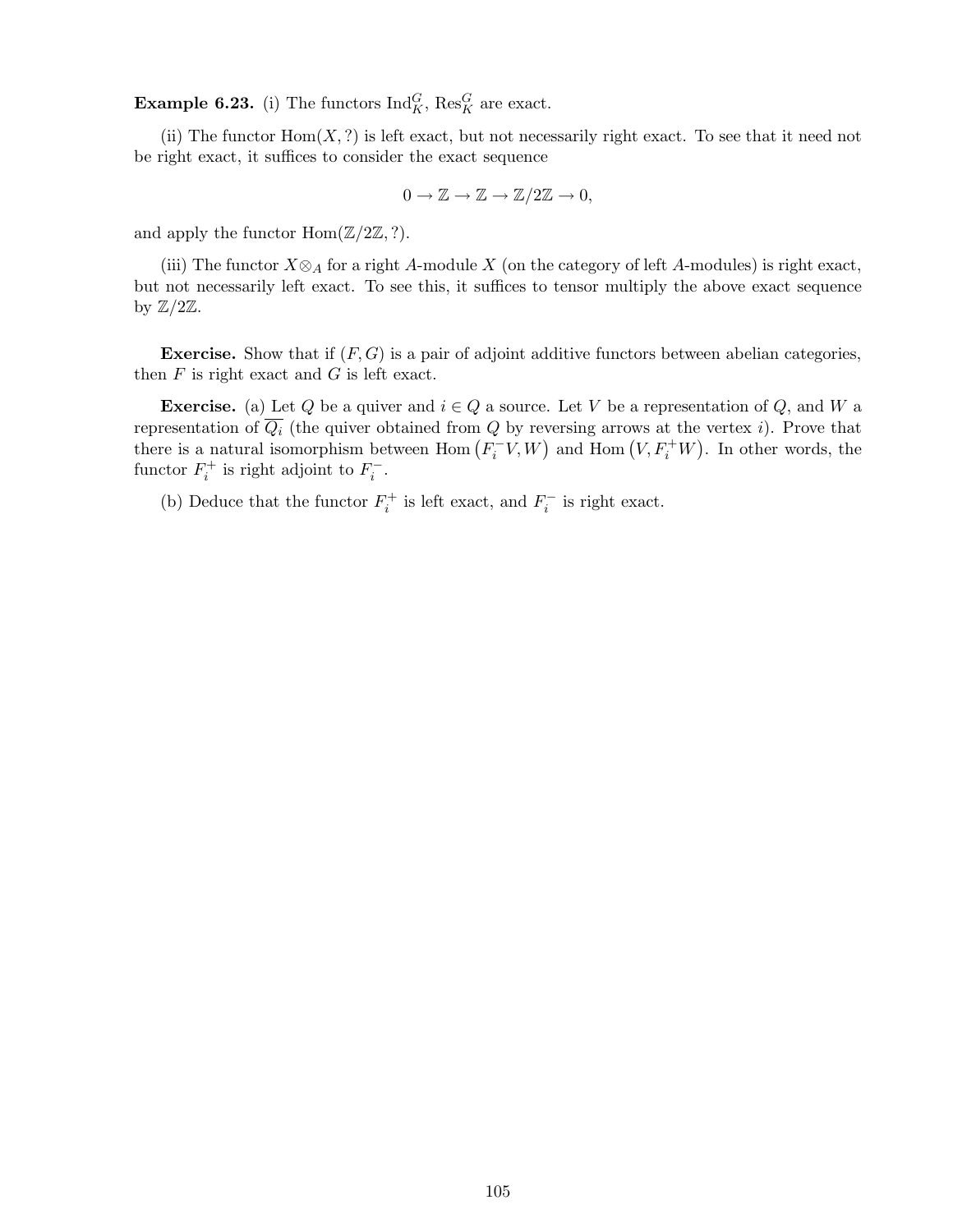**Example 6.23.** (i) The functors  $\text{Ind}_{K}^{G}$ ,  $\text{Res}_{K}^{G}$  are exact.

(ii) The functor  $Hom(X, ?)$  is left exact, but not necessarily right exact. To see that it need not be right exact, it suffices to consider the exact sequence

$$
0 \to \mathbb{Z} \to \mathbb{Z} \to \mathbb{Z}/2\mathbb{Z} \to 0,
$$

and apply the functor  $\text{Hom}(\mathbb{Z}/2\mathbb{Z}, ?)$ .

(iii) The functor  $X \otimes_A f$  for a right A-module X (on the category of left A-modules) is right exact, but not necessarily left exact. To see this, it suffices to tensor multiply the above exact sequence by  $\mathbb{Z}/2\mathbb{Z}$ .

**Exercise.** Show that if  $(F, G)$  is a pair of adjoint additive functors between abelian categories, then  $F$  is right exact and  $G$  is left exact.

**Exercise.** (a) Let Q be a quiver and  $i \in Q$  a source. Let V be a representation of Q, and W a representation of  $\overline{Q_i}$  (the quiver obtained from Q by reversing arrows at the vertex i). Prove that there is a natural isomorphism between  $\text{Hom}(F_i^-, V, W)$  and  $\text{Hom}(V, F_i^+W)$ . In other words, the functor  $F_i^+$  is right adjoint to  $F_i^-$ .

(b) Deduce that the functor  $F_i^+$  is left exact, and  $F_i^-$  is right exact.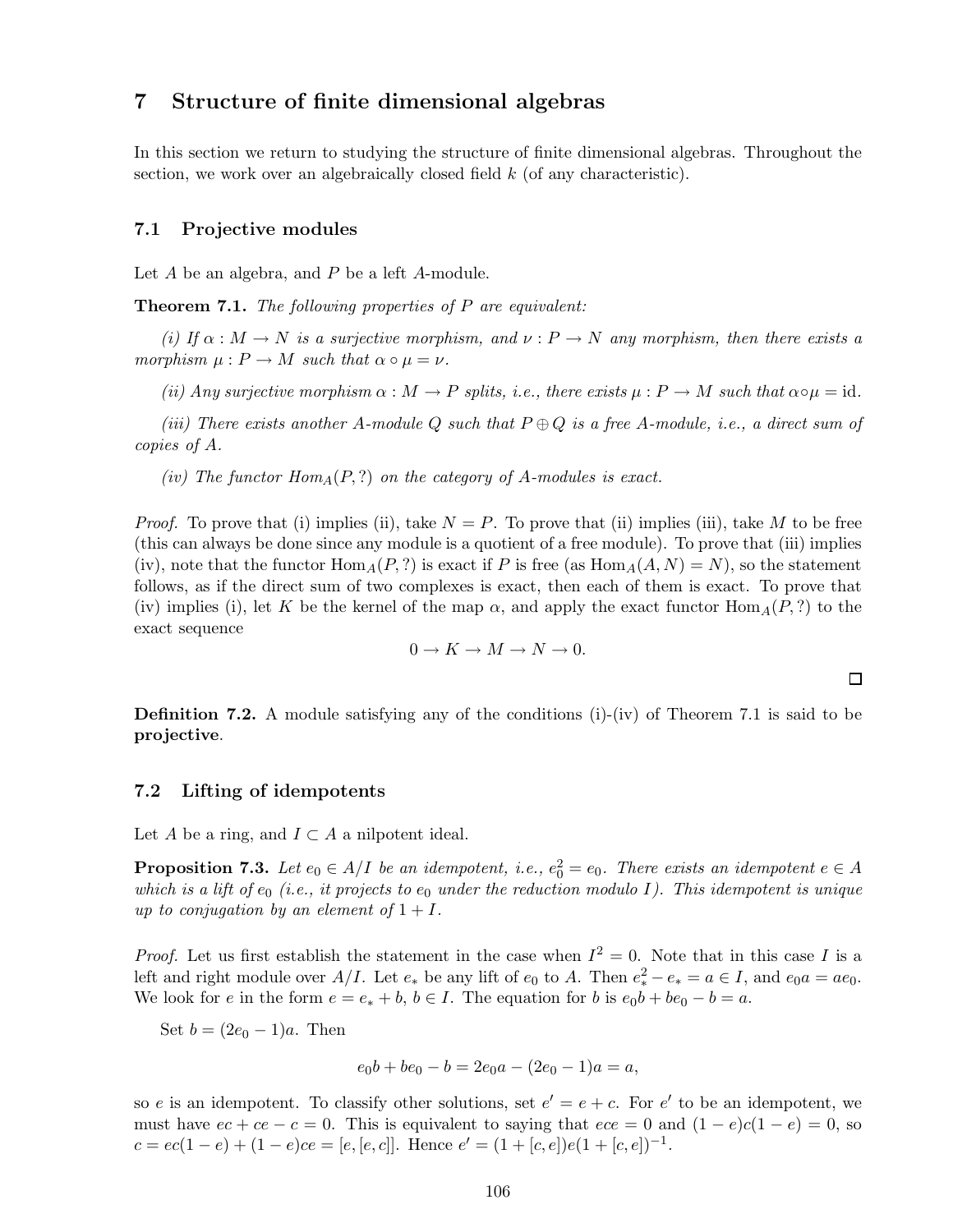# 7 Structure of finite dimensional algebras

In this section we return to studying the structure of finite dimensional algebras. Throughout the section, we work over an algebraically closed field  $k$  (of any characteristic).

### 7.1 Projective modules

Let A be an algebra, and P be a left A-module.

Theorem 7.1. *The following properties of* P *are equivalent:*

*(i)* If  $\alpha : M \to N$  *is a surjective morphism, and*  $\nu : P \to N$  *any morphism, then there exists a morphism*  $\mu$  :  $P \rightarrow M$  *such that*  $\alpha \circ \mu = \nu$ .

*(ii) Any surjective morphism*  $\alpha : M \to P$  *splits, i.e., there exists*  $\mu : P \to M$  *such that*  $\alpha \circ \mu = id$ *.* 

*(iii)* There exists another A-module Q such that  $P \oplus Q$  *is a free A-module, i.e., a direct sum of copies of* A*.*

*(iv)* The functor  $Hom_A(P, ?)$  on the category of A-modules is exact.

*Proof.* To prove that (i) implies (ii), take  $N = P$ . To prove that (ii) implies (iii), take M to be free (this can always be done since any module is a quotient of a free module). To prove that (iii) implies (iv), note that the functor  $\text{Hom}_{A}(P,?)$  is exact if P is free (as  $\text{Hom}_{A}(A, N) = N$ ), so the statement follows, as if the direct sum of two complexes is exact, then each of them is exact. To prove that (iv) implies (i), let K be the kernel of the map  $\alpha$ , and apply the exact functor  $\text{Hom}_{A}(P,?)$  to the exact sequence

$$
0 \to K \to M \to N \to 0.
$$

 $\Box$ 

**Definition 7.2.** A module satisfying any of the conditions (i)-(iv) of Theorem 7.1 is said to be projective.

#### 7.2 Lifting of idempotents

Let A be a ring, and  $I \subset A$  a nilpotent ideal.

**Proposition 7.3.** Let  $e_0 \in A/I$  be an idempotent, i.e.,  $e_0^2 = e_0$ . There exists an idempotent  $e \in A$ *which is a lift of*  $e_0$  *(i.e., it projects to*  $e_0$  *under the reduction modulo I). This idempotent is unique up to conjugation by an element of*  $1 + I$ .

*Proof.* Let us first establish the statement in the case when  $I^2 = 0$ . Note that in this case I is a left and right module over  $A/I$ . Let  $e_*$  be any lift of  $e_0$  to A. Then  $e_*^2 - e_* = a \in I$ , and  $e_0a = ae_0$ . We look for e in the form  $e = e_* + b$ ,  $b \in I$ . The equation for b is  $e_0b + be_0 - b = a$ .

Set  $b = (2e_0 - 1)a$ . Then

$$
e_0b + be_0 - b = 2e_0a - (2e_0 - 1)a = a,
$$

so e is an idempotent. To classify other solutions, set  $e' = e + c$ . For  $e'$  to be an idempotent, we must have  $ee + ce - c = 0$ . This is equivalent to saying that  $ece = 0$  and  $(1 - e)c(1 - e) = 0$ , so  $c = ec(1-e) + (1-e)ce = [e, [e, c]]$ . Hence  $e' = (1 + [c, e])e(1 + [c, e])^{-1}$ .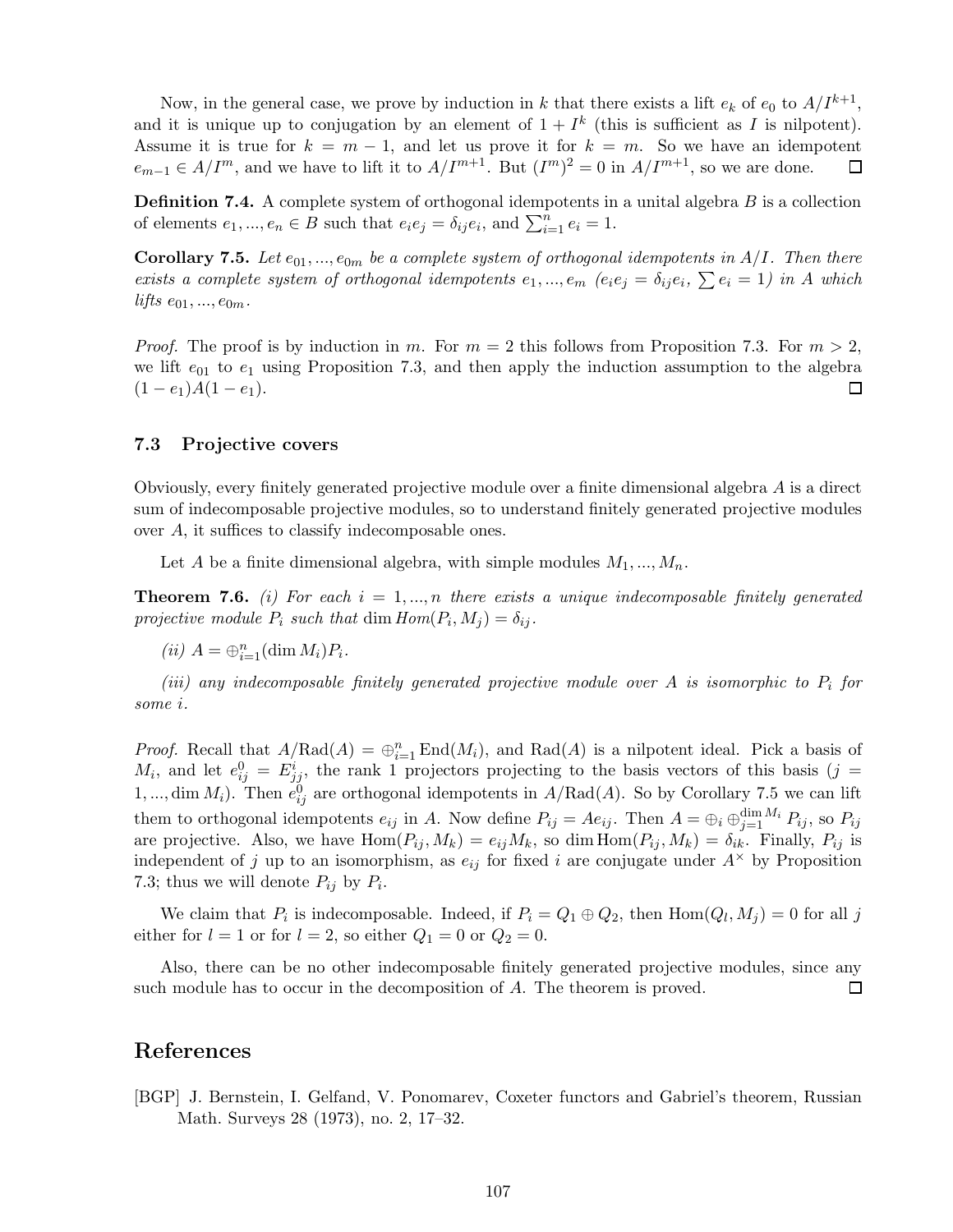Now, in the general case, we prove by induction in k that there exists a lift  $e_k$  of  $e_0$  to  $A/I^{k+1}$ , and it is unique up to conjugation by an element of  $1 + I^k$  (this is sufficient as I is nilpotent). Assume it is true for  $k = m - 1$ , and let us prove it for  $k = m$ . So we have an idempotent  $e_{m-1} \in A/I^m$ , and we have to lift it to  $A/I^{m+1}$ . But  $(I^m)^2 = 0$  in  $A/I^{m+1}$ , so we are done.  $e_{m-1} \in A/I^m$ , and we have to lift it to  $A/I^{m+1}$ . But  $(I^m)^2 = 0$  in  $A/I^{m+1}$ , so we are done.

**Definition 7.4.** A complete system of orthogonal idempotents in a unital algebra  $B$  is a collection of elements  $e_1, ..., e_n \in B$  such that  $e_i e_j = \delta_{ij} e_i$ , and  $\sum_{i=1}^n e_i = 1$ .

**Corollary 7.5.** Let  $e_{01},...,e_{0m}$  be a complete system of orthogonal idempotents in  $A/I$ . Then there exists a complete system of orthogonal idempotents  $e_1, ..., e_m$   $(e_i e_j = \delta_{ij} e_i, \sum e_i = 1)$  in A which *lifts*  $e_{01},...,e_{0m}$ .

*Proof.* The proof is by induction in m. For  $m = 2$  this follows from Proposition 7.3. For  $m > 2$ , we lift  $e_{01}$  to  $e_1$  using Proposition 7.3, and then apply the induction assumption to the algebra  $(1-e_1)A(1-e_1).$  $\Box$ 

### 7.3 Projective covers

Obviously, every finitely generated projective module over a finite dimensional algebra A is a direct sum of indecomposable projective modules, so to understand finitely generated projective modules over A, it suffices to classify indecomposable ones.

Let A be a finite dimensional algebra, with simple modules  $M_1, ..., M_n$ .

**Theorem 7.6.** *(i) For each*  $i = 1,...,n$  *there exists a unique indecomposable finitely generated projective module*  $P_i$  *such that* dim  $Hom(P_i, M_j) = \delta_{ij}$ .

(*ii*)  $A = \bigoplus_{i=1}^{n} (\dim M_i) P_i$ .

*(iii) any indecomposable finitely generated projective module over* A *is isomorphic to* P<sup>i</sup> *for some* i*.*

*Proof.* Recall that  $A/Rad(A) = \bigoplus_{i=1}^{n} End(M_i)$ , and  $Rad(A)$  is a nilpotent ideal. Pick a basis of  $M_i$ , and let  $e_{ij}^0 = E_{jj}^i$ , the rank 1 projectors projecting to the basis vectors of this basis  $(j = 1)$ 1,..., dim  $M_i$ ). Then  $e_{ij}^0$  are orthogonal idempotents in  $A/Rad(A)$ . So by Corollary 7.5 we can lift them to orthogonal idempotents  $e_{ij}$  in A. Now define  $P_{ij} = Ae_{ij}$ . Then  $A = \bigoplus_i \bigoplus_{j=1}^{\dim M_i} P_{ij}$ , so  $P_{ij}$ are projective. Also, we have  $Hom(P_{ij}, M_k) = e_{ij}M_k$ , so dim  $Hom(P_{ij}, M_k) = \delta_{ik}$ . Finally,  $P_{ij}$  is independent of j up to an isomorphism, as  $e_{ij}$  for fixed i are conjugate under  $A^{\times}$  by Proposition 7.3; thus we will denote  $P_{ij}$  by  $P_i$ .

We claim that  $P_i$  is indecomposable. Indeed, if  $P_i = Q_1 \oplus Q_2$ , then  $\text{Hom}(Q_l, M_j) = 0$  for all j either for  $l = 1$  or for  $l = 2$ , so either  $Q_1 = 0$  or  $Q_2 = 0$ .

Also, there can be no other indecomposable finitely generated projective modules, since any such module has to occur in the decomposition of A. The theorem is proved. 囗

# References

[BGP] J. Bernstein, I. Gelfand, V. Ponomarev, Coxeter functors and Gabriel's theorem, Russian Math. Surveys 28 (1973), no. 2, 17–32.